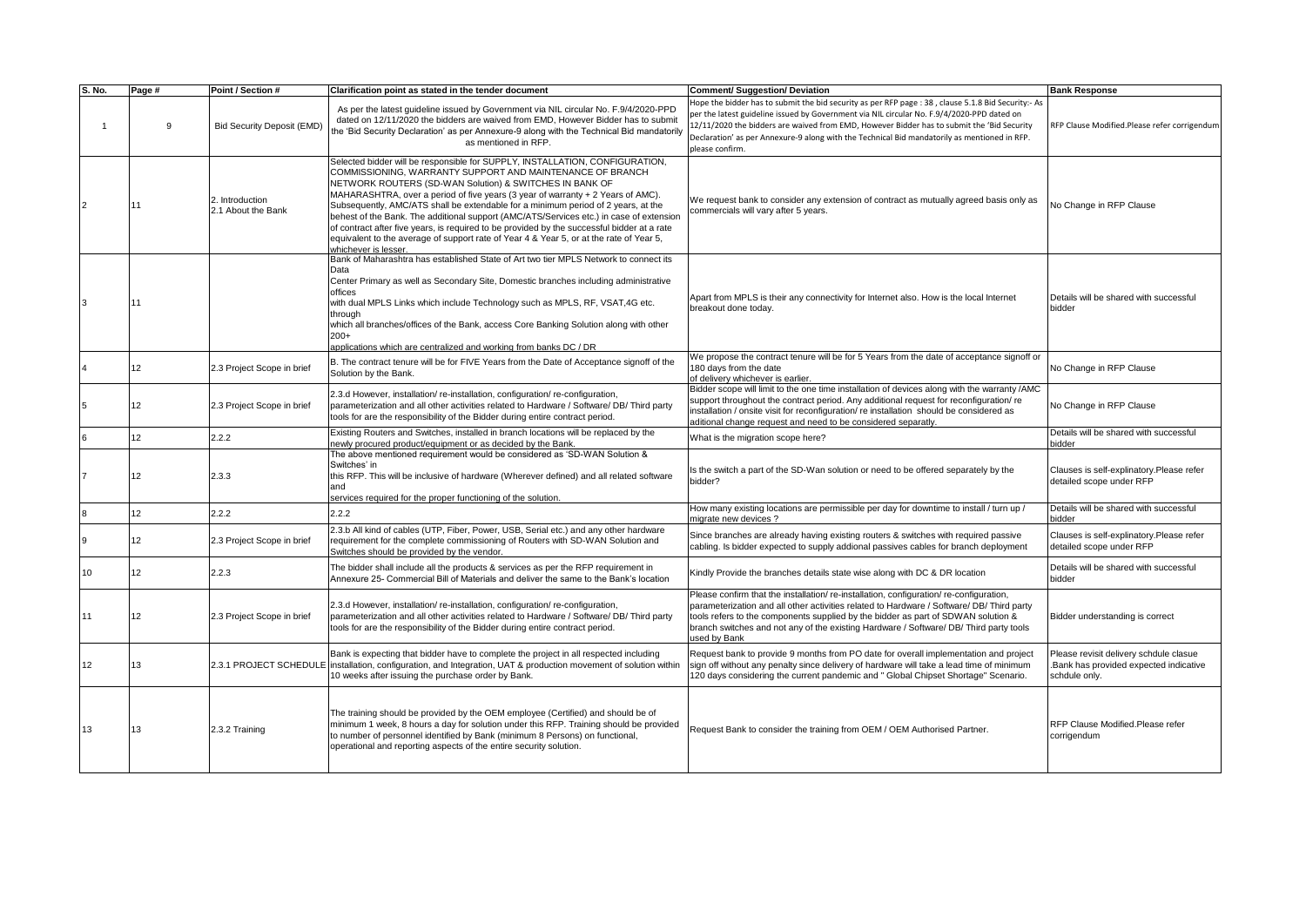| <b>S. No.</b> | Page #           | Point / Section #                     | Clarification point as stated in the tender document                                                                                                                                                                                                                                                                                                                                                                                                                                                                                                                                                                                                                                      | <b>Comment/ Suggestion/ Deviation</b>                                                                                                                                                                                                                                                                                                                                                                              | <b>Bank Response</b>                                                                              |
|---------------|------------------|---------------------------------------|-------------------------------------------------------------------------------------------------------------------------------------------------------------------------------------------------------------------------------------------------------------------------------------------------------------------------------------------------------------------------------------------------------------------------------------------------------------------------------------------------------------------------------------------------------------------------------------------------------------------------------------------------------------------------------------------|--------------------------------------------------------------------------------------------------------------------------------------------------------------------------------------------------------------------------------------------------------------------------------------------------------------------------------------------------------------------------------------------------------------------|---------------------------------------------------------------------------------------------------|
|               | 9                | <b>Bid Security Deposit (EMD)</b>     | As per the latest guideline issued by Government via NIL circular No. F.9/4/2020-PPD<br>dated on 12/11/2020 the bidders are waived from EMD, However Bidder has to submit<br>the 'Bid Security Declaration' as per Annexure-9 along with the Technical Bid mandatorily<br>as mentioned in RFP.                                                                                                                                                                                                                                                                                                                                                                                            | lope the bidder has to submit the bid security as per RFP page : 38, clause 5.1.8 Bid Security:- As<br>ber the latest guideline issued by Government via NIL circular No. F.9/4/2020-PPD dated on<br>12/11/2020 the bidders are waived from EMD, However Bidder has to submit the 'Bid Security<br>Declaration' as per Annexure-9 along with the Technical Bid mandatorily as mentioned in RFP.<br>please confirm. | RFP Clause Modified.Please refer corrigendum                                                      |
|               | 11               | 2. Introduction<br>2.1 About the Bank | Selected bidder will be responsible for SUPPLY, INSTALLATION, CONFIGURATION,<br>COMMISSIONING, WARRANTY SUPPORT AND MAINTENANCE OF BRANCH<br>NETWORK ROUTERS (SD-WAN Solution) & SWITCHES IN BANK OF<br>MAHARASHTRA, over a period of five years (3 year of warranty + 2 Years of AMC).<br>Subsequently, AMC/ATS shall be extendable for a minimum period of 2 years, at the<br>behest of the Bank. The additional support (AMC/ATS/Services etc.) in case of extension<br>of contract after five years, is required to be provided by the successful bidder at a rate<br>equivalent to the average of support rate of Year 4 & Year 5, or at the rate of Year 5,<br>whichever is lesser. | We request bank to consider any extension of contract as mutually agreed basis only as<br>commercials will vary after 5 years.                                                                                                                                                                                                                                                                                     | No Change in RFP Clause                                                                           |
|               | 11               |                                       | Bank of Maharashtra has established State of Art two tier MPLS Network to connect its<br>Data<br>Center Primary as well as Secondary Site, Domestic branches including administrative<br>offices<br>with dual MPLS Links which include Technology such as MPLS, RF, VSAT, 4G etc.<br>through<br>which all branches/offices of the Bank, access Core Banking Solution along with other<br>$200+$<br>applications which are centralized and working from banks DC / DR                                                                                                                                                                                                                      | Apart from MPLS is their any connectivity for Internet also. How is the local Internet<br>breakout done today.                                                                                                                                                                                                                                                                                                     | Details will be shared with successful<br>bidder                                                  |
|               | 12 <sup>°</sup>  | 2.3 Project Scope in brief            | B. The contract tenure will be for FIVE Years from the Date of Acceptance signoff of the<br>Solution by the Bank.                                                                                                                                                                                                                                                                                                                                                                                                                                                                                                                                                                         | We propose the contract tenure will be for 5 Years from the date of acceptance signoff or<br>180 days from the date<br>of delivery whichever is earlier.                                                                                                                                                                                                                                                           | No Change in RFP Clause                                                                           |
|               | 12 <sup>2</sup>  | 2.3 Project Scope in brief            | 2.3.d However, installation/re-installation, configuration/re-configuration,<br>parameterization and all other activities related to Hardware / Software/ DB/ Third party<br>tools for are the responsibility of the Bidder during entire contract period.                                                                                                                                                                                                                                                                                                                                                                                                                                | Bidder scope will limit to the one time installation of devices along with the warranty /AMC<br>support throughout the contract period. Any additional request for reconfiguration/re<br>nstallation / onsite visit for reconfiguration/ re installation should be considered as<br>aditional change request and need to be considered separatly.                                                                  | No Change in RFP Clause                                                                           |
|               | 12 <sup>12</sup> | 2.2.2                                 | Existing Routers and Switches, installed in branch locations will be replaced by the<br>newly procured product/equipment or as decided by the Bank.                                                                                                                                                                                                                                                                                                                                                                                                                                                                                                                                       | What is the migration scope here?                                                                                                                                                                                                                                                                                                                                                                                  | Details will be shared with successful<br>bidder                                                  |
|               | 12 <sup>2</sup>  | 2.3.3                                 | The above mentioned requirement would be considered as 'SD-WAN Solution &<br>Switches' in<br>this RFP. This will be inclusive of hardware (Wherever defined) and all related software<br>and<br>services required for the proper functioning of the solution.                                                                                                                                                                                                                                                                                                                                                                                                                             | Is the switch a part of the SD-Wan solution or need to be offered separately by the<br>bidder?                                                                                                                                                                                                                                                                                                                     | Clauses is self-explinatory.Please refer<br>detailed scope under RFP                              |
|               | 12 <sup>2</sup>  | 2.2.2                                 | 2.2.2                                                                                                                                                                                                                                                                                                                                                                                                                                                                                                                                                                                                                                                                                     | How many existing locations are permissible per day for downtime to install / turn up /<br>migrate new devices?                                                                                                                                                                                                                                                                                                    | Details will be shared with successful<br>bidder                                                  |
|               | 12               | 2.3 Project Scope in brief            | 2.3.b All kind of cables (UTP, Fiber, Power, USB, Serial etc.) and any other hardware<br>requirement for the complete commissioning of Routers with SD-WAN Solution and<br>Switches should be provided by the vendor.                                                                                                                                                                                                                                                                                                                                                                                                                                                                     | Since branches are already having existing routers & switches with required passive<br>cabling. Is bidder expected to supply addional passives cables for branch deployment                                                                                                                                                                                                                                        | Clauses is self-explinatory.Please refer<br>detailed scope under RFP                              |
| 10            | 12 <sup>2</sup>  | 2.2.3                                 | The bidder shall include all the products & services as per the RFP requirement in<br>Annexure 25- Commercial Bill of Materials and deliver the same to the Bank's location                                                                                                                                                                                                                                                                                                                                                                                                                                                                                                               | Kindly Provide the branches details state wise along with DC & DR location                                                                                                                                                                                                                                                                                                                                         | Details will be shared with successful<br>bidder                                                  |
| 11            | 12               | 2.3 Project Scope in brief            | 2.3.d However, installation/re-installation, configuration/re-configuration,<br>parameterization and all other activities related to Hardware / Software/ DB/ Third party<br>tools for are the responsibility of the Bidder during entire contract period.                                                                                                                                                                                                                                                                                                                                                                                                                                | Please confirm that the installation/re-installation, configuration/re-configuration,<br>parameterization and all other activities related to Hardware / Software/ DB/ Third party<br>tools refers to the components supplied by the bidder as part of SDWAN solution &<br>branch switches and not any of the existing Hardware / Software/ DB/ Third party tools<br><b>Jsed by Bank</b>                           | Bidder understanding is correct                                                                   |
| 12            | 13               | 2.3.1 PROJECT SCHEDULE                | Bank is expecting that bidder have to complete the project in all respected including<br>installation, configuration, and Integration, UAT & production movement of solution within<br>10 weeks after issuing the purchase order by Bank.                                                                                                                                                                                                                                                                                                                                                                                                                                                 | Request bank to provide 9 months from PO date for overall implementation and project<br>sign off without any penalty since delivery of hardware will take a lead time of minimum<br>120 days considering the current pandemic and " Global Chipset Shortage" Scenario.                                                                                                                                             | Please revisit delivery schdule clasue<br>.Bank has provided expected indicative<br>schdule only. |
| 13            | 13               | 2.3.2 Training                        | The training should be provided by the OEM employee (Certified) and should be of<br>minimum 1 week, 8 hours a day for solution under this RFP. Training should be provided<br>to number of personnel identified by Bank (minimum 8 Persons) on functional,<br>operational and reporting aspects of the entire security solution.                                                                                                                                                                                                                                                                                                                                                          | Request Bank to consider the training from OEM / OEM Authorised Partner.                                                                                                                                                                                                                                                                                                                                           | RFP Clause Modified.Please refer<br>corrigendum                                                   |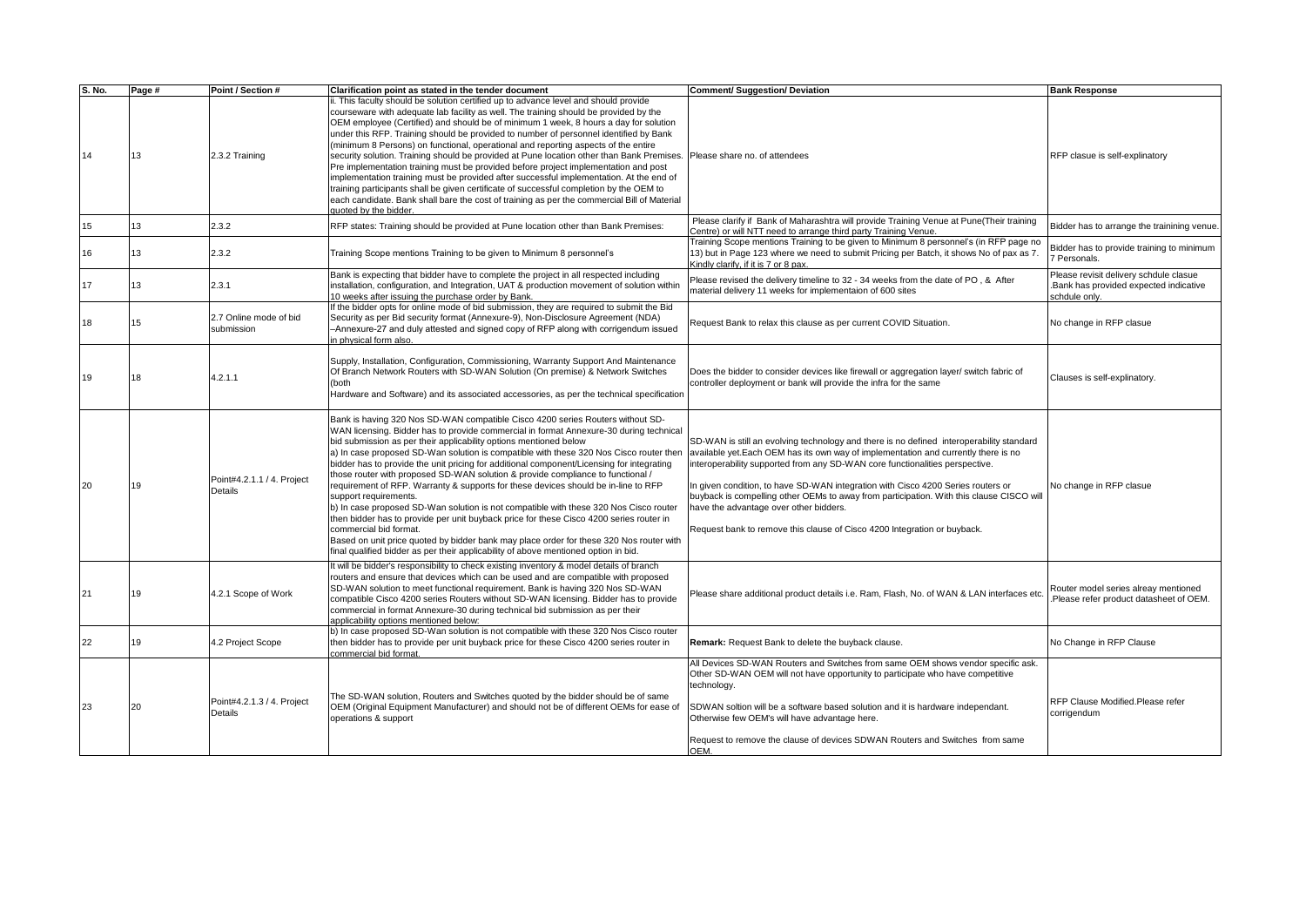| <b>S. No.</b> | Page # | Point / Section #                     | Clarification point as stated in the tender document                                                                                                                                                                                                                                                                                                                                                                                                                                                                                                                                                                                                                                                                                                                                                                                                                                                                                                                                                                                   | <b>Comment/ Suggestion/ Deviation</b>                                                                                                                                                                                                                                                                                                                                                                                                                                                                                                                                 | <b>Bank Response</b>                                                                              |
|---------------|--------|---------------------------------------|----------------------------------------------------------------------------------------------------------------------------------------------------------------------------------------------------------------------------------------------------------------------------------------------------------------------------------------------------------------------------------------------------------------------------------------------------------------------------------------------------------------------------------------------------------------------------------------------------------------------------------------------------------------------------------------------------------------------------------------------------------------------------------------------------------------------------------------------------------------------------------------------------------------------------------------------------------------------------------------------------------------------------------------|-----------------------------------------------------------------------------------------------------------------------------------------------------------------------------------------------------------------------------------------------------------------------------------------------------------------------------------------------------------------------------------------------------------------------------------------------------------------------------------------------------------------------------------------------------------------------|---------------------------------------------------------------------------------------------------|
| 14            | 13     | 2.3.2 Training                        | i. This faculty should be solution certified up to advance level and should provide<br>courseware with adequate lab facility as well. The training should be provided by the<br>OEM employee (Certified) and should be of minimum 1 week, 8 hours a day for solution<br>under this RFP. Training should be provided to number of personnel identified by Bank<br>(minimum 8 Persons) on functional, operational and reporting aspects of the entire<br>security solution. Training should be provided at Pune location other than Bank Premises. Please share no. of attendees<br>Pre implementation training must be provided before project implementation and post<br>mplementation training must be provided after successful implementation. At the end of<br>training participants shall be given certificate of successful completion by the OEM to<br>each candidate. Bank shall bare the cost of training as per the commercial Bill of Material<br>quoted by the bidder.                                                     |                                                                                                                                                                                                                                                                                                                                                                                                                                                                                                                                                                       | RFP clasue is self-explinatory                                                                    |
| 15            | 13     | 2.3.2                                 | RFP states: Training should be provided at Pune location other than Bank Premises:                                                                                                                                                                                                                                                                                                                                                                                                                                                                                                                                                                                                                                                                                                                                                                                                                                                                                                                                                     | Please clarify if Bank of Maharashtra will provide Training Venue at Pune(Their training<br>Centre) or will NTT need to arrange third party Training Venue.                                                                                                                                                                                                                                                                                                                                                                                                           | Bidder has to arrange the trainining venue.                                                       |
| 16            | 13     | 2.3.2                                 | Training Scope mentions Training to be given to Minimum 8 personnel's                                                                                                                                                                                                                                                                                                                                                                                                                                                                                                                                                                                                                                                                                                                                                                                                                                                                                                                                                                  | Training Scope mentions Training to be given to Minimum 8 personnel's (in RFP page no<br>13) but in Page 123 where we need to submit Pricing per Batch, it shows No of pax as 7.<br>Kindly clarify, if it is 7 or 8 pax.                                                                                                                                                                                                                                                                                                                                              | Bidder has to provide training to minimum<br>7 Personals.                                         |
| 17            | 13     | 2.3.1                                 | Bank is expecting that bidder have to complete the project in all respected including<br>installation, configuration, and Integration, UAT & production movement of solution within<br>10 weeks after issuing the purchase order by Bank.                                                                                                                                                                                                                                                                                                                                                                                                                                                                                                                                                                                                                                                                                                                                                                                              | Please revised the delivery timeline to 32 - 34 weeks from the date of PO, & After<br>material delivery 11 weeks for implementaion of 600 sites                                                                                                                                                                                                                                                                                                                                                                                                                       | Please revisit delivery schdule clasue<br>.Bank has provided expected indicative<br>schdule only. |
| 18            | 15     | 2.7 Online mode of bid<br>submission  | If the bidder opts for online mode of bid submission, they are required to submit the Bid<br>Security as per Bid security format (Annexure-9), Non-Disclosure Agreement (NDA)<br>-Annexure-27 and duly attested and signed copy of RFP along with corrigendum issued<br>n physical form also.                                                                                                                                                                                                                                                                                                                                                                                                                                                                                                                                                                                                                                                                                                                                          | Request Bank to relax this clause as per current COVID Situation.                                                                                                                                                                                                                                                                                                                                                                                                                                                                                                     | No change in RFP clasue                                                                           |
| 19            | 18     | 4.2.1.1                               | Supply, Installation, Configuration, Commissioning, Warranty Support And Maintenance<br>Of Branch Network Routers with SD-WAN Solution (On premise) & Network Switches<br>(both<br>Hardware and Software) and its associated accessories, as per the technical specification                                                                                                                                                                                                                                                                                                                                                                                                                                                                                                                                                                                                                                                                                                                                                           | Does the bidder to consider devices like firewall or aggregation layer/ switch fabric of<br>controller deployment or bank will provide the infra for the same                                                                                                                                                                                                                                                                                                                                                                                                         | Clauses is self-explinatory.                                                                      |
| 20            | 19     | Point#4.2.1.1 / 4. Project<br>Details | Bank is having 320 Nos SD-WAN compatible Cisco 4200 series Routers without SD-<br>WAN licensing. Bidder has to provide commercial in format Annexure-30 during technical<br>bid submission as per their applicability options mentioned below<br>a) In case proposed SD-Wan solution is compatible with these 320 Nos Cisco router then<br>bidder has to provide the unit pricing for additional component/Licensing for integrating<br>those router with proposed SD-WAN solution & provide compliance to functional /<br>requirement of RFP. Warranty & supports for these devices should be in-line to RFP<br>support requirements.<br>b) In case proposed SD-Wan solution is not compatible with these 320 Nos Cisco router<br>then bidder has to provide per unit buyback price for these Cisco 4200 series router in<br>commercial bid format.<br>Based on unit price quoted by bidder bank may place order for these 320 Nos router with<br>final qualified bidder as per their applicability of above mentioned option in bid. | SD-WAN is still an evolving technology and there is no defined interoperability standard<br>available yet. Each OEM has its own way of implementation and currently there is no<br>interoperability supported from any SD-WAN core functionalities perspective.<br>In given condition, to have SD-WAN integration with Cisco 4200 Series routers or<br>buyback is compelling other OEMs to away from participation. With this clause CISCO will<br>have the advantage over other bidders.<br>Request bank to remove this clause of Cisco 4200 Integration or buyback. | No change in RFP clasue                                                                           |
| 21            | 19     | 4.2.1 Scope of Work                   | It will be bidder's responsibility to check existing inventory & model details of branch<br>routers and ensure that devices which can be used and are compatible with proposed<br>SD-WAN solution to meet functional requirement. Bank is having 320 Nos SD-WAN<br>compatible Cisco 4200 series Routers without SD-WAN licensing. Bidder has to provide<br>commercial in format Annexure-30 during technical bid submission as per their<br>applicability options mentioned below:                                                                                                                                                                                                                                                                                                                                                                                                                                                                                                                                                     | Please share additional product details i.e. Ram, Flash, No. of WAN & LAN interfaces etc.                                                                                                                                                                                                                                                                                                                                                                                                                                                                             | Router model series alreay mentioned<br>Please refer product datasheet of OEM.                    |
| 22            | 19     | 1.2 Project Scope                     | b) In case proposed SD-Wan solution is not compatible with these 320 Nos Cisco router<br>then bidder has to provide per unit buyback price for these Cisco 4200 series router in<br>commercial bid format.                                                                                                                                                                                                                                                                                                                                                                                                                                                                                                                                                                                                                                                                                                                                                                                                                             | Remark: Request Bank to delete the buyback clause.                                                                                                                                                                                                                                                                                                                                                                                                                                                                                                                    | No Change in RFP Clause                                                                           |
| 23            | 20     | Point#4.2.1.3 / 4. Project<br>Details | The SD-WAN solution, Routers and Switches quoted by the bidder should be of same<br>OEM (Original Equipment Manufacturer) and should not be of different OEMs for ease of<br>operations & support                                                                                                                                                                                                                                                                                                                                                                                                                                                                                                                                                                                                                                                                                                                                                                                                                                      | All Devices SD-WAN Routers and Switches from same OEM shows vendor specific ask.<br>Other SD-WAN OEM will not have opportunity to participate who have competitive<br>technology.<br>SDWAN soltion will be a software based solution and it is hardware independant.<br>Otherwise few OEM's will have advantage here.<br>Request to remove the clause of devices SDWAN Routers and Switches from same<br>OEM.                                                                                                                                                         | RFP Clause Modified.Please refer<br>corrigendum                                                   |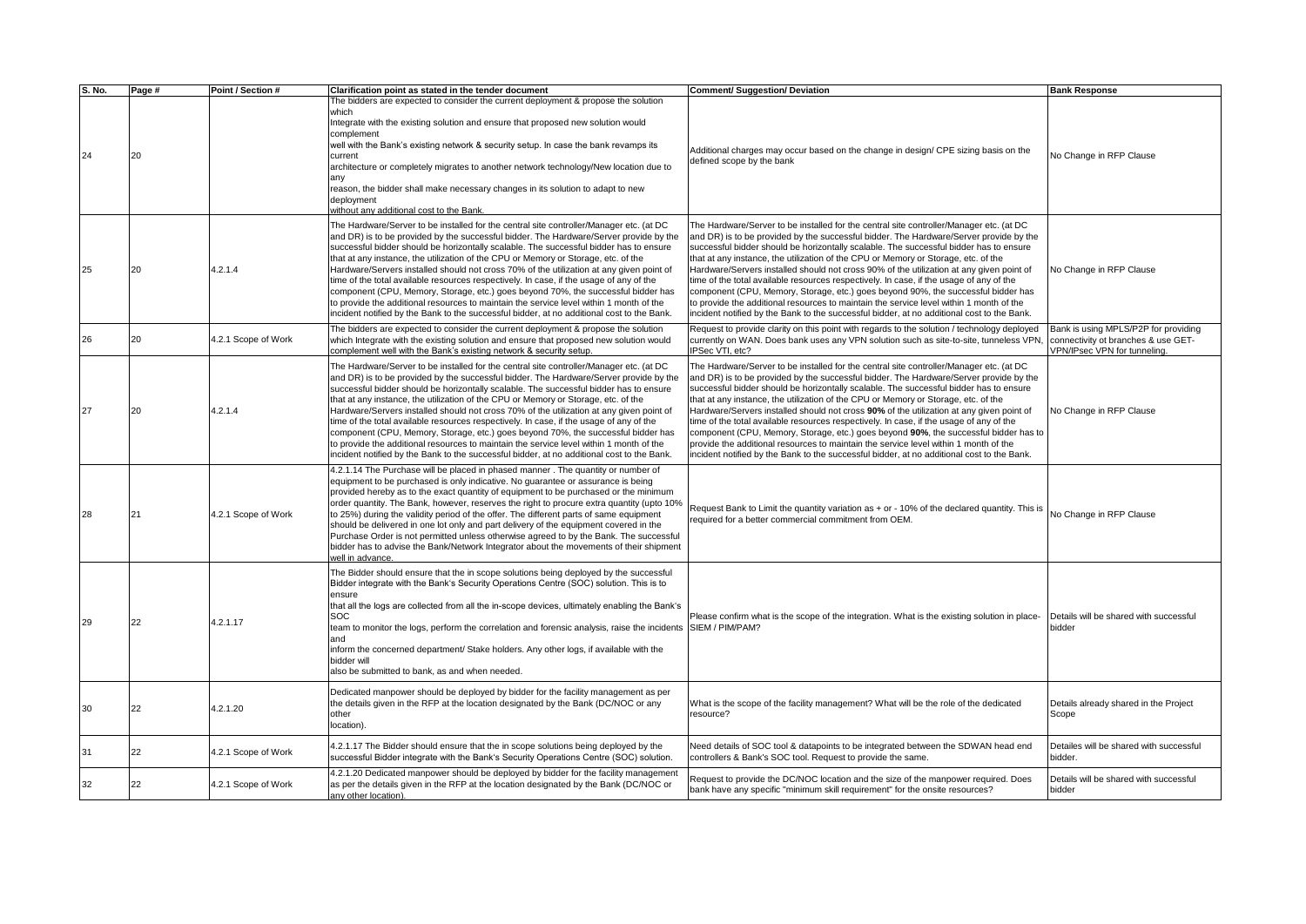| <b>S. No.</b> | Page # | Point / Section #   | Clarification point as stated in the tender document                                                                                                                                                                                                                                                                                                                                                                                                                                                                                                                                                                                                                                                                                                                                                                                   | <b>Comment/ Suggestion/ Deviation</b>                                                                                                                                                                                                                                                                                                                                                                                                                                                                                                                                                                                                                                                                                                                                                                                                  | <b>Bank Response</b>                                                                                        |
|---------------|--------|---------------------|----------------------------------------------------------------------------------------------------------------------------------------------------------------------------------------------------------------------------------------------------------------------------------------------------------------------------------------------------------------------------------------------------------------------------------------------------------------------------------------------------------------------------------------------------------------------------------------------------------------------------------------------------------------------------------------------------------------------------------------------------------------------------------------------------------------------------------------|----------------------------------------------------------------------------------------------------------------------------------------------------------------------------------------------------------------------------------------------------------------------------------------------------------------------------------------------------------------------------------------------------------------------------------------------------------------------------------------------------------------------------------------------------------------------------------------------------------------------------------------------------------------------------------------------------------------------------------------------------------------------------------------------------------------------------------------|-------------------------------------------------------------------------------------------------------------|
| 24            | 20     |                     | The bidders are expected to consider the current deployment & propose the solution<br>which<br>Integrate with the existing solution and ensure that proposed new solution would<br>complement<br>well with the Bank's existing network & security setup. In case the bank revamps its<br>current<br>architecture or completely migrates to another network technology/New location due to<br>any<br>reason, the bidder shall make necessary changes in its solution to adapt to new<br>deployment<br>without any additional cost to the Bank.                                                                                                                                                                                                                                                                                          | Additional charges may occur based on the change in design/ CPE sizing basis on the<br>defined scope by the bank                                                                                                                                                                                                                                                                                                                                                                                                                                                                                                                                                                                                                                                                                                                       | No Change in RFP Clause                                                                                     |
| 25            | 20     | 4.2.1.4             | The Hardware/Server to be installed for the central site controller/Manager etc. (at DC<br>and DR) is to be provided by the successful bidder. The Hardware/Server provide by the<br>successful bidder should be horizontally scalable. The successful bidder has to ensure<br>that at any instance, the utilization of the CPU or Memory or Storage, etc. of the<br>Hardware/Servers installed should not cross 70% of the utilization at any given point of<br>time of the total available resources respectively. In case, if the usage of any of the<br>component (CPU, Memory, Storage, etc.) goes beyond 70%, the successful bidder has<br>to provide the additional resources to maintain the service level within 1 month of the<br>incident notified by the Bank to the successful bidder, at no additional cost to the Bank. | The Hardware/Server to be installed for the central site controller/Manager etc. (at DC<br>and DR) is to be provided by the successful bidder. The Hardware/Server provide by the<br>successful bidder should be horizontally scalable. The successful bidder has to ensure<br>that at any instance, the utilization of the CPU or Memory or Storage, etc. of the<br>Hardware/Servers installed should not cross 90% of the utilization at any given point of<br>time of the total available resources respectively. In case, if the usage of any of the<br>component (CPU, Memory, Storage, etc.) goes beyond 90%, the successful bidder has<br>to provide the additional resources to maintain the service level within 1 month of the<br>incident notified by the Bank to the successful bidder, at no additional cost to the Bank. | No Change in RFP Clause                                                                                     |
| 26            | 20     | 4.2.1 Scope of Work | The bidders are expected to consider the current deployment & propose the solution<br>which Integrate with the existing solution and ensure that proposed new solution would<br>complement well with the Bank's existing network & security setup.                                                                                                                                                                                                                                                                                                                                                                                                                                                                                                                                                                                     | Request to provide clarity on this point with regards to the solution / technology deployed<br>currently on WAN. Does bank uses any VPN solution such as site-to-site, tunneless VPN,<br>IPSec VTI. etc?                                                                                                                                                                                                                                                                                                                                                                                                                                                                                                                                                                                                                               | Bank is using MPLS/P2P for providing<br>connectivity ot branches & use GET-<br>VPN/IPsec VPN for tunneling. |
| 27            | 20     | 4.2.1.4             | The Hardware/Server to be installed for the central site controller/Manager etc. (at DC<br>and DR) is to be provided by the successful bidder. The Hardware/Server provide by the<br>successful bidder should be horizontally scalable. The successful bidder has to ensure<br>that at any instance, the utilization of the CPU or Memory or Storage, etc. of the<br>Hardware/Servers installed should not cross 70% of the utilization at any given point of<br>time of the total available resources respectively. In case, if the usage of any of the<br>component (CPU, Memory, Storage, etc.) goes beyond 70%, the successful bidder has<br>to provide the additional resources to maintain the service level within 1 month of the<br>incident notified by the Bank to the successful bidder, at no additional cost to the Bank. | The Hardware/Server to be installed for the central site controller/Manager etc. (at DC<br>and DR) is to be provided by the successful bidder. The Hardware/Server provide by the<br>successful bidder should be horizontally scalable. The successful bidder has to ensure<br>that at any instance, the utilization of the CPU or Memory or Storage, etc. of the<br>Hardware/Servers installed should not cross 90% of the utilization at any given point of<br>time of the total available resources respectively. In case, if the usage of any of the<br>component (CPU, Memory, Storage, etc.) goes beyond 90%, the successful bidder has to<br>provide the additional resources to maintain the service level within 1 month of the<br>incident notified by the Bank to the successful bidder, at no additional cost to the Bank. | No Change in RFP Clause                                                                                     |
| 28            | 21     | 4.2.1 Scope of Work | 4.2.1.14 The Purchase will be placed in phased manner. The quantity or number of<br>equipment to be purchased is only indicative. No guarantee or assurance is being<br>provided hereby as to the exact quantity of equipment to be purchased or the minimum<br>order quantity. The Bank, however, reserves the right to procure extra quantity (upto 10%<br>to 25%) during the validity period of the offer. The different parts of same equipment<br>should be delivered in one lot only and part delivery of the equipment covered in the<br>Purchase Order is not permitted unless otherwise agreed to by the Bank. The successful<br>bidder has to advise the Bank/Network Integrator about the movements of their shipment<br>well in advance.                                                                                   | Request Bank to Limit the quantity variation as + or - 10% of the declared quantity. This is<br>required for a better commercial commitment from OEM.                                                                                                                                                                                                                                                                                                                                                                                                                                                                                                                                                                                                                                                                                  | No Change in RFP Clause                                                                                     |
| 29            | 22     | 4.2.1.17            | The Bidder should ensure that the in scope solutions being deployed by the successful<br>Bidder integrate with the Bank's Security Operations Centre (SOC) solution. This is to<br>ensure<br>that all the logs are collected from all the in-scope devices, ultimately enabling the Bank's<br><b>SOC</b><br>team to monitor the logs, perform the correlation and forensic analysis, raise the incidents SIEM / PIM/PAM?<br>and<br>nform the concerned department/ Stake holders. Any other logs, if available with the<br>bidder will<br>also be submitted to bank, as and when needed.                                                                                                                                                                                                                                               | Please confirm what is the scope of the integration. What is the existing solution in place-                                                                                                                                                                                                                                                                                                                                                                                                                                                                                                                                                                                                                                                                                                                                           | Details will be shared with successful<br>bidder                                                            |
| 30            | 22     | 4.2.1.20            | Dedicated manpower should be deployed by bidder for the facility management as per<br>the details given in the RFP at the location designated by the Bank (DC/NOC or any<br>other<br>location).                                                                                                                                                                                                                                                                                                                                                                                                                                                                                                                                                                                                                                        | What is the scope of the facility management? What will be the role of the dedicated<br>resource?                                                                                                                                                                                                                                                                                                                                                                                                                                                                                                                                                                                                                                                                                                                                      | Details already shared in the Project<br>Scope                                                              |
| 31            | 22     | 4.2.1 Scope of Work | 4.2.1.17 The Bidder should ensure that the in scope solutions being deployed by the<br>successful Bidder integrate with the Bank's Security Operations Centre (SOC) solution.                                                                                                                                                                                                                                                                                                                                                                                                                                                                                                                                                                                                                                                          | Need details of SOC tool & datapoints to be integrated between the SDWAN head end<br>controllers & Bank's SOC tool. Request to provide the same.                                                                                                                                                                                                                                                                                                                                                                                                                                                                                                                                                                                                                                                                                       | Detailes will be shared with successful<br>bidder.                                                          |
| 32            | 22     | 4.2.1 Scope of Work | 4.2.1.20 Dedicated manpower should be deployed by bidder for the facility management<br>as per the details given in the RFP at the location designated by the Bank (DC/NOC or<br>any other location).                                                                                                                                                                                                                                                                                                                                                                                                                                                                                                                                                                                                                                  | Request to provide the DC/NOC location and the size of the manpower required. Does<br>bank have any specific "minimum skill requirement" for the onsite resources?                                                                                                                                                                                                                                                                                                                                                                                                                                                                                                                                                                                                                                                                     | Details will be shared with successful<br>bidder                                                            |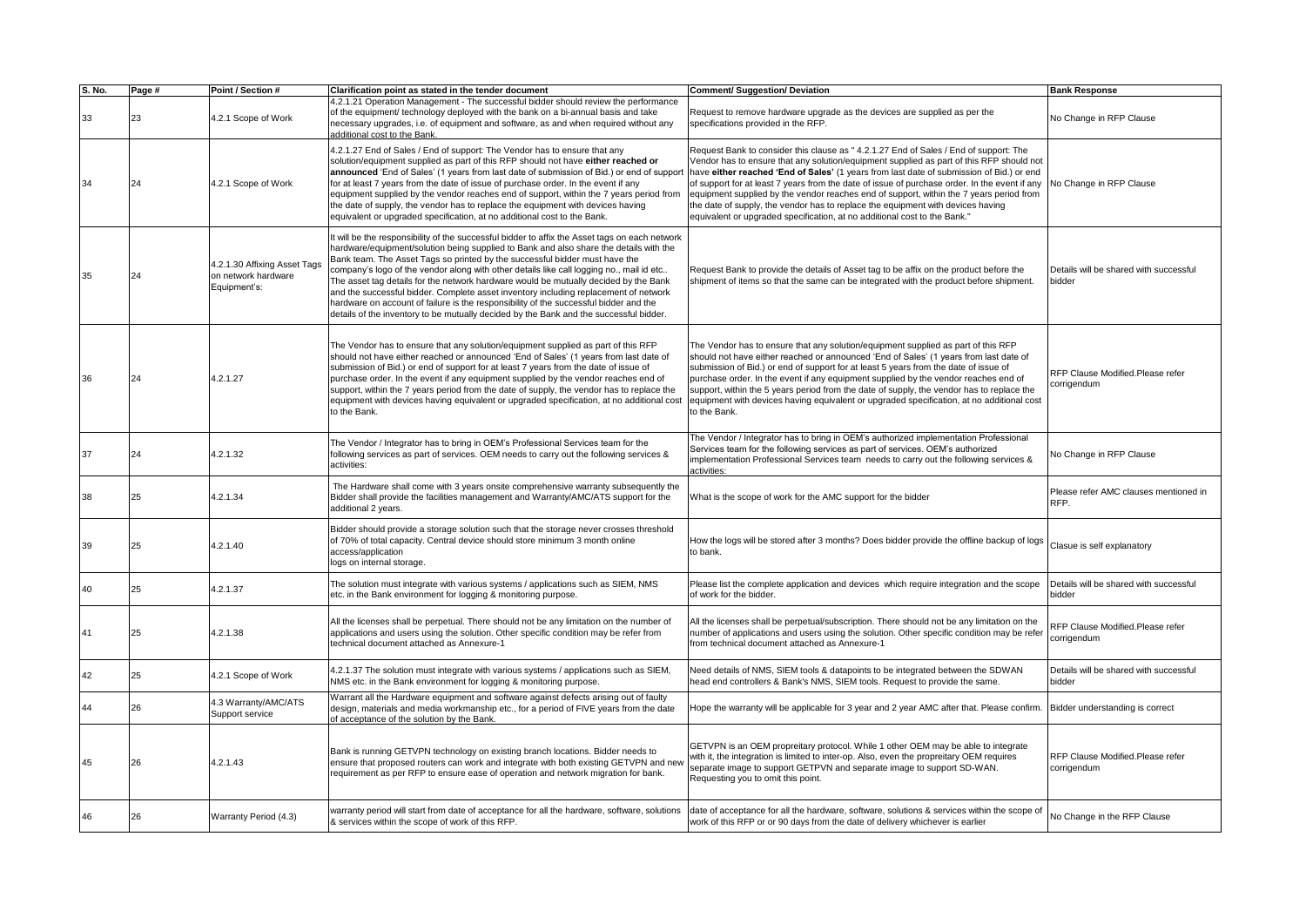| S. No. | Page # | Point / Section #                                                   | Clarification point as stated in the tender document                                                                                                                                                                                                                                                                                                                                                                                                                                                                                                                                                                                                                                                                                   | <b>Comment/ Suggestion/ Deviation</b>                                                                                                                                                                                                                                                                                                                                                                                                                                                                                                                                                                                                     | <b>Bank Response</b>                             |
|--------|--------|---------------------------------------------------------------------|----------------------------------------------------------------------------------------------------------------------------------------------------------------------------------------------------------------------------------------------------------------------------------------------------------------------------------------------------------------------------------------------------------------------------------------------------------------------------------------------------------------------------------------------------------------------------------------------------------------------------------------------------------------------------------------------------------------------------------------|-------------------------------------------------------------------------------------------------------------------------------------------------------------------------------------------------------------------------------------------------------------------------------------------------------------------------------------------------------------------------------------------------------------------------------------------------------------------------------------------------------------------------------------------------------------------------------------------------------------------------------------------|--------------------------------------------------|
| 33     | 23     | 4.2.1 Scope of Work                                                 | 4.2.1.21 Operation Management - The successful bidder should review the performance<br>of the equipment/ technology deployed with the bank on a bi-annual basis and take<br>necessary upgrades, i.e. of equipment and software, as and when required without any<br>additional cost to the Bank.                                                                                                                                                                                                                                                                                                                                                                                                                                       | Request to remove hardware upgrade as the devices are supplied as per the<br>specifications provided in the RFP.                                                                                                                                                                                                                                                                                                                                                                                                                                                                                                                          | No Change in RFP Clause                          |
| 34     | 24     | 4.2.1 Scope of Work                                                 | 4.2.1.27 End of Sales / End of support: The Vendor has to ensure that any<br>solution/equipment supplied as part of this RFP should not have either reached or<br>announced 'End of Sales' (1 years from last date of submission of Bid.) or end of suppor<br>for at least 7 years from the date of issue of purchase order. In the event if any<br>equipment supplied by the vendor reaches end of support, within the 7 years period from<br>the date of supply, the vendor has to replace the equipment with devices having<br>equivalent or upgraded specification, at no additional cost to the Bank.                                                                                                                             | Request Bank to consider this clause as " 4.2.1.27 End of Sales / End of support: The<br>Vendor has to ensure that any solution/equipment supplied as part of this RFP should not<br>have either reached 'End of Sales' (1 years from last date of submission of Bid.) or end<br>of support for at least 7 years from the date of issue of purchase order. In the event if any<br>equipment supplied by the vendor reaches end of support, within the 7 years period from<br>the date of supply, the vendor has to replace the equipment with devices having<br>equivalent or upgraded specification, at no additional cost to the Bank." | No Change in RFP Clause                          |
| 35     | 24     | 4.2.1.30 Affixing Asset Tags<br>on network hardware<br>Equipment's: | It will be the responsibility of the successful bidder to affix the Asset tags on each network<br>hardware/equipment/solution being supplied to Bank and also share the details with the<br>Bank team. The Asset Tags so printed by the successful bidder must have the<br>company's logo of the vendor along with other details like call logging no., mail id etc<br>The asset tag details for the network hardware would be mutually decided by the Bank<br>and the successful bidder. Complete asset inventory including replacement of network<br>hardware on account of failure is the responsibility of the successful bidder and the<br>details of the inventory to be mutually decided by the Bank and the successful bidder. | Request Bank to provide the details of Asset tag to be affix on the product before the<br>shipment of items so that the same can be integrated with the product before shipment.                                                                                                                                                                                                                                                                                                                                                                                                                                                          | Details will be shared with successful<br>bidder |
| 36     | 24     | 4.2.1.27                                                            | The Vendor has to ensure that any solution/equipment supplied as part of this RFP<br>should not have either reached or announced 'End of Sales' (1 years from last date of<br>submission of Bid.) or end of support for at least 7 years from the date of issue of<br>purchase order. In the event if any equipment supplied by the vendor reaches end of<br>support, within the 7 years period from the date of supply, the vendor has to replace the<br>equipment with devices having equivalent or upgraded specification, at no additional cost<br>to the Bank.                                                                                                                                                                    | The Vendor has to ensure that any solution/equipment supplied as part of this RFP<br>should not have either reached or announced 'End of Sales' (1 years from last date of<br>submission of Bid.) or end of support for at least 5 years from the date of issue of<br>purchase order. In the event if any equipment supplied by the vendor reaches end of<br>support, within the 5 years period from the date of supply, the vendor has to replace the<br>equipment with devices having equivalent or upgraded specification, at no additional cost<br>to the Bank.                                                                       | RFP Clause Modified.Please refer<br>corrigendum  |
| 37     | 24     | 4.2.1.32                                                            | The Vendor / Integrator has to bring in OEM's Professional Services team for the<br>following services as part of services. OEM needs to carry out the following services &<br>activities:                                                                                                                                                                                                                                                                                                                                                                                                                                                                                                                                             | The Vendor / Integrator has to bring in OEM's authorized implementation Professional<br>Services team for the following services as part of services. OEM's authorized<br>implementation Professional Services team needs to carry out the following services &<br>activities:                                                                                                                                                                                                                                                                                                                                                            | No Change in RFP Clause                          |
| 38     | 25     | 4.2.1.34                                                            | The Hardware shall come with 3 years onsite comprehensive warranty subsequently the<br>Bidder shall provide the facilities management and Warranty/AMC/ATS support for the<br>additional 2 years.                                                                                                                                                                                                                                                                                                                                                                                                                                                                                                                                      | What is the scope of work for the AMC support for the bidder                                                                                                                                                                                                                                                                                                                                                                                                                                                                                                                                                                              | Please refer AMC clauses mentioned in<br>RFP.    |
| 39     | 25     | 4.2.1.40                                                            | Bidder should provide a storage solution such that the storage never crosses threshold<br>of 70% of total capacity. Central device should store minimum 3 month online<br>access/application<br>logs on internal storage.                                                                                                                                                                                                                                                                                                                                                                                                                                                                                                              | How the logs will be stored after 3 months? Does bidder provide the offline backup of logs<br>to bank.                                                                                                                                                                                                                                                                                                                                                                                                                                                                                                                                    | Clasue is self explanatory                       |
| 40     | 25     | 4.2.1.37                                                            | The solution must integrate with various systems / applications such as SIEM, NMS<br>etc. in the Bank environment for logging & monitoring purpose.                                                                                                                                                                                                                                                                                                                                                                                                                                                                                                                                                                                    | Please list the complete application and devices which require integration and the scope<br>of work for the bidder.                                                                                                                                                                                                                                                                                                                                                                                                                                                                                                                       | Details will be shared with successful<br>bidder |
| 41     | 25     | 4.2.1.38                                                            | All the licenses shall be perpetual. There should not be any limitation on the number of<br>applications and users using the solution. Other specific condition may be refer from<br>technical document attached as Annexure-1                                                                                                                                                                                                                                                                                                                                                                                                                                                                                                         | All the licenses shall be perpetual/subscription. There should not be any limitation on the<br>number of applications and users using the solution. Other specific condition may be refer<br>from technical document attached as Annexure-1                                                                                                                                                                                                                                                                                                                                                                                               | RFP Clause Modified.Please refer<br>corrigendum  |
| 42     | 25     | 4.2.1 Scope of Work                                                 | 4.2.1.37 The solution must integrate with various systems / applications such as SIEM,<br>NMS etc. in the Bank environment for logging & monitoring purpose.                                                                                                                                                                                                                                                                                                                                                                                                                                                                                                                                                                           | Need details of NMS, SIEM tools & datapoints to be integrated between the SDWAN<br>head end controllers & Bank's NMS, SIEM tools. Request to provide the same.                                                                                                                                                                                                                                                                                                                                                                                                                                                                            | Details will be shared with successful<br>bidder |
| 44     | 26     | 4.3 Warranty/AMC/ATS<br>Support service                             | Warrant all the Hardware equipment and software against defects arising out of faulty<br>design, materials and media workmanship etc., for a period of FIVE years from the date<br>of acceptance of the solution by the Bank.                                                                                                                                                                                                                                                                                                                                                                                                                                                                                                          | Hope the warranty will be applicable for 3 year and 2 year AMC after that. Please confirm.                                                                                                                                                                                                                                                                                                                                                                                                                                                                                                                                                | Bidder understanding is correct                  |
| 45     | 26     | 4.2.1.43                                                            | Bank is running GETVPN technology on existing branch locations. Bidder needs to<br>ensure that proposed routers can work and integrate with both existing GETVPN and new<br>requirement as per RFP to ensure ease of operation and network migration for bank.                                                                                                                                                                                                                                                                                                                                                                                                                                                                         | GETVPN is an OEM propreitary protocol. While 1 other OEM may be able to integrate<br>with it, the integration is limited to inter-op. Also, even the propreitary OEM requires<br>separate image to support GETPVN and separate image to support SD-WAN.<br>Requesting you to omit this point.                                                                                                                                                                                                                                                                                                                                             | RFP Clause Modified.Please refer<br>corrigendum  |
| 46     | 26     | Warranty Period (4.3)                                               | warranty period will start from date of acceptance for all the hardware, software, solutions<br>& services within the scope of work of this RFP.                                                                                                                                                                                                                                                                                                                                                                                                                                                                                                                                                                                       | date of acceptance for all the hardware, software, solutions & services within the scope of<br>work of this RFP or or 90 days from the date of delivery whichever is earlier                                                                                                                                                                                                                                                                                                                                                                                                                                                              | No Change in the RFP Clause                      |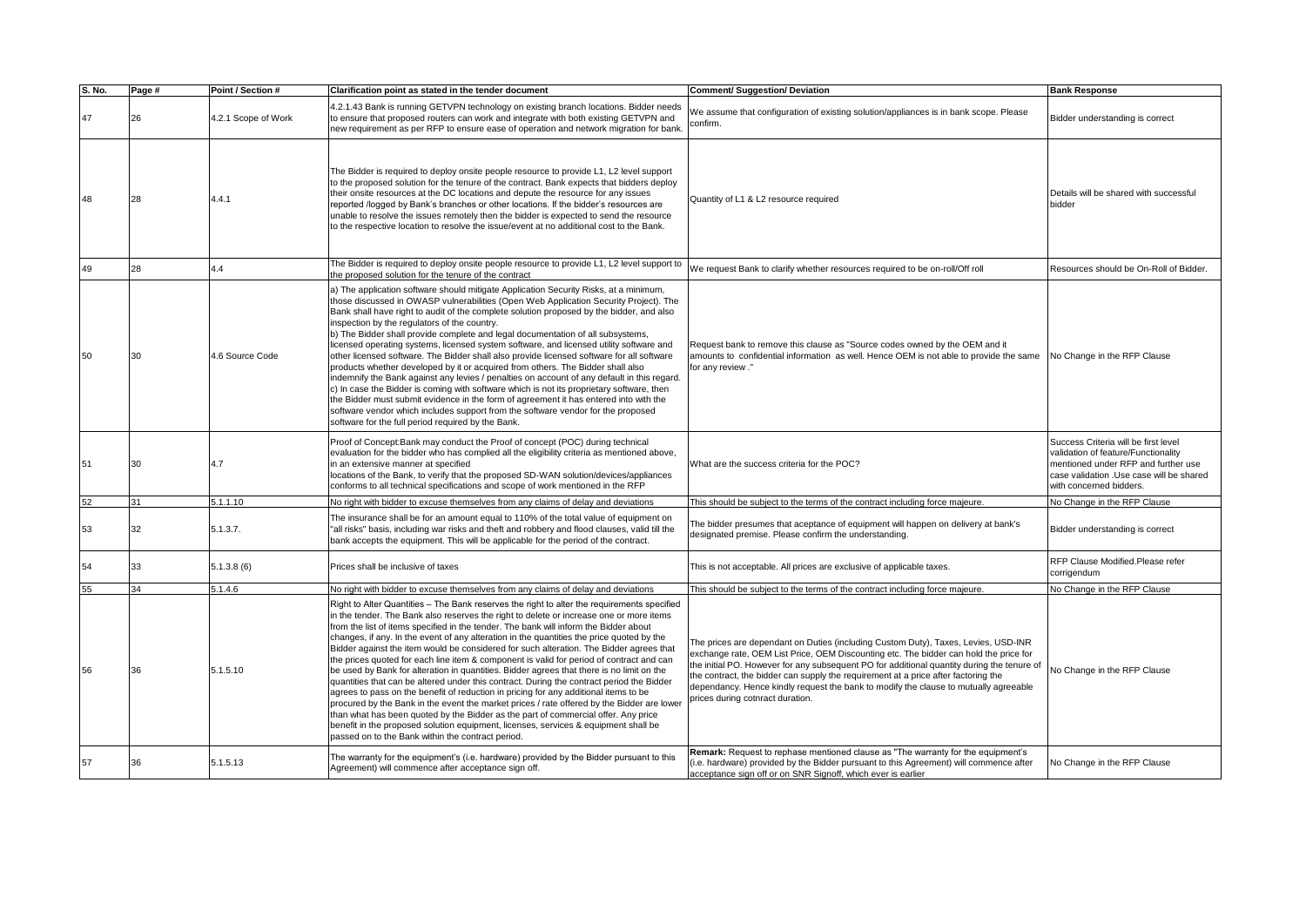| S. No. | Page # | Point / Section #   | Clarification point as stated in the tender document                                                                                                                                                                                                                                                                                                                                                                                                                                                                                                                                                                                                                                                                                                                                                                                                                                                                                                                                                                                                                                                                                                                                  | <b>Comment/ Suggestion/ Deviation</b>                                                                                                                                                                                                                                                                                                                                                                                                                                                       | <b>Bank Response</b>                                                                                                                                                                      |
|--------|--------|---------------------|---------------------------------------------------------------------------------------------------------------------------------------------------------------------------------------------------------------------------------------------------------------------------------------------------------------------------------------------------------------------------------------------------------------------------------------------------------------------------------------------------------------------------------------------------------------------------------------------------------------------------------------------------------------------------------------------------------------------------------------------------------------------------------------------------------------------------------------------------------------------------------------------------------------------------------------------------------------------------------------------------------------------------------------------------------------------------------------------------------------------------------------------------------------------------------------|---------------------------------------------------------------------------------------------------------------------------------------------------------------------------------------------------------------------------------------------------------------------------------------------------------------------------------------------------------------------------------------------------------------------------------------------------------------------------------------------|-------------------------------------------------------------------------------------------------------------------------------------------------------------------------------------------|
| 47     | 26     | 4.2.1 Scope of Work | 4.2.1.43 Bank is running GETVPN technology on existing branch locations. Bidder needs<br>to ensure that proposed routers can work and integrate with both existing GETVPN and<br>new requirement as per RFP to ensure ease of operation and network migration for bank.                                                                                                                                                                                                                                                                                                                                                                                                                                                                                                                                                                                                                                                                                                                                                                                                                                                                                                               | We assume that configuration of existing solution/appliances is in bank scope. Please<br>confirm.                                                                                                                                                                                                                                                                                                                                                                                           | Bidder understanding is correct                                                                                                                                                           |
| 48     | 28     | 4.4.1               | The Bidder is required to deploy onsite people resource to provide L1, L2 level support<br>to the proposed solution for the tenure of the contract. Bank expects that bidders deploy<br>their onsite resources at the DC locations and depute the resource for any issues<br>reported /logged by Bank's branches or other locations. If the bidder's resources are<br>unable to resolve the issues remotely then the bidder is expected to send the resource<br>to the respective location to resolve the issue/event at no additional cost to the Bank.                                                                                                                                                                                                                                                                                                                                                                                                                                                                                                                                                                                                                              | Quantity of L1 & L2 resource required                                                                                                                                                                                                                                                                                                                                                                                                                                                       | Details will be shared with successful<br>bidder                                                                                                                                          |
| 49     | 28     | 4.4                 | The Bidder is required to deploy onsite people resource to provide L1, L2 level support to<br>the proposed solution for the tenure of the contract                                                                                                                                                                                                                                                                                                                                                                                                                                                                                                                                                                                                                                                                                                                                                                                                                                                                                                                                                                                                                                    | We request Bank to clarify whether resources required to be on-roll/Off roll                                                                                                                                                                                                                                                                                                                                                                                                                | Resources should be On-Roll of Bidder.                                                                                                                                                    |
| 50     | 30     | 4.6 Source Code     | a) The application software should mitigate Application Security Risks, at a minimum,<br>those discussed in OWASP vulnerabilities (Open Web Application Security Project). The<br>Bank shall have right to audit of the complete solution proposed by the bidder, and also<br>inspection by the regulators of the country.<br>b) The Bidder shall provide complete and legal documentation of all subsystems,<br>licensed operating systems, licensed system software, and licensed utility software and<br>other licensed software. The Bidder shall also provide licensed software for all software<br>products whether developed by it or acquired from others. The Bidder shall also<br>indemnify the Bank against any levies / penalties on account of any default in this regard.<br>c) In case the Bidder is coming with software which is not its proprietary software, then<br>the Bidder must submit evidence in the form of agreement it has entered into with the<br>software vendor which includes support from the software vendor for the proposed<br>software for the full period required by the Bank.                                                               | Request bank to remove this clause as "Source codes owned by the OEM and it<br>amounts to confidential information as well. Hence OEM is not able to provide the same<br>for any review."                                                                                                                                                                                                                                                                                                   | No Change in the RFP Clause                                                                                                                                                               |
| 51     | 30     | 4.7                 | Proof of Concept: Bank may conduct the Proof of concept (POC) during technical<br>evaluation for the bidder who has complied all the eligibility criteria as mentioned above,<br>in an extensive manner at specified<br>locations of the Bank, to verify that the proposed SD-WAN solution/devices/appliances<br>conforms to all technical specifications and scope of work mentioned in the RFP                                                                                                                                                                                                                                                                                                                                                                                                                                                                                                                                                                                                                                                                                                                                                                                      | What are the success criteria for the POC?                                                                                                                                                                                                                                                                                                                                                                                                                                                  | Success Criteria will be first level<br>validation of feature/Functionality<br>mentioned under RFP and further use<br>case validation .Use case will be shared<br>with concerned bidders. |
| 52     | 31     | 5.1.1.10            | No right with bidder to excuse themselves from any claims of delay and deviations                                                                                                                                                                                                                                                                                                                                                                                                                                                                                                                                                                                                                                                                                                                                                                                                                                                                                                                                                                                                                                                                                                     | This should be subject to the terms of the contract including force majeure.                                                                                                                                                                                                                                                                                                                                                                                                                | No Change in the RFP Clause                                                                                                                                                               |
| 53     | 32     | 5.1.3.7.            | The insurance shall be for an amount equal to 110% of the total value of equipment on<br>"all risks" basis, including war risks and theft and robbery and flood clauses, valid till the<br>bank accepts the equipment. This will be applicable for the period of the contract.                                                                                                                                                                                                                                                                                                                                                                                                                                                                                                                                                                                                                                                                                                                                                                                                                                                                                                        | The bidder presumes that aceptance of equipment will happen on delivery at bank's<br>designated premise. Please confirm the understanding.                                                                                                                                                                                                                                                                                                                                                  | Bidder understanding is correct                                                                                                                                                           |
| 54     | 33     | 5.1.3.8(6)          | Prices shall be inclusive of taxes                                                                                                                                                                                                                                                                                                                                                                                                                                                                                                                                                                                                                                                                                                                                                                                                                                                                                                                                                                                                                                                                                                                                                    | This is not acceptable. All prices are exclusive of applicable taxes.                                                                                                                                                                                                                                                                                                                                                                                                                       | RFP Clause Modified.Please refer<br>corrigendum                                                                                                                                           |
| 55     | 34     | 5.1.4.6             | No right with bidder to excuse themselves from any claims of delay and deviations                                                                                                                                                                                                                                                                                                                                                                                                                                                                                                                                                                                                                                                                                                                                                                                                                                                                                                                                                                                                                                                                                                     | This should be subject to the terms of the contract including force majeure.                                                                                                                                                                                                                                                                                                                                                                                                                | No Change in the RFP Clause                                                                                                                                                               |
| 56     | 36     | 5.1.5.10            | Right to Alter Quantities - The Bank reserves the right to alter the requirements specified<br>in the tender. The Bank also reserves the right to delete or increase one or more items<br>from the list of items specified in the tender. The bank will inform the Bidder about<br>changes, if any. In the event of any alteration in the quantities the price quoted by the<br>Bidder against the item would be considered for such alteration. The Bidder agrees that<br>the prices quoted for each line item & component is valid for period of contract and can<br>be used by Bank for alteration in quantities. Bidder agrees that there is no limit on the<br>quantities that can be altered under this contract. During the contract period the Bidder<br>agrees to pass on the benefit of reduction in pricing for any additional items to be<br>procured by the Bank in the event the market prices / rate offered by the Bidder are lower<br>than what has been quoted by the Bidder as the part of commercial offer. Any price<br>benefit in the proposed solution equipment, licenses, services & equipment shall be<br>passed on to the Bank within the contract period. | The prices are dependant on Duties (including Custom Duty), Taxes, Levies, USD-INR<br>exchange rate, OEM List Price, OEM Discounting etc. The bidder can hold the price for<br>the initial PO. However for any subsequent PO for additional quantity during the tenure of<br>the contract, the bidder can supply the requirement at a price after factoring the<br>dependancy. Hence kindly request the bank to modify the clause to mutually agreeable<br>prices during cotnract duration. | No Change in the RFP Clause                                                                                                                                                               |
| 57     | 36     | 5.1.5.13            | The warranty for the equipment's (i.e. hardware) provided by the Bidder pursuant to this<br>Agreement) will commence after acceptance sign off.                                                                                                                                                                                                                                                                                                                                                                                                                                                                                                                                                                                                                                                                                                                                                                                                                                                                                                                                                                                                                                       | Remark: Request to rephase mentioned clause as "The warranty for the equipment's<br>(i.e. hardware) provided by the Bidder pursuant to this Agreement) will commence after<br>acceptance sign off or on SNR Signoff, which ever is earlier                                                                                                                                                                                                                                                  | No Change in the RFP Clause                                                                                                                                                               |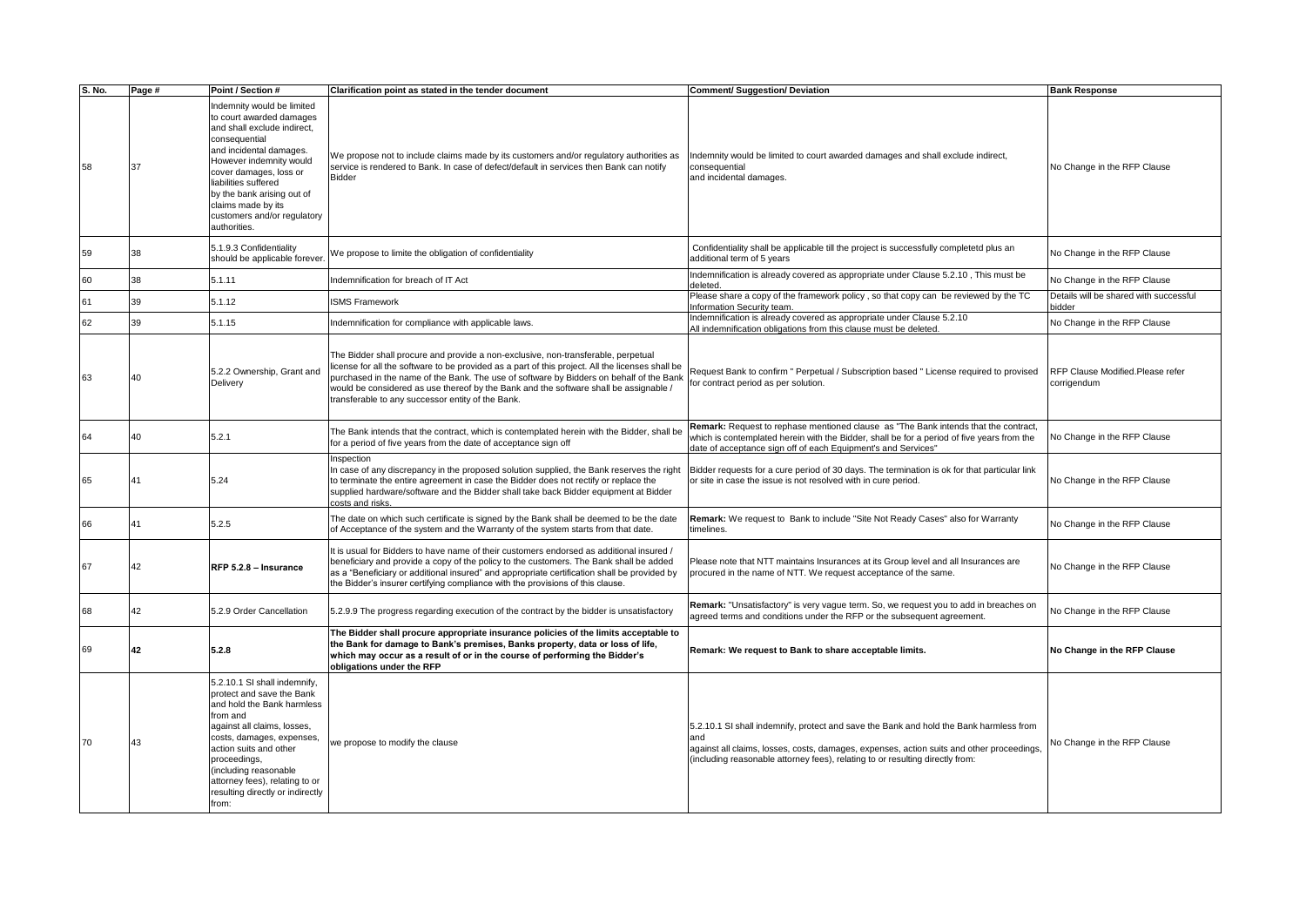| S. No. | Page # | Point / Section #                                                                                                                                                                                                                                                                                                 | Clarification point as stated in the tender document                                                                                                                                                                                                                                                                                                                                                                           | <b>Comment/ Suggestion/ Deviation</b>                                                                                                                                                                                                                                       | <b>Bank Response</b>                             |
|--------|--------|-------------------------------------------------------------------------------------------------------------------------------------------------------------------------------------------------------------------------------------------------------------------------------------------------------------------|--------------------------------------------------------------------------------------------------------------------------------------------------------------------------------------------------------------------------------------------------------------------------------------------------------------------------------------------------------------------------------------------------------------------------------|-----------------------------------------------------------------------------------------------------------------------------------------------------------------------------------------------------------------------------------------------------------------------------|--------------------------------------------------|
| 58     | 37     | Indemnity would be limited<br>to court awarded damages<br>and shall exclude indirect.<br>consequential<br>and incidental damages.<br>However indemnity would<br>cover damages, loss or<br>liabilities suffered<br>by the bank arising out of<br>claims made by its<br>customers and/or regulatory<br>authorities. | We propose not to include claims made by its customers and/or regulatory authorities as<br>service is rendered to Bank. In case of defect/default in services then Bank can notify<br>Bidder                                                                                                                                                                                                                                   | Indemnity would be limited to court awarded damages and shall exclude indirect,<br>consequential<br>and incidental damages.                                                                                                                                                 | No Change in the RFP Clause                      |
| 59     | 38     | 5.1.9.3 Confidentiality<br>should be applicable forever                                                                                                                                                                                                                                                           | We propose to limite the obligation of confidentiality                                                                                                                                                                                                                                                                                                                                                                         | Confidentiality shall be applicable till the project is successfully completetd plus an<br>additional term of 5 years                                                                                                                                                       | No Change in the RFP Clause                      |
| 60     | 38     | 5.1.11                                                                                                                                                                                                                                                                                                            | Indemnification for breach of IT Act                                                                                                                                                                                                                                                                                                                                                                                           | Indemnification is already covered as appropriate under Clause 5.2.10, This must be<br>deleted.                                                                                                                                                                             | No Change in the RFP Clause                      |
| 61     | 39     | 5.1.12                                                                                                                                                                                                                                                                                                            | <b>ISMS Framework</b>                                                                                                                                                                                                                                                                                                                                                                                                          | Please share a copy of the framework policy, so that copy can be reviewed by the TC<br>nformation Security team.                                                                                                                                                            | Details will be shared with successful<br>bidder |
| 62     | 39     | 5.1.15                                                                                                                                                                                                                                                                                                            | Indemnification for compliance with applicable laws.                                                                                                                                                                                                                                                                                                                                                                           | Indemnification is already covered as appropriate under Clause 5.2.10<br>All indemnification obligations from this clause must be deleted.                                                                                                                                  | No Change in the RFP Clause                      |
| 63     | 40     | 5.2.2 Ownership, Grant and<br>Delivery                                                                                                                                                                                                                                                                            | The Bidder shall procure and provide a non-exclusive, non-transferable, perpetual<br>license for all the software to be provided as a part of this project. All the licenses shall be<br>purchased in the name of the Bank. The use of software by Bidders on behalf of the Bank<br>would be considered as use thereof by the Bank and the software shall be assignable /<br>transferable to any successor entity of the Bank. | Request Bank to confirm " Perpetual / Subscription based " License required to provised<br>for contract period as per solution.                                                                                                                                             | RFP Clause Modified.Please refer<br>corrigendum  |
| 64     | 40     | 5.2.1                                                                                                                                                                                                                                                                                                             | The Bank intends that the contract, which is contemplated herein with the Bidder, shall be<br>for a period of five years from the date of acceptance sign off                                                                                                                                                                                                                                                                  | Remark: Request to rephase mentioned clause as "The Bank intends that the contract,<br>which is contemplated herein with the Bidder, shall be for a period of five years from the<br>date of acceptance sign off of each Equipment's and Services"                          | No Change in the RFP Clause                      |
| 65     | 41     | 5.24                                                                                                                                                                                                                                                                                                              | Inspection<br>In case of any discrepancy in the proposed solution supplied, the Bank reserves the right<br>to terminate the entire agreement in case the Bidder does not rectify or replace the<br>supplied hardware/software and the Bidder shall take back Bidder equipment at Bidder<br>costs and risks.                                                                                                                    | Bidder requests for a cure period of 30 days. The termination is ok for that particular link<br>or site in case the issue is not resolved with in cure period.                                                                                                              | No Change in the RFP Clause                      |
| 66     | 41     | 5.2.5                                                                                                                                                                                                                                                                                                             | The date on which such certificate is signed by the Bank shall be deemed to be the date<br>of Acceptance of the system and the Warranty of the system starts from that date.                                                                                                                                                                                                                                                   | <b>Remark:</b> We request to Bank to include "Site Not Ready Cases" also for Warranty<br>timelines.                                                                                                                                                                         | No Change in the RFP Clause                      |
| 67     | 42     | RFP 5.2.8 - Insurance                                                                                                                                                                                                                                                                                             | It is usual for Bidders to have name of their customers endorsed as additional insured /<br>beneficiary and provide a copy of the policy to the customers. The Bank shall be added<br>as a "Beneficiary or additional insured" and appropriate certification shall be provided by<br>the Bidder's insurer certifying compliance with the provisions of this clause.                                                            | Please note that NTT maintains Insurances at its Group level and all Insurances are<br>procured in the name of NTT. We request acceptance of the same.                                                                                                                      | No Change in the RFP Clause                      |
| 68     | 42     | 5.2.9 Order Cancellation                                                                                                                                                                                                                                                                                          | 5.2.9.9 The progress regarding execution of the contract by the bidder is unsatisfactory                                                                                                                                                                                                                                                                                                                                       | Remark: "Unsatisfactory" is very vague term. So, we request you to add in breaches on<br>agreed terms and conditions under the RFP or the subsequent agreement.                                                                                                             | No Change in the RFP Clause                      |
| 69     | 42     | 5.2.8                                                                                                                                                                                                                                                                                                             | The Bidder shall procure appropriate insurance policies of the limits acceptable to<br>the Bank for damage to Bank's premises, Banks property, data or loss of life,<br>which may occur as a result of or in the course of performing the Bidder's<br>obligations under the RFP                                                                                                                                                | Remark: We request to Bank to share acceptable limits.                                                                                                                                                                                                                      | No Change in the RFP Clause                      |
| 70     | 43     | 5.2.10.1 SI shall indemnify.<br>protect and save the Bank<br>and hold the Bank harmless<br>from and<br>against all claims, losses,<br>costs, damages, expenses,<br>action suits and other<br>proceedings,<br>(including reasonable<br>attorney fees), relating to or<br>resulting directly or indirectly<br>from: | we propose to modify the clause                                                                                                                                                                                                                                                                                                                                                                                                | 5.2.10.1 SI shall indemnify, protect and save the Bank and hold the Bank harmless from<br>and<br>against all claims, losses, costs, damages, expenses, action suits and other proceedings,<br>(including reasonable attorney fees), relating to or resulting directly from: | No Change in the RFP Clause                      |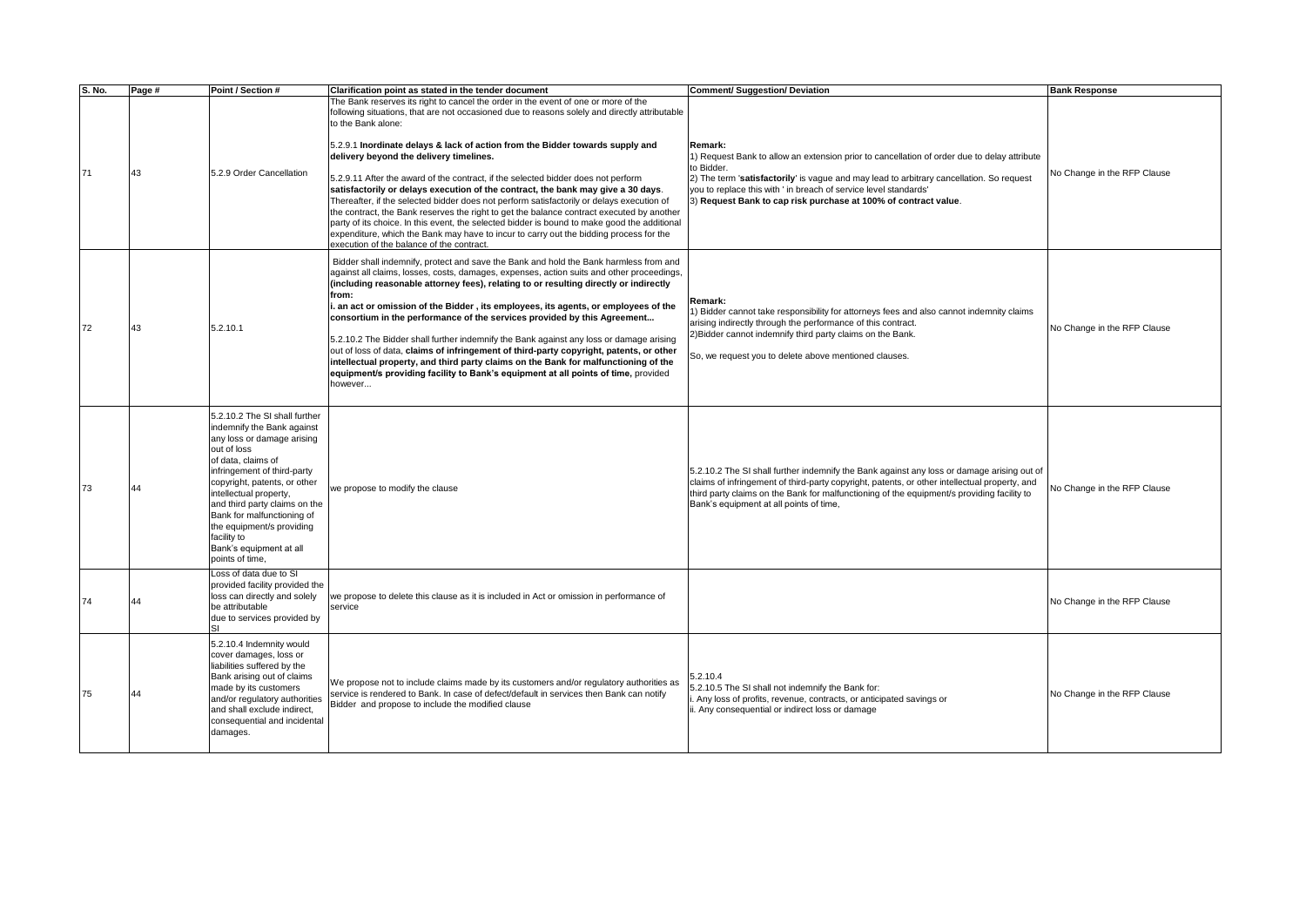| <b>S. No.</b> | Page # | Point / Section #                                                                                                                                                                                                                                                                                                                                                                | Clarification point as stated in the tender document                                                                                                                                                                                                                                                                                                                                                                                                                                                                                                                                                                                                                                                                                                                                                                                                                                                                                            | <b>Comment/ Suggestion/ Deviation</b>                                                                                                                                                                                                                                                                                                                   | <b>Bank Response</b>        |
|---------------|--------|----------------------------------------------------------------------------------------------------------------------------------------------------------------------------------------------------------------------------------------------------------------------------------------------------------------------------------------------------------------------------------|-------------------------------------------------------------------------------------------------------------------------------------------------------------------------------------------------------------------------------------------------------------------------------------------------------------------------------------------------------------------------------------------------------------------------------------------------------------------------------------------------------------------------------------------------------------------------------------------------------------------------------------------------------------------------------------------------------------------------------------------------------------------------------------------------------------------------------------------------------------------------------------------------------------------------------------------------|---------------------------------------------------------------------------------------------------------------------------------------------------------------------------------------------------------------------------------------------------------------------------------------------------------------------------------------------------------|-----------------------------|
| 71            | 43     | 5.2.9 Order Cancellation                                                                                                                                                                                                                                                                                                                                                         | The Bank reserves its right to cancel the order in the event of one or more of the<br>following situations, that are not occasioned due to reasons solely and directly attributable<br>to the Bank alone:<br>5.2.9.1 Inordinate delays & lack of action from the Bidder towards supply and<br>delivery beyond the delivery timelines.<br>5.2.9.11 After the award of the contract, if the selected bidder does not perform<br>satisfactorily or delays execution of the contract, the bank may give a 30 days.<br>Thereafter, if the selected bidder does not perform satisfactorily or delays execution of<br>the contract, the Bank reserves the right to get the balance contract executed by another<br>party of its choice. In this event, the selected bidder is bound to make good the additional<br>expenditure, which the Bank may have to incur to carry out the bidding process for the<br>execution of the balance of the contract. | Remark:<br>1) Request Bank to allow an extension prior to cancellation of order due to delay attribute<br>to Bidder.<br>2) The term 'satisfactorily' is vague and may lead to arbitrary cancellation. So request<br>you to replace this with ' in breach of service level standards'<br>3) Request Bank to cap risk purchase at 100% of contract value. | No Change in the RFP Clause |
| 72            | 43     | 5.2.10.1                                                                                                                                                                                                                                                                                                                                                                         | Bidder shall indemnify, protect and save the Bank and hold the Bank harmless from and<br>against all claims, losses, costs, damages, expenses, action suits and other proceedings,<br>(including reasonable attorney fees), relating to or resulting directly or indirectly<br>from:<br>. an act or omission of the Bidder, its employees, its agents, or employees of the<br>consortium in the performance of the services provided by this Agreement<br>5.2.10.2 The Bidder shall further indemnify the Bank against any loss or damage arising<br>out of loss of data, claims of infringement of third-party copyright, patents, or other<br>intellectual property, and third party claims on the Bank for malfunctioning of the<br>equipment/s providing facility to Bank's equipment at all points of time, provided<br>however                                                                                                            | Remark:<br>1) Bidder cannot take responsibility for attorneys fees and also cannot indemnity claims<br>arising indirectly through the performance of this contract.<br>2) Bidder cannot indemnify third party claims on the Bank.<br>So, we request you to delete above mentioned clauses.                                                              | No Change in the RFP Clause |
| 73            | 44     | 5.2.10.2 The SI shall further<br>indemnify the Bank against<br>any loss or damage arising<br>out of loss<br>of data, claims of<br>infringement of third-party<br>copyright, patents, or other<br>intellectual property,<br>and third party claims on the<br>Bank for malfunctioning of<br>the equipment/s providing<br>facility to<br>Bank's equipment at all<br>points of time, | we propose to modify the clause                                                                                                                                                                                                                                                                                                                                                                                                                                                                                                                                                                                                                                                                                                                                                                                                                                                                                                                 | 5.2.10.2 The SI shall further indemnify the Bank against any loss or damage arising out of<br>claims of infringement of third-party copyright, patents, or other intellectual property, and<br>third party claims on the Bank for malfunctioning of the equipment/s providing facility to<br>Bank's equipment at all points of time,                    | No Change in the RFP Clause |
| 74            | 44     | Loss of data due to SI<br>provided facility provided the<br>loss can directly and solely<br>be attributable<br>due to services provided by                                                                                                                                                                                                                                       | we propose to delete this clause as it is included in Act or omission in performance of<br>service                                                                                                                                                                                                                                                                                                                                                                                                                                                                                                                                                                                                                                                                                                                                                                                                                                              |                                                                                                                                                                                                                                                                                                                                                         | No Change in the RFP Clause |
| 75            | 44     | 5.2.10.4 Indemnity would<br>cover damages, loss or<br>liabilities suffered by the<br>Bank arising out of claims<br>made by its customers<br>and/or regulatory authorities<br>and shall exclude indirect,<br>consequential and incidental<br>damages.                                                                                                                             | We propose not to include claims made by its customers and/or regulatory authorities as<br>service is rendered to Bank. In case of defect/default in services then Bank can notify<br>Bidder and propose to include the modified clause                                                                                                                                                                                                                                                                                                                                                                                                                                                                                                                                                                                                                                                                                                         | 5.2.10.4<br>5.2.10.5 The SI shall not indemnify the Bank for:<br>Any loss of profits, revenue, contracts, or anticipated savings or<br>. Any consequential or indirect loss or damage                                                                                                                                                                   | No Change in the RFP Clause |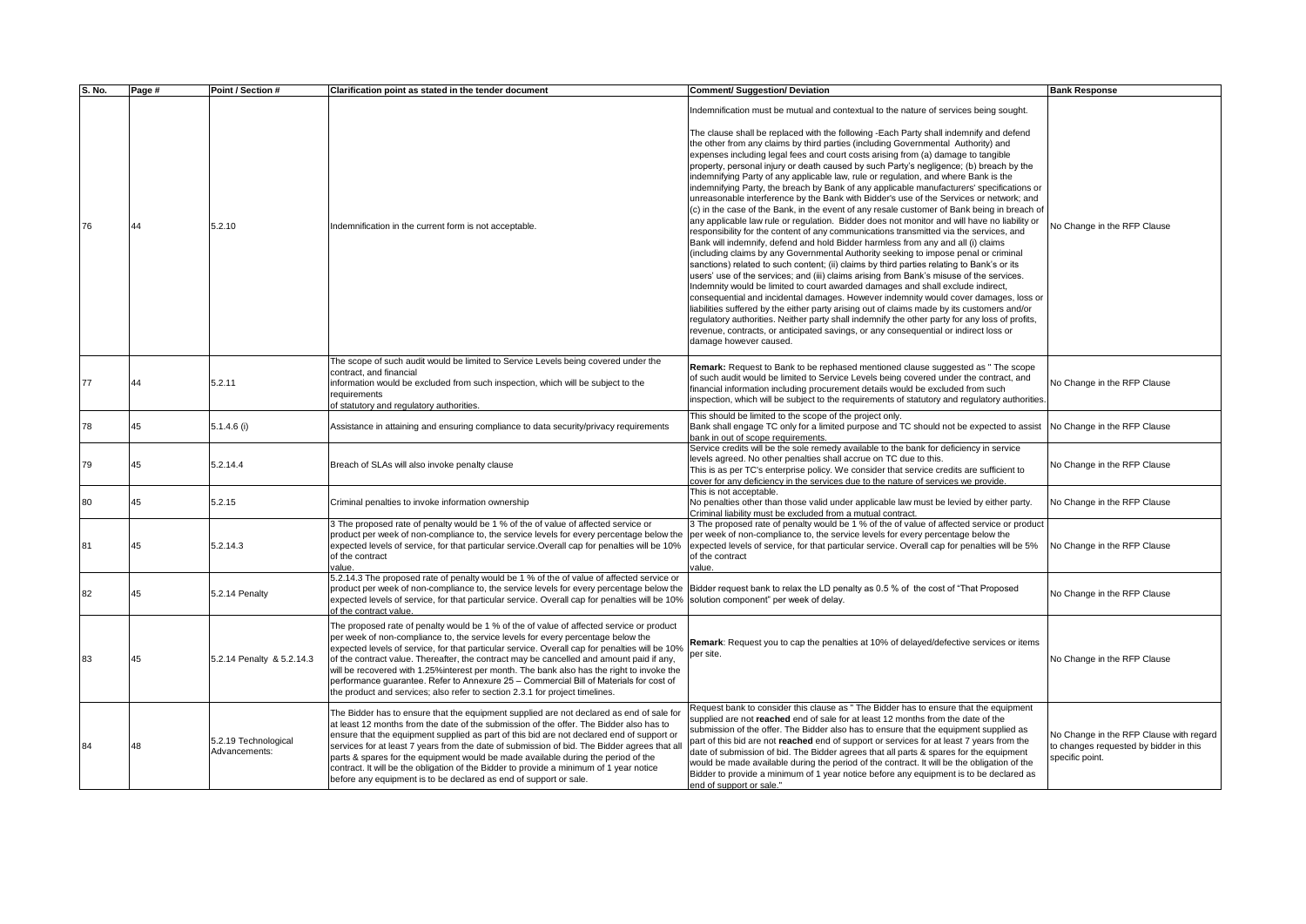| S. No. | Page # | Point / Section #                     | Clarification point as stated in the tender document                                                                                                                                                                                                                                                                                                                                                                                                                                                                                                                                                                                              | <b>Comment/ Suggestion/ Deviation</b>                                                                                                                                                                                                                                                                                                                                                                                                                                                                                                                                                                                                                                                                                                                                                                                                                                                                                                                                                                                                                                                                                                                                                                                                                                                                                                                                                                                                                                                                                                                                                                                                                                                                                                                                                                                                                                                           | <b>Bank Response</b>                                                                                 |
|--------|--------|---------------------------------------|---------------------------------------------------------------------------------------------------------------------------------------------------------------------------------------------------------------------------------------------------------------------------------------------------------------------------------------------------------------------------------------------------------------------------------------------------------------------------------------------------------------------------------------------------------------------------------------------------------------------------------------------------|-------------------------------------------------------------------------------------------------------------------------------------------------------------------------------------------------------------------------------------------------------------------------------------------------------------------------------------------------------------------------------------------------------------------------------------------------------------------------------------------------------------------------------------------------------------------------------------------------------------------------------------------------------------------------------------------------------------------------------------------------------------------------------------------------------------------------------------------------------------------------------------------------------------------------------------------------------------------------------------------------------------------------------------------------------------------------------------------------------------------------------------------------------------------------------------------------------------------------------------------------------------------------------------------------------------------------------------------------------------------------------------------------------------------------------------------------------------------------------------------------------------------------------------------------------------------------------------------------------------------------------------------------------------------------------------------------------------------------------------------------------------------------------------------------------------------------------------------------------------------------------------------------|------------------------------------------------------------------------------------------------------|
| 76     | 44     | 5.2.10                                | Indemnification in the current form is not acceptable.                                                                                                                                                                                                                                                                                                                                                                                                                                                                                                                                                                                            | Indemnification must be mutual and contextual to the nature of services being sought.<br>The clause shall be replaced with the following -Each Party shall indemnify and defend<br>the other from any claims by third parties (including Governmental Authority) and<br>expenses including legal fees and court costs arising from (a) damage to tangible<br>property, personal injury or death caused by such Party's negligence; (b) breach by the<br>indemnifying Party of any applicable law, rule or regulation, and where Bank is the<br>indemnifying Party, the breach by Bank of any applicable manufacturers' specifications or<br>unreasonable interference by the Bank with Bidder's use of the Services or network; and<br>(c) in the case of the Bank, in the event of any resale customer of Bank being in breach of<br>any applicable law rule or regulation. Bidder does not monitor and will have no liability or<br>responsibility for the content of any communications transmitted via the services, and<br>Bank will indemnify, defend and hold Bidder harmless from any and all (i) claims<br>(including claims by any Governmental Authority seeking to impose penal or criminal<br>sanctions) related to such content; (ii) claims by third parties relating to Bank's or its<br>users' use of the services; and (iii) claims arising from Bank's misuse of the services.<br>Indemnity would be limited to court awarded damages and shall exclude indirect,<br>consequential and incidental damages. However indemnity would cover damages, loss or<br>liabilities suffered by the either party arising out of claims made by its customers and/or<br>regulatory authorities. Neither party shall indemnify the other party for any loss of profits,<br>revenue, contracts, or anticipated savings, or any consequential or indirect loss or<br>damage however caused. | No Change in the RFP Clause                                                                          |
| 77     | 44     | 5.2.11                                | The scope of such audit would be limited to Service Levels being covered under the<br>contract, and financial<br>information would be excluded from such inspection, which will be subject to the<br>requirements<br>of statutory and regulatory authorities                                                                                                                                                                                                                                                                                                                                                                                      | Remark: Request to Bank to be rephased mentioned clause suggested as " The scope<br>of such audit would be limited to Service Levels being covered under the contract, and<br>financial information including procurement details would be excluded from such<br>inspection, which will be subject to the requirements of statutory and requlatory authorities                                                                                                                                                                                                                                                                                                                                                                                                                                                                                                                                                                                                                                                                                                                                                                                                                                                                                                                                                                                                                                                                                                                                                                                                                                                                                                                                                                                                                                                                                                                                  | No Change in the RFP Clause                                                                          |
| 78     | 45     | $5.1.4.6$ (i)                         | Assistance in attaining and ensuring compliance to data security/privacy requirements                                                                                                                                                                                                                                                                                                                                                                                                                                                                                                                                                             | This should be limited to the scope of the project only.<br>Bank shall engage TC only for a limited purpose and TC should not be expected to assist<br>bank in out of scope requirements.                                                                                                                                                                                                                                                                                                                                                                                                                                                                                                                                                                                                                                                                                                                                                                                                                                                                                                                                                                                                                                                                                                                                                                                                                                                                                                                                                                                                                                                                                                                                                                                                                                                                                                       | No Change in the RFP Clause                                                                          |
| 79     | 45     | 5.2.14.4                              | Breach of SLAs will also invoke penalty clause                                                                                                                                                                                                                                                                                                                                                                                                                                                                                                                                                                                                    | Service credits will be the sole remedy available to the bank for deficiency in service<br>levels agreed. No other penalties shall accrue on TC due to this.<br>This is as per TC's enterprise policy. We consider that service credits are sufficient to<br>cover for any deficiency in the services due to the nature of services we provide.                                                                                                                                                                                                                                                                                                                                                                                                                                                                                                                                                                                                                                                                                                                                                                                                                                                                                                                                                                                                                                                                                                                                                                                                                                                                                                                                                                                                                                                                                                                                                 | No Change in the RFP Clause                                                                          |
| 80     | 45     | 5.2.15                                | Criminal penalties to invoke information ownership                                                                                                                                                                                                                                                                                                                                                                                                                                                                                                                                                                                                | This is not acceptable.<br>No penalties other than those valid under applicable law must be levied by either party.<br>Criminal liability must be excluded from a mutual contract.                                                                                                                                                                                                                                                                                                                                                                                                                                                                                                                                                                                                                                                                                                                                                                                                                                                                                                                                                                                                                                                                                                                                                                                                                                                                                                                                                                                                                                                                                                                                                                                                                                                                                                              | No Change in the RFP Clause                                                                          |
| 81     | 45     | 5.2.14.3                              | 3 The proposed rate of penalty would be 1 % of the of value of affected service or<br>product per week of non-compliance to, the service levels for every percentage below the<br>expected levels of service, for that particular service. Overall cap for penalties will be 10%<br>of the contract<br>value.                                                                                                                                                                                                                                                                                                                                     | 3 The proposed rate of penalty would be 1 % of the of value of affected service or product<br>per week of non-compliance to, the service levels for every percentage below the<br>expected levels of service, for that particular service. Overall cap for penalties will be 5%<br>of the contract<br>value.                                                                                                                                                                                                                                                                                                                                                                                                                                                                                                                                                                                                                                                                                                                                                                                                                                                                                                                                                                                                                                                                                                                                                                                                                                                                                                                                                                                                                                                                                                                                                                                    | No Change in the RFP Clause                                                                          |
| 82     | 45     | 5.2.14 Penalty                        | 5.2.14.3 The proposed rate of penalty would be 1 % of the of value of affected service or<br>product per week of non-compliance to, the service levels for every percentage below the<br>expected levels of service, for that particular service. Overall cap for penalties will be 10%<br>of the contract value.                                                                                                                                                                                                                                                                                                                                 | Bidder request bank to relax the LD penalty as 0.5 % of the cost of "That Proposed"<br>solution component" per week of delay.                                                                                                                                                                                                                                                                                                                                                                                                                                                                                                                                                                                                                                                                                                                                                                                                                                                                                                                                                                                                                                                                                                                                                                                                                                                                                                                                                                                                                                                                                                                                                                                                                                                                                                                                                                   | No Change in the RFP Clause                                                                          |
| 83     | 45     | 5.2.14 Penalty & 5.2.14.3             | The proposed rate of penalty would be 1 % of the of value of affected service or product<br>per week of non-compliance to, the service levels for every percentage below the<br>expected levels of service, for that particular service. Overall cap for penalties will be 10%<br>of the contract value. Thereafter, the contract may be cancelled and amount paid if any,<br>will be recovered with 1.25%interest per month. The bank also has the right to invoke the<br>performance quarantee. Refer to Annexure 25 - Commercial Bill of Materials for cost of<br>the product and services; also refer to section 2.3.1 for project timelines. | <b>Remark:</b> Request you to cap the penalties at 10% of delayed/defective services or items<br>per site.                                                                                                                                                                                                                                                                                                                                                                                                                                                                                                                                                                                                                                                                                                                                                                                                                                                                                                                                                                                                                                                                                                                                                                                                                                                                                                                                                                                                                                                                                                                                                                                                                                                                                                                                                                                      | No Change in the RFP Clause                                                                          |
| 84     | 48     | 5.2.19 Technological<br>Advancements: | The Bidder has to ensure that the equipment supplied are not declared as end of sale for<br>at least 12 months from the date of the submission of the offer. The Bidder also has to<br>ensure that the equipment supplied as part of this bid are not declared end of support or<br>services for at least 7 years from the date of submission of bid. The Bidder agrees that all<br>parts & spares for the equipment would be made available during the period of the<br>contract. It will be the obligation of the Bidder to provide a minimum of 1 year notice<br>before any equipment is to be declared as end of support or sale.             | Request bank to consider this clause as " The Bidder has to ensure that the equipment<br>supplied are not reached end of sale for at least 12 months from the date of the<br>submission of the offer. The Bidder also has to ensure that the equipment supplied as<br>part of this bid are not reached end of support or services for at least 7 years from the<br>date of submission of bid. The Bidder agrees that all parts & spares for the equipment<br>would be made available during the period of the contract. It will be the obligation of the<br>Bidder to provide a minimum of 1 year notice before any equipment is to be declared as<br>end of support or sale."                                                                                                                                                                                                                                                                                                                                                                                                                                                                                                                                                                                                                                                                                                                                                                                                                                                                                                                                                                                                                                                                                                                                                                                                                  | No Change in the RFP Clause with regard<br>to changes requested by bidder in this<br>specific point. |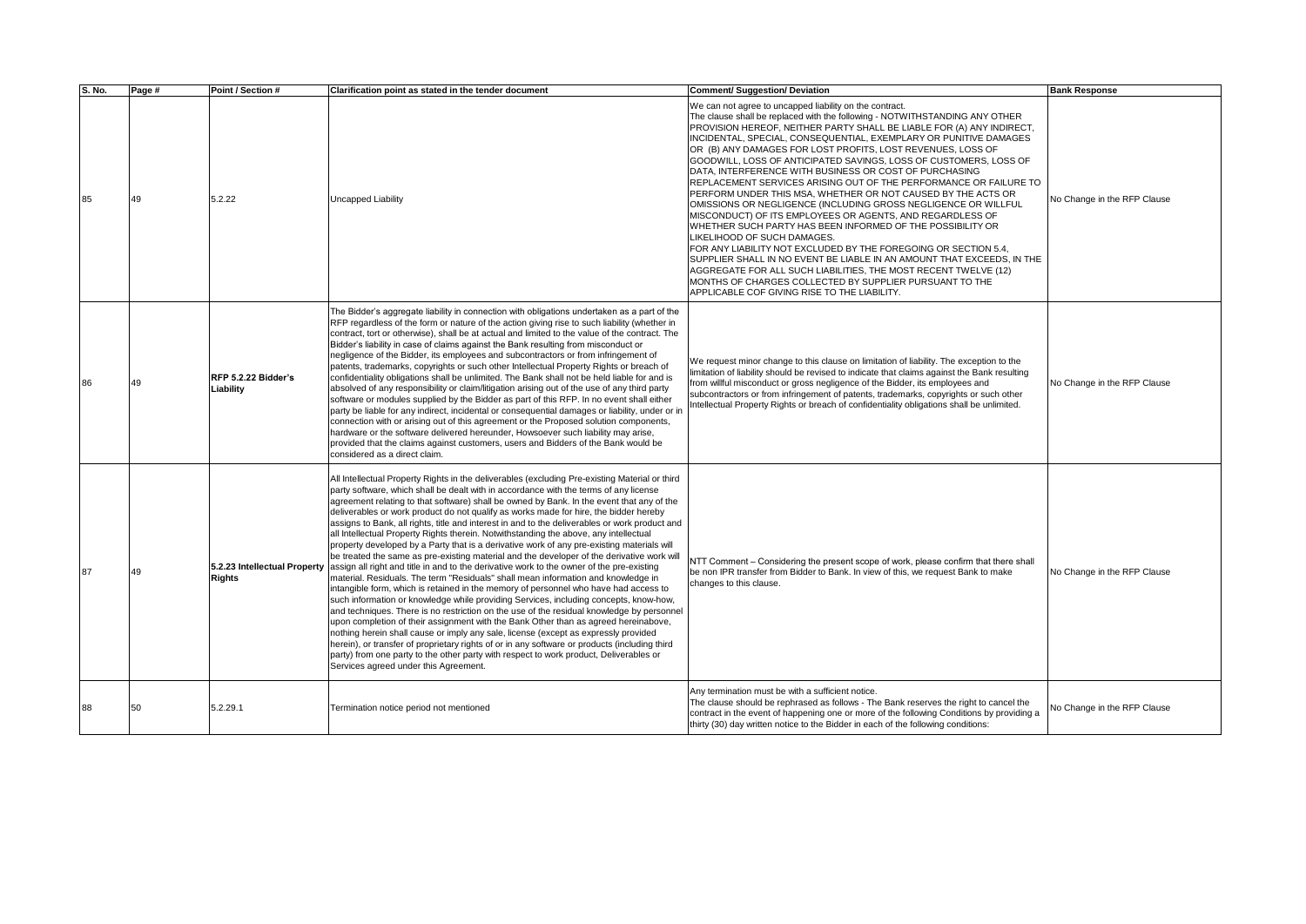| S. No. | Page # | Point / Section #                | Clarification point as stated in the tender document                                                                                                                                                                                                                                                                                                                                                                                                                                                                                                                                                                                                                                                                                                                                                                                                                                                                                                                                                                                                                                                                                                                                                                                                                                                                                                                                                                                                                                                                                                                                                                                                                                | <b>Comment/ Suggestion/ Deviation</b>                                                                                                                                                                                                                                                                                                                                                                                                                                                                                                                                                                                                                                                                                                                                                                                                                                                                                                                                                                                                                                                                                                                                          | <b>Bank Response</b>               |
|--------|--------|----------------------------------|-------------------------------------------------------------------------------------------------------------------------------------------------------------------------------------------------------------------------------------------------------------------------------------------------------------------------------------------------------------------------------------------------------------------------------------------------------------------------------------------------------------------------------------------------------------------------------------------------------------------------------------------------------------------------------------------------------------------------------------------------------------------------------------------------------------------------------------------------------------------------------------------------------------------------------------------------------------------------------------------------------------------------------------------------------------------------------------------------------------------------------------------------------------------------------------------------------------------------------------------------------------------------------------------------------------------------------------------------------------------------------------------------------------------------------------------------------------------------------------------------------------------------------------------------------------------------------------------------------------------------------------------------------------------------------------|--------------------------------------------------------------------------------------------------------------------------------------------------------------------------------------------------------------------------------------------------------------------------------------------------------------------------------------------------------------------------------------------------------------------------------------------------------------------------------------------------------------------------------------------------------------------------------------------------------------------------------------------------------------------------------------------------------------------------------------------------------------------------------------------------------------------------------------------------------------------------------------------------------------------------------------------------------------------------------------------------------------------------------------------------------------------------------------------------------------------------------------------------------------------------------|------------------------------------|
| 85     | 49     | 5.2.22                           | <b>Uncapped Liability</b>                                                                                                                                                                                                                                                                                                                                                                                                                                                                                                                                                                                                                                                                                                                                                                                                                                                                                                                                                                                                                                                                                                                                                                                                                                                                                                                                                                                                                                                                                                                                                                                                                                                           | We can not agree to uncapped liability on the contract.<br>The clause shall be replaced with the following - NOTWITHSTANDING ANY OTHER<br>PROVISION HEREOF, NEITHER PARTY SHALL BE LIABLE FOR (A) ANY INDIRECT.<br>INCIDENTAL, SPECIAL, CONSEQUENTIAL, EXEMPLARY OR PUNITIVE DAMAGES<br>OR (B) ANY DAMAGES FOR LOST PROFITS, LOST REVENUES, LOSS OF<br>GOODWILL, LOSS OF ANTICIPATED SAVINGS, LOSS OF CUSTOMERS, LOSS OF<br>DATA. INTERFERENCE WITH BUSINESS OR COST OF PURCHASING<br>REPLACEMENT SERVICES ARISING OUT OF THE PERFORMANCE OR FAILURE TO<br>PERFORM UNDER THIS MSA, WHETHER OR NOT CAUSED BY THE ACTS OR<br>OMISSIONS OR NEGLIGENCE (INCLUDING GROSS NEGLIGENCE OR WILLFUL<br>MISCONDUCT) OF ITS EMPLOYEES OR AGENTS, AND REGARDLESS OF<br>WHETHER SUCH PARTY HAS BEEN INFORMED OF THE POSSIBILITY OR<br>LIKELIHOOD OF SUCH DAMAGES.<br>FOR ANY LIABILITY NOT EXCLUDED BY THE FOREGOING OR SECTION 5.4,<br>SUPPLIER SHALL IN NO EVENT BE LIABLE IN AN AMOUNT THAT EXCEEDS, IN THE<br>AGGREGATE FOR ALL SUCH LIABILITIES, THE MOST RECENT TWELVE (12)<br>MONTHS OF CHARGES COLLECTED BY SUPPLIER PURSUANT TO THE<br>APPLICABLE COF GIVING RISE TO THE LIABILITY. | No Change in the RFP Clause        |
| 86     | 49     | RFP 5.2.22 Bidder's<br>Liability | The Bidder's aggregate liability in connection with obligations undertaken as a part of the<br>RFP regardless of the form or nature of the action giving rise to such liability (whether in<br>contract, tort or otherwise), shall be at actual and limited to the value of the contract. The<br>Bidder's liability in case of claims against the Bank resulting from misconduct or<br>negligence of the Bidder, its employees and subcontractors or from infringement of<br>patents, trademarks, copyrights or such other Intellectual Property Rights or breach of<br>confidentiality obligations shall be unlimited. The Bank shall not be held liable for and is<br>absolved of any responsibility or claim/litigation arising out of the use of any third party<br>software or modules supplied by the Bidder as part of this RFP. In no event shall either<br>party be liable for any indirect, incidental or consequential damages or liability, under or in<br>connection with or arising out of this agreement or the Proposed solution components,<br>hardware or the software delivered hereunder, Howsoever such liability may arise,<br>provided that the claims against customers, users and Bidders of the Bank would be<br>considered as a direct claim.                                                                                                                                                                                                                                                                                                                                                                                                            | We request minor change to this clause on limitation of liability. The exception to the<br>limitation of liability should be revised to indicate that claims against the Bank resulting<br>from willful misconduct or gross negligence of the Bidder, its employees and<br>subcontractors or from infringement of patents, trademarks, copyrights or such other<br>ntellectual Property Rights or breach of confidentiality obligations shall be unlimited.                                                                                                                                                                                                                                                                                                                                                                                                                                                                                                                                                                                                                                                                                                                    | No Change in the RFP Clause        |
| 87     | 49     | Rights                           | All Intellectual Property Rights in the deliverables (excluding Pre-existing Material or third<br>party software, which shall be dealt with in accordance with the terms of any license<br>agreement relating to that software) shall be owned by Bank. In the event that any of the<br>deliverables or work product do not qualify as works made for hire, the bidder hereby<br>assigns to Bank, all rights, title and interest in and to the deliverables or work product and<br>all Intellectual Property Rights therein. Notwithstanding the above, any intellectual<br>property developed by a Party that is a derivative work of any pre-existing materials will<br>be treated the same as pre-existing material and the developer of the derivative work will<br>5.2.23 Intellectual Property assign all right and title in and to the derivative work to the owner of the pre-existing<br>material. Residuals. The term "Residuals" shall mean information and knowledge in<br>intangible form, which is retained in the memory of personnel who have had access to<br>such information or knowledge while providing Services, including concepts, know-how,<br>and techniques. There is no restriction on the use of the residual knowledge by personnel<br>upon completion of their assignment with the Bank Other than as agreed hereinabove,<br>nothing herein shall cause or imply any sale, license (except as expressly provided<br>herein), or transfer of proprietary rights of or in any software or products (including third<br>party) from one party to the other party with respect to work product, Deliverables or<br>Services agreed under this Agreement. | NTT Comment - Considering the present scope of work, please confirm that there shall<br>be non IPR transfer from Bidder to Bank. In view of this, we request Bank to make<br>changes to this clause.                                                                                                                                                                                                                                                                                                                                                                                                                                                                                                                                                                                                                                                                                                                                                                                                                                                                                                                                                                           | No Change in the RFP Clause        |
| 88     | 50     | 5.2.29.1                         | Termination notice period not mentioned                                                                                                                                                                                                                                                                                                                                                                                                                                                                                                                                                                                                                                                                                                                                                                                                                                                                                                                                                                                                                                                                                                                                                                                                                                                                                                                                                                                                                                                                                                                                                                                                                                             | Any termination must be with a sufficient notice.<br>The clause should be rephrased as follows - The Bank reserves the right to cancel the<br>contract in the event of happening one or more of the following Conditions by providing a<br>thirty (30) day written notice to the Bidder in each of the following conditions:                                                                                                                                                                                                                                                                                                                                                                                                                                                                                                                                                                                                                                                                                                                                                                                                                                                   | <b>No Change in the RFP Clause</b> |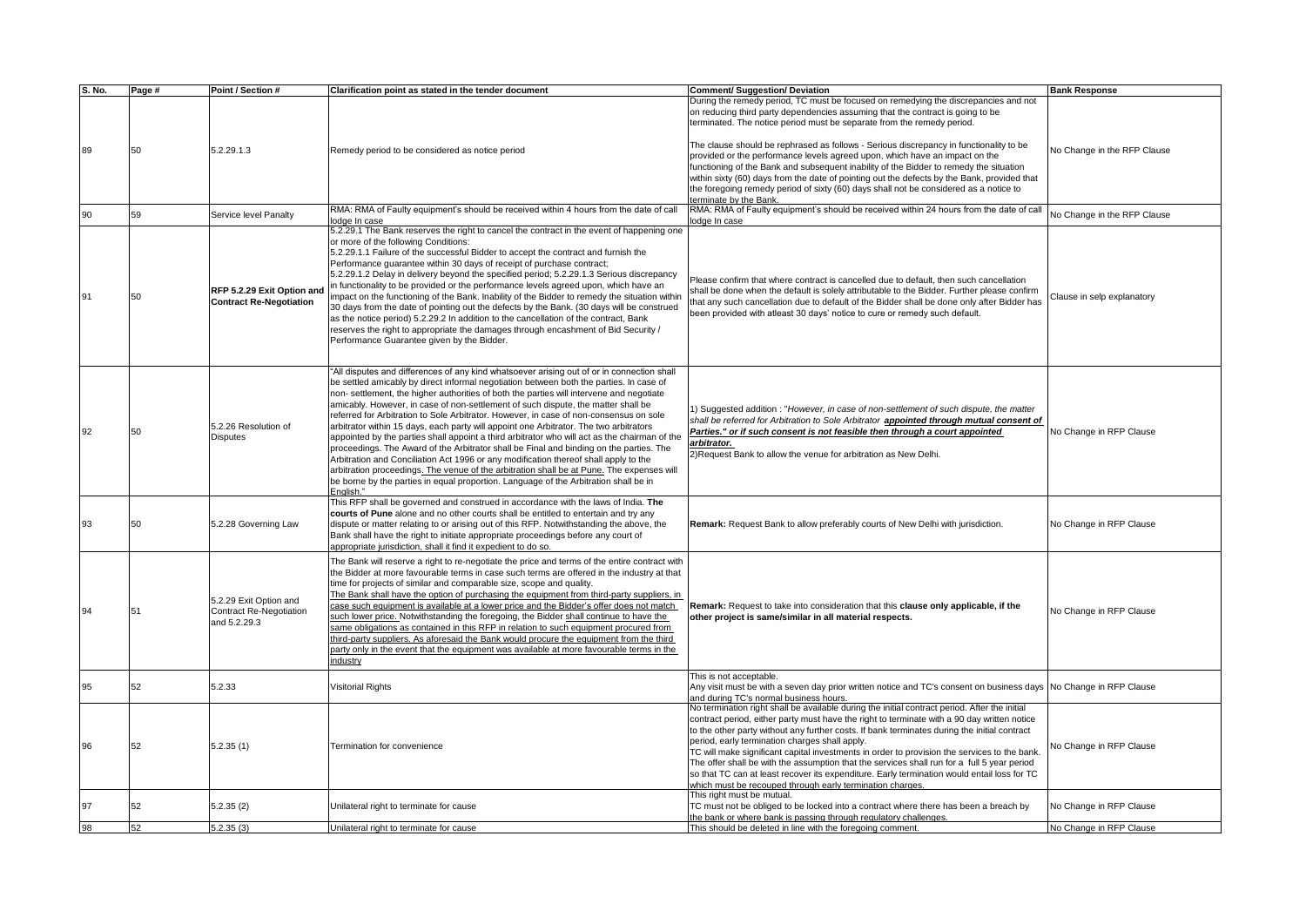| <b>S. No.</b> | Page # | Point / Section #                                                        | Clarification point as stated in the tender document                                                                                                                                                                                                                                                                                                                                                                                                                                                                                                                                                                                                                                                                                                                                                                                                                                                                                                                                                                                            | <b>Comment/ Suggestion/ Deviation</b>                                                                                                                                                                                                                                                                                                                                                                                                                                                                                                                                                                                                                                                                     | <b>Bank Response</b>        |
|---------------|--------|--------------------------------------------------------------------------|-------------------------------------------------------------------------------------------------------------------------------------------------------------------------------------------------------------------------------------------------------------------------------------------------------------------------------------------------------------------------------------------------------------------------------------------------------------------------------------------------------------------------------------------------------------------------------------------------------------------------------------------------------------------------------------------------------------------------------------------------------------------------------------------------------------------------------------------------------------------------------------------------------------------------------------------------------------------------------------------------------------------------------------------------|-----------------------------------------------------------------------------------------------------------------------------------------------------------------------------------------------------------------------------------------------------------------------------------------------------------------------------------------------------------------------------------------------------------------------------------------------------------------------------------------------------------------------------------------------------------------------------------------------------------------------------------------------------------------------------------------------------------|-----------------------------|
| 89            | 50     | 5.2.29.1.3                                                               | Remedy period to be considered as notice period                                                                                                                                                                                                                                                                                                                                                                                                                                                                                                                                                                                                                                                                                                                                                                                                                                                                                                                                                                                                 | During the remedy period, TC must be focused on remedying the discrepancies and not<br>on reducing third party dependencies assuming that the contract is going to be<br>terminated. The notice period must be separate from the remedy period.<br>The clause should be rephrased as follows - Serious discrepancy in functionality to be<br>provided or the performance levels agreed upon, which have an impact on the<br>functioning of the Bank and subsequent inability of the Bidder to remedy the situation                                                                                                                                                                                        | No Change in the RFP Clause |
|               |        |                                                                          |                                                                                                                                                                                                                                                                                                                                                                                                                                                                                                                                                                                                                                                                                                                                                                                                                                                                                                                                                                                                                                                 | within sixty (60) days from the date of pointing out the defects by the Bank, provided that<br>the foregoing remedy period of sixty (60) days shall not be considered as a notice to<br>terminate by the Bank.                                                                                                                                                                                                                                                                                                                                                                                                                                                                                            |                             |
| 90            | 59     | Service level Panalty                                                    | RMA: RMA of Faulty equipment's should be received within 4 hours from the date of call<br>lodge In case                                                                                                                                                                                                                                                                                                                                                                                                                                                                                                                                                                                                                                                                                                                                                                                                                                                                                                                                         | RMA: RMA of Faulty equipment's should be received within 24 hours from the date of call<br>lodge In case                                                                                                                                                                                                                                                                                                                                                                                                                                                                                                                                                                                                  | No Change in the RFP Clause |
| 91            | 50     | RFP 5.2.29 Exit Option and<br><b>Contract Re-Negotiation</b>             | 5.2.29.1 The Bank reserves the right to cancel the contract in the event of happening one<br>or more of the following Conditions:<br>5.2.29.1.1 Failure of the successful Bidder to accept the contract and furnish the<br>Performance quarantee within 30 days of receipt of purchase contract;<br>5.2.29.1.2 Delay in delivery beyond the specified period; 5.2.29.1.3 Serious discrepancy<br>in functionality to be provided or the performance levels agreed upon, which have an<br>impact on the functioning of the Bank. Inability of the Bidder to remedy the situation within<br>30 days from the date of pointing out the defects by the Bank. (30 days will be construed<br>as the notice period) 5.2.29.2 In addition to the cancellation of the contract, Bank<br>reserves the right to appropriate the damages through encashment of Bid Security /<br>Performance Guarantee given by the Bidder.                                                                                                                                  | Please confirm that where contract is cancelled due to default, then such cancellation<br>shall be done when the default is solely attributable to the Bidder. Further please confirm<br>that any such cancellation due to default of the Bidder shall be done only after Bidder has<br>been provided with atleast 30 days' notice to cure or remedy such default.                                                                                                                                                                                                                                                                                                                                        | Clause in selp explanatory  |
| 92            | 50     | 5.2.26 Resolution of<br><b>Disputes</b>                                  | "All disputes and differences of any kind whatsoever arising out of or in connection shall<br>be settled amicably by direct informal negotiation between both the parties. In case of<br>non-settlement, the higher authorities of both the parties will intervene and negotiate<br>amicably. However, in case of non-settlement of such dispute, the matter shall be<br>referred for Arbitration to Sole Arbitrator. However, in case of non-consensus on sole<br>arbitrator within 15 days, each party will appoint one Arbitrator. The two arbitrators<br>appointed by the parties shall appoint a third arbitrator who will act as the chairman of the<br>proceedings. The Award of the Arbitrator shall be Final and binding on the parties. The<br>Arbitration and Conciliation Act 1996 or any modification thereof shall apply to the<br>arbitration proceedings. The venue of the arbitration shall be at Pune. The expenses will<br>be borne by the parties in equal proportion. Language of the Arbitration shall be in<br>Enalish." | 1) Suggested addition : "However, in case of non-settlement of such dispute, the matter<br>shall be referred for Arbitration to Sole Arbitrator appointed through mutual consent of<br>Parties." or if such consent is not feasible then through a court appointed<br>arbitrator.<br>2) Request Bank to allow the venue for arbitration as New Delhi.                                                                                                                                                                                                                                                                                                                                                     | No Change in RFP Clause     |
| 93            | 50     | 5.2.28 Governing Law                                                     | This RFP shall be governed and construed in accordance with the laws of India. The<br>courts of Pune alone and no other courts shall be entitled to entertain and try any<br>dispute or matter relating to or arising out of this RFP. Notwithstanding the above, the<br>Bank shall have the right to initiate appropriate proceedings before any court of<br>appropriate jurisdiction, shall it find it expedient to do so.                                                                                                                                                                                                                                                                                                                                                                                                                                                                                                                                                                                                                    | Remark: Request Bank to allow preferably courts of New Delhi with jurisdiction.                                                                                                                                                                                                                                                                                                                                                                                                                                                                                                                                                                                                                           | No Change in RFP Clause     |
| 94            | 51     | 5.2.29 Exit Option and<br><b>Contract Re-Negotiation</b><br>and 5.2.29.3 | The Bank will reserve a right to re-negotiate the price and terms of the entire contract with<br>the Bidder at more favourable terms in case such terms are offered in the industry at that<br>time for projects of similar and comparable size, scope and quality.<br>The Bank shall have the option of purchasing the equipment from third-party suppliers, in<br>case such equipment is available at a lower price and the Bidder's offer does not match<br>such lower price. Notwithstanding the foregoing, the Bidder shall continue to have the<br>same obligations as contained in this RFP in relation to such equipment procured from<br>third-party suppliers. As aforesaid the Bank would procure the equipment from the third<br>party only in the event that the equipment was available at more favourable terms in the<br>ndustry                                                                                                                                                                                                | Remark: Request to take into consideration that this clause only applicable, if the<br>other project is same/similar in all material respects.                                                                                                                                                                                                                                                                                                                                                                                                                                                                                                                                                            | No Change in RFP Clause     |
| 95            | 52     | 5.2.33                                                                   | <b>Visitorial Rights</b>                                                                                                                                                                                                                                                                                                                                                                                                                                                                                                                                                                                                                                                                                                                                                                                                                                                                                                                                                                                                                        | This is not acceptable.<br>Any visit must be with a seven day prior written notice and TC's consent on business days No Change in RFP Clause<br>and during TC's normal business hours.                                                                                                                                                                                                                                                                                                                                                                                                                                                                                                                    |                             |
| 96            | 52     | 5.2.35(1)                                                                | Termination for convenience                                                                                                                                                                                                                                                                                                                                                                                                                                                                                                                                                                                                                                                                                                                                                                                                                                                                                                                                                                                                                     | No termination right shall be available during the initial contract period. After the initial<br>contract period, either party must have the right to terminate with a 90 day written notice<br>to the other party without any further costs. If bank terminates during the initial contract<br>period, early termination charges shall apply.<br>TC will make significant capital investments in order to provision the services to the bank.<br>The offer shall be with the assumption that the services shall run for a full 5 year period<br>so that TC can at least recover its expenditure. Early termination would entail loss for TC<br>which must be recouped through early termination charges. | No Change in RFP Clause     |
| 97            | 52     | 5.2.35(2)                                                                | Unilateral right to terminate for cause                                                                                                                                                                                                                                                                                                                                                                                                                                                                                                                                                                                                                                                                                                                                                                                                                                                                                                                                                                                                         | This right must be mutual.<br>TC must not be obliged to be locked into a contract where there has been a breach by<br>the bank or where bank is passing through regulatory challenges.                                                                                                                                                                                                                                                                                                                                                                                                                                                                                                                    | No Change in RFP Clause     |
| 98            | 52     | 5.2.35(3)                                                                | Unilateral right to terminate for cause                                                                                                                                                                                                                                                                                                                                                                                                                                                                                                                                                                                                                                                                                                                                                                                                                                                                                                                                                                                                         | This should be deleted in line with the foregoing comment.                                                                                                                                                                                                                                                                                                                                                                                                                                                                                                                                                                                                                                                | No Change in RFP Clause     |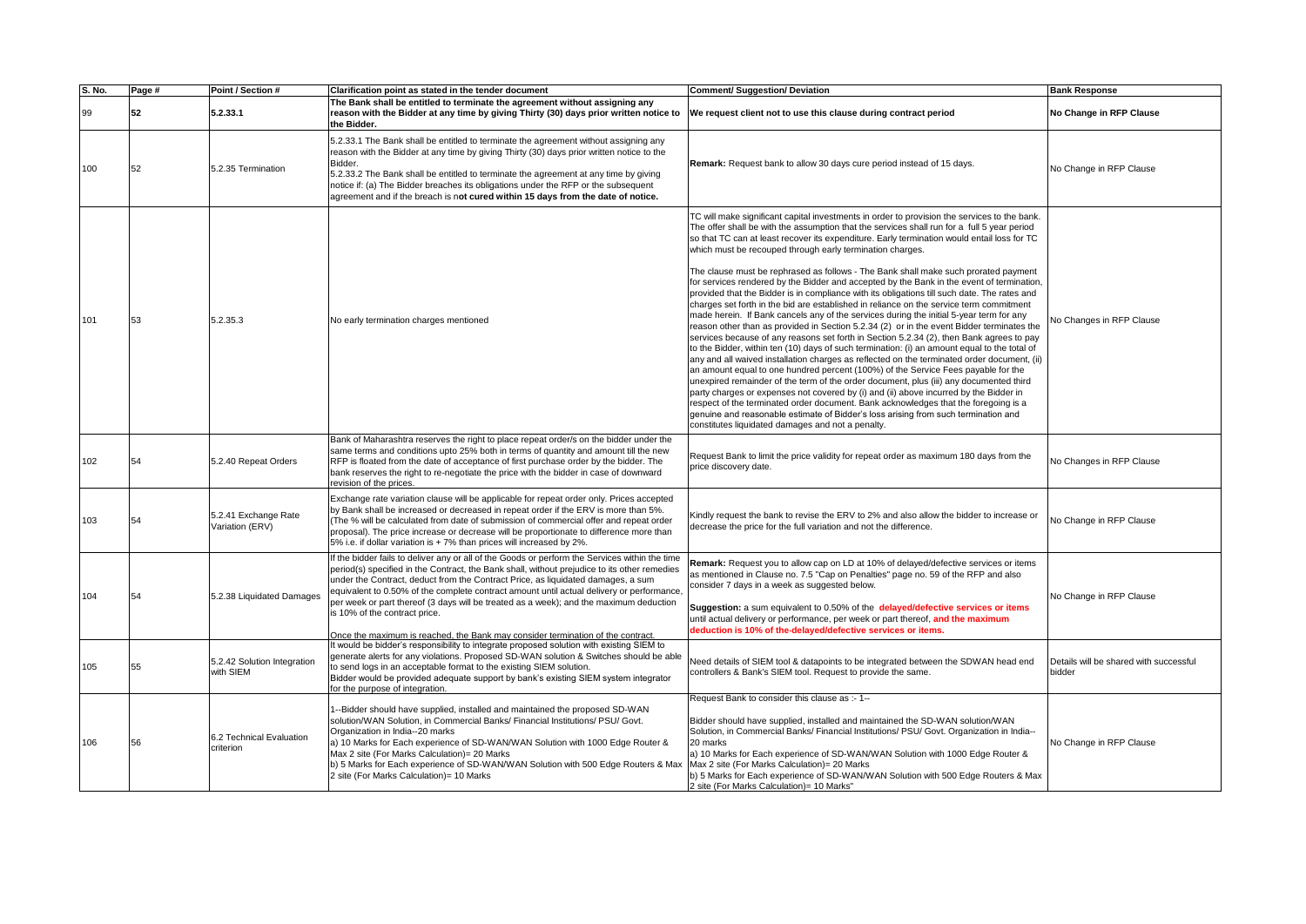| <b>S. No.</b> | Page # | Point / Section #                        | Clarification point as stated in the tender document                                                                                                                                                                                                                                                                                                                                                                                                                                                                                                                                          | <b>Comment/ Suggestion/ Deviation</b>                                                                                                                                                                                                                                                                                                                                                                                                                                                                                                                                                                                                                                                                                                                                                                                                                                                                                                                                                                                                                                                                                                                                                                                                                                                                                                                                    | <b>Bank Response</b>                             |
|---------------|--------|------------------------------------------|-----------------------------------------------------------------------------------------------------------------------------------------------------------------------------------------------------------------------------------------------------------------------------------------------------------------------------------------------------------------------------------------------------------------------------------------------------------------------------------------------------------------------------------------------------------------------------------------------|--------------------------------------------------------------------------------------------------------------------------------------------------------------------------------------------------------------------------------------------------------------------------------------------------------------------------------------------------------------------------------------------------------------------------------------------------------------------------------------------------------------------------------------------------------------------------------------------------------------------------------------------------------------------------------------------------------------------------------------------------------------------------------------------------------------------------------------------------------------------------------------------------------------------------------------------------------------------------------------------------------------------------------------------------------------------------------------------------------------------------------------------------------------------------------------------------------------------------------------------------------------------------------------------------------------------------------------------------------------------------|--------------------------------------------------|
| 99            | 52     | 5.2.33.1                                 | The Bank shall be entitled to terminate the agreement without assigning any<br>reason with the Bidder at any time by giving Thirty (30) days prior written notice to<br>the Bidder.                                                                                                                                                                                                                                                                                                                                                                                                           | We request client not to use this clause during contract period                                                                                                                                                                                                                                                                                                                                                                                                                                                                                                                                                                                                                                                                                                                                                                                                                                                                                                                                                                                                                                                                                                                                                                                                                                                                                                          | No Change in RFP Clause                          |
| 100           | 52     | 5.2.35 Termination                       | 5.2.33.1 The Bank shall be entitled to terminate the agreement without assigning any<br>reason with the Bidder at any time by giving Thirty (30) days prior written notice to the<br>Bidder.<br>5.2.33.2 The Bank shall be entitled to terminate the agreement at any time by giving<br>notice if: (a) The Bidder breaches its obligations under the RFP or the subsequent<br>agreement and if the breach is not cured within 15 days from the date of notice.                                                                                                                                | Remark: Request bank to allow 30 days cure period instead of 15 days.                                                                                                                                                                                                                                                                                                                                                                                                                                                                                                                                                                                                                                                                                                                                                                                                                                                                                                                                                                                                                                                                                                                                                                                                                                                                                                    | No Change in RFP Clause                          |
|               |        |                                          |                                                                                                                                                                                                                                                                                                                                                                                                                                                                                                                                                                                               | TC will make significant capital investments in order to provision the services to the bank.<br>The offer shall be with the assumption that the services shall run for a full 5 year period<br>so that TC can at least recover its expenditure. Early termination would entail loss for TC<br>which must be recouped through early termination charges.                                                                                                                                                                                                                                                                                                                                                                                                                                                                                                                                                                                                                                                                                                                                                                                                                                                                                                                                                                                                                  |                                                  |
| 101           | 53     | 5.2.35.3                                 | No early termination charges mentioned                                                                                                                                                                                                                                                                                                                                                                                                                                                                                                                                                        | The clause must be rephrased as follows - The Bank shall make such prorated payment<br>for services rendered by the Bidder and accepted by the Bank in the event of termination,<br>provided that the Bidder is in compliance with its obligations till such date. The rates and<br>charges set forth in the bid are established in reliance on the service term commitment<br>made herein. If Bank cancels any of the services during the initial 5-year term for any<br>reason other than as provided in Section 5.2.34 (2) or in the event Bidder terminates the<br>services because of any reasons set forth in Section 5.2.34 (2), then Bank agrees to pay<br>to the Bidder, within ten (10) days of such termination: (i) an amount equal to the total of<br>any and all waived installation charges as reflected on the terminated order document, (ii)<br>an amount equal to one hundred percent (100%) of the Service Fees payable for the<br>unexpired remainder of the term of the order document, plus (iii) any documented third<br>party charges or expenses not covered by (i) and (ii) above incurred by the Bidder in<br>respect of the terminated order document. Bank acknowledges that the foregoing is a<br>genuine and reasonable estimate of Bidder's loss arising from such termination and<br>constitutes liquidated damages and not a penalty. | No Changes in RFP Clause                         |
| 102           | 54     | 5.2.40 Repeat Orders                     | Bank of Maharashtra reserves the right to place repeat order/s on the bidder under the<br>same terms and conditions upto 25% both in terms of quantity and amount till the new<br>RFP is floated from the date of acceptance of first purchase order by the bidder. The<br>bank reserves the right to re-negotiate the price with the bidder in case of downward<br>revision of the prices.                                                                                                                                                                                                   | Request Bank to limit the price validity for repeat order as maximum 180 days from the<br>price discovery date.                                                                                                                                                                                                                                                                                                                                                                                                                                                                                                                                                                                                                                                                                                                                                                                                                                                                                                                                                                                                                                                                                                                                                                                                                                                          | No Changes in RFP Clause                         |
| 103           | 54     | 5.2.41 Exchange Rate<br>Variation (ERV)  | Exchange rate variation clause will be applicable for repeat order only. Prices accepted<br>by Bank shall be increased or decreased in repeat order if the ERV is more than 5%.<br>(The % will be calculated from date of submission of commercial offer and repeat order<br>proposal). The price increase or decrease will be proportionate to difference more than<br>5% i.e. if dollar variation is + 7% than prices will increased by 2%.                                                                                                                                                 | Kindly request the bank to revise the ERV to 2% and also allow the bidder to increase or<br>decrease the price for the full variation and not the difference.                                                                                                                                                                                                                                                                                                                                                                                                                                                                                                                                                                                                                                                                                                                                                                                                                                                                                                                                                                                                                                                                                                                                                                                                            | No Change in RFP Clause                          |
| 104           | 54     | 5.2.38 Liquidated Damages                | If the bidder fails to deliver any or all of the Goods or perform the Services within the time<br>period(s) specified in the Contract, the Bank shall, without prejudice to its other remedies<br>under the Contract, deduct from the Contract Price, as liquidated damages, a sum<br>equivalent to 0.50% of the complete contract amount until actual delivery or performance,<br>per week or part thereof (3 days will be treated as a week); and the maximum deduction<br>is 10% of the contract price.<br>Once the maximum is reached, the Bank may consider termination of the contract. | Remark: Request you to allow cap on LD at 10% of delayed/defective services or items<br>as mentioned in Clause no. 7.5 "Cap on Penalties" page no. 59 of the RFP and also<br>consider 7 days in a week as suggested below.<br>Suggestion: a sum equivalent to 0.50% of the delayed/defective services or items<br>until actual delivery or performance, per week or part thereof, and the maximum<br>deduction is 10% of the-delayed/defective services or items.                                                                                                                                                                                                                                                                                                                                                                                                                                                                                                                                                                                                                                                                                                                                                                                                                                                                                                        | No Change in RFP Clause                          |
| 105           | 55     | 5.2.42 Solution Integration<br>with SIEM | It would be bidder's responsibility to integrate proposed solution with existing SIEM to<br>generate alerts for any violations. Proposed SD-WAN solution & Switches should be able<br>to send logs in an acceptable format to the existing SIEM solution.<br>Bidder would be provided adequate support by bank's existing SIEM system integrator<br>for the purpose of integration.                                                                                                                                                                                                           | Need details of SIEM tool & datapoints to be integrated between the SDWAN head end<br>controllers & Bank's SIEM tool. Request to provide the same.                                                                                                                                                                                                                                                                                                                                                                                                                                                                                                                                                                                                                                                                                                                                                                                                                                                                                                                                                                                                                                                                                                                                                                                                                       | Details will be shared with successful<br>bidder |
| 106           | 56     | 6.2 Technical Evaluation<br>criterion    | 1--Bidder should have supplied, installed and maintained the proposed SD-WAN<br>solution/WAN Solution, in Commercial Banks/ Financial Institutions/ PSU/ Govt.<br>Organization in India--20 marks<br>a) 10 Marks for Each experience of SD-WAN/WAN Solution with 1000 Edge Router &<br>Max 2 site (For Marks Calculation)= 20 Marks<br>b) 5 Marks for Each experience of SD-WAN/WAN Solution with 500 Edge Routers & Max<br>2 site (For Marks Calculation)= 10 Marks                                                                                                                          | Request Bank to consider this clause as :- 1--<br>Bidder should have supplied, installed and maintained the SD-WAN solution/WAN<br>Solution, in Commercial Banks/ Financial Institutions/ PSU/ Govt. Organization in India--<br>20 marks<br>a) 10 Marks for Each experience of SD-WAN/WAN Solution with 1000 Edge Router &<br>Max 2 site (For Marks Calculation)= 20 Marks<br>b) 5 Marks for Each experience of SD-WAN/WAN Solution with 500 Edge Routers & Max<br>2 site (For Marks Calculation)= 10 Marks"                                                                                                                                                                                                                                                                                                                                                                                                                                                                                                                                                                                                                                                                                                                                                                                                                                                             | No Change in RFP Clause                          |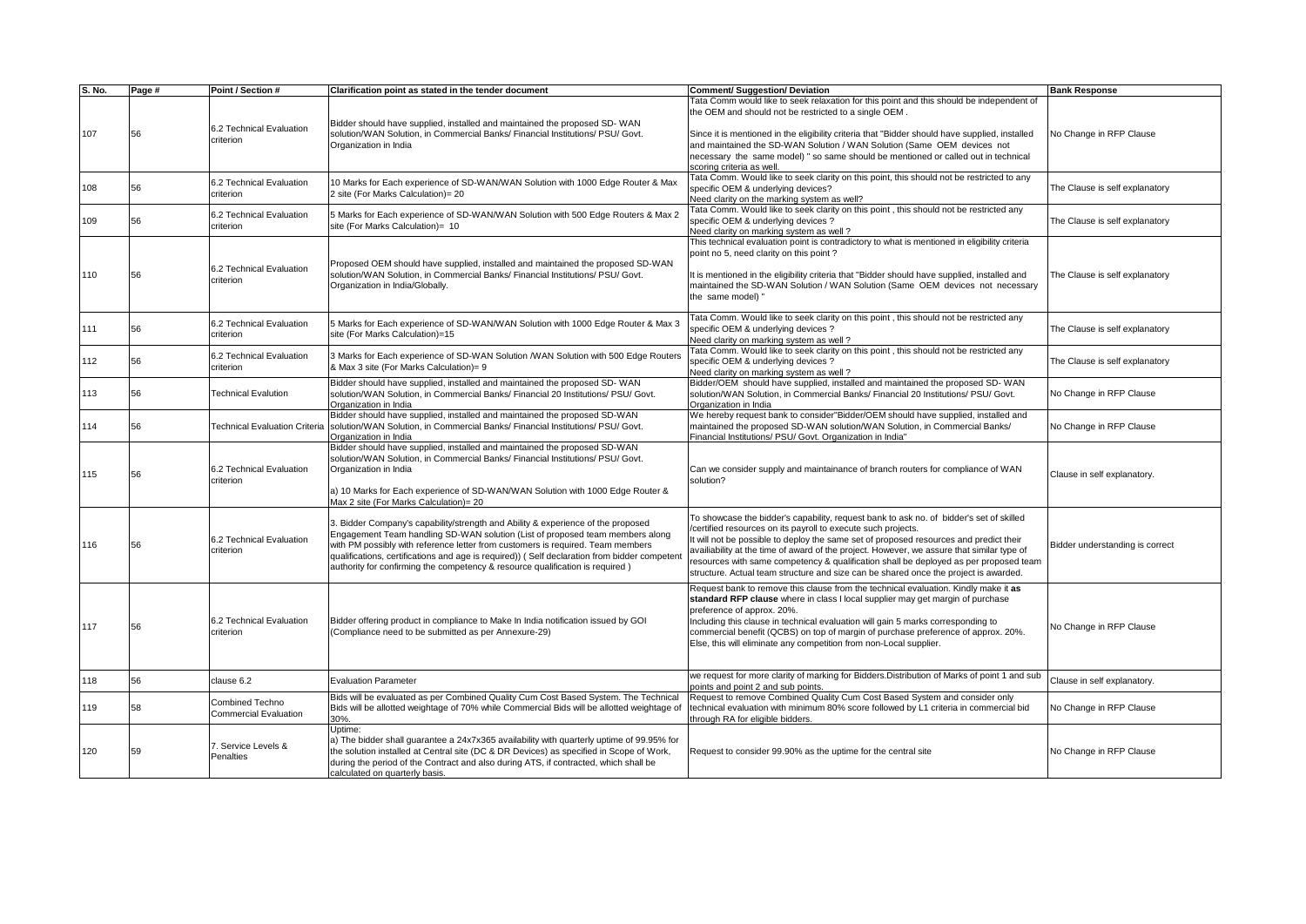| <b>S. No.</b> | Page # | Point / Section #                               | Clarification point as stated in the tender document                                                                                                                                                                                                                                                                                                                                                                                 | <b>Comment/ Suggestion/ Deviation</b>                                                                                                                                                                                                                                                                                                                                                                                                                                                                                           | <b>Bank Response</b>            |
|---------------|--------|-------------------------------------------------|--------------------------------------------------------------------------------------------------------------------------------------------------------------------------------------------------------------------------------------------------------------------------------------------------------------------------------------------------------------------------------------------------------------------------------------|---------------------------------------------------------------------------------------------------------------------------------------------------------------------------------------------------------------------------------------------------------------------------------------------------------------------------------------------------------------------------------------------------------------------------------------------------------------------------------------------------------------------------------|---------------------------------|
| 107           | 56     | 6.2 Technical Evaluation<br>criterion           | Bidder should have supplied, installed and maintained the proposed SD-WAN<br>solution/WAN Solution, in Commercial Banks/ Financial Institutions/ PSU/ Govt.<br>Organization in India                                                                                                                                                                                                                                                 | Tata Comm would like to seek relaxation for this point and this should be independent of<br>the OEM and should not be restricted to a single OEM.<br>Since it is mentioned in the eligibility criteria that "Bidder should have supplied, installed<br>and maintained the SD-WAN Solution / WAN Solution (Same OEM devices not<br>necessary the same model) " so same should be mentioned or called out in technical<br>scoring criteria as well.                                                                               | No Change in RFP Clause         |
| 108           | 56     | 6.2 Technical Evaluation<br>criterion           | 10 Marks for Each experience of SD-WAN/WAN Solution with 1000 Edge Router & Max<br>2 site (For Marks Calculation)= 20                                                                                                                                                                                                                                                                                                                | Tata Comm. Would like to seek clarity on this point, this should not be restricted to any<br>specific OEM & underlying devices?<br>Need clarity on the marking system as well?                                                                                                                                                                                                                                                                                                                                                  | The Clause is self explanatory  |
| 109           | 56     | 6.2 Technical Evaluation<br>criterion           | 5 Marks for Each experience of SD-WAN/WAN Solution with 500 Edge Routers & Max 2<br>site (For Marks Calculation)= 10                                                                                                                                                                                                                                                                                                                 | Tata Comm. Would like to seek clarity on this point, this should not be restricted any<br>specific OEM & underlying devices ?<br>Need clarity on marking system as well?                                                                                                                                                                                                                                                                                                                                                        | The Clause is self explanatory  |
| 110           | 56     | 6.2 Technical Evaluation<br>criterion           | Proposed OEM should have supplied, installed and maintained the proposed SD-WAN<br>solution/WAN Solution, in Commercial Banks/ Financial Institutions/ PSU/ Govt.<br>Organization in India/Globally.                                                                                                                                                                                                                                 | This technical evaluation point is contradictory to what is mentioned in eligibility criteria<br>point no 5, need clarity on this point?<br>It is mentioned in the eligibility criteria that "Bidder should have supplied, installed and<br>maintained the SD-WAN Solution / WAN Solution (Same OEM devices not necessary<br>the same model)'                                                                                                                                                                                   | The Clause is self explanatory  |
| 111           | 56     | 6.2 Technical Evaluation<br>criterion           | 5 Marks for Each experience of SD-WAN/WAN Solution with 1000 Edge Router & Max 3<br>site (For Marks Calculation)=15                                                                                                                                                                                                                                                                                                                  | Tata Comm. Would like to seek clarity on this point, this should not be restricted any<br>specific OEM & underlying devices ?<br>Need clarity on marking system as well?                                                                                                                                                                                                                                                                                                                                                        | The Clause is self explanatory  |
| 112           | 56     | 6.2 Technical Evaluation<br>criterion           | 3 Marks for Each experience of SD-WAN Solution /WAN Solution with 500 Edge Routers<br>& Max 3 site (For Marks Calculation)= 9                                                                                                                                                                                                                                                                                                        | Tata Comm. Would like to seek clarity on this point, this should not be restricted any<br>specific OEM & underlying devices ?<br>Need clarity on marking system as well?                                                                                                                                                                                                                                                                                                                                                        | The Clause is self explanatory  |
| 113           | 56     | <b>Technical Evalution</b>                      | Bidder should have supplied, installed and maintained the proposed SD-WAN<br>solution/WAN Solution, in Commercial Banks/ Financial 20 Institutions/ PSU/ Govt.<br>Organization in India                                                                                                                                                                                                                                              | Bidder/OEM should have supplied, installed and maintained the proposed SD-WAN<br>solution/WAN Solution, in Commercial Banks/ Financial 20 Institutions/ PSU/ Govt.<br>Organization in India                                                                                                                                                                                                                                                                                                                                     | No Change in RFP Clause         |
| 114           | 56     | <b>Technical Evaluation Criteria</b>            | Bidder should have supplied, installed and maintained the proposed SD-WAN<br>solution/WAN Solution, in Commercial Banks/ Financial Institutions/ PSU/ Govt.<br>Organization in India                                                                                                                                                                                                                                                 | We hereby request bank to consider"Bidder/OEM should have supplied, installed and<br>maintained the proposed SD-WAN solution/WAN Solution, in Commercial Banks/<br>Financial Institutions/ PSU/ Govt. Organization in India"                                                                                                                                                                                                                                                                                                    | No Change in RFP Clause         |
| 115           | 56     | 6.2 Technical Evaluation<br>criterion           | Bidder should have supplied, installed and maintained the proposed SD-WAN<br>solution/WAN Solution, in Commercial Banks/ Financial Institutions/ PSU/ Govt.<br>Organization in India<br>a) 10 Marks for Each experience of SD-WAN/WAN Solution with 1000 Edge Router &<br>Max 2 site (For Marks Calculation)= 20                                                                                                                     | Can we consider supply and maintainance of branch routers for compliance of WAN<br>solution?                                                                                                                                                                                                                                                                                                                                                                                                                                    | Clause in self explanatory.     |
| 116           | 56     | 6.2 Technical Evaluation<br>criterion           | 3. Bidder Company's capability/strength and Ability & experience of the proposed<br>Engagement Team handling SD-WAN solution (List of proposed team members along<br>with PM possibly with reference letter from customers is required. Team members<br>qualifications, certifications and age is required)) (Self declaration from bidder competen<br>authority for confirming the competency & resource qualification is required) | To showcase the bidder's capability, request bank to ask no. of bidder's set of skilled<br>certified resources on its payroll to execute such projects.<br>It will not be possible to deploy the same set of proposed resources and predict their<br>availiability at the time of award of the project. However, we assure that similar type of<br>esources with same competency & qualification shall be deployed as per proposed team<br>structure. Actual team structure and size can be shared once the project is awarded. | Bidder understanding is correct |
| 117           | 56     | 6.2 Technical Evaluation<br>criterion           | Bidder offering product in compliance to Make In India notification issued by GOI<br>(Compliance need to be submitted as per Annexure-29)                                                                                                                                                                                                                                                                                            | Request bank to remove this clause from the technical evaluation. Kindly make it as<br>standard RFP clause where in class I local supplier may get margin of purchase<br>preference of approx. 20%.<br>Including this clause in technical evaluation will gain 5 marks corresponding to<br>commercial benefit (QCBS) on top of margin of purchase preference of approx. 20%.<br>Else, this will eliminate any competition from non-Local supplier.                                                                              | No Change in RFP Clause         |
| 118           | 56     | clause 6.2                                      | <b>Evaluation Parameter</b>                                                                                                                                                                                                                                                                                                                                                                                                          | we request for more clarity of marking for Bidders. Distribution of Marks of point 1 and sub<br>points and point 2 and sub points.                                                                                                                                                                                                                                                                                                                                                                                              | Clause in self explanatory.     |
| 119           | 58     | Combined Techno<br><b>Commercial Evaluation</b> | Bids will be evaluated as per Combined Quality Cum Cost Based System. The Technical<br>Bids will be allotted weightage of 70% while Commercial Bids will be allotted weightage of<br>30%                                                                                                                                                                                                                                             | Request to remove Combined Quality Cum Cost Based System and consider only<br>technical evaluation with minimum 80% score followed by L1 criteria in commercial bid<br>through RA for eligible bidders.                                                                                                                                                                                                                                                                                                                         | No Change in RFP Clause         |
| 120           | 59     | 7. Service Levels &<br>Penalties                | Uptime:<br>a) The bidder shall guarantee a 24x7x365 availability with quarterly uptime of 99.95% for<br>the solution installed at Central site (DC & DR Devices) as specified in Scope of Work,<br>during the period of the Contract and also during ATS, if contracted, which shall be<br>calculated on quarterly basis.                                                                                                            | Request to consider 99.90% as the uptime for the central site                                                                                                                                                                                                                                                                                                                                                                                                                                                                   | No Change in RFP Clause         |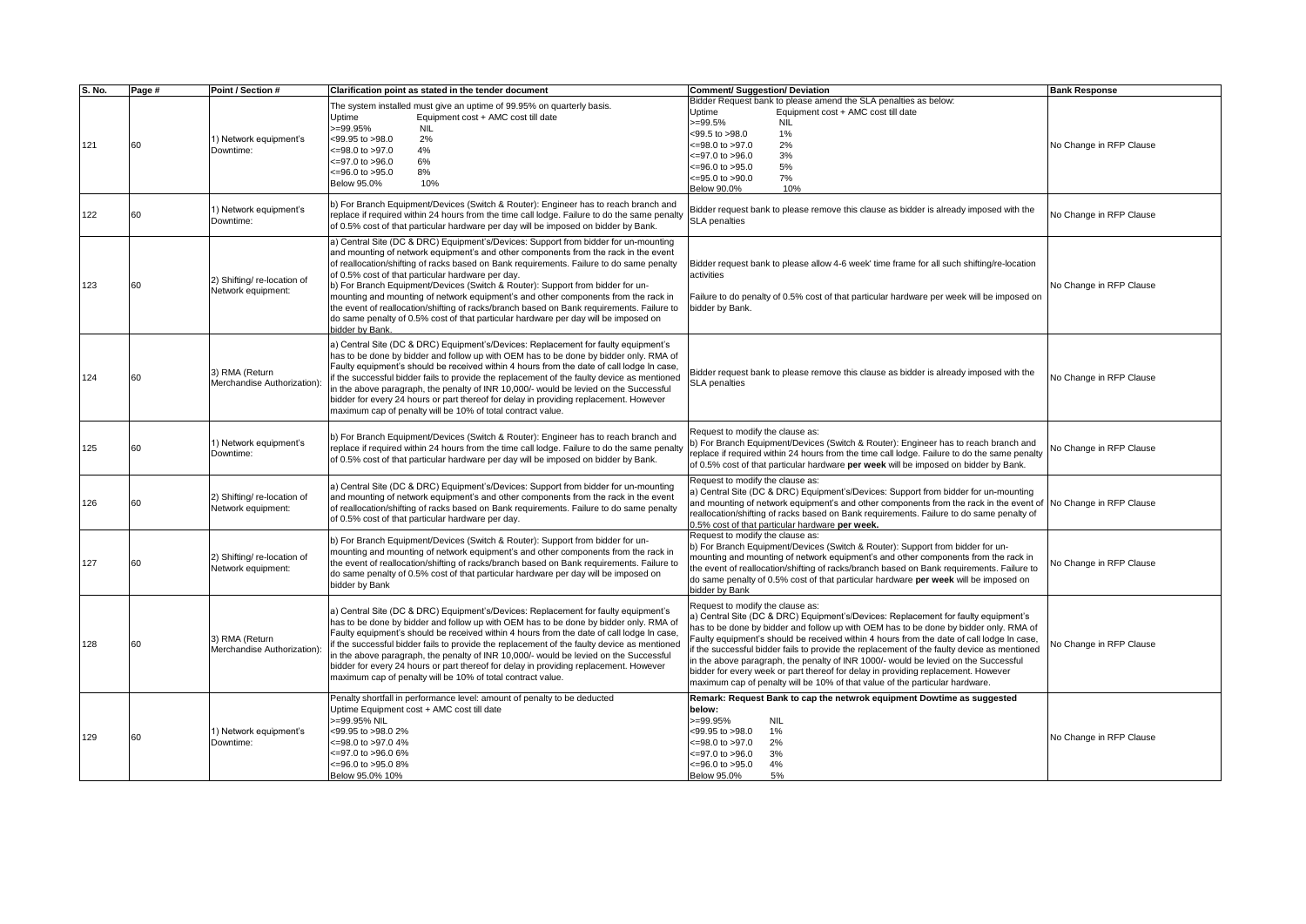| S. No. | Page # | Point / Section #                                | Clarification point as stated in the tender document                                                                                                                                                                                                                                                                                                                                                                                                                                                                                                                                                                                                                                                      | <b>Comment/ Suggestion/ Deviation</b>                                                                                                                                                                                                                                                                                                                                                                                                                                                                                                                                                                                                                                   | <b>Bank Response</b>    |
|--------|--------|--------------------------------------------------|-----------------------------------------------------------------------------------------------------------------------------------------------------------------------------------------------------------------------------------------------------------------------------------------------------------------------------------------------------------------------------------------------------------------------------------------------------------------------------------------------------------------------------------------------------------------------------------------------------------------------------------------------------------------------------------------------------------|-------------------------------------------------------------------------------------------------------------------------------------------------------------------------------------------------------------------------------------------------------------------------------------------------------------------------------------------------------------------------------------------------------------------------------------------------------------------------------------------------------------------------------------------------------------------------------------------------------------------------------------------------------------------------|-------------------------|
| 121    | 60     | 1) Network equipment's<br>Downtime:              | The system installed must give an uptime of 99.95% on quarterly basis.<br>Uptime<br>Equipment cost + AMC cost till date<br>=99.95%<br><b>NIL</b><br><99.95 to >98.0<br>2%<br>$<=98.0$ to $>97.0$<br>4%<br>6%<br>$=97.0$ to $>96.0$<br>8%<br>$<=96.0$ to $>95.0$<br>Below 95.0%<br>10%                                                                                                                                                                                                                                                                                                                                                                                                                     | Bidder Request bank to please amend the SLA penalties as below:<br>Equipment cost + AMC cost till date<br>Uptime<br>>=99.5%<br><b>NIL</b><br>$<$ 99.5 to >98.0<br>1%<br>$=98.0$ to $>97.0$<br>2%<br><=97.0 to >96.0<br>3%<br>5%<br>$\leq$ =96.0 to >95.0<br>$\leq$ =95.0 to >90.0<br>7%<br>Below 90.0%<br>10%                                                                                                                                                                                                                                                                                                                                                           | No Change in RFP Clause |
| 122    | 60     | 1) Network equipment's<br>Downtime:              | b) For Branch Equipment/Devices (Switch & Router): Engineer has to reach branch and<br>replace if required within 24 hours from the time call lodge. Failure to do the same penalty<br>of 0.5% cost of that particular hardware per day will be imposed on bidder by Bank.                                                                                                                                                                                                                                                                                                                                                                                                                                | Bidder request bank to please remove this clause as bidder is already imposed with the<br><b>SLA</b> penalties                                                                                                                                                                                                                                                                                                                                                                                                                                                                                                                                                          | No Change in RFP Clause |
| 123    | 60     | 2) Shifting/re-location of<br>Network equipment: | a) Central Site (DC & DRC) Equipment's/Devices: Support from bidder for un-mounting<br>and mounting of network equipment's and other components from the rack in the event<br>of reallocation/shifting of racks based on Bank requirements. Failure to do same penalty<br>of 0.5% cost of that particular hardware per day.<br>b) For Branch Equipment/Devices (Switch & Router): Support from bidder for un-<br>mounting and mounting of network equipment's and other components from the rack in<br>the event of reallocation/shifting of racks/branch based on Bank requirements. Failure to<br>do same penalty of 0.5% cost of that particular hardware per day will be imposed on<br>bidder by Bank | Bidder request bank to please allow 4-6 week' time frame for all such shifting/re-location<br>activities<br>Failure to do penalty of 0.5% cost of that particular hardware per week will be imposed on<br>bidder by Bank.                                                                                                                                                                                                                                                                                                                                                                                                                                               | No Change in RFP Clause |
| 124    | 60     | 3) RMA (Return<br>Merchandise Authorization):    | a) Central Site (DC & DRC) Equipment's/Devices: Replacement for faulty equipment's<br>has to be done by bidder and follow up with OEM has to be done by bidder only. RMA of<br>Faulty equipment's should be received within 4 hours from the date of call lodge In case,<br>if the successful bidder fails to provide the replacement of the faulty device as mentioned<br>n the above paragraph, the penalty of INR 10,000/- would be levied on the Successful<br>bidder for every 24 hours or part thereof for delay in providing replacement. However<br>maximum cap of penalty will be 10% of total contract value.                                                                                   | Bidder request bank to please remove this clause as bidder is already imposed with the<br><b>SLA penalties</b>                                                                                                                                                                                                                                                                                                                                                                                                                                                                                                                                                          | No Change in RFP Clause |
| 125    | 60     | 1) Network equipment's<br>Downtime:              | b) For Branch Equipment/Devices (Switch & Router): Engineer has to reach branch and<br>replace if required within 24 hours from the time call lodge. Failure to do the same penalty<br>of 0.5% cost of that particular hardware per day will be imposed on bidder by Bank.                                                                                                                                                                                                                                                                                                                                                                                                                                | Request to modify the clause as:<br>b) For Branch Equipment/Devices (Switch & Router): Engineer has to reach branch and<br>replace if required within 24 hours from the time call lodge. Failure to do the same penalty<br>of 0.5% cost of that particular hardware per week will be imposed on bidder by Bank.                                                                                                                                                                                                                                                                                                                                                         | No Change in RFP Clause |
| 126    | 60     | 2) Shifting/re-location of<br>Network equipment: | a) Central Site (DC & DRC) Equipment's/Devices: Support from bidder for un-mounting<br>and mounting of network equipment's and other components from the rack in the event<br>of reallocation/shifting of racks based on Bank requirements. Failure to do same penalty<br>of 0.5% cost of that particular hardware per day.                                                                                                                                                                                                                                                                                                                                                                               | Request to modify the clause as:<br>a) Central Site (DC & DRC) Equipment's/Devices: Support from bidder for un-mounting<br>and mounting of network equipment's and other components from the rack in the event of<br>reallocation/shifting of racks based on Bank requirements. Failure to do same penalty of<br>0.5% cost of that particular hardware per week.                                                                                                                                                                                                                                                                                                        | No Change in RFP Clause |
| 127    | 60     | 2) Shifting/re-location of<br>Network equipment: | b) For Branch Equipment/Devices (Switch & Router): Support from bidder for un-<br>mounting and mounting of network equipment's and other components from the rack in<br>the event of reallocation/shifting of racks/branch based on Bank requirements. Failure to<br>do same penalty of 0.5% cost of that particular hardware per day will be imposed on<br>bidder by Bank                                                                                                                                                                                                                                                                                                                                | Request to modify the clause as:<br>b) For Branch Equipment/Devices (Switch & Router): Support from bidder for un-<br>mounting and mounting of network equipment's and other components from the rack in<br>the event of reallocation/shifting of racks/branch based on Bank requirements. Failure to<br>do same penalty of 0.5% cost of that particular hardware per week will be imposed on<br>bidder by Bank                                                                                                                                                                                                                                                         | No Change in RFP Clause |
| 128    | 60     | 3) RMA (Return<br>Merchandise Authorization)     | a) Central Site (DC & DRC) Equipment's/Devices: Replacement for faulty equipment's<br>has to be done by bidder and follow up with OEM has to be done by bidder only. RMA of<br>Faulty equipment's should be received within 4 hours from the date of call lodge In case,<br>if the successful bidder fails to provide the replacement of the faulty device as mentioned<br>n the above paragraph, the penalty of INR 10,000/- would be levied on the Successful<br>bidder for every 24 hours or part thereof for delay in providing replacement. However<br>maximum cap of penalty will be 10% of total contract value.                                                                                   | Request to modify the clause as:<br>a) Central Site (DC & DRC) Equipment's/Devices: Replacement for faulty equipment's<br>has to be done by bidder and follow up with OEM has to be done by bidder only. RMA of<br>Faulty equipment's should be received within 4 hours from the date of call lodge In case,<br>if the successful bidder fails to provide the replacement of the faulty device as mentioned<br>in the above paragraph, the penalty of INR 1000/- would be levied on the Successful<br>bidder for every week or part thereof for delay in providing replacement. However<br>maximum cap of penalty will be 10% of that value of the particular hardware. | No Change in RFP Clause |
| 129    | 60     | 1) Network equipment's<br>Downtime:              | Penalty shortfall in performance level: amount of penalty to be deducted<br>Uptime Equipment cost + AMC cost till date<br>>=99.95% NIL<br><99.95 to >98.0 2%<br>$\leq$ =98.0 to >97.0 4%<br>$\leq$ =97.0 to >96.0 6%<br>$\leq$ =96.0 to >95.0 8%<br>Below 95.0% 10%                                                                                                                                                                                                                                                                                                                                                                                                                                       | Remark: Request Bank to cap the netwrok equipment Dowtime as suggested<br>below:<br>$>=99.95%$<br><b>NIL</b><br>1%<br>$<$ 99.95 to $>$ 98.0<br>$<=98.0$ to $>97.0$<br>2%<br>$=97.0$ to $>96.0$<br>3%<br>$\leq$ =96.0 to >95.0<br>4%<br>Below 95.0%<br>5%                                                                                                                                                                                                                                                                                                                                                                                                                | No Change in RFP Clause |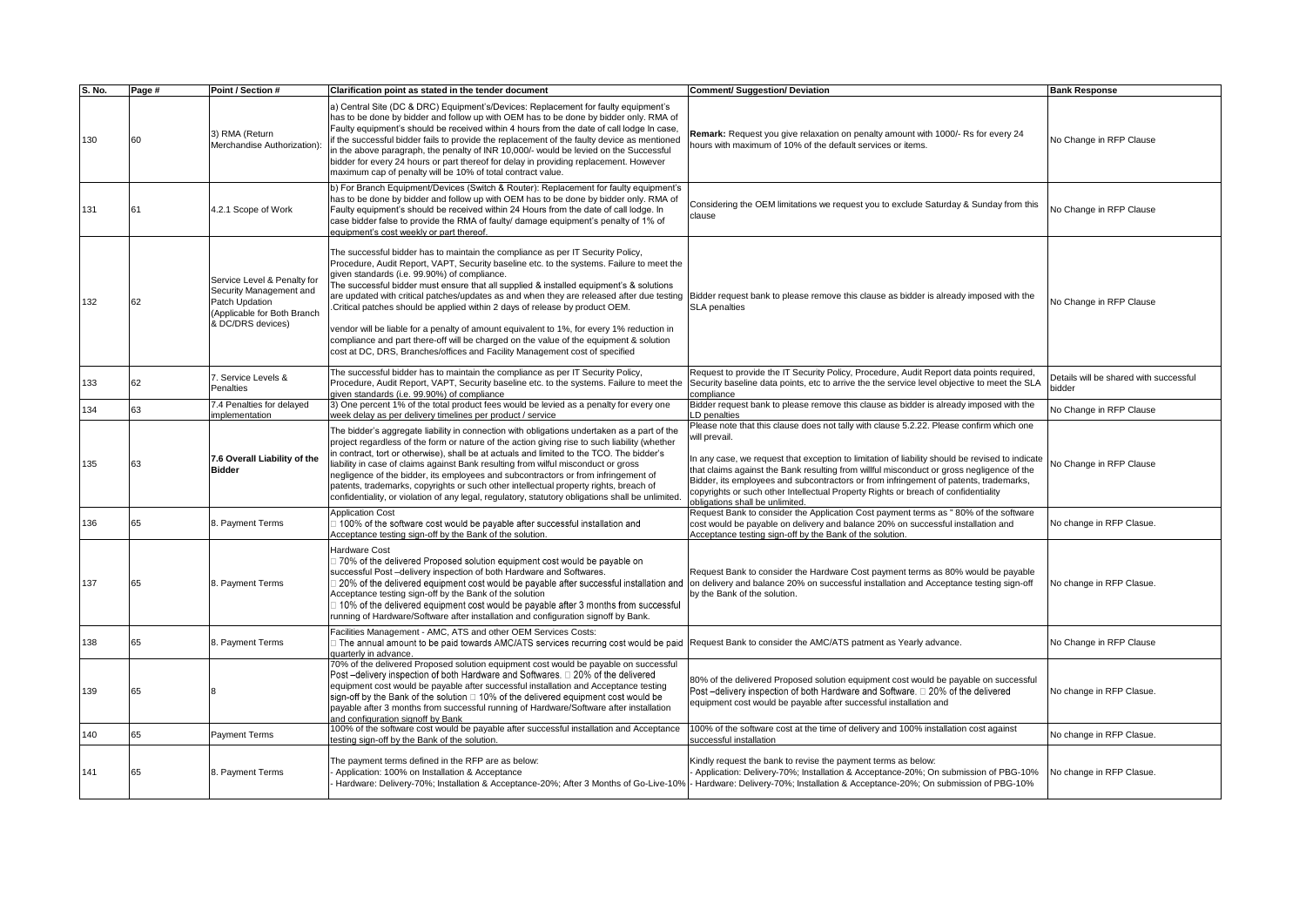| S. No. | Page # | Point / Section #                                                                                                           | Clarification point as stated in the tender document                                                                                                                                                                                                                                                                                                                                                                                                                                                                                                                                                                                                                                                                                                                                                                                                             | <b>Comment/ Suggestion/ Deviation</b>                                                                                                                                                                                                                                                                                                                                                                                                                                                                                       | <b>Bank Response</b>                             |
|--------|--------|-----------------------------------------------------------------------------------------------------------------------------|------------------------------------------------------------------------------------------------------------------------------------------------------------------------------------------------------------------------------------------------------------------------------------------------------------------------------------------------------------------------------------------------------------------------------------------------------------------------------------------------------------------------------------------------------------------------------------------------------------------------------------------------------------------------------------------------------------------------------------------------------------------------------------------------------------------------------------------------------------------|-----------------------------------------------------------------------------------------------------------------------------------------------------------------------------------------------------------------------------------------------------------------------------------------------------------------------------------------------------------------------------------------------------------------------------------------------------------------------------------------------------------------------------|--------------------------------------------------|
| 130    | 60     | 3) RMA (Return<br>Merchandise Authorization):                                                                               | a) Central Site (DC & DRC) Equipment's/Devices: Replacement for faulty equipment's<br>has to be done by bidder and follow up with OEM has to be done by bidder only. RMA of<br>Faulty equipment's should be received within 4 hours from the date of call lodge In case,<br>f the successful bidder fails to provide the replacement of the faulty device as mentioned<br>in the above paragraph, the penalty of INR 10,000/- would be levied on the Successful<br>bidder for every 24 hours or part thereof for delay in providing replacement. However<br>maximum cap of penalty will be 10% of total contract value.                                                                                                                                                                                                                                          | Remark: Request you give relaxation on penalty amount with 1000/- Rs for every 24<br>hours with maximum of 10% of the default services or items.                                                                                                                                                                                                                                                                                                                                                                            | No Change in RFP Clause                          |
| 131    | 61     | 4.2.1 Scope of Work                                                                                                         | b) For Branch Equipment/Devices (Switch & Router): Replacement for faulty equipment's<br>has to be done by bidder and follow up with OEM has to be done by bidder only. RMA of<br>Faulty equipment's should be received within 24 Hours from the date of call lodge. In<br>case bidder false to provide the RMA of faulty/ damage equipment's penalty of 1% of<br>equipment's cost weekly or part thereof.                                                                                                                                                                                                                                                                                                                                                                                                                                                       | Considering the OEM limitations we request you to exclude Saturday & Sunday from this<br>clause                                                                                                                                                                                                                                                                                                                                                                                                                             | No Change in RFP Clause                          |
| 132    | 62     | Service Level & Penalty for<br>Security Management and<br>Patch Updation<br>Applicable for Both Branch<br>& DC/DRS devices) | The successful bidder has to maintain the compliance as per IT Security Policy,<br>Procedure, Audit Report, VAPT, Security baseline etc. to the systems. Failure to meet the<br>given standards (i.e. 99.90%) of compliance.<br>The successful bidder must ensure that all supplied & installed equipment's & solutions<br>are updated with critical patches/updates as and when they are released after due testing Bidder request bank to please remove this clause as bidder is already imposed with the<br>Critical patches should be applied within 2 days of release by product OEM.<br>vendor will be liable for a penalty of amount equivalent to 1%, for every 1% reduction in<br>compliance and part there-off will be charged on the value of the equipment & solution<br>cost at DC, DRS, Branches/offices and Facility Management cost of specified | SLA penalties                                                                                                                                                                                                                                                                                                                                                                                                                                                                                                               | No Change in RFP Clause                          |
| 133    | 62     | 7. Service Levels &<br>Penalties                                                                                            | The successful bidder has to maintain the compliance as per IT Security Policy,<br>Procedure, Audit Report, VAPT, Security baseline etc. to the systems. Failure to meet the<br>given standards (i.e. 99.90%) of compliance                                                                                                                                                                                                                                                                                                                                                                                                                                                                                                                                                                                                                                      | Request to provide the IT Security Policy, Procedure, Audit Report data points required,<br>Security baseline data points, etc to arrive the the service level objective to meet the SLA<br>compliance                                                                                                                                                                                                                                                                                                                      | Details will be shared with successful<br>bidder |
| 134    | 63     | 7.4 Penalties for delayed<br>implementation                                                                                 | 3) One percent 1% of the total product fees would be levied as a penalty for every one<br>week delay as per delivery timelines per product / service                                                                                                                                                                                                                                                                                                                                                                                                                                                                                                                                                                                                                                                                                                             | Bidder request bank to please remove this clause as bidder is already imposed with the<br>LD penalties                                                                                                                                                                                                                                                                                                                                                                                                                      | No Change in RFP Clause                          |
| 135    | 63     | 7.6 Overall Liability of the<br><b>Bidder</b>                                                                               | The bidder's aggregate liability in connection with obligations undertaken as a part of the<br>project regardless of the form or nature of the action giving rise to such liability (whether<br>in contract, tort or otherwise), shall be at actuals and limited to the TCO. The bidder's<br>iability in case of claims against Bank resulting from wilful misconduct or gross<br>negligence of the bidder, its employees and subcontractors or from infringement of<br>patents, trademarks, copyrights or such other intellectual property rights, breach of<br>confidentiality, or violation of any legal, regulatory, statutory obligations shall be unlimited.                                                                                                                                                                                               | Please note that this clause does not tally with clause 5.2.22. Please confirm which one<br>will prevail.<br>In any case, we request that exception to limitation of liability should be revised to indicate<br>that claims against the Bank resulting from willful misconduct or gross negligence of the<br>Bidder, its employees and subcontractors or from infringement of patents, trademarks,<br>copyrights or such other Intellectual Property Rights or breach of confidentiality<br>obligations shall be unlimited. | No Change in RFP Clause                          |
| 136    | 65     | 8. Payment Terms                                                                                                            | <b>Application Cost</b><br>100% of the software cost would be payable after successful installation and<br>Acceptance testing sign-off by the Bank of the solution.                                                                                                                                                                                                                                                                                                                                                                                                                                                                                                                                                                                                                                                                                              | Request Bank to consider the Application Cost payment terms as "80% of the software<br>cost would be payable on delivery and balance 20% on successful installation and<br>Acceptance testing sign-off by the Bank of the solution.                                                                                                                                                                                                                                                                                         | No change in RFP Clasue.                         |
| 137    | 65     | 8. Payment Terms                                                                                                            | Hardware Cost<br>70% of the delivered Proposed solution equipment cost would be payable on<br>successful Post -delivery inspection of both Hardware and Softwares.<br>20% of the delivered equipment cost would be payable after successful installation and<br>Acceptance testing sign-off by the Bank of the solution<br>10% of the delivered equipment cost would be payable after 3 months from successful<br>running of Hardware/Software after installation and configuration signoff by Bank.                                                                                                                                                                                                                                                                                                                                                             | Request Bank to consider the Hardware Cost payment terms as 80% would be payable<br>on delivery and balance 20% on successful installation and Acceptance testing sign-off<br>by the Bank of the solution.                                                                                                                                                                                                                                                                                                                  | No change in RFP Clasue.                         |
| 138    | 65     | 8. Payment Terms                                                                                                            | Facilities Management - AMC, ATS and other OEM Services Costs:<br>The annual amount to be paid towards AMC/ATS services recurring cost would be paid<br>quarterly in advance.                                                                                                                                                                                                                                                                                                                                                                                                                                                                                                                                                                                                                                                                                    | Request Bank to consider the AMC/ATS patment as Yearly advance.                                                                                                                                                                                                                                                                                                                                                                                                                                                             | No Change in RFP Clause                          |
| 139    | 65     |                                                                                                                             | 70% of the delivered Proposed solution equipment cost would be payable on successful<br>Post –delivery inspection of both Hardware and Softwares. □ 20% of the delivered<br>equipment cost would be payable after successful installation and Acceptance testing<br>sign-off by the Bank of the solution □ 10% of the delivered equipment cost would be<br>payable after 3 months from successful running of Hardware/Software after installation<br>and configuration signoff by Bank                                                                                                                                                                                                                                                                                                                                                                           | 80% of the delivered Proposed solution equipment cost would be payable on successful<br>Post –delivery inspection of both Hardware and Software. □ 20% of the delivered<br>equipment cost would be payable after successful installation and                                                                                                                                                                                                                                                                                | No change in RFP Clasue.                         |
| 140    | 65     | Payment Terms                                                                                                               | 100% of the software cost would be payable after successful installation and Acceptance<br>testing sign-off by the Bank of the solution.                                                                                                                                                                                                                                                                                                                                                                                                                                                                                                                                                                                                                                                                                                                         | 100% of the software cost at the time of delivery and 100% installation cost against<br>successful installation                                                                                                                                                                                                                                                                                                                                                                                                             | No change in RFP Clasue.                         |
| 141    | 65     | 8. Payment Terms                                                                                                            | The payment terms defined in the RFP are as below:<br>Application: 100% on Installation & Acceptance<br>Hardware: Delivery-70%; Installation & Acceptance-20%; After 3 Months of Go-Live-10%  - Hardware: Delivery-70%; Installation & Acceptance-20%; On submission of PBG-10%                                                                                                                                                                                                                                                                                                                                                                                                                                                                                                                                                                                  | Kindly request the bank to revise the payment terms as below:<br>Application: Delivery-70%; Installation & Acceptance-20%; On submission of PBG-10%                                                                                                                                                                                                                                                                                                                                                                         | No change in RFP Clasue.                         |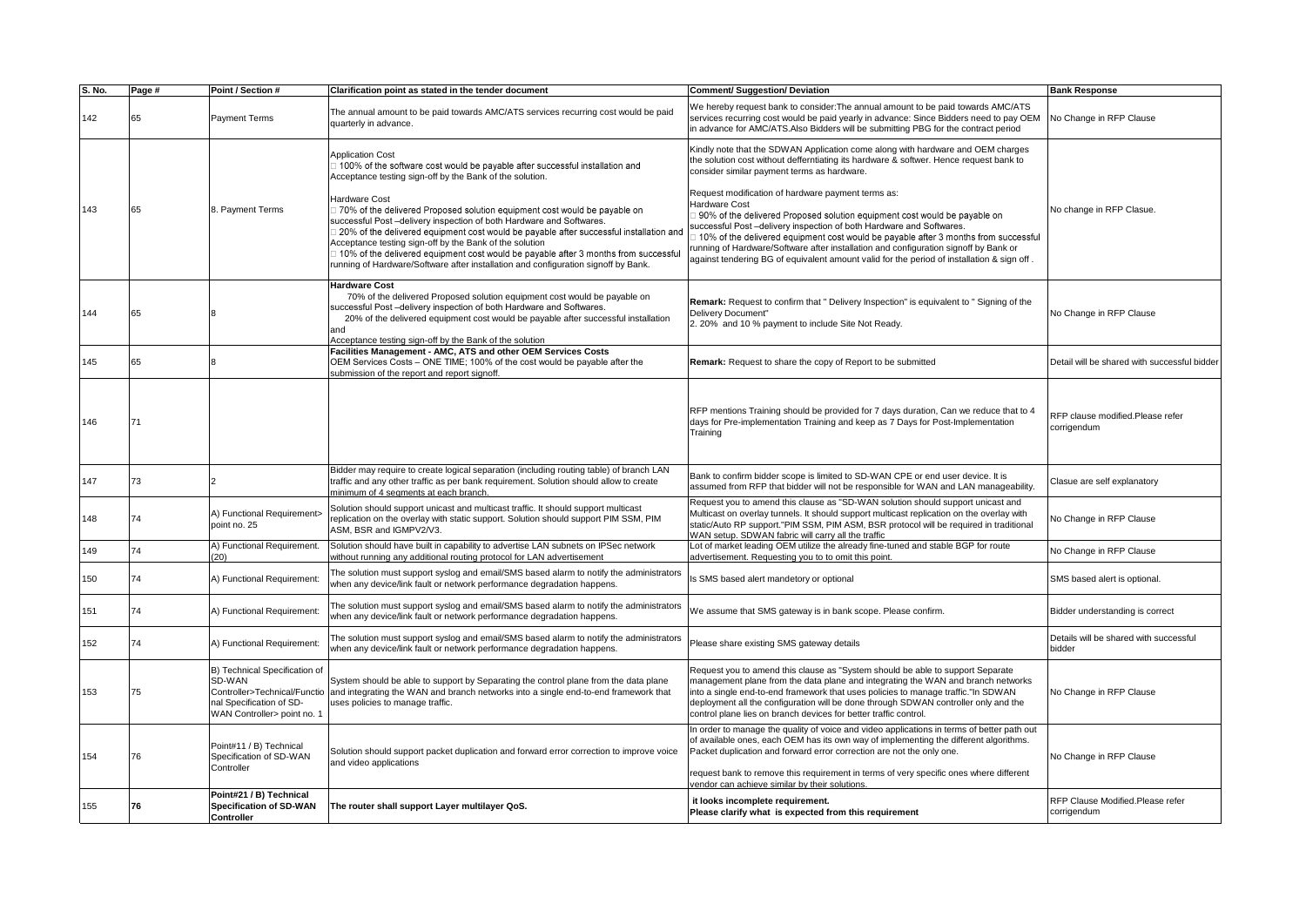| S. No. | Page # | Point / Section #                                                                                                                | Clarification point as stated in the tender document                                                                                                                                                                                                                                                                                                                                                                                                                                                                                                                                                                                                                       | <b>Comment/ Suggestion/ Deviation</b>                                                                                                                                                                                                                                                                                                                                                                                                                                                                                                                                                                                                                                                                                             | <b>Bank Response</b>                             |
|--------|--------|----------------------------------------------------------------------------------------------------------------------------------|----------------------------------------------------------------------------------------------------------------------------------------------------------------------------------------------------------------------------------------------------------------------------------------------------------------------------------------------------------------------------------------------------------------------------------------------------------------------------------------------------------------------------------------------------------------------------------------------------------------------------------------------------------------------------|-----------------------------------------------------------------------------------------------------------------------------------------------------------------------------------------------------------------------------------------------------------------------------------------------------------------------------------------------------------------------------------------------------------------------------------------------------------------------------------------------------------------------------------------------------------------------------------------------------------------------------------------------------------------------------------------------------------------------------------|--------------------------------------------------|
| 142    | 65     | <b>Payment Terms</b>                                                                                                             | The annual amount to be paid towards AMC/ATS services recurring cost would be paid<br>quarterly in advance.                                                                                                                                                                                                                                                                                                                                                                                                                                                                                                                                                                | We hereby request bank to consider: The annual amount to be paid towards AMC/ATS<br>services recurring cost would be paid yearly in advance: Since Bidders need to pay OEM<br>in advance for AMC/ATS. Also Bidders will be submitting PBG for the contract period                                                                                                                                                                                                                                                                                                                                                                                                                                                                 | No Change in RFP Clause                          |
| 143    | 65     | 8. Payment Terms                                                                                                                 | <b>Application Cost</b><br>100% of the software cost would be payable after successful installation and<br>Acceptance testing sign-off by the Bank of the solution.<br>Hardware Cost<br>70% of the delivered Proposed solution equipment cost would be payable on<br>successful Post-delivery inspection of both Hardware and Softwares.<br>20% of the delivered equipment cost would be payable after successful installation and<br>Acceptance testing sign-off by the Bank of the solution<br>10% of the delivered equipment cost would be payable after 3 months from successful<br>running of Hardware/Software after installation and configuration signoff by Bank. | Kindly note that the SDWAN Application come along with hardware and OEM charges<br>the solution cost without defferntiating its hardware & softwer. Hence request bank to<br>consider similar payment terms as hardware.<br>Request modification of hardware payment terms as:<br>Hardware Cost<br>90% of the delivered Proposed solution equipment cost would be payable on<br>successful Post --delivery inspection of both Hardware and Softwares.<br>10% of the delivered equipment cost would be payable after 3 months from successful<br>unning of Hardware/Software after installation and configuration signoff by Bank or<br>against tendering BG of equivalent amount valid for the period of installation & sign off. | No change in RFP Clasue.                         |
| 144    | 65     |                                                                                                                                  | <b>Hardware Cost</b><br>70% of the delivered Proposed solution equipment cost would be payable on<br>successful Post –delivery inspection of both Hardware and Softwares.<br>20% of the delivered equipment cost would be payable after successful installation<br>and<br>Acceptance testing sign-off by the Bank of the solution                                                                                                                                                                                                                                                                                                                                          | <b>Remark:</b> Request to confirm that " Delivery Inspection" is equivalent to " Signing of the<br>Delivery Document"<br>2. 20% and 10 % payment to include Site Not Ready.                                                                                                                                                                                                                                                                                                                                                                                                                                                                                                                                                       | No Change in RFP Clause                          |
| 145    | 65     |                                                                                                                                  | Facilities Management - AMC, ATS and other OEM Services Costs<br>OEM Services Costs - ONE TIME; 100% of the cost would be payable after the<br>submission of the report and report signoff.                                                                                                                                                                                                                                                                                                                                                                                                                                                                                | Remark: Request to share the copy of Report to be submitted                                                                                                                                                                                                                                                                                                                                                                                                                                                                                                                                                                                                                                                                       | Detail will be shared with successful bidder     |
| 146    | 71     |                                                                                                                                  |                                                                                                                                                                                                                                                                                                                                                                                                                                                                                                                                                                                                                                                                            | RFP mentions Training should be provided for 7 days duration, Can we reduce that to 4<br>days for Pre-implementation Training and keep as 7 Days for Post-Implementation<br>Training                                                                                                                                                                                                                                                                                                                                                                                                                                                                                                                                              | RFP clause modified.Please refer<br>corrigendum  |
| 147    | 73     | $\overline{2}$                                                                                                                   | Bidder may require to create logical separation (including routing table) of branch LAN<br>traffic and any other traffic as per bank requirement. Solution should allow to create<br>minimum of 4 segments at each branch.                                                                                                                                                                                                                                                                                                                                                                                                                                                 | Bank to confirm bidder scope is limited to SD-WAN CPE or end user device. It is<br>assumed from RFP that bidder will not be responsible for WAN and LAN manageability.                                                                                                                                                                                                                                                                                                                                                                                                                                                                                                                                                            | Clasue are self explanatory                      |
| 148    | 74     | A) Functional Requirement><br>point no. 25                                                                                       | Solution should support unicast and multicast traffic. It should support multicast<br>replication on the overlay with static support. Solution should support PIM SSM, PIM<br>ASM, BSR and IGMPV2/V3.                                                                                                                                                                                                                                                                                                                                                                                                                                                                      | Request you to amend this clause as "SD-WAN solution should support unicast and<br>Multicast on overlay tunnels. It should support multicast replication on the overlay with<br>static/Auto RP support."PIM SSM, PIM ASM, BSR protocol will be required in traditional<br>WAN setup. SDWAN fabric will carry all the traffic                                                                                                                                                                                                                                                                                                                                                                                                      | No Change in RFP Clause                          |
| 149    | 74     | A) Functional Requirement.<br>(20)                                                                                               | Solution should have built in capability to advertise LAN subnets on IPSec network<br>without running any additional routing protocol for LAN advertisement                                                                                                                                                                                                                                                                                                                                                                                                                                                                                                                | Lot of market leading OEM utilize the already fine-tuned and stable BGP for route<br>advertisement. Requesting you to to omit this point.                                                                                                                                                                                                                                                                                                                                                                                                                                                                                                                                                                                         | No Change in RFP Clause                          |
| 150    | 74     | A) Functional Requirement:                                                                                                       | The solution must support syslog and email/SMS based alarm to notify the administrators<br>when any device/link fault or network performance degradation happens.                                                                                                                                                                                                                                                                                                                                                                                                                                                                                                          | Is SMS based alert mandetory or optional                                                                                                                                                                                                                                                                                                                                                                                                                                                                                                                                                                                                                                                                                          | SMS based alert is optional.                     |
| 151    | 74     | A) Functional Requirement:                                                                                                       | The solution must support syslog and email/SMS based alarm to notify the administrators<br>when any device/link fault or network performance degradation happens.                                                                                                                                                                                                                                                                                                                                                                                                                                                                                                          | We assume that SMS gateway is in bank scope. Please confirm.                                                                                                                                                                                                                                                                                                                                                                                                                                                                                                                                                                                                                                                                      | Bidder understanding is correct                  |
| 152    | 74     | A) Functional Requirement:                                                                                                       | The solution must support syslog and email/SMS based alarm to notify the administrators<br>when any device/link fault or network performance degradation happens.                                                                                                                                                                                                                                                                                                                                                                                                                                                                                                          | Please share existing SMS gateway details                                                                                                                                                                                                                                                                                                                                                                                                                                                                                                                                                                                                                                                                                         | Details will be shared with successful<br>bidder |
| 153    | 75     | B) Technical Specification of<br>SD-WAN<br>Controller>Technical/Functio<br>nal Specification of SD-<br>WAN Controller> point no. | System should be able to support by Separating the control plane from the data plane<br>and integrating the WAN and branch networks into a single end-to-end framework that<br>uses policies to manage traffic.                                                                                                                                                                                                                                                                                                                                                                                                                                                            | Request you to amend this clause as "System should be able to support Separate<br>management plane from the data plane and integrating the WAN and branch networks<br>into a single end-to-end framework that uses policies to manage traffic."In SDWAN<br>deployment all the configuration will be done through SDWAN controller only and the<br>control plane lies on branch devices for better traffic control.                                                                                                                                                                                                                                                                                                                | No Change in RFP Clause                          |
| 154    | 76     | Point#11 / B) Technical<br>Specification of SD-WAN<br>Controller                                                                 | Solution should support packet duplication and forward error correction to improve voice<br>and video applications                                                                                                                                                                                                                                                                                                                                                                                                                                                                                                                                                         | In order to manage the quality of voice and video applications in terms of better path out<br>of available ones, each OEM has its own way of implementing the different algorithms.<br>Packet duplication and forward error correction are not the only one.<br>request bank to remove this requirement in terms of very specific ones where different<br>vendor can achieve similar by their solutions.                                                                                                                                                                                                                                                                                                                          | No Change in RFP Clause                          |
| 155    | 76     | Point#21 / B) Technical<br><b>Specification of SD-WAN</b><br>Controller                                                          | The router shall support Layer multilayer QoS.                                                                                                                                                                                                                                                                                                                                                                                                                                                                                                                                                                                                                             | it looks incomplete requirement.<br>Please clarify what is expected from this requirement                                                                                                                                                                                                                                                                                                                                                                                                                                                                                                                                                                                                                                         | RFP Clause Modified.Please refer<br>corrigendum  |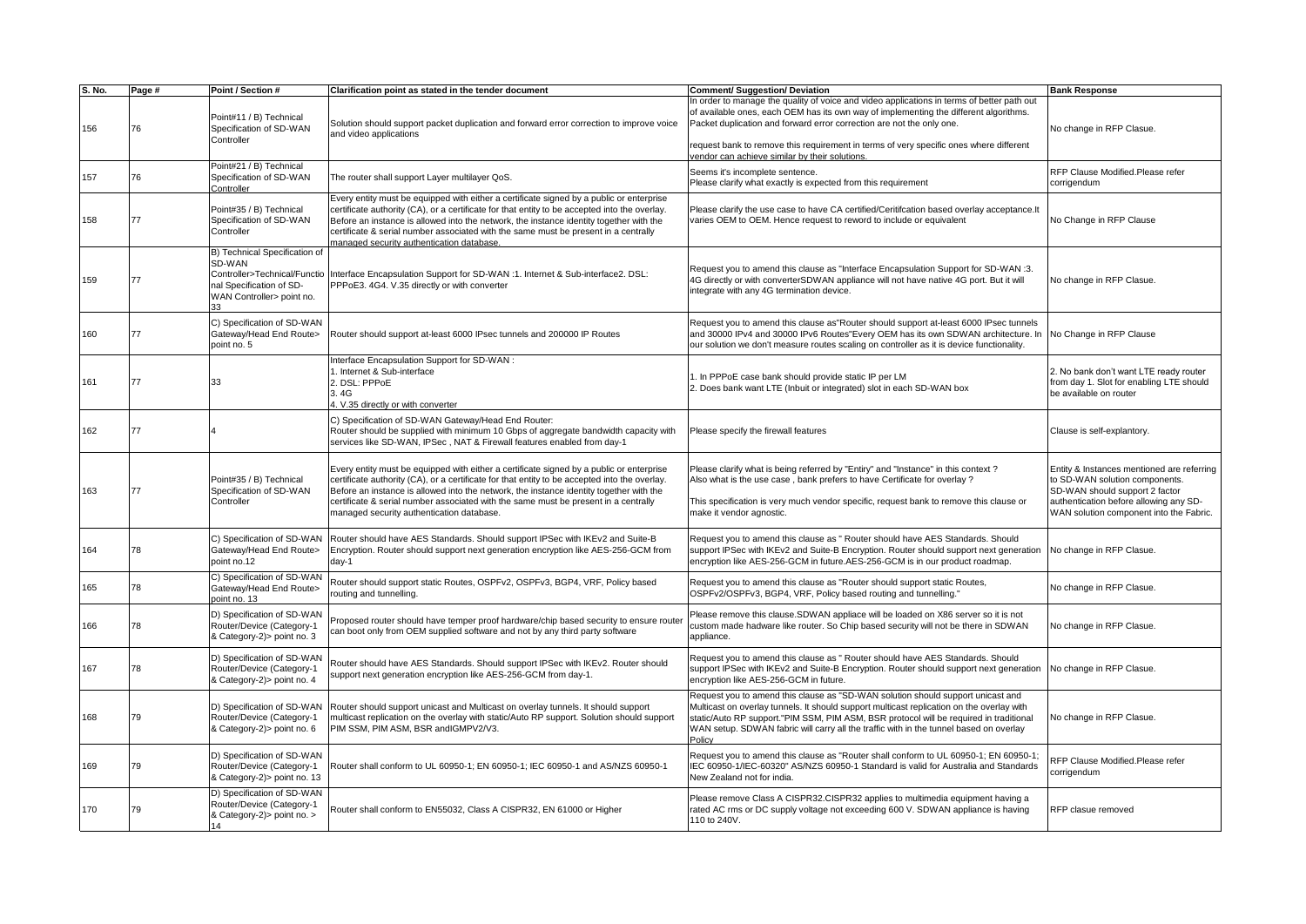| S. No. | Page # | Point / Section #                                                                                                                      | Clarification point as stated in the tender document                                                                                                                                                                                                                                                                                                                                                                     | <b>Comment/ Suggestion/ Deviation</b>                                                                                                                                                                                                                                                                                                                                                                   | <b>Bank Response</b>                                                                                                                                                                                |
|--------|--------|----------------------------------------------------------------------------------------------------------------------------------------|--------------------------------------------------------------------------------------------------------------------------------------------------------------------------------------------------------------------------------------------------------------------------------------------------------------------------------------------------------------------------------------------------------------------------|---------------------------------------------------------------------------------------------------------------------------------------------------------------------------------------------------------------------------------------------------------------------------------------------------------------------------------------------------------------------------------------------------------|-----------------------------------------------------------------------------------------------------------------------------------------------------------------------------------------------------|
| 156    | 76     | Point#11 / B) Technical<br>Specification of SD-WAN<br>Controller                                                                       | Solution should support packet duplication and forward error correction to improve voice<br>and video applications                                                                                                                                                                                                                                                                                                       | In order to manage the quality of voice and video applications in terms of better path out<br>of available ones, each OEM has its own way of implementing the different algorithms.<br>Packet duplication and forward error correction are not the only one.<br>request bank to remove this requirement in terms of very specific ones where different<br>endor can achieve similar by their solutions. | No change in RFP Clasue.                                                                                                                                                                            |
| 157    | 76     | Point#21 / B) Technical<br>Specification of SD-WAN<br>Controller                                                                       | The router shall support Layer multilayer QoS.                                                                                                                                                                                                                                                                                                                                                                           | Seems it's incomplete sentence.<br>Please clarify what exactly is expected from this requirement                                                                                                                                                                                                                                                                                                        | RFP Clause Modified.Please refer<br>corrigendum                                                                                                                                                     |
| 158    | 77     | Point#35 / B) Technical<br>Specification of SD-WAN<br>Controller                                                                       | Every entity must be equipped with either a certificate signed by a public or enterprise<br>certificate authority (CA), or a certificate for that entity to be accepted into the overlay.<br>Before an instance is allowed into the network, the instance identity together with the<br>certificate & serial number associated with the same must be present in a centrally<br>managed security authentication database. | Please clarify the use case to have CA certified/Ceritifcation based overlay acceptance. It<br>varies OEM to OEM. Hence request to reword to include or equivalent                                                                                                                                                                                                                                      | No Change in RFP Clause                                                                                                                                                                             |
| 159    | 77     | B) Technical Specification of<br>SD-WAN<br>Controller>Technical/Functio<br>nal Specification of SD-<br>WAN Controller> point no.<br>22 | Interface Encapsulation Support for SD-WAN :1. Internet & Sub-interface2. DSL:<br>PPPoE3. 4G4. V.35 directly or with converter                                                                                                                                                                                                                                                                                           | Request you to amend this clause as "Interface Encapsulation Support for SD-WAN :3.<br>4G directly or with converterSDWAN appliance will not have native 4G port. But it will<br>integrate with any 4G termination device.                                                                                                                                                                              | No change in RFP Clasue.                                                                                                                                                                            |
| 160    | 77     | C) Specification of SD-WAN<br>Gateway/Head End Route><br>point no. 5                                                                   | Router should support at-least 6000 IPsec tunnels and 200000 IP Routes                                                                                                                                                                                                                                                                                                                                                   | Request you to amend this clause as"Router should support at-least 6000 IPsec tunnels<br>and 30000 IPv4 and 30000 IPv6 Routes"Every OEM has its own SDWAN architecture. In No Change in RFP Clause<br>our solution we don't measure routes scaling on controller as it is device functionality.                                                                                                         |                                                                                                                                                                                                     |
| 161    | 77     | 33                                                                                                                                     | nterface Encapsulation Support for SD-WAN :<br>1. Internet & Sub-interface<br>2. DSL: PPPoE<br>3.4G<br>4. V.35 directly or with converter                                                                                                                                                                                                                                                                                | 1. In PPPoE case bank should provide static IP per LM<br>2. Does bank want LTE (Inbuit or integrated) slot in each SD-WAN box                                                                                                                                                                                                                                                                           | 2. No bank don't want LTE ready router<br>from day 1. Slot for enabling LTE should<br>be available on router                                                                                        |
| 162    | 77     |                                                                                                                                        | C) Specification of SD-WAN Gateway/Head End Router:<br>Router should be supplied with minimum 10 Gbps of aggregate bandwidth capacity with<br>services like SD-WAN, IPSec, NAT & Firewall features enabled from day-1                                                                                                                                                                                                    | Please specify the firewall features                                                                                                                                                                                                                                                                                                                                                                    | Clause is self-explantory.                                                                                                                                                                          |
| 163    | 77     | Point#35 / B) Technical<br>Specification of SD-WAN<br>Controller                                                                       | Every entity must be equipped with either a certificate signed by a public or enterprise<br>certificate authority (CA), or a certificate for that entity to be accepted into the overlay.<br>Before an instance is allowed into the network, the instance identity together with the<br>certificate & serial number associated with the same must be present in a centrally<br>managed security authentication database. | Please clarify what is being referred by "Entiry" and "Instance" in this context?<br>Also what is the use case, bank prefers to have Certificate for overlay?<br>This specification is very much vendor specific, request bank to remove this clause or<br>make it vendor agnostic.                                                                                                                     | Entity & Instances mentioned are referring<br>to SD-WAN solution components.<br>SD-WAN should support 2 factor<br>authentication before allowing any SD-<br>WAN solution component into the Fabric. |
| 164    | 78     | C) Specification of SD-WAN<br>Gateway/Head End Route><br>point no.12                                                                   | Router should have AES Standards. Should support IPSec with IKEv2 and Suite-B<br>Encryption. Router should support next generation encryption like AES-256-GCM from<br>day-1                                                                                                                                                                                                                                             | Request you to amend this clause as " Router should have AES Standards. Should<br>support IPSec with IKEv2 and Suite-B Encryption. Router should support next generation<br>encryption like AES-256-GCM in future.AES-256-GCM is in our product roadmap.                                                                                                                                                | No change in RFP Clasue.                                                                                                                                                                            |
| 165    | 78     | C) Specification of SD-WAN<br>Gateway/Head End Route><br>point no. 13                                                                  | Router should support static Routes, OSPFv2, OSPFv3, BGP4, VRF, Policy based<br>routing and tunnelling.                                                                                                                                                                                                                                                                                                                  | Request you to amend this clause as "Router should support static Routes,<br>OSPFv2/OSPFv3, BGP4, VRF, Policy based routing and tunnelling."                                                                                                                                                                                                                                                            | No change in RFP Clasue.                                                                                                                                                                            |
| 166    | 78     | D) Specification of SD-WAN<br>Router/Device (Category-1<br>& Category-2) > point no. 3                                                 | Proposed router should have temper proof hardware/chip based security to ensure route<br>can boot only from OEM supplied software and not by any third party software                                                                                                                                                                                                                                                    | Please remove this clause.SDWAN appliace will be loaded on X86 server so it is not<br>custom made hadware like router. So Chip based security will not be there in SDWAN<br>appliance.                                                                                                                                                                                                                  | No change in RFP Clasue.                                                                                                                                                                            |
| 167    | 78     | D) Specification of SD-WAN<br>Router/Device (Category-1<br>& Category-2) > point no. 4                                                 | Router should have AES Standards. Should support IPSec with IKEv2. Router should<br>support next generation encryption like AES-256-GCM from day-1.                                                                                                                                                                                                                                                                      | Request you to amend this clause as " Router should have AES Standards. Should<br>support IPSec with IKEv2 and Suite-B Encryption. Router should support next generation<br>encryption like AES-256-GCM in future.                                                                                                                                                                                      | No change in RFP Clasue.                                                                                                                                                                            |
| 168    | 79     | D) Specification of SD-WAN<br>Router/Device (Category-1<br>& Category-2) > point no. 6                                                 | Router should support unicast and Multicast on overlay tunnels. It should support<br>multicast replication on the overlay with static/Auto RP support. Solution should support<br>PIM SSM, PIM ASM, BSR andIGMPV2/V3.                                                                                                                                                                                                    | Request you to amend this clause as "SD-WAN solution should support unicast and<br>Multicast on overlay tunnels. It should support multicast replication on the overlay with<br>static/Auto RP support."PIM SSM, PIM ASM, BSR protocol will be required in traditional<br>WAN setup. SDWAN fabric will carry all the traffic with in the tunnel based on overlay<br>Policy                              | No change in RFP Clasue.                                                                                                                                                                            |
| 169    | 79     | D) Specification of SD-WAN<br>Router/Device (Category-1<br>& Category-2) > point no. 13                                                | Router shall conform to UL 60950-1; EN 60950-1; IEC 60950-1 and AS/NZS 60950-1                                                                                                                                                                                                                                                                                                                                           | Request you to amend this clause as "Router shall conform to UL 60950-1; EN 60950-1;<br>IEC 60950-1/IEC-60320" AS/NZS 60950-1 Standard is valid for Australia and Standards<br>New Zealand not for india.                                                                                                                                                                                               | RFP Clause Modified.Please refer<br>corrigendum                                                                                                                                                     |
| 170    | 79     | D) Specification of SD-WAN<br>Router/Device (Category-1<br>& Category-2) > point no. ><br>14                                           | Router shall conform to EN55032, Class A CISPR32, EN 61000 or Higher                                                                                                                                                                                                                                                                                                                                                     | Please remove Class A CISPR32.CISPR32 applies to multimedia equipment having a<br>rated AC rms or DC supply voltage not exceeding 600 V. SDWAN appliance is having<br>110 to 240V.                                                                                                                                                                                                                      | RFP clasue removed                                                                                                                                                                                  |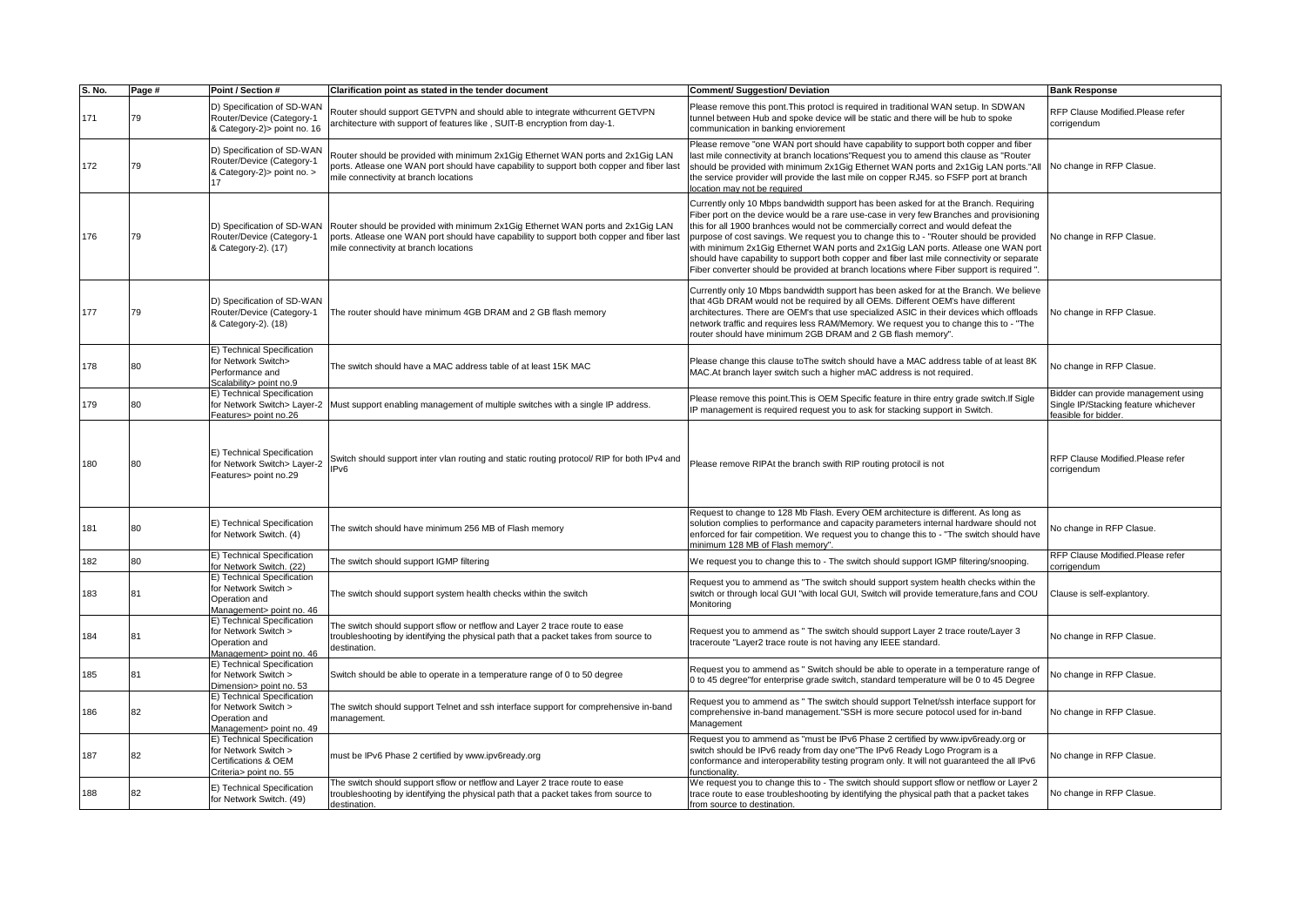| S. No. | Page # | Point / Section #                                                                                    | Clarification point as stated in the tender document                                                                                                                                                                 | <b>Comment/ Suggestion/ Deviation</b>                                                                                                                                                                                                                                                                                                                                                                                                                                                                                                                                                                                                          | <b>Bank Response</b>                                                                                |
|--------|--------|------------------------------------------------------------------------------------------------------|----------------------------------------------------------------------------------------------------------------------------------------------------------------------------------------------------------------------|------------------------------------------------------------------------------------------------------------------------------------------------------------------------------------------------------------------------------------------------------------------------------------------------------------------------------------------------------------------------------------------------------------------------------------------------------------------------------------------------------------------------------------------------------------------------------------------------------------------------------------------------|-----------------------------------------------------------------------------------------------------|
| 171    | 79     | D) Specification of SD-WAN<br>Router/Device (Category-1<br>& Category-2) > point no. 16              | Router should support GETVPN and should able to integrate withcurrent GETVPN<br>architecture with support of features like, SUIT-B encryption from day-1.                                                            | Please remove this pont. This protocl is required in traditional WAN setup. In SDWAN<br>tunnel between Hub and spoke device will be static and there will be hub to spoke<br>communication in banking enviorement                                                                                                                                                                                                                                                                                                                                                                                                                              | RFP Clause Modified.Please refer<br>corrigendum                                                     |
| 172    | 79     | D) Specification of SD-WAN<br>Router/Device (Category-1<br>& Category-2) > point no. ><br>17         | Router should be provided with minimum 2x1Gig Ethernet WAN ports and 2x1Gig LAN<br>ports. Atlease one WAN port should have capability to support both copper and fiber last<br>mile connectivity at branch locations | Please remove "one WAN port should have capability to support both copper and fiber<br>last mile connectivity at branch locations"Request you to amend this clause as "Router<br>should be provided with minimum 2x1Gig Ethernet WAN ports and 2x1Gig LAN ports."All<br>the service provider will provide the last mile on copper RJ45, so FSFP port at branch<br>ocation may not be required                                                                                                                                                                                                                                                  | No change in RFP Clasue.                                                                            |
| 176    | 79     | D) Specification of SD-WAN<br>Router/Device (Category-1<br>& Category-2). (17)                       | Router should be provided with minimum 2x1Gig Ethernet WAN ports and 2x1Gig LAN<br>ports. Atlease one WAN port should have capability to support both copper and fiber last<br>mile connectivity at branch locations | Currently only 10 Mbps bandwidth support has been asked for at the Branch. Requiring<br>Fiber port on the device would be a rare use-case in very few Branches and provisioning<br>this for all 1900 branhces would not be commercially correct and would defeat the<br>purpose of cost savings. We request you to change this to - "Router should be provided<br>with minimum 2x1Gig Ethernet WAN ports and 2x1Gig LAN ports. Atlease one WAN port<br>should have capability to support both copper and fiber last mile connectivity or separate<br>Fiber converter should be provided at branch locations where Fiber support is required ". | No change in RFP Clasue.                                                                            |
| 177    | 79     | D) Specification of SD-WAN<br>Router/Device (Category-1<br>& Category-2). (18)                       | The router should have minimum 4GB DRAM and 2 GB flash memory                                                                                                                                                        | Currently only 10 Mbps bandwidth support has been asked for at the Branch. We believe<br>that 4Gb DRAM would not be required by all OEMs. Different OEM's have different<br>architectures. There are OEM's that use specialized ASIC in their devices which offloads<br>network traffic and requires less RAM/Memory. We request you to change this to - "The<br>router should have minimum 2GB DRAM and 2 GB flash memory".                                                                                                                                                                                                                   | No change in RFP Clasue.                                                                            |
| 178    | 80     | E) Technical Specification<br>for Network Switch><br>Performance and<br>Scalability > point no.9     | The switch should have a MAC address table of at least 15K MAC                                                                                                                                                       | Please change this clause to The switch should have a MAC address table of at least 8K<br>MAC.At branch layer switch such a higher mAC address is not required.                                                                                                                                                                                                                                                                                                                                                                                                                                                                                | No change in RFP Clasue.                                                                            |
| 179    | 80     | E) Technical Specification<br>Features> point no.26                                                  | for Network Switch> Layer-2 Must support enabling management of multiple switches with a single IP address.                                                                                                          | Please remove this point. This is OEM Specific feature in thire entry grade switch. If Sigle<br>IP management is required request you to ask for stacking support in Switch.                                                                                                                                                                                                                                                                                                                                                                                                                                                                   | Bidder can provide management using<br>Single IP/Stacking feature whichever<br>feasible for bidder. |
| 180    | 80     | E) Technical Specification<br>for Network Switch> Layer-2<br>Features> point no.29                   | Switch should support inter vlan routing and static routing protocol/ RIP for both IPv4 and<br>IP <sub>v6</sub>                                                                                                      | Please remove RIPAt the branch swith RIP routing protocil is not                                                                                                                                                                                                                                                                                                                                                                                                                                                                                                                                                                               | RFP Clause Modified.Please refer<br>corrigendum                                                     |
| 181    | 80     | E) Technical Specification<br>for Network Switch. (4)                                                | The switch should have minimum 256 MB of Flash memory                                                                                                                                                                | Request to change to 128 Mb Flash. Every OEM architecture is different. As long as<br>solution complies to performance and capacity parameters internal hardware should not<br>enforced for fair competition. We request you to change this to - "The switch should have<br>minimum 128 MB of Flash memory".                                                                                                                                                                                                                                                                                                                                   | No change in RFP Clasue.                                                                            |
| 182    | 80     | E) Technical Specification<br>for Network Switch. (22)                                               | The switch should support IGMP filtering                                                                                                                                                                             | We request you to change this to - The switch should support IGMP filtering/snooping.                                                                                                                                                                                                                                                                                                                                                                                                                                                                                                                                                          | RFP Clause Modified.Please refer<br>corrigendum                                                     |
| 183    | 81     | E) Technical Specification<br>for Network Switch ><br>Operation and<br>Management> point no. 46      | The switch should support system health checks within the switch                                                                                                                                                     | Request you to ammend as "The switch should support system health checks within the<br>switch or through local GUI "with local GUI, Switch will provide temerature, fans and COU<br>Monitoring                                                                                                                                                                                                                                                                                                                                                                                                                                                 | Clause is self-explantory.                                                                          |
| 184    | 81     | E) Technical Specification<br>for Network Switch ><br>Operation and<br>Management> point no. 46      | The switch should support sflow or netflow and Layer 2 trace route to ease<br>troubleshooting by identifying the physical path that a packet takes from source to<br>destination.                                    | Request you to ammend as " The switch should support Layer 2 trace route/Layer 3<br>traceroute "Layer2 trace route is not having any IEEE standard.                                                                                                                                                                                                                                                                                                                                                                                                                                                                                            | No change in RFP Clasue.                                                                            |
| 185    | 81     | E) Technical Specification<br>for Network Switch ><br>Dimension> point no. 53                        | Switch should be able to operate in a temperature range of 0 to 50 degree                                                                                                                                            | Request you to ammend as " Switch should be able to operate in a temperature range of<br>0 to 45 degree"for enterprise grade switch, standard temperature will be 0 to 45 Degree                                                                                                                                                                                                                                                                                                                                                                                                                                                               | No change in RFP Clasue.                                                                            |
| 186    | 82     | E) Technical Specification<br>for Network Switch ><br>Operation and<br>Management > point no. 49     | The switch should support Telnet and ssh interface support for comprehensive in-band<br>management.                                                                                                                  | Request you to ammend as " The switch should support Telnet/ssh interface support for<br>comprehensive in-band management."SSH is more secure potocol used for in-band<br>Management                                                                                                                                                                                                                                                                                                                                                                                                                                                           | No change in RFP Clasue.                                                                            |
| 187    | 82     | E) Technical Specification<br>for Network Switch ><br>Certifications & OEM<br>Criteria> point no. 55 | must be IPv6 Phase 2 certified by www.ipv6ready.org                                                                                                                                                                  | Request you to ammend as "must be IPv6 Phase 2 certified by www.ipv6ready.org or<br>switch should be IPv6 ready from day one"The IPv6 Ready Logo Program is a<br>conformance and interoperability testing program only. It will not guaranteed the all IPv6<br>unctionality.                                                                                                                                                                                                                                                                                                                                                                   | No change in RFP Clasue.                                                                            |
| 188    | 82     | E) Technical Specification<br>for Network Switch. (49)                                               | The switch should support sflow or netflow and Layer 2 trace route to ease<br>troubleshooting by identifying the physical path that a packet takes from source to<br>destination.                                    | We request you to change this to - The switch should support sflow or netflow or Layer 2<br>trace route to ease troubleshooting by identifying the physical path that a packet takes<br>from source to destination.                                                                                                                                                                                                                                                                                                                                                                                                                            | No change in RFP Clasue.                                                                            |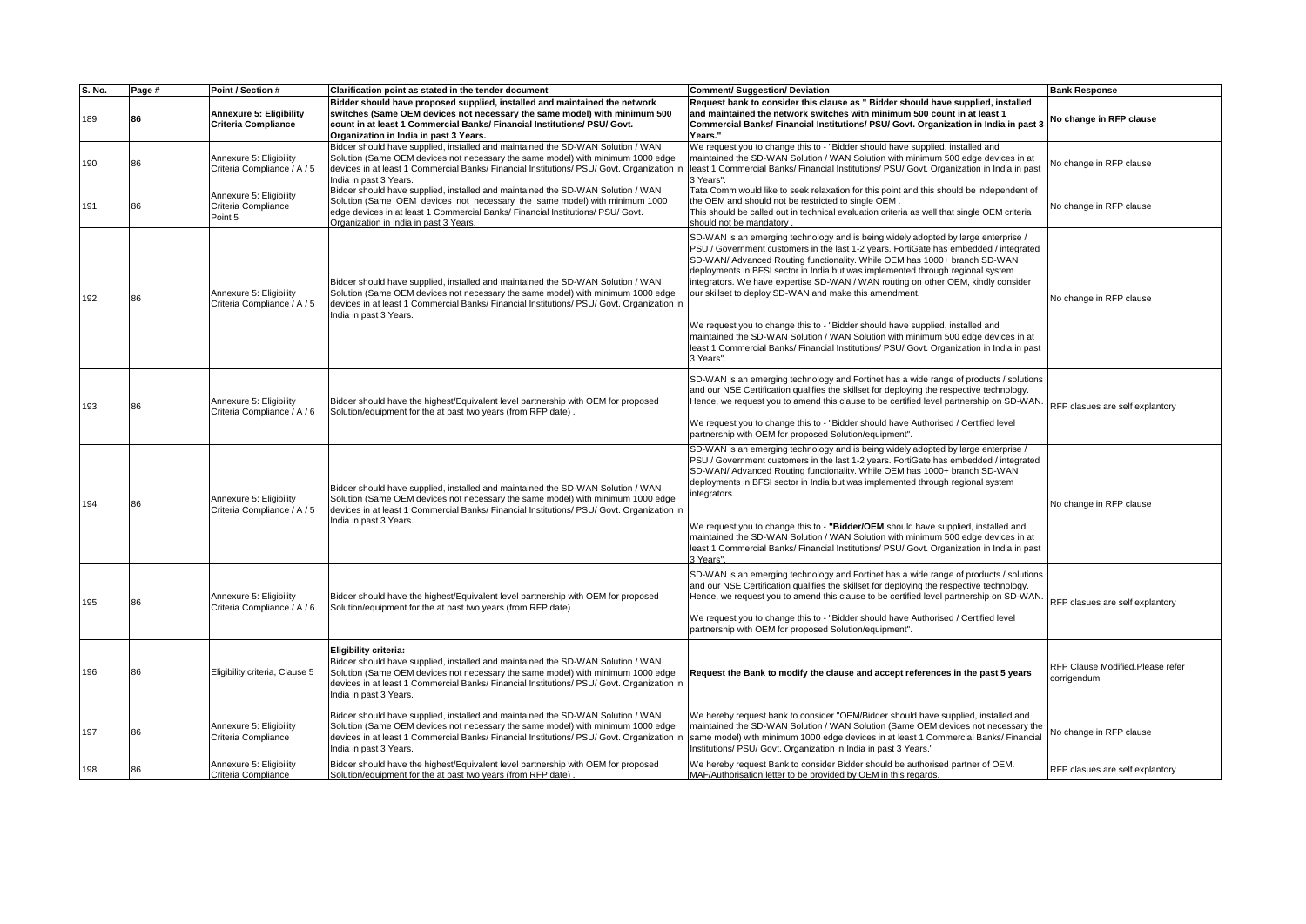| S. No. | Page # | Point / Section #                                         | Clarification point as stated in the tender document                                                                                                                                                                                                                                                                | <b>Comment/ Suggestion/ Deviation</b>                                                                                                                                                                                                                                                                                                                                                                                                                                                      | <b>Bank Response</b>                            |
|--------|--------|-----------------------------------------------------------|---------------------------------------------------------------------------------------------------------------------------------------------------------------------------------------------------------------------------------------------------------------------------------------------------------------------|--------------------------------------------------------------------------------------------------------------------------------------------------------------------------------------------------------------------------------------------------------------------------------------------------------------------------------------------------------------------------------------------------------------------------------------------------------------------------------------------|-------------------------------------------------|
| 189    | 86     | Annexure 5: Eligibility<br><b>Criteria Compliance</b>     | Bidder should have proposed supplied, installed and maintained the network<br>switches (Same OEM devices not necessary the same model) with minimum 500<br>count in at least 1 Commercial Banks/ Financial Institutions/ PSU/ Govt.<br>Organization in India in past 3 Years.                                       | Request bank to consider this clause as " Bidder should have supplied, installed<br>and maintained the network switches with minimum 500 count in at least 1<br>Commercial Banks/ Financial Institutions/ PSU/ Govt. Organization in India in past 3<br>Years."                                                                                                                                                                                                                            | No change in RFP clause                         |
| 190    | 86     | Annexure 5: Eligibility<br>Criteria Compliance / A / 5    | Bidder should have supplied, installed and maintained the SD-WAN Solution / WAN<br>Solution (Same OEM devices not necessary the same model) with minimum 1000 edge<br>devices in at least 1 Commercial Banks/ Financial Institutions/ PSU/ Govt. Organization in<br>India in past 3 Years.                          | We request you to change this to - "Bidder should have supplied, installed and<br>maintained the SD-WAN Solution / WAN Solution with minimum 500 edge devices in at<br>least 1 Commercial Banks/ Financial Institutions/ PSU/ Govt. Organization in India in past<br>3 Years"                                                                                                                                                                                                              | No change in RFP clause                         |
| 191    | 86     | Annexure 5: Eligibility<br>Criteria Compliance<br>Point 5 | Bidder should have supplied, installed and maintained the SD-WAN Solution / WAN<br>Solution (Same OEM devices not necessary the same model) with minimum 1000<br>edge devices in at least 1 Commercial Banks/ Financial Institutions/ PSU/ Govt.<br>Organization in India in past 3 Years.                          | Tata Comm would like to seek relaxation for this point and this should be independent of<br>the OEM and should not be restricted to single OEM.<br>This should be called out in technical evaluation criteria as well that single OEM criteria<br>should not be mandatory                                                                                                                                                                                                                  | No change in RFP clause                         |
| 192    | 86     | Annexure 5: Eligibility<br>Criteria Compliance / A / 5    | Bidder should have supplied, installed and maintained the SD-WAN Solution / WAN<br>Solution (Same OEM devices not necessary the same model) with minimum 1000 edge<br>devices in at least 1 Commercial Banks/ Financial Institutions/ PSU/ Govt. Organization in<br>India in past 3 Years.                          | SD-WAN is an emerging technology and is being widely adopted by large enterprise /<br>PSU / Government customers in the last 1-2 years. FortiGate has embedded / integrated<br>SD-WAN/ Advanced Routing functionality. While OEM has 1000+ branch SD-WAN<br>deployments in BFSI sector in India but was implemented through regional system<br>integrators. We have expertise SD-WAN / WAN routing on other OEM, kindly consider<br>our skillset to deploy SD-WAN and make this amendment. | No change in RFP clause                         |
|        |        |                                                           |                                                                                                                                                                                                                                                                                                                     | We request you to change this to - "Bidder should have supplied, installed and<br>maintained the SD-WAN Solution / WAN Solution with minimum 500 edge devices in at<br>least 1 Commercial Banks/ Financial Institutions/ PSU/ Govt. Organization in India in past<br>3 Years".                                                                                                                                                                                                             |                                                 |
| 193    | 86     | Annexure 5: Eligibility<br>Criteria Compliance / A / 6    | Bidder should have the highest/Equivalent level partnership with OEM for proposed<br>Solution/equipment for the at past two years (from RFP date).                                                                                                                                                                  | SD-WAN is an emerging technology and Fortinet has a wide range of products / solutions<br>and our NSE Certification qualifies the skillset for deploying the respective technology.<br>Hence, we request you to amend this clause to be certified level partnership on SD-WAN.                                                                                                                                                                                                             | RFP clasues are self explantory                 |
|        |        |                                                           |                                                                                                                                                                                                                                                                                                                     | We request you to change this to - "Bidder should have Authorised / Certified level<br>partnership with OEM for proposed Solution/equipment".                                                                                                                                                                                                                                                                                                                                              |                                                 |
| 194    | 86     | Annexure 5: Eligibility<br>Criteria Compliance / A / 5    | Bidder should have supplied, installed and maintained the SD-WAN Solution / WAN<br>Solution (Same OEM devices not necessary the same model) with minimum 1000 edge<br>devices in at least 1 Commercial Banks/ Financial Institutions/ PSU/ Govt. Organization in<br>India in past 3 Years.                          | SD-WAN is an emerging technology and is being widely adopted by large enterprise /<br>PSU / Government customers in the last 1-2 years. FortiGate has embedded / integrated<br>SD-WAN/ Advanced Routing functionality. While OEM has 1000+ branch SD-WAN<br>deployments in BFSI sector in India but was implemented through regional system<br>integrators.                                                                                                                                | No change in RFP clause                         |
|        |        |                                                           |                                                                                                                                                                                                                                                                                                                     | We request you to change this to - "Bidder/OEM should have supplied, installed and<br>maintained the SD-WAN Solution / WAN Solution with minimum 500 edge devices in at<br>least 1 Commercial Banks/ Financial Institutions/ PSU/ Govt. Organization in India in past<br>3 Years".                                                                                                                                                                                                         |                                                 |
| 195    | 86     | Annexure 5: Eligibility<br>Criteria Compliance / A / 6    | Bidder should have the highest/Equivalent level partnership with OEM for proposed<br>Solution/equipment for the at past two years (from RFP date).                                                                                                                                                                  | SD-WAN is an emerging technology and Fortinet has a wide range of products / solutions<br>and our NSE Certification qualifies the skillset for deploying the respective technology.<br>Hence, we request you to amend this clause to be certified level partnership on SD-WAN.                                                                                                                                                                                                             | RFP clasues are self explantory                 |
|        |        |                                                           |                                                                                                                                                                                                                                                                                                                     | We request you to change this to - "Bidder should have Authorised / Certified level<br>partnership with OEM for proposed Solution/equipment".                                                                                                                                                                                                                                                                                                                                              |                                                 |
| 196    | 86     | Eligibility criteria, Clause 5                            | Eligibility criteria:<br>Bidder should have supplied, installed and maintained the SD-WAN Solution / WAN<br>Solution (Same OEM devices not necessary the same model) with minimum 1000 edge<br>devices in at least 1 Commercial Banks/ Financial Institutions/ PSU/ Govt. Organization in<br>India in past 3 Years. | Request the Bank to modify the clause and accept references in the past 5 years                                                                                                                                                                                                                                                                                                                                                                                                            | RFP Clause Modified.Please refer<br>corrigendum |
| 197    | 86     | Annexure 5: Eligibility<br>Criteria Compliance            | Bidder should have supplied, installed and maintained the SD-WAN Solution / WAN<br>Solution (Same OEM devices not necessary the same model) with minimum 1000 edge<br>devices in at least 1 Commercial Banks/ Financial Institutions/ PSU/ Govt. Organization in<br>India in past 3 Years.                          | We hereby request bank to consider "OEM/Bidder should have supplied, installed and<br>maintained the SD-WAN Solution / WAN Solution (Same OEM devices not necessary the<br>same model) with minimum 1000 edge devices in at least 1 Commercial Banks/ Financial<br>Institutions/ PSU/ Govt. Organization in India in past 3 Years."                                                                                                                                                        | No change in RFP clause                         |
| 198    | 86     | Annexure 5: Eligibility<br>Criteria Compliance            | Bidder should have the highest/Equivalent level partnership with OEM for proposed<br>Solution/equipment for the at past two years (from RFP date)                                                                                                                                                                   | We hereby request Bank to consider Bidder should be authorised partner of OEM.<br>MAF/Authorisation letter to be provided by OEM in this regards.                                                                                                                                                                                                                                                                                                                                          | RFP clasues are self explantory                 |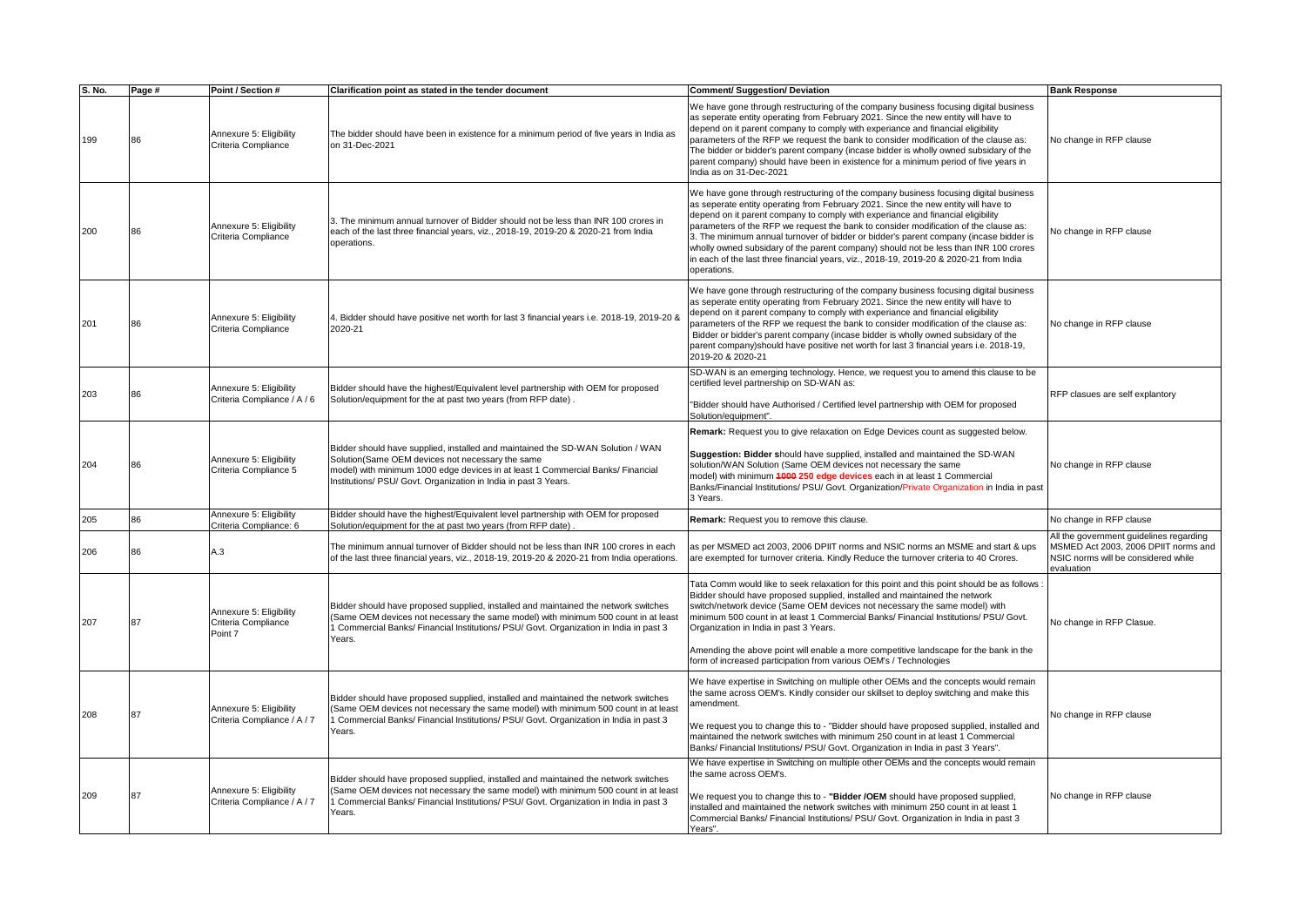| <b>S. No.</b> | Page # | Point / Section #                                         | Clarification point as stated in the tender document                                                                                                                                                                                                                                      | <b>Comment/ Suggestion/ Deviation</b>                                                                                                                                                                                                                                                                                                                                                                                                                                                                                                                                                                                                           | <b>Bank Response</b>                                                                                                                 |
|---------------|--------|-----------------------------------------------------------|-------------------------------------------------------------------------------------------------------------------------------------------------------------------------------------------------------------------------------------------------------------------------------------------|-------------------------------------------------------------------------------------------------------------------------------------------------------------------------------------------------------------------------------------------------------------------------------------------------------------------------------------------------------------------------------------------------------------------------------------------------------------------------------------------------------------------------------------------------------------------------------------------------------------------------------------------------|--------------------------------------------------------------------------------------------------------------------------------------|
| 199           | 86     | Annexure 5: Eligibility<br>Criteria Compliance            | The bidder should have been in existence for a minimum period of five years in India as<br>on 31-Dec-2021                                                                                                                                                                                 | We have gone through restructuring of the company business focusing digital business<br>as seperate entity operating from February 2021. Since the new entity will have to<br>depend on it parent company to comply with experiance and financial eligibility<br>parameters of the RFP we request the bank to consider modification of the clause as:<br>The bidder or bidder's parent company (incase bidder is wholly owned subsidary of the<br>parent company) should have been in existence for a minimum period of five years in<br>India as on 31-Dec-2021                                                                                | No change in RFP clause                                                                                                              |
| 200           | 86     | Annexure 5: Eligibility<br>Criteria Compliance            | 3. The minimum annual turnover of Bidder should not be less than INR 100 crores in<br>each of the last three financial years, viz., 2018-19, 2019-20 & 2020-21 from India<br>operations.                                                                                                  | We have gone through restructuring of the company business focusing digital business<br>as seperate entity operating from February 2021. Since the new entity will have to<br>depend on it parent company to comply with experiance and financial eligibility<br>parameters of the RFP we request the bank to consider modification of the clause as:<br>3. The minimum annual turnover of bidder or bidder's parent company (incase bidder is<br>wholly owned subsidary of the parent company) should not be less than INR 100 crores<br>in each of the last three financial years, viz., 2018-19, 2019-20 & 2020-21 from India<br>operations. | No change in RFP clause                                                                                                              |
| 201           | 86     | Annexure 5: Eligibility<br>Criteria Compliance            | 4. Bidder should have positive net worth for last 3 financial years i.e. 2018-19, 2019-20 &<br>2020-21                                                                                                                                                                                    | We have gone through restructuring of the company business focusing digital business<br>as seperate entity operating from February 2021. Since the new entity will have to<br>depend on it parent company to comply with experiance and financial eligibility<br>barameters of the RFP we request the bank to consider modification of the clause as:<br>Bidder or bidder's parent company (incase bidder is wholly owned subsidary of the<br>parent company)should have positive net worth for last 3 financial years i.e. 2018-19,<br>2019-20 & 2020-21                                                                                       | No change in RFP clause                                                                                                              |
| 203           | 86     | Annexure 5: Eligibility<br>Criteria Compliance / A / 6    | Bidder should have the highest/Equivalent level partnership with OEM for proposed<br>Solution/equipment for the at past two years (from RFP date).                                                                                                                                        | SD-WAN is an emerging technology. Hence, we request you to amend this clause to be<br>certified level partnership on SD-WAN as:<br>'Bidder should have Authorised / Certified level partnership with OEM for proposed<br>Solution/equipment".                                                                                                                                                                                                                                                                                                                                                                                                   | RFP clasues are self explantory                                                                                                      |
| 204           | 86     | Annexure 5: Eligibility<br>Criteria Compliance 5          | Bidder should have supplied, installed and maintained the SD-WAN Solution / WAN<br>Solution(Same OEM devices not necessary the same<br>model) with minimum 1000 edge devices in at least 1 Commercial Banks/ Financial<br>Institutions/ PSU/ Govt. Organization in India in past 3 Years. | Remark: Request you to give relaxation on Edge Devices count as suggested below.<br>Suggestion: Bidder should have supplied, installed and maintained the SD-WAN<br>solution/WAN Solution (Same OEM devices not necessary the same<br>model) with minimum 4000 250 edge devices each in at least 1 Commercial<br>Banks/Financial Institutions/ PSU/ Govt. Organization/Private Organization in India in past<br>3 Years.                                                                                                                                                                                                                        | No change in RFP clause                                                                                                              |
| 205           | 86     | Annexure 5: Eligibility<br>Criteria Compliance: 6         | Bidder should have the highest/Equivalent level partnership with OEM for proposed<br>Solution/equipment for the at past two years (from RFP date).                                                                                                                                        | Remark: Request you to remove this clause.                                                                                                                                                                                                                                                                                                                                                                                                                                                                                                                                                                                                      | No change in RFP clause                                                                                                              |
| 206           | 86     | A.3                                                       | The minimum annual turnover of Bidder should not be less than INR 100 crores in each<br>of the last three financial years, viz., 2018-19, 2019-20 & 2020-21 from India operations.                                                                                                        | as per MSMED act 2003, 2006 DPIIT norms and NSIC norms an MSME and start & ups<br>are exempted for turnover criteria. Kindly Reduce the turnover criteria to 40 Crores.                                                                                                                                                                                                                                                                                                                                                                                                                                                                         | All the government guidelines regarding<br>MSMED Act 2003, 2006 DPIIT norms and<br>NSIC norms will be considered while<br>evaluation |
| 207           | 87     | Annexure 5: Eligibility<br>Criteria Compliance<br>Point 7 | Bidder should have proposed supplied, installed and maintained the network switches<br>(Same OEM devices not necessary the same model) with minimum 500 count in at least<br>1 Commercial Banks/ Financial Institutions/ PSU/ Govt. Organization in India in past 3<br>Years.             | Tata Comm would like to seek relaxation for this point and this point should be as follows :<br>Bidder should have proposed supplied, installed and maintained the network<br>switch/network device (Same OEM devices not necessary the same model) with<br>minimum 500 count in at least 1 Commercial Banks/ Financial Institutions/ PSU/ Govt.<br>Organization in India in past 3 Years.<br>Amending the above point will enable a more competitive landscape for the bank in the<br>form of increased participation from various OEM's / Technologies                                                                                        | No change in RFP Clasue.                                                                                                             |
| 208           | 87     | Annexure 5: Eligibility<br>Criteria Compliance / A / 7    | Bidder should have proposed supplied, installed and maintained the network switches<br>(Same OEM devices not necessary the same model) with minimum 500 count in at least<br>Commercial Banks/ Financial Institutions/ PSU/ Govt. Organization in India in past 3<br>Years.               | We have expertise in Switching on multiple other OEMs and the concepts would remain<br>the same across OEM's. Kindly consider our skillset to deploy switching and make this<br>amendment.<br>We request you to change this to - "Bidder should have proposed supplied, installed and<br>maintained the network switches with minimum 250 count in at least 1 Commercial<br>Banks/ Financial Institutions/ PSU/ Govt. Organization in India in past 3 Years".                                                                                                                                                                                   | No change in RFP clause                                                                                                              |
| 209           | 87     | Annexure 5: Eligibility<br>Criteria Compliance / A / 7    | Bidder should have proposed supplied, installed and maintained the network switches<br>(Same OEM devices not necessary the same model) with minimum 500 count in at least<br>Commercial Banks/ Financial Institutions/ PSU/ Govt. Organization in India in past 3<br>Years.               | We have expertise in Switching on multiple other OEMs and the concepts would remain<br>the same across OEM's.<br>We request you to change this to - "Bidder /OEM should have proposed supplied,<br>installed and maintained the network switches with minimum 250 count in at least 1<br>Commercial Banks/ Financial Institutions/ PSU/ Govt. Organization in India in past 3<br>Years".                                                                                                                                                                                                                                                        | No change in RFP clause                                                                                                              |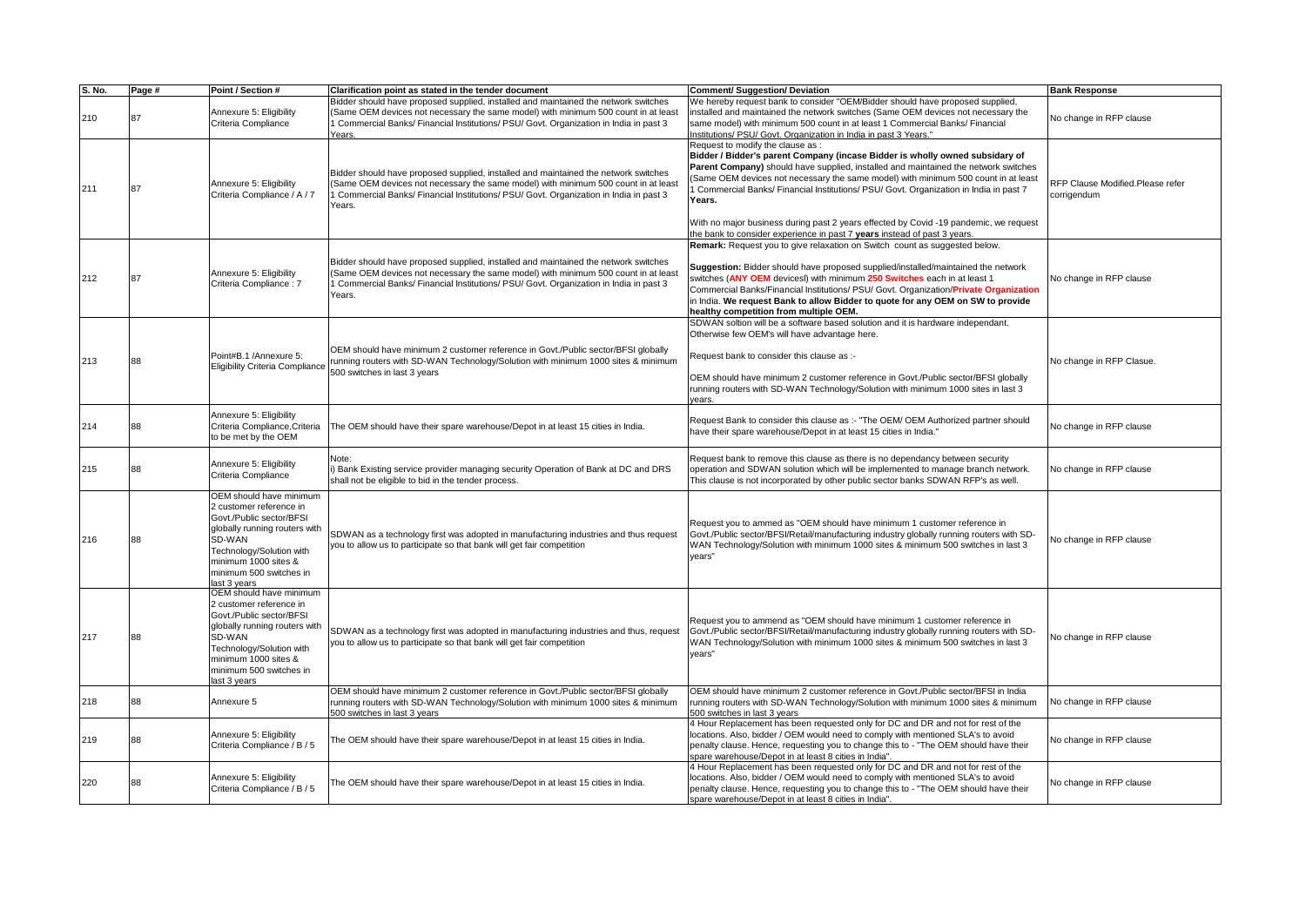| S. No. | Page # | Point / Section #                                                                                                                                                                                                       | Clarification point as stated in the tender document                                                                                                                                                                                                                          | Comment/ Suggestion/ Deviation                                                                                                                                                                                                                                                                                                                                                                                                                                    | <b>Bank Response</b>                            |
|--------|--------|-------------------------------------------------------------------------------------------------------------------------------------------------------------------------------------------------------------------------|-------------------------------------------------------------------------------------------------------------------------------------------------------------------------------------------------------------------------------------------------------------------------------|-------------------------------------------------------------------------------------------------------------------------------------------------------------------------------------------------------------------------------------------------------------------------------------------------------------------------------------------------------------------------------------------------------------------------------------------------------------------|-------------------------------------------------|
| 210    | 87     | Annexure 5: Eligibility<br>Criteria Compliance                                                                                                                                                                          | Bidder should have proposed supplied, installed and maintained the network switches<br>(Same OEM devices not necessary the same model) with minimum 500 count in at least<br>1 Commercial Banks/ Financial Institutions/ PSU/ Govt. Organization in India in past 3<br>Years. | We hereby request bank to consider "OEM/Bidder should have proposed supplied,<br>installed and maintained the network switches (Same OEM devices not necessary the<br>same model) with minimum 500 count in at least 1 Commercial Banks/ Financial<br>Institutions/ PSU/ Govt. Organization in India in past 3 Years."                                                                                                                                            | No change in RFP clause                         |
| 211    | 87     | Annexure 5: Eligibility<br>Criteria Compliance / A / 7                                                                                                                                                                  | Bidder should have proposed supplied, installed and maintained the network switches<br>(Same OEM devices not necessary the same model) with minimum 500 count in at least<br>1 Commercial Banks/ Financial Institutions/ PSU/ Govt. Organization in India in past 3<br>Years. | Request to modify the clause as :<br>Bidder / Bidder's parent Company (incase Bidder is wholly owned subsidary of<br>Parent Company) should have supplied, installed and maintained the network switches<br>(Same OEM devices not necessary the same model) with minimum 500 count in at least<br>Commercial Banks/ Financial Institutions/ PSU/ Govt. Organization in India in past 7<br>Years.                                                                  | RFP Clause Modified.Please refer<br>corrigendum |
|        |        |                                                                                                                                                                                                                         |                                                                                                                                                                                                                                                                               | With no major business during past 2 years effected by Covid -19 pandemic, we request<br>the bank to consider experience in past 7 years instead of past 3 years.                                                                                                                                                                                                                                                                                                 |                                                 |
| 212    | 87     | Annexure 5: Eligibility<br>Criteria Compliance: 7                                                                                                                                                                       | Bidder should have proposed supplied, installed and maintained the network switches<br>(Same OEM devices not necessary the same model) with minimum 500 count in at least<br>1 Commercial Banks/ Financial Institutions/ PSU/ Govt. Organization in India in past 3<br>Years. | Remark: Request you to give relaxation on Switch count as suggested below.<br>Suggestion: Bidder should have proposed supplied/installed/maintained the network<br>switches (ANY OEM devicesI) with minimum 250 Switches each in at least 1<br>Commercial Banks/Financial Institutions/ PSU/ Govt. Organization/Private Organization<br>in India. We request Bank to allow Bidder to quote for any OEM on SW to provide<br>healthy competition from multiple OEM. | No change in RFP clause                         |
|        |        |                                                                                                                                                                                                                         |                                                                                                                                                                                                                                                                               | SDWAN soltion will be a software based solution and it is hardware independant.<br>Otherwise few OEM's will have advantage here.                                                                                                                                                                                                                                                                                                                                  |                                                 |
| 213    | 88     | Point#B.1 /Annexure 5:<br><b>Eligibility Criteria Compliance</b>                                                                                                                                                        | OEM should have minimum 2 customer reference in Govt./Public sector/BFSI globally<br>running routers with SD-WAN Technology/Solution with minimum 1000 sites & minimum                                                                                                        | Request bank to consider this clause as :-                                                                                                                                                                                                                                                                                                                                                                                                                        | No change in RFP Clasue.                        |
|        |        |                                                                                                                                                                                                                         | 500 switches in last 3 years                                                                                                                                                                                                                                                  | OEM should have minimum 2 customer reference in Govt./Public sector/BFSI globally<br>running routers with SD-WAN Technology/Solution with minimum 1000 sites in last 3<br><b>A</b> ars                                                                                                                                                                                                                                                                            |                                                 |
| 214    | 88     | Annexure 5: Eligibility<br>Criteria Compliance, Criteria<br>to be met by the OEM                                                                                                                                        | The OEM should have their spare warehouse/Depot in at least 15 cities in India.                                                                                                                                                                                               | Request Bank to consider this clause as :- "The OEM/ OEM Authorized partner should<br>have their spare warehouse/Depot in at least 15 cities in India."                                                                                                                                                                                                                                                                                                           | No change in RFP clause                         |
| 215    | 88     | Annexure 5: Eligibility<br>Criteria Compliance                                                                                                                                                                          | Note:<br>i) Bank Existing service provider managing security Operation of Bank at DC and DRS<br>shall not be eligible to bid in the tender process.                                                                                                                           | Request bank to remove this clause as there is no dependancy between security<br>operation and SDWAN solution which will be implemented to manage branch network.<br>This clause is not incorporated by other public sector banks SDWAN RFP's as well.                                                                                                                                                                                                            | No change in RFP clause                         |
| 216    | 88     | OEM should have minimum<br>2 customer reference in<br>Govt./Public sector/BFSI<br>globally running routers with<br>SD-WAN<br>Technology/Solution with<br>minimum 1000 sites &<br>minimum 500 switches in<br>ast 3 years | SDWAN as a technology first was adopted in manufacturing industries and thus request<br>you to allow us to participate so that bank will get fair competition                                                                                                                 | Request you to ammed as "OEM should have minimum 1 customer reference in<br>Govt./Public sector/BFSI/Retail/manufacturing industry globally running routers with SD-<br>WAN Technology/Solution with minimum 1000 sites & minimum 500 switches in last 3<br>vears"                                                                                                                                                                                                | No change in RFP clause                         |
| 217    | 88     | OEM should have minimum<br>2 customer reference in<br>Govt./Public sector/BFSI<br>globally running routers with<br>SD-WAN<br>Technology/Solution with<br>minimum 1000 sites &<br>minimum 500 switches in<br>ast 3 vears | SDWAN as a technology first was adopted in manufacturing industries and thus, request<br>you to allow us to participate so that bank will get fair competition                                                                                                                | Request you to ammend as "OEM should have minimum 1 customer reference in<br>Govt./Public sector/BFSI/Retail/manufacturing industry globally running routers with SD-<br>WAN Technology/Solution with minimum 1000 sites & minimum 500 switches in last 3<br>vears"                                                                                                                                                                                               | No change in RFP clause                         |
| 218    | 88     | Annexure 5                                                                                                                                                                                                              | OEM should have minimum 2 customer reference in Govt./Public sector/BFSI globally<br>running routers with SD-WAN Technology/Solution with minimum 1000 sites & minimum<br>500 switches in last 3 years                                                                        | OEM should have minimum 2 customer reference in Govt./Public sector/BFSI in India<br>running routers with SD-WAN Technology/Solution with minimum 1000 sites & minimum<br>500 switches in last 3 years                                                                                                                                                                                                                                                            | No change in RFP clause                         |
| 219    | 88     | Annexure 5: Eligibility<br>Criteria Compliance / B / 5                                                                                                                                                                  | The OEM should have their spare warehouse/Depot in at least 15 cities in India.                                                                                                                                                                                               | 4 Hour Replacement has been requested only for DC and DR and not for rest of the<br>locations. Also, bidder / OEM would need to comply with mentioned SLA's to avoid<br>penalty clause. Hence, requesting you to change this to - "The OEM should have their<br>spare warehouse/Depot in at least 8 cities in India"                                                                                                                                              | No change in RFP clause                         |
| 220    | 88     | Annexure 5: Eligibility<br>Criteria Compliance / B / 5                                                                                                                                                                  | The OEM should have their spare warehouse/Depot in at least 15 cities in India.                                                                                                                                                                                               | 4 Hour Replacement has been requested only for DC and DR and not for rest of the<br>locations. Also, bidder / OEM would need to comply with mentioned SLA's to avoid<br>penalty clause. Hence, requesting you to change this to - "The OEM should have their<br>spare warehouse/Depot in at least 8 cities in India".                                                                                                                                             | No change in RFP clause                         |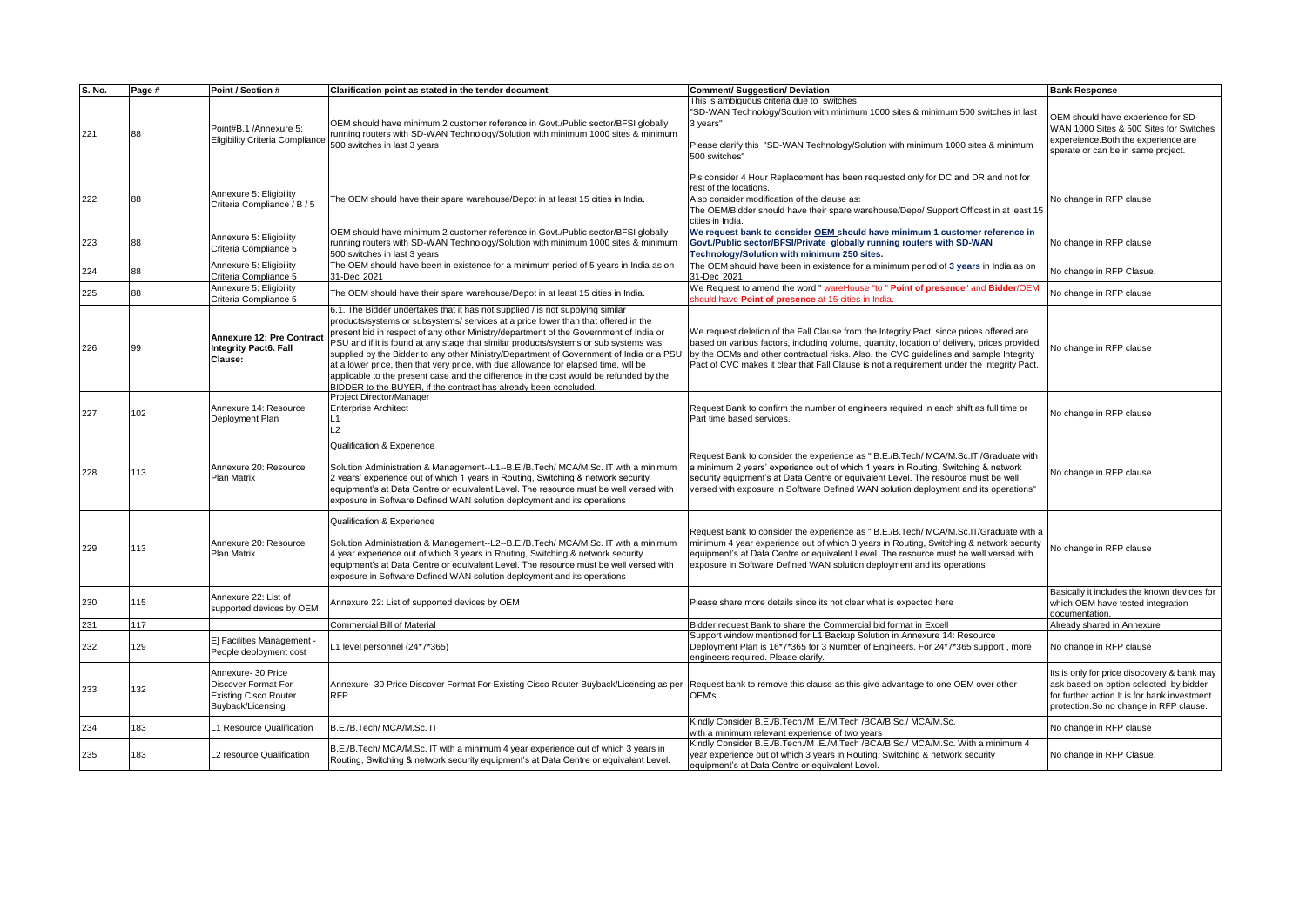| <b>S. No.</b> | Page # | Point / Section #                                                                              | Clarification point as stated in the tender document                                                                                                                                                                                                                                                                                                                                                                                                                                                                                                                                                                                                                                                   | <b>Comment/ Suggestion/ Deviation</b>                                                                                                                                                                                                                                                                                                                                           | <b>Bank Response</b>                                                                                                                                                             |
|---------------|--------|------------------------------------------------------------------------------------------------|--------------------------------------------------------------------------------------------------------------------------------------------------------------------------------------------------------------------------------------------------------------------------------------------------------------------------------------------------------------------------------------------------------------------------------------------------------------------------------------------------------------------------------------------------------------------------------------------------------------------------------------------------------------------------------------------------------|---------------------------------------------------------------------------------------------------------------------------------------------------------------------------------------------------------------------------------------------------------------------------------------------------------------------------------------------------------------------------------|----------------------------------------------------------------------------------------------------------------------------------------------------------------------------------|
| 221           | 88     | Point#B.1 /Annexure 5:<br><b>Eligibility Criteria Compliance</b>                               | OEM should have minimum 2 customer reference in Govt./Public sector/BFSI globally<br>running routers with SD-WAN Technology/Solution with minimum 1000 sites & minimum<br>500 switches in last 3 years                                                                                                                                                                                                                                                                                                                                                                                                                                                                                                 | This is ambiguous criteria due to switches,<br>'SD-WAN Technology/Soution with minimum 1000 sites & minimum 500 switches in last<br>3 years"<br>Please clarify this "SD-WAN Technology/Solution with minimum 1000 sites & minimum<br>500 switches"                                                                                                                              | OEM should have experience for SD-<br>WAN 1000 Sites & 500 Sites for Switches<br>expereience. Both the experience are<br>sperate or can be in same project.                      |
| 222           | 88     | Annexure 5: Eligibility<br>Criteria Compliance / B / 5                                         | The OEM should have their spare warehouse/Depot in at least 15 cities in India.                                                                                                                                                                                                                                                                                                                                                                                                                                                                                                                                                                                                                        | Pls consider 4 Hour Replacement has been requested only for DC and DR and not for<br>rest of the locations.<br>Also consider modification of the clause as:<br>The OEM/Bidder should have their spare warehouse/Depo/ Support Officest in at least 15<br>cities in India                                                                                                        | No change in RFP clause                                                                                                                                                          |
| 223           | 88     | Annexure 5: Eligibility<br>Criteria Compliance 5                                               | OEM should have minimum 2 customer reference in Govt./Public sector/BFSI globally<br>running routers with SD-WAN Technology/Solution with minimum 1000 sites & minimum<br>500 switches in last 3 years                                                                                                                                                                                                                                                                                                                                                                                                                                                                                                 | We request bank to consider OEM should have minimum 1 customer reference in<br>Govt./Public sector/BFSI/Private globally running routers with SD-WAN<br>Technology/Solution with minimum 250 sites.                                                                                                                                                                             | No change in RFP clause                                                                                                                                                          |
| 224           | 88     | Annexure 5: Eligibility<br>Criteria Compliance 5                                               | The OEM should have been in existence for a minimum period of 5 years in India as on<br>31-Dec 2021                                                                                                                                                                                                                                                                                                                                                                                                                                                                                                                                                                                                    | The OEM should have been in existence for a minimum period of 3 years in India as on<br>31-Dec 2021                                                                                                                                                                                                                                                                             | No change in RFP Clasue.                                                                                                                                                         |
| 225           | 88     | Annexure 5: Eligibility<br>Criteria Compliance 5                                               | The OEM should have their spare warehouse/Depot in at least 15 cities in India.                                                                                                                                                                                                                                                                                                                                                                                                                                                                                                                                                                                                                        | We Request to amend the word " wareHouse "to " Point of presence" and Bidder/OEM<br>hould have Point of presence at 15 cities in India.                                                                                                                                                                                                                                         | No change in RFP clause                                                                                                                                                          |
| 226           | 99     | <b>Annexure 12: Pre Contract</b><br>Integrity Pact6. Fall<br>Clause:                           | 6.1. The Bidder undertakes that it has not supplied / is not supplying similar<br>products/systems or subsystems/ services at a price lower than that offered in the<br>present bid in respect of any other Ministry/department of the Government of India or<br>PSU and if it is found at any stage that similar products/systems or sub systems was<br>supplied by the Bidder to any other Ministry/Department of Government of India or a PSU<br>at a lower price, then that very price, with due allowance for elapsed time, will be<br>applicable to the present case and the difference in the cost would be refunded by the<br>BIDDER to the BUYER, if the contract has already been concluded. | We request deletion of the Fall Clause from the Integrity Pact, since prices offered are<br>based on various factors, including volume, quantity, location of delivery, prices provided<br>by the OEMs and other contractual risks. Also, the CVC guidelines and sample Integrity<br>Pact of CVC makes it clear that Fall Clause is not a requirement under the Integrity Pact. | No change in RFP clause                                                                                                                                                          |
| 227           | 102    | Annexure 14: Resource<br>Deployment Plan                                                       | Project Director/Manager<br><b>Enterprise Architect</b>                                                                                                                                                                                                                                                                                                                                                                                                                                                                                                                                                                                                                                                | Request Bank to confirm the number of engineers required in each shift as full time or<br>Part time based services.                                                                                                                                                                                                                                                             | No change in RFP clause                                                                                                                                                          |
| 228           | 113    | Annexure 20: Resource<br>Plan Matrix                                                           | <b>Qualification &amp; Experience</b><br>Solution Administration & Management--L1--B.E./B.Tech/ MCA/M.Sc. IT with a minimum<br>2 years' experience out of which 1 years in Routing, Switching & network security<br>equipment's at Data Centre or equivalent Level. The resource must be well versed with<br>exposure in Software Defined WAN solution deployment and its operations                                                                                                                                                                                                                                                                                                                   | Request Bank to consider the experience as " B.E./B.Tech/ MCA/M.Sc.IT /Graduate with<br>a minimum 2 years' experience out of which 1 years in Routing, Switching & network<br>security equipment's at Data Centre or equivalent Level. The resource must be well<br>versed with exposure in Software Defined WAN solution deployment and its operations"                        | No change in RFP clause                                                                                                                                                          |
| 229           | 113    | Annexure 20: Resource<br>Plan Matrix                                                           | Qualification & Experience<br>Solution Administration & Management--L2--B.E./B.Tech/ MCA/M.Sc. IT with a minimum<br>4 year experience out of which 3 years in Routing, Switching & network security<br>equipment's at Data Centre or equivalent Level. The resource must be well versed with<br>exposure in Software Defined WAN solution deployment and its operations                                                                                                                                                                                                                                                                                                                                | Request Bank to consider the experience as " B.E./B.Tech/ MCA/M.Sc.IT/Graduate with a<br>minimum 4 year experience out of which 3 years in Routing, Switching & network security<br>equipment's at Data Centre or equivalent Level. The resource must be well versed with<br>exposure in Software Defined WAN solution deployment and its operations                            | No change in RFP clause                                                                                                                                                          |
| 230           | 115    | Annexure 22: List of<br>supported devices by OEM                                               | Annexure 22: List of supported devices by OEM                                                                                                                                                                                                                                                                                                                                                                                                                                                                                                                                                                                                                                                          | Please share more details since its not clear what is expected here                                                                                                                                                                                                                                                                                                             | Basically it includes the known devices for<br>which OEM have tested integration<br>documentation.                                                                               |
| 231           | 117    |                                                                                                | Commercial Bill of Material                                                                                                                                                                                                                                                                                                                                                                                                                                                                                                                                                                                                                                                                            | Bidder request Bank to share the Commercial bid format in Excell                                                                                                                                                                                                                                                                                                                | Already shared in Annexure                                                                                                                                                       |
| 232           | 129    | E] Facilities Management -<br>People deployment cost                                           | L1 level personnel (24*7*365)                                                                                                                                                                                                                                                                                                                                                                                                                                                                                                                                                                                                                                                                          | Support window mentioned for L1 Backup Solution in Annexure 14: Resource<br>Deployment Plan is 16*7*365 for 3 Number of Engineers. For 24*7*365 support, more<br>engineers required. Please clarify.                                                                                                                                                                            | No change in RFP clause                                                                                                                                                          |
| 233           | 132    | Annexure- 30 Price<br>Discover Format For<br><b>Existing Cisco Router</b><br>Buyback/Licensing | Annexure- 30 Price Discover Format For Existing Cisco Router Buyback/Licensing as per<br><b>RFP</b>                                                                                                                                                                                                                                                                                                                                                                                                                                                                                                                                                                                                    | Request bank to remove this clause as this give advantage to one OEM over other<br>OEM's.                                                                                                                                                                                                                                                                                       | Its is only for price disocovery & bank may<br>ask based on option selected by bidder<br>for further action. It is for bank investment<br>protection.So no change in RFP clause. |
| 234           | 183    | 1 Resource Qualification                                                                       | B.E./B.Tech/ MCA/M.Sc. IT                                                                                                                                                                                                                                                                                                                                                                                                                                                                                                                                                                                                                                                                              | Kindly Consider B.E./B.Tech./M.E./M.Tech /BCA/B.Sc./ MCA/M.Sc.<br>with a minimum relevant experience of two years                                                                                                                                                                                                                                                               | No change in RFP clause                                                                                                                                                          |
| 235           | 183    | L2 resource Qualification                                                                      | B.E./B.Tech/ MCA/M.Sc. IT with a minimum 4 year experience out of which 3 years in<br>Routing, Switching & network security equipment's at Data Centre or equivalent Level.                                                                                                                                                                                                                                                                                                                                                                                                                                                                                                                            | Kindly Consider B.E./B.Tech./M.E./M.Tech /BCA/B.Sc./ MCA/M.Sc. With a minimum 4<br>year experience out of which 3 years in Routing, Switching & network security<br>equipment's at Data Centre or equivalent Level.                                                                                                                                                             | No change in RFP Clasue.                                                                                                                                                         |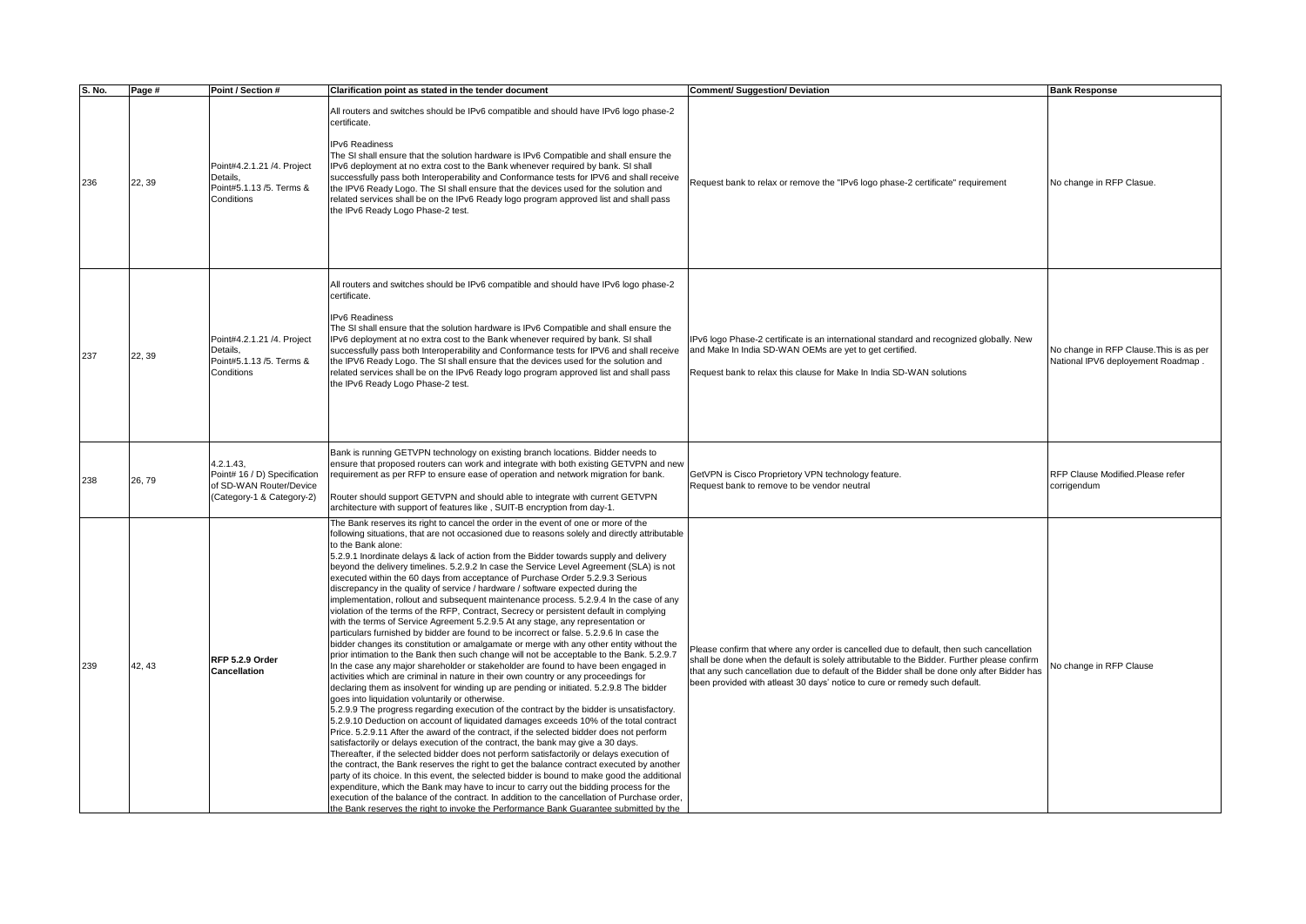| S. No. | Page # | Point / Section #                                                                                 | Clarification point as stated in the tender document                                                                                                                                                                                                                                                                                                                                                                                                                                                                                                                                                                                                                                                                                                                                                                                                                                                                                                                                                                                                                                                                                                                                                                                                                                                                                                                                                                                                                                                                                                                                                                                                                                                                                                                                                                                                                                                                                                                                                                                                                                                                                                                                                                                                                                                                                                                                                         | <b>Comment/ Suggestion/ Deviation</b>                                                                                                                                                                                                                                                                                                                               | <b>Bank Response</b>                                                          |
|--------|--------|---------------------------------------------------------------------------------------------------|--------------------------------------------------------------------------------------------------------------------------------------------------------------------------------------------------------------------------------------------------------------------------------------------------------------------------------------------------------------------------------------------------------------------------------------------------------------------------------------------------------------------------------------------------------------------------------------------------------------------------------------------------------------------------------------------------------------------------------------------------------------------------------------------------------------------------------------------------------------------------------------------------------------------------------------------------------------------------------------------------------------------------------------------------------------------------------------------------------------------------------------------------------------------------------------------------------------------------------------------------------------------------------------------------------------------------------------------------------------------------------------------------------------------------------------------------------------------------------------------------------------------------------------------------------------------------------------------------------------------------------------------------------------------------------------------------------------------------------------------------------------------------------------------------------------------------------------------------------------------------------------------------------------------------------------------------------------------------------------------------------------------------------------------------------------------------------------------------------------------------------------------------------------------------------------------------------------------------------------------------------------------------------------------------------------------------------------------------------------------------------------------------------------|---------------------------------------------------------------------------------------------------------------------------------------------------------------------------------------------------------------------------------------------------------------------------------------------------------------------------------------------------------------------|-------------------------------------------------------------------------------|
| 236    | 22.39  | Point#4.2.1.21 /4. Project<br>Details,<br>Point#5.1.13 /5. Terms &<br>Conditions                  | All routers and switches should be IPv6 compatible and should have IPv6 logo phase-2<br>certificate.<br><b>IPv6 Readiness</b><br>The SI shall ensure that the solution hardware is IPv6 Compatible and shall ensure the<br>IPv6 deployment at no extra cost to the Bank whenever required by bank. SI shall<br>successfully pass both Interoperability and Conformance tests for IPV6 and shall receive<br>the IPV6 Ready Logo. The SI shall ensure that the devices used for the solution and<br>related services shall be on the IPv6 Ready logo program approved list and shall pass<br>the IPv6 Ready Logo Phase-2 test.                                                                                                                                                                                                                                                                                                                                                                                                                                                                                                                                                                                                                                                                                                                                                                                                                                                                                                                                                                                                                                                                                                                                                                                                                                                                                                                                                                                                                                                                                                                                                                                                                                                                                                                                                                                 | Request bank to relax or remove the "IPv6 logo phase-2 certificate" requirement                                                                                                                                                                                                                                                                                     | No change in RFP Clasue.                                                      |
| 237    | 22, 39 | Point#4.2.1.21 /4. Project<br>Details.<br>Point#5.1.13 /5. Terms &<br>Conditions                  | All routers and switches should be IPv6 compatible and should have IPv6 logo phase-2<br>certificate.<br>IPv6 Readiness<br>The SI shall ensure that the solution hardware is IPv6 Compatible and shall ensure the<br>IPv6 deployment at no extra cost to the Bank whenever required by bank. SI shall<br>successfully pass both Interoperability and Conformance tests for IPV6 and shall receive<br>the IPV6 Ready Logo. The SI shall ensure that the devices used for the solution and<br>related services shall be on the IPv6 Ready logo program approved list and shall pass<br>the IPv6 Ready Logo Phase-2 test.                                                                                                                                                                                                                                                                                                                                                                                                                                                                                                                                                                                                                                                                                                                                                                                                                                                                                                                                                                                                                                                                                                                                                                                                                                                                                                                                                                                                                                                                                                                                                                                                                                                                                                                                                                                        | IPv6 logo Phase-2 certificate is an international standard and recognized globally. New<br>and Make In India SD-WAN OEMs are yet to get certified.<br>Request bank to relax this clause for Make In India SD-WAN solutions                                                                                                                                          | No change in RFP Clause. This is as per<br>National IPV6 deployement Roadmap. |
| 238    | 26, 79 | 4.2.1.43.<br>Point# 16 / D) Specification<br>of SD-WAN Router/Device<br>(Category-1 & Category-2) | Bank is running GETVPN technology on existing branch locations. Bidder needs to<br>ensure that proposed routers can work and integrate with both existing GETVPN and new<br>requirement as per RFP to ensure ease of operation and network migration for bank.<br>Router should support GETVPN and should able to integrate with current GETVPN<br>architecture with support of features like, SUIT-B encryption from day-1.                                                                                                                                                                                                                                                                                                                                                                                                                                                                                                                                                                                                                                                                                                                                                                                                                                                                                                                                                                                                                                                                                                                                                                                                                                                                                                                                                                                                                                                                                                                                                                                                                                                                                                                                                                                                                                                                                                                                                                                 | GetVPN is Cisco Proprietory VPN technology feature.<br>Request bank to remove to be vendor neutral                                                                                                                                                                                                                                                                  | RFP Clause Modified.Please refer<br>corrigendum                               |
| 239    | 42, 43 | RFP 5.2.9 Order<br><b>Cancellation</b>                                                            | The Bank reserves its right to cancel the order in the event of one or more of the<br>following situations, that are not occasioned due to reasons solely and directly attributable<br>to the Bank alone:<br>5.2.9.1 Inordinate delays & lack of action from the Bidder towards supply and delivery<br>beyond the delivery timelines. 5.2.9.2 In case the Service Level Agreement (SLA) is not<br>executed within the 60 days from acceptance of Purchase Order 5.2.9.3 Serious<br>discrepancy in the quality of service / hardware / software expected during the<br>implementation, rollout and subsequent maintenance process. 5.2.9.4 In the case of any<br>violation of the terms of the RFP, Contract, Secrecy or persistent default in complying<br>with the terms of Service Agreement 5.2.9.5 At any stage, any representation or<br>particulars furnished by bidder are found to be incorrect or false. 5.2.9.6 In case the<br>bidder changes its constitution or amalgamate or merge with any other entity without the<br>prior intimation to the Bank then such change will not be acceptable to the Bank. 5.2.9.7<br>In the case any major shareholder or stakeholder are found to have been engaged in<br>activities which are criminal in nature in their own country or any proceedings for<br>declaring them as insolvent for winding up are pending or initiated. 5.2.9.8 The bidder<br>goes into liquidation voluntarily or otherwise.<br>5.2.9.9 The progress regarding execution of the contract by the bidder is unsatisfactory.<br>5.2.9.10 Deduction on account of liquidated damages exceeds 10% of the total contract<br>Price. 5.2.9.11 After the award of the contract, if the selected bidder does not perform<br>satisfactorily or delays execution of the contract, the bank may give a 30 days.<br>Thereafter, if the selected bidder does not perform satisfactorily or delays execution of<br>the contract, the Bank reserves the right to get the balance contract executed by another<br>party of its choice. In this event, the selected bidder is bound to make good the additional<br>expenditure, which the Bank may have to incur to carry out the bidding process for the<br>execution of the balance of the contract. In addition to the cancellation of Purchase order,<br>the Bank reserves the right to invoke the Performance Bank Guarantee submitted by the | Please confirm that where any order is cancelled due to default, then such cancellation<br>shall be done when the default is solely attributable to the Bidder. Further please confirm<br>that any such cancellation due to default of the Bidder shall be done only after Bidder has<br>been provided with atleast 30 days' notice to cure or remedy such default. | No change in RFP Clause                                                       |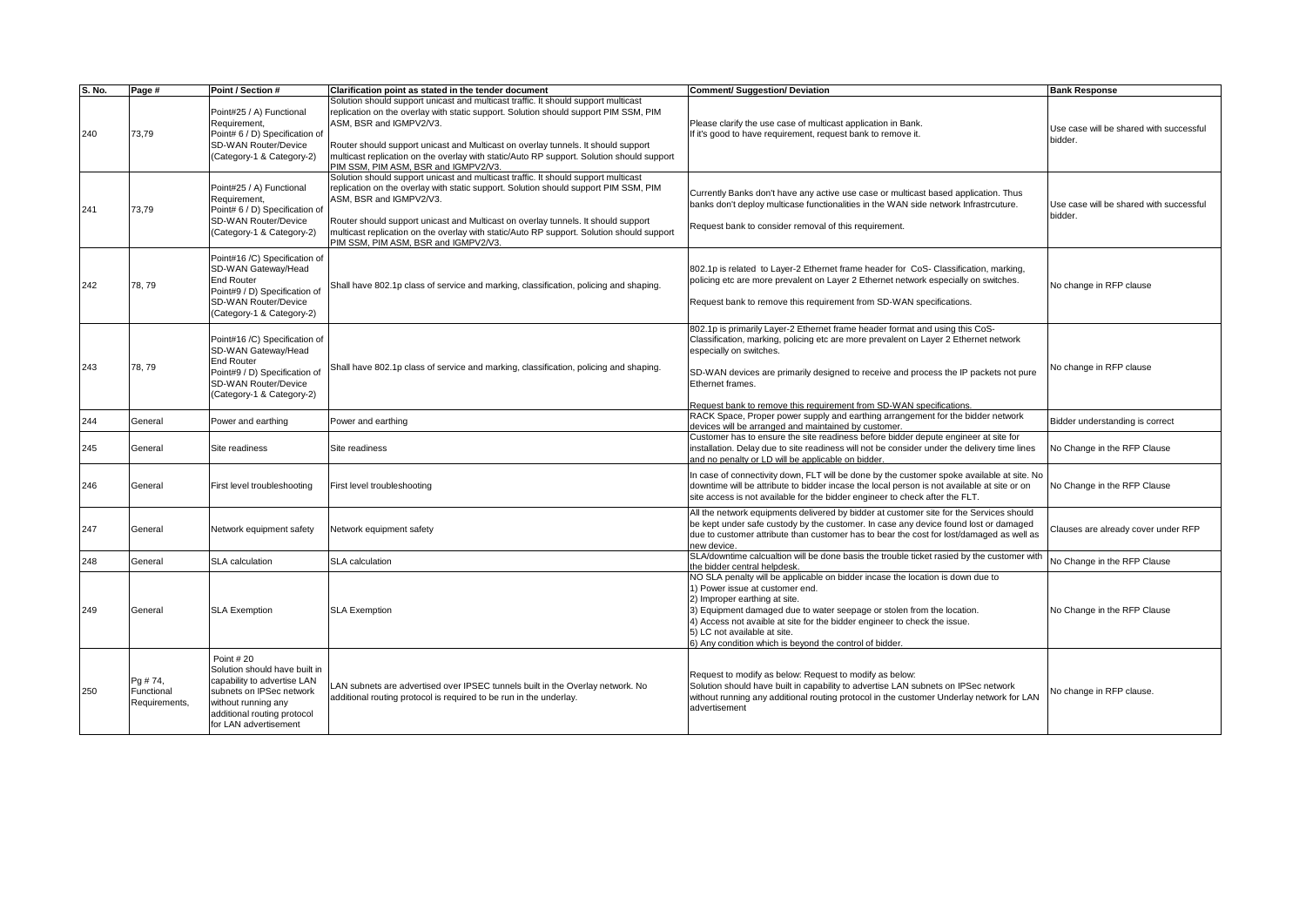| <b>S. No.</b> | Page #                                 | Point / Section #                                                                                                                                                                      | Clarification point as stated in the tender document                                                                                                                                                                                                                                                                                                                                                                            | <b>Comment/ Suggestion/ Deviation</b>                                                                                                                                                                                                                                                                                                                                                                | <b>Bank Response</b>                               |
|---------------|----------------------------------------|----------------------------------------------------------------------------------------------------------------------------------------------------------------------------------------|---------------------------------------------------------------------------------------------------------------------------------------------------------------------------------------------------------------------------------------------------------------------------------------------------------------------------------------------------------------------------------------------------------------------------------|------------------------------------------------------------------------------------------------------------------------------------------------------------------------------------------------------------------------------------------------------------------------------------------------------------------------------------------------------------------------------------------------------|----------------------------------------------------|
| 240           | 73.79                                  | Point#25 / A) Functional<br>Requirement,<br>Point# 6 / D) Specification of<br>SD-WAN Router/Device<br>(Category-1 & Category-2)                                                        | Solution should support unicast and multicast traffic. It should support multicast<br>replication on the overlay with static support. Solution should support PIM SSM, PIM<br>ASM, BSR and IGMPV2/V3.<br>Router should support unicast and Multicast on overlay tunnels. It should support<br>multicast replication on the overlay with static/Auto RP support. Solution should support<br>PIM SSM, PIM ASM, BSR and IGMPV2/V3. | Please clarify the use case of multicast application in Bank.<br>If it's good to have requirement, request bank to remove it.                                                                                                                                                                                                                                                                        | Use case will be shared with successful<br>bidder. |
| 241           | 73,79                                  | Point#25 / A) Functional<br>Requirement,<br>Point# 6 / D) Specification of<br>SD-WAN Router/Device<br>(Category-1 & Category-2)                                                        | Solution should support unicast and multicast traffic. It should support multicast<br>replication on the overlay with static support. Solution should support PIM SSM, PIM<br>ASM, BSR and IGMPV2/V3.<br>Router should support unicast and Multicast on overlay tunnels. It should support<br>multicast replication on the overlay with static/Auto RP support. Solution should support<br>PIM SSM, PIM ASM, BSR and IGMPV2/V3. | Currently Banks don't have any active use case or multicast based application. Thus<br>banks don't deploy multicase functionalities in the WAN side network Infrastrcuture.<br>Request bank to consider removal of this requirement.                                                                                                                                                                 | Use case will be shared with successful<br>bidder. |
| 242           | 78.79                                  | Point#16 /C) Specification of<br>SD-WAN Gateway/Head<br><b>End Router</b><br>Point#9 / D) Specification of<br>SD-WAN Router/Device<br>(Category-1 & Category-2)                        | Shall have 802.1p class of service and marking, classification, policing and shaping.                                                                                                                                                                                                                                                                                                                                           | 802.1p is related to Layer-2 Ethernet frame header for CoS- Classification, marking,<br>policing etc are more prevalent on Layer 2 Ethernet network especially on switches.<br>Request bank to remove this requirement from SD-WAN specifications.                                                                                                                                                   | No change in RFP clause                            |
| 243           | 78,79                                  | Point#16 /C) Specification of<br>SD-WAN Gateway/Head<br><b>End Router</b><br>Point#9 / D) Specification of<br>SD-WAN Router/Device<br>(Category-1 & Category-2)                        | Shall have 802.1p class of service and marking, classification, policing and shaping.                                                                                                                                                                                                                                                                                                                                           | 802.1p is primarily Layer-2 Ethernet frame header format and using this CoS-<br>Classification, marking, policing etc are more prevalent on Layer 2 Ethernet network<br>especially on switches.<br>SD-WAN devices are primarily designed to receive and process the IP packets not pure<br>Ethernet frames.<br>Request bank to remove this requirement from SD-WAN specifications.                   | No change in RFP clause                            |
| 244           | General                                | Power and earthing                                                                                                                                                                     | Power and earthing                                                                                                                                                                                                                                                                                                                                                                                                              | RACK Space, Proper power supply and earthing arrangement for the bidder network<br>devices will be arranged and maintained by customer.                                                                                                                                                                                                                                                              | Bidder understanding is correct                    |
| 245           | General                                | Site readiness                                                                                                                                                                         | Site readiness                                                                                                                                                                                                                                                                                                                                                                                                                  | Customer has to ensure the site readiness before bidder depute engineer at site for<br>installation. Delay due to site readiness will not be consider under the delivery time lines<br>and no penalty or LD will be applicable on bidder.                                                                                                                                                            | No Change in the RFP Clause                        |
| 246           | General                                | First level troubleshooting                                                                                                                                                            | First level troubleshooting                                                                                                                                                                                                                                                                                                                                                                                                     | In case of connectivity down, FLT will be done by the customer spoke available at site. No<br>downtime will be attribute to bidder incase the local person is not available at site or on<br>site access is not available for the bidder engineer to check after the FLT.                                                                                                                            | No Change in the RFP Clause                        |
| 247           | General                                | Network equipment safety                                                                                                                                                               | Network equipment safety                                                                                                                                                                                                                                                                                                                                                                                                        | All the network equipments delivered by bidder at customer site for the Services should<br>be kept under safe custody by the customer. In case any device found lost or damaged<br>due to customer attribute than customer has to bear the cost for lost/damaged as well as<br>new device.                                                                                                           | Clauses are already cover under RFP                |
| 248           | General                                | SLA calculation                                                                                                                                                                        | <b>SLA</b> calculation                                                                                                                                                                                                                                                                                                                                                                                                          | SLA/downtime calcualtion will be done basis the trouble ticket rasied by the customer with<br>the bidder central helpdesk.                                                                                                                                                                                                                                                                           | No Change in the RFP Clause                        |
| 249           | General                                | <b>SLA Exemption</b>                                                                                                                                                                   | <b>SLA Exemption</b>                                                                                                                                                                                                                                                                                                                                                                                                            | NO SLA penalty will be applicable on bidder incase the location is down due to<br>1) Power issue at customer end.<br>2) Improper earthing at site.<br>3) Equipment damaged due to water seepage or stolen from the location.<br>4) Access not avaible at site for the bidder engineer to check the issue.<br>5) LC not available at site.<br>6) Any condition which is beyond the control of bidder. | No Change in the RFP Clause                        |
| 250           | Pg #74.<br>Functional<br>Requirements, | Point $#20$<br>Solution should have built in<br>capability to advertise LAN<br>subnets on IPSec network<br>without running any<br>additional routing protocol<br>for LAN advertisement | LAN subnets are advertised over IPSEC tunnels built in the Overlay network. No<br>additional routing protocol is required to be run in the underlay.                                                                                                                                                                                                                                                                            | Request to modify as below: Request to modify as below:<br>Solution should have built in capability to advertise LAN subnets on IPSec network<br>without running any additional routing protocol in the customer Underlay network for LAN<br>advertisement                                                                                                                                           | No change in RFP clause.                           |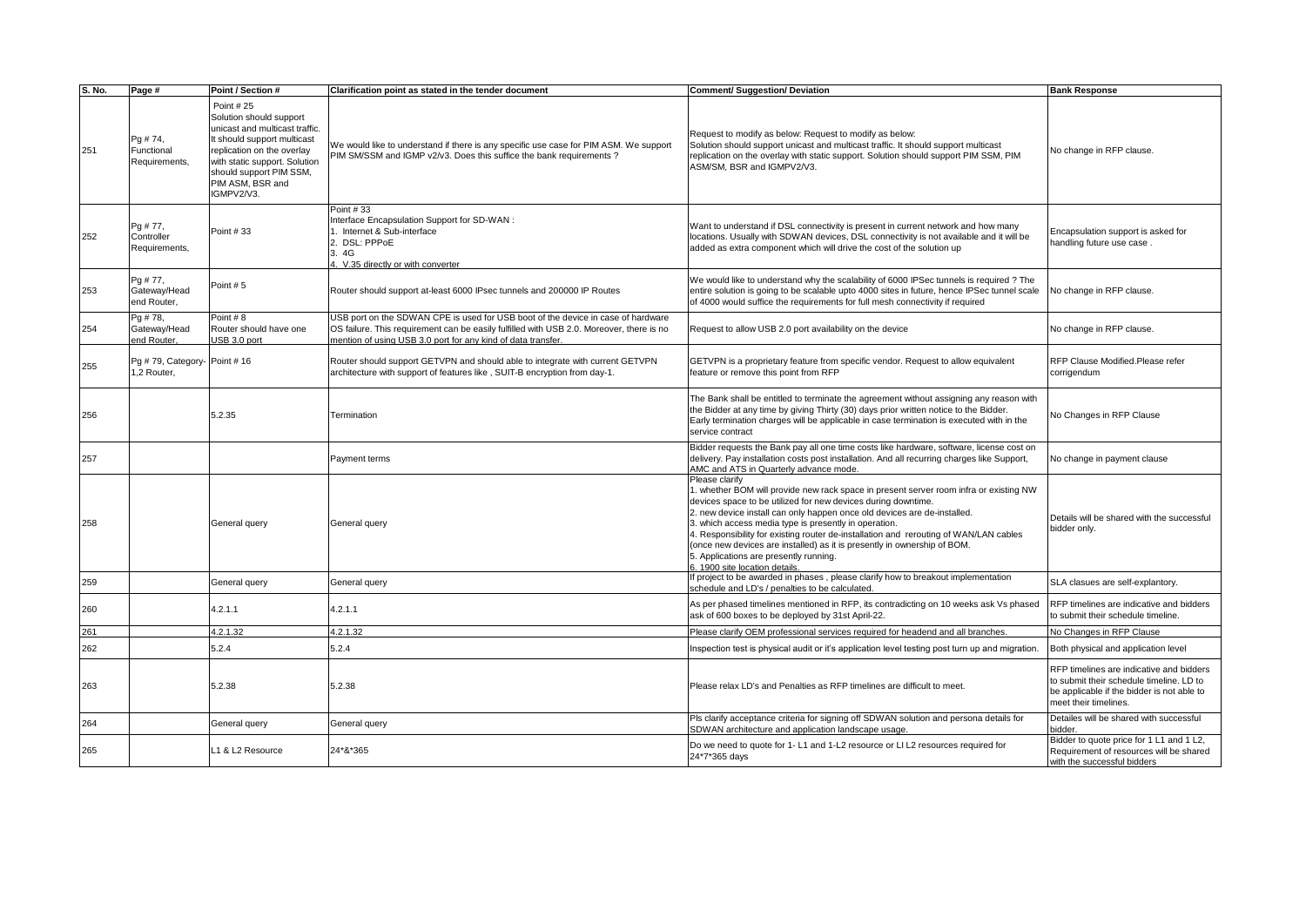| S. No. | Page #                                    | Point / Section #                                                                                                                                                                                                                  | Clarification point as stated in the tender document                                                                                                                                                                                         | <b>Comment/ Suggestion/ Deviation</b>                                                                                                                                                                                                                                                                                                                                                                                                                                                                                                                           | <b>Bank Response</b>                                                                                                                                        |
|--------|-------------------------------------------|------------------------------------------------------------------------------------------------------------------------------------------------------------------------------------------------------------------------------------|----------------------------------------------------------------------------------------------------------------------------------------------------------------------------------------------------------------------------------------------|-----------------------------------------------------------------------------------------------------------------------------------------------------------------------------------------------------------------------------------------------------------------------------------------------------------------------------------------------------------------------------------------------------------------------------------------------------------------------------------------------------------------------------------------------------------------|-------------------------------------------------------------------------------------------------------------------------------------------------------------|
| 251    | Pg #74,<br>Functional<br>Requirements,    | Point # 25<br>Solution should support<br>unicast and multicast traffic.<br>It should support multicast<br>replication on the overlay<br>with static support. Solution<br>should support PIM SSM,<br>PIM ASM, BSR and<br>IGMPV2/V3. | We would like to understand if there is any specific use case for PIM ASM. We support<br>PIM SM/SSM and IGMP v2/v3. Does this suffice the bank requirements ?                                                                                | Request to modify as below: Request to modify as below:<br>Solution should support unicast and multicast traffic. It should support multicast<br>replication on the overlay with static support. Solution should support PIM SSM, PIM<br>ASM/SM, BSR and IGMPV2/V3.                                                                                                                                                                                                                                                                                             | No change in RFP clause.                                                                                                                                    |
| 252    | Pg #77,<br>Controller<br>Requirements,    | Point #33                                                                                                                                                                                                                          | Point #33<br>Interface Encapsulation Support for SD-WAN :<br>1. Internet & Sub-interface<br>2. DSL: PPPoE<br>3.4G<br>V.35 directly or with converter                                                                                         | Want to understand if DSL connectivity is present in current network and how many<br>locations. Usually with SDWAN devices, DSL connectivity is not available and it will be<br>added as extra component which will drive the cost of the solution up                                                                                                                                                                                                                                                                                                           | Encapsulation support is asked for<br>handling future use case.                                                                                             |
| 253    | Pg #77,<br>Gateway/Head<br>end Router,    | Point #5                                                                                                                                                                                                                           | Router should support at-least 6000 IPsec tunnels and 200000 IP Routes                                                                                                                                                                       | We would like to understand why the scalability of 6000 IPSec tunnels is required ? The<br>entire solution is going to be scalable upto 4000 sites in future, hence IPSec tunnel scale<br>of 4000 would suffice the requirements for full mesh connectivity if required                                                                                                                                                                                                                                                                                         | No change in RFP clause.                                                                                                                                    |
| 254    | Pq #78,<br>Gateway/Head<br>end Router,    | Point #8<br>Router should have one<br>USB 3.0 port                                                                                                                                                                                 | USB port on the SDWAN CPE is used for USB boot of the device in case of hardware<br>OS failure. This requirement can be easily fulfilled with USB 2.0. Moreover, there is no<br>mention of using USB 3.0 port for any kind of data transfer. | Request to allow USB 2.0 port availability on the device                                                                                                                                                                                                                                                                                                                                                                                                                                                                                                        | No change in RFP clause.                                                                                                                                    |
| 255    | Pq #79, Category-Point #16<br>1,2 Router, |                                                                                                                                                                                                                                    | Router should support GETVPN and should able to integrate with current GETVPN<br>architecture with support of features like, SUIT-B encryption from day-1.                                                                                   | GETVPN is a proprietary feature from specific vendor. Request to allow equivalent<br>feature or remove this point from RFP                                                                                                                                                                                                                                                                                                                                                                                                                                      | RFP Clause Modified.Please refer<br>corrigendum                                                                                                             |
| 256    |                                           | 5.2.35                                                                                                                                                                                                                             | Termination                                                                                                                                                                                                                                  | The Bank shall be entitled to terminate the agreement without assigning any reason with<br>the Bidder at any time by giving Thirty (30) days prior written notice to the Bidder.<br>Early termination charges will be applicable in case termination is executed with in the<br>service contract                                                                                                                                                                                                                                                                | No Changes in RFP Clause                                                                                                                                    |
| 257    |                                           |                                                                                                                                                                                                                                    | Payment terms                                                                                                                                                                                                                                | Bidder requests the Bank pay all one time costs like hardware, software, license cost on<br>delivery. Pay installation costs post installation. And all recurring charges like Support,<br>AMC and ATS in Quarterly advance mode.                                                                                                                                                                                                                                                                                                                               | No change in payment clause                                                                                                                                 |
| 258    |                                           | General query                                                                                                                                                                                                                      | General query                                                                                                                                                                                                                                | Please clarify<br>1. whether BOM will provide new rack space in present server room infra or existing NW<br>devices space to be utilized for new devices during downtime.<br>2. new device install can only happen once old devices are de-installed.<br>3. which access media type is presently in operation.<br>4. Responsibility for existing router de-installation and rerouting of WAN/LAN cables<br>(once new devices are installed) as it is presently in ownership of BOM.<br>5. Applications are presently running.<br>6. 1900 site location details. | Details will be shared with the successful<br>bidder only.                                                                                                  |
| 259    |                                           | General query                                                                                                                                                                                                                      | General query                                                                                                                                                                                                                                | f project to be awarded in phases, please clarify how to breakout implementation<br>schedule and LD's / penalties to be calculated                                                                                                                                                                                                                                                                                                                                                                                                                              | SLA clasues are self-explantory.                                                                                                                            |
| 260    |                                           | 4.2.1.1                                                                                                                                                                                                                            | 4.2.1.1                                                                                                                                                                                                                                      | As per phased timelines mentioned in RFP, its contradicting on 10 weeks ask Vs phased<br>ask of 600 boxes to be deployed by 31st April-22.                                                                                                                                                                                                                                                                                                                                                                                                                      | RFP timelines are indicative and bidders<br>to submit their schedule timeline.                                                                              |
| 261    |                                           | 4.2.1.32                                                                                                                                                                                                                           | 4.2.1.32                                                                                                                                                                                                                                     | Please clarify OEM professional services required for headend and all branches.                                                                                                                                                                                                                                                                                                                                                                                                                                                                                 | No Changes in RFP Clause                                                                                                                                    |
| 262    |                                           | 5.2.4                                                                                                                                                                                                                              | 5.2.4                                                                                                                                                                                                                                        | nspection test is physical audit or it's application level testing post turn up and migration.                                                                                                                                                                                                                                                                                                                                                                                                                                                                  | Both physical and application level                                                                                                                         |
| 263    |                                           | 5.2.38                                                                                                                                                                                                                             | 5.2.38                                                                                                                                                                                                                                       | Please relax LD's and Penalties as RFP timelines are difficult to meet.                                                                                                                                                                                                                                                                                                                                                                                                                                                                                         | RFP timelines are indicative and bidders<br>to submit their schedule timeline. LD to<br>be applicable if the bidder is not able to<br>meet their timelines. |
| 264    |                                           | General query                                                                                                                                                                                                                      | General query                                                                                                                                                                                                                                | Pls clarify acceptance criteria for signing off SDWAN solution and persona details for<br>SDWAN architecture and application landscape usage.                                                                                                                                                                                                                                                                                                                                                                                                                   | Detailes will be shared with successful<br>bidder.                                                                                                          |
| 265    |                                           | L1 & L2 Resource                                                                                                                                                                                                                   | 24*&*365                                                                                                                                                                                                                                     | Do we need to quote for 1-L1 and 1-L2 resource or LI L2 resources required for<br>24*7*365 days                                                                                                                                                                                                                                                                                                                                                                                                                                                                 | Bidder to quote price for 1 L1 and 1 L2,<br>Requirement of resources will be shared<br>with the successful bidders                                          |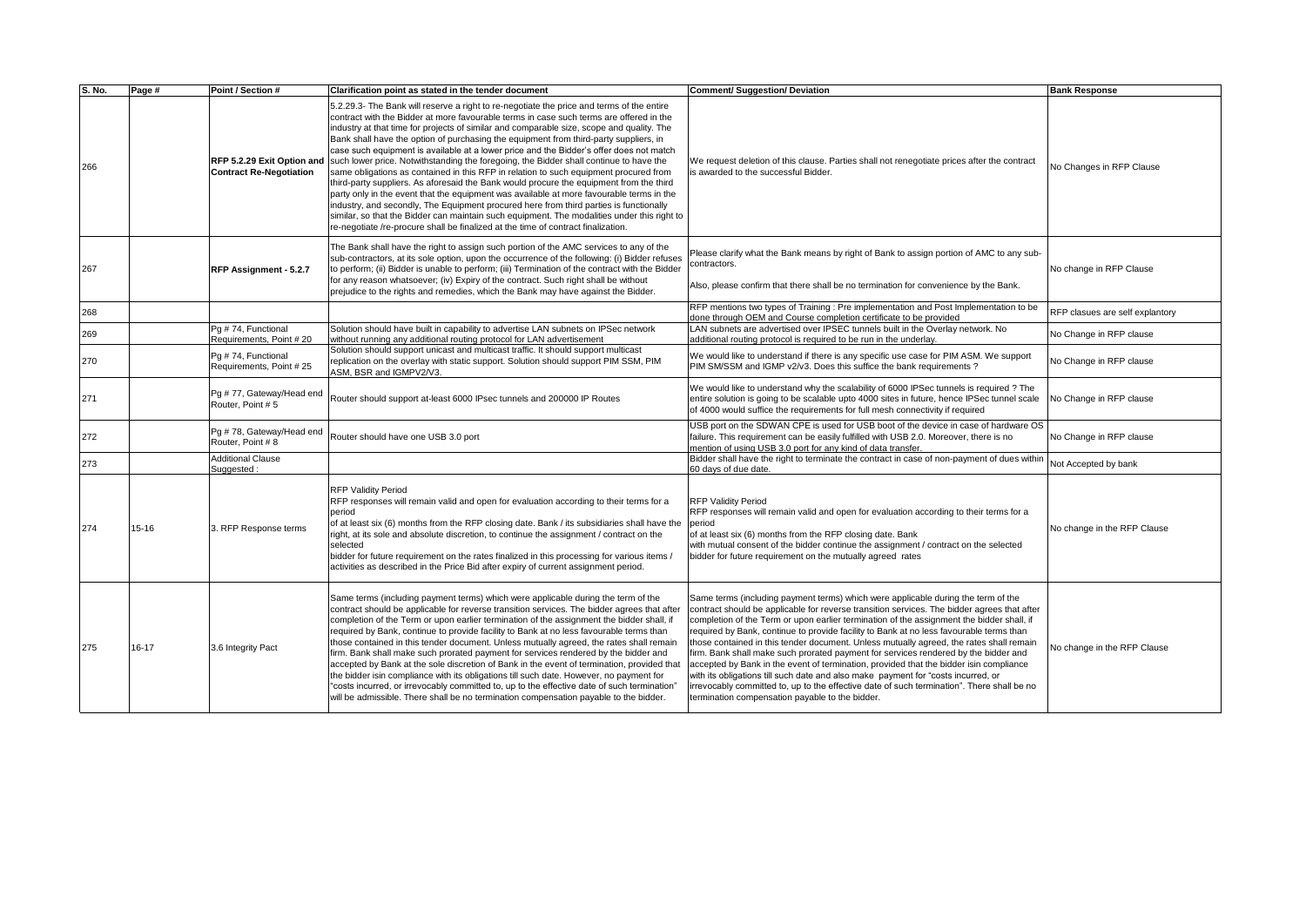| <b>S. No.</b> | Page #    | Point / Section #                                            | Clarification point as stated in the tender document                                                                                                                                                                                                                                                                                                                                                                                                                                                                                                                                                                                                                                                                                                                                                                                                                                                                                                                                                                                                                                                                          | <b>Comment/ Suggestion/ Deviation</b>                                                                                                                                                                                                                                                                                                                                                                                                                                                                                                                                                                                                                                                                                                                                                                                                                                                      | <b>Bank Response</b>            |
|---------------|-----------|--------------------------------------------------------------|-------------------------------------------------------------------------------------------------------------------------------------------------------------------------------------------------------------------------------------------------------------------------------------------------------------------------------------------------------------------------------------------------------------------------------------------------------------------------------------------------------------------------------------------------------------------------------------------------------------------------------------------------------------------------------------------------------------------------------------------------------------------------------------------------------------------------------------------------------------------------------------------------------------------------------------------------------------------------------------------------------------------------------------------------------------------------------------------------------------------------------|--------------------------------------------------------------------------------------------------------------------------------------------------------------------------------------------------------------------------------------------------------------------------------------------------------------------------------------------------------------------------------------------------------------------------------------------------------------------------------------------------------------------------------------------------------------------------------------------------------------------------------------------------------------------------------------------------------------------------------------------------------------------------------------------------------------------------------------------------------------------------------------------|---------------------------------|
| 266           |           | RFP 5.2.29 Exit Option and<br><b>Contract Re-Negotiation</b> | 5.2.29.3- The Bank will reserve a right to re-negotiate the price and terms of the entire<br>contract with the Bidder at more favourable terms in case such terms are offered in the<br>industry at that time for projects of similar and comparable size, scope and quality. The<br>Bank shall have the option of purchasing the equipment from third-party suppliers, in<br>case such equipment is available at a lower price and the Bidder's offer does not match<br>such lower price. Notwithstanding the foregoing, the Bidder shall continue to have the<br>same obligations as contained in this RFP in relation to such equipment procured from<br>third-party suppliers. As aforesaid the Bank would procure the equipment from the third<br>party only in the event that the equipment was available at more favourable terms in the<br>industry, and secondly, The Equipment procured here from third parties is functionally<br>similar, so that the Bidder can maintain such equipment. The modalities under this right to<br>re-negotiate /re-procure shall be finalized at the time of contract finalization. | We request deletion of this clause. Parties shall not renegotiate prices after the contract<br>is awarded to the successful Bidder.                                                                                                                                                                                                                                                                                                                                                                                                                                                                                                                                                                                                                                                                                                                                                        | No Changes in RFP Clause        |
| 267           |           | RFP Assignment - 5.2.7                                       | The Bank shall have the right to assign such portion of the AMC services to any of the<br>sub-contractors, at its sole option, upon the occurrence of the following: (i) Bidder refuses<br>to perform; (ii) Bidder is unable to perform; (iii) Termination of the contract with the Bidder<br>for any reason whatsoever; (iv) Expiry of the contract. Such right shall be without<br>prejudice to the rights and remedies, which the Bank may have against the Bidder.                                                                                                                                                                                                                                                                                                                                                                                                                                                                                                                                                                                                                                                        | Please clarify what the Bank means by right of Bank to assign portion of AMC to any sub-<br>contractors.<br>Also, please confirm that there shall be no termination for convenience by the Bank.                                                                                                                                                                                                                                                                                                                                                                                                                                                                                                                                                                                                                                                                                           | No change in RFP Clause         |
| 268           |           |                                                              |                                                                                                                                                                                                                                                                                                                                                                                                                                                                                                                                                                                                                                                                                                                                                                                                                                                                                                                                                                                                                                                                                                                               | RFP mentions two types of Training : Pre implementation and Post Implementation to be<br>done through OEM and Course completion certificate to be provided                                                                                                                                                                                                                                                                                                                                                                                                                                                                                                                                                                                                                                                                                                                                 | RFP clasues are self explantory |
| 269           |           | Pq #74, Functional<br>Requirements, Point # 20               | Solution should have built in capability to advertise LAN subnets on IPSec network<br>without running any additional routing protocol for LAN advertisement                                                                                                                                                                                                                                                                                                                                                                                                                                                                                                                                                                                                                                                                                                                                                                                                                                                                                                                                                                   | LAN subnets are advertised over IPSEC tunnels built in the Overlay network. No<br>additional routing protocol is required to be run in the underlay.                                                                                                                                                                                                                                                                                                                                                                                                                                                                                                                                                                                                                                                                                                                                       | No Change in RFP clause         |
| 270           |           | Pq #74, Functional<br>Requirements, Point # 25               | Solution should support unicast and multicast traffic. It should support multicast<br>replication on the overlay with static support. Solution should support PIM SSM, PIM<br>ASM, BSR and IGMPV2/V3.                                                                                                                                                                                                                                                                                                                                                                                                                                                                                                                                                                                                                                                                                                                                                                                                                                                                                                                         | We would like to understand if there is any specific use case for PIM ASM. We support<br>PIM SM/SSM and IGMP v2/v3. Does this suffice the bank requirements ?                                                                                                                                                                                                                                                                                                                                                                                                                                                                                                                                                                                                                                                                                                                              | No Change in RFP clause         |
| 271           |           | Pg #77, Gateway/Head end<br>Router, Point #5                 | Router should support at-least 6000 IPsec tunnels and 200000 IP Routes                                                                                                                                                                                                                                                                                                                                                                                                                                                                                                                                                                                                                                                                                                                                                                                                                                                                                                                                                                                                                                                        | We would like to understand why the scalability of 6000 IPSec tunnels is required? The<br>entire solution is going to be scalable upto 4000 sites in future, hence IPSec tunnel scale<br>of 4000 would suffice the requirements for full mesh connectivity if required                                                                                                                                                                                                                                                                                                                                                                                                                                                                                                                                                                                                                     | No Change in RFP clause         |
| 272           |           | Pq #78, Gateway/Head end<br>Router, Point #8                 | Router should have one USB 3.0 port                                                                                                                                                                                                                                                                                                                                                                                                                                                                                                                                                                                                                                                                                                                                                                                                                                                                                                                                                                                                                                                                                           | USB port on the SDWAN CPE is used for USB boot of the device in case of hardware OS<br>failure. This requirement can be easily fulfilled with USB 2.0. Moreover, there is no<br>mention of using USB 3.0 port for any kind of data transfer.                                                                                                                                                                                                                                                                                                                                                                                                                                                                                                                                                                                                                                               | No Change in RFP clause         |
| 273           |           | <b>Additional Clause</b><br>Suggested:                       |                                                                                                                                                                                                                                                                                                                                                                                                                                                                                                                                                                                                                                                                                                                                                                                                                                                                                                                                                                                                                                                                                                                               | Bidder shall have the right to terminate the contract in case of non-payment of dues within<br>60 days of due date.                                                                                                                                                                                                                                                                                                                                                                                                                                                                                                                                                                                                                                                                                                                                                                        | Not Accepted by bank            |
| 274           | $15 - 16$ | 3. RFP Response terms                                        | <b>RFP Validity Period</b><br>RFP responses will remain valid and open for evaluation according to their terms for a<br>period<br>of at least six (6) months from the RFP closing date. Bank / its subsidiaries shall have the<br>right, at its sole and absolute discretion, to continue the assignment / contract on the<br>selected<br>bidder for future requirement on the rates finalized in this processing for various items /<br>activities as described in the Price Bid after expiry of current assignment period.                                                                                                                                                                                                                                                                                                                                                                                                                                                                                                                                                                                                  | <b>RFP Validity Period</b><br>RFP responses will remain valid and open for evaluation according to their terms for a<br>period<br>of at least six (6) months from the RFP closing date. Bank<br>with mutual consent of the bidder continue the assignment / contract on the selected<br>bidder for future requirement on the mutually agreed rates                                                                                                                                                                                                                                                                                                                                                                                                                                                                                                                                         | No change in the RFP Clause     |
| 275           | 16-17     | 3.6 Integrity Pact                                           | Same terms (including payment terms) which were applicable during the term of the<br>contract should be applicable for reverse transition services. The bidder agrees that after<br>completion of the Term or upon earlier termination of the assignment the bidder shall, if<br>required by Bank, continue to provide facility to Bank at no less favourable terms than<br>those contained in this tender document. Unless mutually agreed, the rates shall remain<br>firm. Bank shall make such prorated payment for services rendered by the bidder and<br>accepted by Bank at the sole discretion of Bank in the event of termination, provided that<br>the bidder isin compliance with its obligations till such date. However, no payment for<br>"costs incurred, or irrevocably committed to, up to the effective date of such termination'<br>will be admissible. There shall be no termination compensation payable to the bidder.                                                                                                                                                                                   | Same terms (including payment terms) which were applicable during the term of the<br>contract should be applicable for reverse transition services. The bidder agrees that after<br>completion of the Term or upon earlier termination of the assignment the bidder shall, if<br>required by Bank, continue to provide facility to Bank at no less favourable terms than<br>those contained in this tender document. Unless mutually agreed, the rates shall remain<br>firm. Bank shall make such prorated payment for services rendered by the bidder and<br>accepted by Bank in the event of termination, provided that the bidder isin compliance<br>with its obligations till such date and also make payment for "costs incurred, or<br>irrevocably committed to, up to the effective date of such termination". There shall be no<br>termination compensation payable to the bidder. | No change in the RFP Clause     |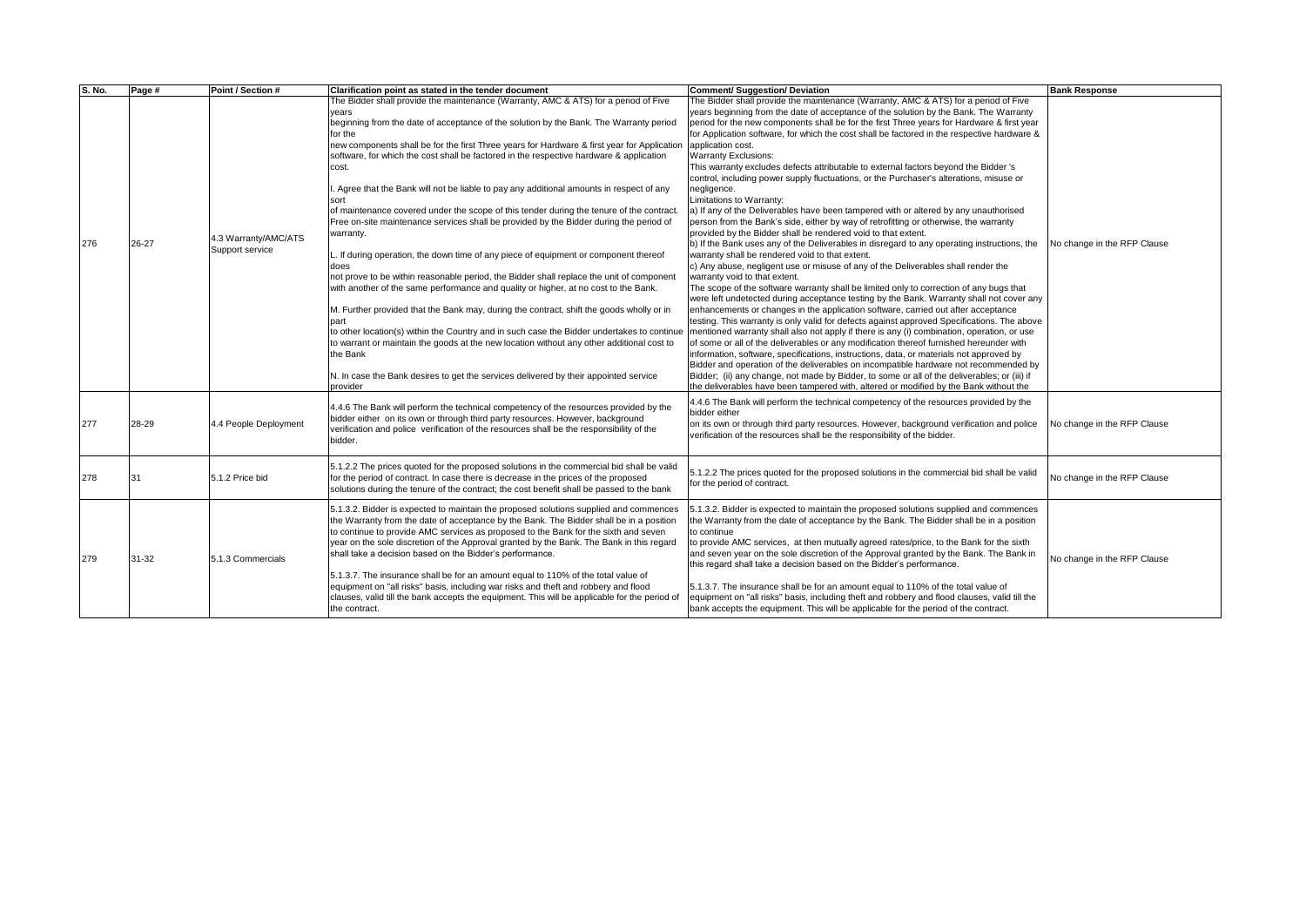| S. No. | Page # | Point / Section #     | Clarification point as stated in the tender document                                          | <b>Comment/ Suggestion/ Deviation</b>                                                         | <b>Bank Response</b>        |
|--------|--------|-----------------------|-----------------------------------------------------------------------------------------------|-----------------------------------------------------------------------------------------------|-----------------------------|
|        |        |                       | The Bidder shall provide the maintenance (Warranty, AMC & ATS) for a period of Five           | The Bidder shall provide the maintenance (Warranty, AMC & ATS) for a period of Five           |                             |
|        |        |                       | years                                                                                         | years beginning from the date of acceptance of the solution by the Bank. The Warranty         |                             |
|        |        |                       | beginning from the date of acceptance of the solution by the Bank. The Warranty period        | period for the new components shall be for the first Three years for Hardware & first year    |                             |
|        |        |                       | for the                                                                                       | for Application software, for which the cost shall be factored in the respective hardware &   |                             |
|        |        |                       | new components shall be for the first Three years for Hardware & first year for Application   | application cost.                                                                             |                             |
|        |        |                       | software, for which the cost shall be factored in the respective hardware & application       | <b>Warranty Exclusions:</b>                                                                   |                             |
|        |        |                       | cost.                                                                                         | This warranty excludes defects attributable to external factors beyond the Bidder 's          |                             |
|        |        |                       |                                                                                               | control, including power supply fluctuations, or the Purchaser's alterations, misuse or       |                             |
|        |        |                       | . Agree that the Bank will not be liable to pay any additional amounts in respect of any      | negligence.                                                                                   |                             |
|        |        |                       | sort                                                                                          | Limitations to Warranty:                                                                      |                             |
|        |        |                       | of maintenance covered under the scope of this tender during the tenure of the contract       | a) If any of the Deliverables have been tampered with or altered by any unauthorised          |                             |
|        |        |                       | Free on-site maintenance services shall be provided by the Bidder during the period of        | person from the Bank's side, either by way of retrofitting or otherwise, the warranty         |                             |
|        |        |                       | warranty.                                                                                     | provided by the Bidder shall be rendered void to that extent.                                 |                             |
| 276    | 26-27  | 4.3 Warranty/AMC/ATS  |                                                                                               | b) If the Bank uses any of the Deliverables in disregard to any operating instructions, the   | No change in the RFP Clause |
|        |        | Support service       | If during operation, the down time of any piece of equipment or component thereof             | warranty shall be rendered void to that extent.                                               |                             |
|        |        |                       | does                                                                                          | c) Any abuse, negligent use or misuse of any of the Deliverables shall render the             |                             |
|        |        |                       | not prove to be within reasonable period, the Bidder shall replace the unit of component      | warranty void to that extent.                                                                 |                             |
|        |        |                       | with another of the same performance and quality or higher, at no cost to the Bank.           | The scope of the software warranty shall be limited only to correction of any bugs that       |                             |
|        |        |                       |                                                                                               | were left undetected during acceptance testing by the Bank. Warranty shall not cover any      |                             |
|        |        |                       | M. Further provided that the Bank may, during the contract, shift the goods wholly or in      | enhancements or changes in the application software, carried out after acceptance             |                             |
|        |        |                       |                                                                                               | testing. This warranty is only valid for defects against approved Specifications. The above   |                             |
|        |        |                       | to other location(s) within the Country and in such case the Bidder undertakes to continu     | mentioned warranty shall also not apply if there is any (i) combination, operation, or use    |                             |
|        |        |                       | to warrant or maintain the goods at the new location without any other additional cost to     | of some or all of the deliverables or any modification thereof furnished hereunder with       |                             |
|        |        |                       | the Bank                                                                                      | information, software, specifications, instructions, data, or materials not approved by       |                             |
|        |        |                       |                                                                                               | Bidder and operation of the deliverables on incompatible hardware not recommended by          |                             |
|        |        |                       | N. In case the Bank desires to get the services delivered by their appointed service          | Bidder; (ii) any change, not made by Bidder, to some or all of the deliverables; or (iii) if  |                             |
|        |        |                       | provider                                                                                      | the deliverables have been tampered with, altered or modified by the Bank without the         |                             |
|        |        |                       |                                                                                               |                                                                                               |                             |
|        |        |                       | 4.4.6 The Bank will perform the technical competency of the resources provided by the         | 4.4.6 The Bank will perform the technical competency of the resources provided by the         |                             |
|        |        | 4.4 People Deployment | bidder either on its own or through third party resources. However, background                | bidder either                                                                                 |                             |
| 277    | 28-29  |                       | verification and police verification of the resources shall be the responsibility of the      | on its own or through third party resources. However, background verification and police      | No change in the RFP Clause |
|        |        |                       | bidder.                                                                                       | verification of the resources shall be the responsibility of the bidder.                      |                             |
|        |        |                       |                                                                                               |                                                                                               |                             |
|        |        |                       |                                                                                               |                                                                                               |                             |
|        |        |                       | 5.1.2.2 The prices quoted for the proposed solutions in the commercial bid shall be valid     | 5.1.2.2 The prices quoted for the proposed solutions in the commercial bid shall be valid     |                             |
| 278    | 31     | 5.1.2 Price bid       | for the period of contract. In case there is decrease in the prices of the proposed           | for the period of contract.                                                                   | No change in the RFP Clause |
|        |        |                       | solutions during the tenure of the contract; the cost benefit shall be passed to the bank     |                                                                                               |                             |
|        |        |                       | 5.1.3.2. Bidder is expected to maintain the proposed solutions supplied and commences         | 5.1.3.2. Bidder is expected to maintain the proposed solutions supplied and commences         |                             |
|        |        |                       | the Warranty from the date of acceptance by the Bank. The Bidder shall be in a position       | the Warranty from the date of acceptance by the Bank. The Bidder shall be in a position       |                             |
|        |        |                       | to continue to provide AMC services as proposed to the Bank for the sixth and seven           | to continue                                                                                   |                             |
|        |        |                       | year on the sole discretion of the Approval granted by the Bank. The Bank in this regard      | to provide AMC services, at then mutually agreed rates/price, to the Bank for the sixth       |                             |
|        |        |                       | shall take a decision based on the Bidder's performance.                                      | and seven year on the sole discretion of the Approval granted by the Bank. The Bank in        |                             |
| 279    | 31-32  | 5.1.3 Commercials     |                                                                                               | this regard shall take a decision based on the Bidder's performance.                          | No change in the RFP Clause |
|        |        |                       | 5.1.3.7. The insurance shall be for an amount equal to 110% of the total value of             |                                                                                               |                             |
|        |        |                       | equipment on "all risks" basis, including war risks and theft and robbery and flood           | 5.1.3.7. The insurance shall be for an amount equal to 110% of the total value of             |                             |
|        |        |                       | clauses, valid till the bank accepts the equipment. This will be applicable for the period of | equipment on "all risks" basis, including theft and robbery and flood clauses, valid till the |                             |
|        |        |                       |                                                                                               |                                                                                               |                             |
|        |        |                       | the contract.                                                                                 | bank accepts the equipment. This will be applicable for the period of the contract.           |                             |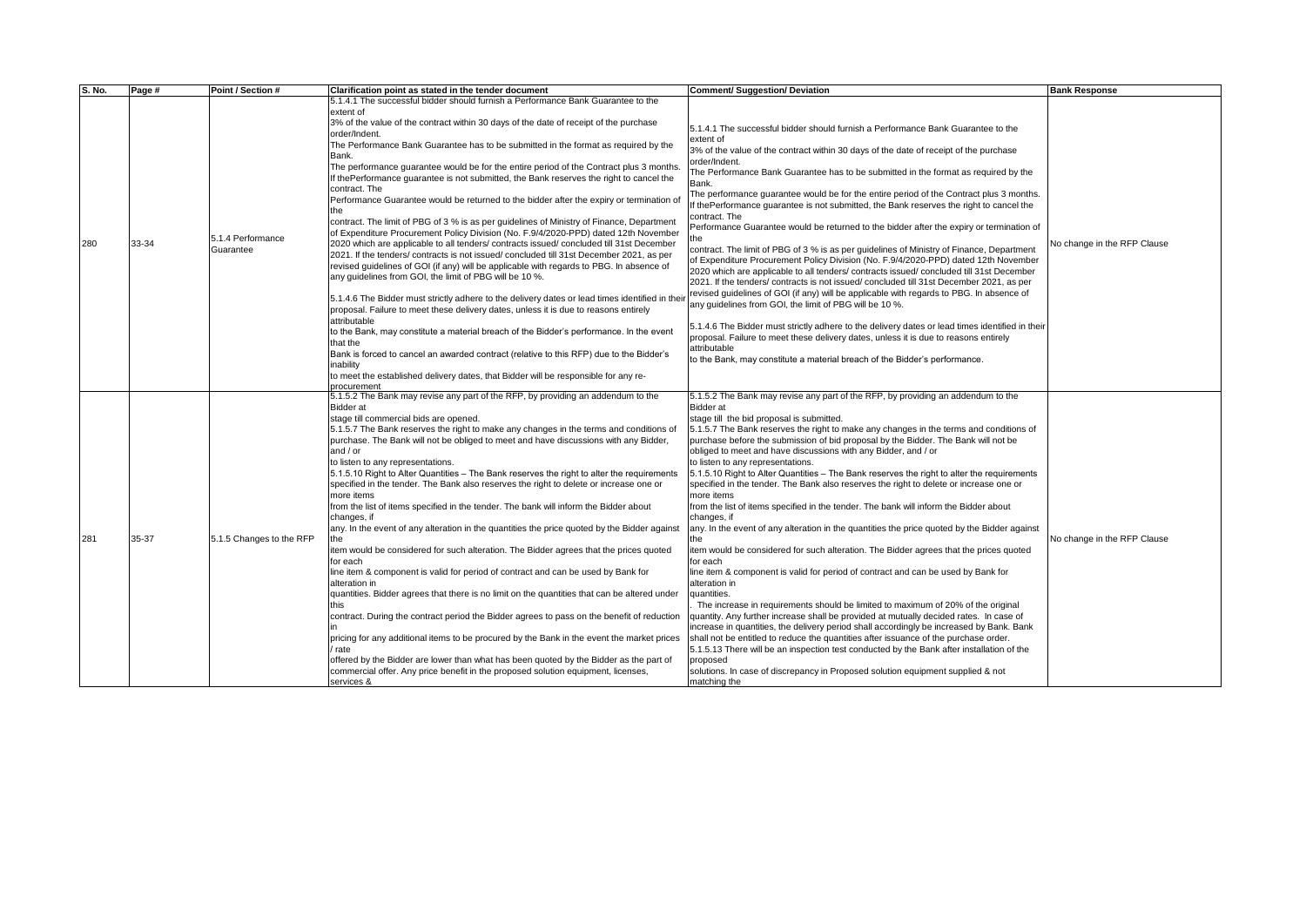| <b>S. No.</b> | Page # | Point / Section #        | Clarification point as stated in the tender document                                                      | <b>Comment/ Suggestion/ Deviation</b>                                                           | <b>Bank Response</b>        |
|---------------|--------|--------------------------|-----------------------------------------------------------------------------------------------------------|-------------------------------------------------------------------------------------------------|-----------------------------|
|               |        |                          | 5.1.4.1 The successful bidder should furnish a Performance Bank Guarantee to the                          |                                                                                                 |                             |
|               |        |                          | extent of                                                                                                 |                                                                                                 |                             |
|               |        |                          | 3% of the value of the contract within 30 days of the date of receipt of the purchase                     |                                                                                                 |                             |
|               |        |                          | order/Indent.                                                                                             | 5.1.4.1 The successful bidder should furnish a Performance Bank Guarantee to the                |                             |
|               |        |                          | The Performance Bank Guarantee has to be submitted in the format as required by the                       | extent of                                                                                       |                             |
|               |        |                          |                                                                                                           | 3% of the value of the contract within 30 days of the date of receipt of the purchase           |                             |
|               |        |                          | Bank.                                                                                                     | order/Indent.                                                                                   |                             |
|               |        |                          | The performance quarantee would be for the entire period of the Contract plus 3 months                    | The Performance Bank Guarantee has to be submitted in the format as required by the             |                             |
|               |        |                          | If the Performance quarantee is not submitted, the Bank reserves the right to cancel the<br>contract. The | Bank.                                                                                           |                             |
|               |        |                          |                                                                                                           | The performance guarantee would be for the entire period of the Contract plus 3 months.         |                             |
|               |        |                          | Performance Guarantee would be returned to the bidder after the expiry or termination of                  | f thePerformance guarantee is not submitted, the Bank reserves the right to cancel the          |                             |
|               |        |                          | the                                                                                                       | contract. The                                                                                   |                             |
|               |        |                          | contract. The limit of PBG of 3 % is as per quidelines of Ministry of Finance, Department                 | Performance Guarantee would be returned to the bidder after the expiry or termination of        |                             |
|               |        | 5.1.4 Performance        | of Expenditure Procurement Policy Division (No. F.9/4/2020-PPD) dated 12th November                       | :he                                                                                             |                             |
| 280           | 33-34  | Guarantee                | 2020 which are applicable to all tenders/ contracts issued/ concluded till 31st December                  | contract. The limit of PBG of 3 % is as per quidelines of Ministry of Finance, Department       | No change in the RFP Clause |
|               |        |                          | 2021. If the tenders/contracts is not issued/concluded till 31st December 2021, as per                    | of Expenditure Procurement Policy Division (No. F.9/4/2020-PPD) dated 12th November             |                             |
|               |        |                          | revised guidelines of GOI (if any) will be applicable with regards to PBG. In absence of                  | 2020 which are applicable to all tenders/contracts issued/concluded till 31st December          |                             |
|               |        |                          | any quidelines from GOI, the limit of PBG will be 10 %.                                                   | 2021. If the tenders/ contracts is not issued/ concluded till 31st December 2021, as per        |                             |
|               |        |                          |                                                                                                           | revised guidelines of GOI (if any) will be applicable with regards to PBG. In absence of        |                             |
|               |        |                          | 5.1.4.6 The Bidder must strictly adhere to the delivery dates or lead times identified in their           | any guidelines from GOI, the limit of PBG will be 10 %.                                         |                             |
|               |        |                          | proposal. Failure to meet these delivery dates, unless it is due to reasons entirely                      |                                                                                                 |                             |
|               |        |                          | attributable                                                                                              | 5.1.4.6 The Bidder must strictly adhere to the delivery dates or lead times identified in their |                             |
|               |        |                          | to the Bank, may constitute a material breach of the Bidder's performance. In the event                   | proposal. Failure to meet these delivery dates, unless it is due to reasons entirely            |                             |
|               |        |                          | that the                                                                                                  | attributable                                                                                    |                             |
|               |        |                          | Bank is forced to cancel an awarded contract (relative to this RFP) due to the Bidder's                   | to the Bank, may constitute a material breach of the Bidder's performance.                      |                             |
|               |        |                          | inability                                                                                                 |                                                                                                 |                             |
|               |        |                          | to meet the established delivery dates, that Bidder will be responsible for any re-                       |                                                                                                 |                             |
|               |        |                          | procurement                                                                                               |                                                                                                 |                             |
|               |        |                          | 5.1.5.2 The Bank may revise any part of the RFP, by providing an addendum to the                          | 5.1.5.2 The Bank may revise any part of the RFP, by providing an addendum to the                |                             |
|               |        |                          | <b>Bidder</b> at                                                                                          | Bidder at                                                                                       |                             |
|               |        |                          | stage till commercial bids are opened.                                                                    | stage till the bid proposal is submitted.                                                       |                             |
|               |        |                          | 5.1.5.7 The Bank reserves the right to make any changes in the terms and conditions of                    | 5.1.5.7 The Bank reserves the right to make any changes in the terms and conditions of          |                             |
|               |        |                          | purchase. The Bank will not be obliged to meet and have discussions with any Bidder,                      | purchase before the submission of bid proposal by the Bidder. The Bank will not be              |                             |
|               |        |                          | and $/$ or                                                                                                | obliged to meet and have discussions with any Bidder, and / or                                  |                             |
|               |        |                          | to listen to any representations.                                                                         | to listen to any representations.                                                               |                             |
|               |        |                          | 5.1.5.10 Right to Alter Quantities – The Bank reserves the right to alter the requirements                | 5.1.5.10 Right to Alter Quantities - The Bank reserves the right to alter the requirements      |                             |
|               |        |                          | specified in the tender. The Bank also reserves the right to delete or increase one or                    | specified in the tender. The Bank also reserves the right to delete or increase one or          |                             |
|               |        |                          | more items                                                                                                | more items                                                                                      |                             |
|               |        |                          | from the list of items specified in the tender. The bank will inform the Bidder about                     | from the list of items specified in the tender. The bank will inform the Bidder about           |                             |
|               |        |                          | changes, if                                                                                               | changes, if                                                                                     |                             |
|               |        |                          | any. In the event of any alteration in the quantities the price quoted by the Bidder against              | any. In the event of any alteration in the quantities the price quoted by the Bidder against    |                             |
| 281           | 35-37  | 5.1.5 Changes to the RFP | the                                                                                                       | the                                                                                             | No change in the RFP Clause |
|               |        |                          | item would be considered for such alteration. The Bidder agrees that the prices quoted                    | item would be considered for such alteration. The Bidder agrees that the prices quoted          |                             |
|               |        |                          | for each                                                                                                  | for each                                                                                        |                             |
|               |        |                          | line item & component is valid for period of contract and can be used by Bank for                         | line item & component is valid for period of contract and can be used by Bank for               |                             |
|               |        |                          | alteration in                                                                                             | alteration in                                                                                   |                             |
|               |        |                          | quantities. Bidder agrees that there is no limit on the quantities that can be altered under              | quantities.                                                                                     |                             |
|               |        |                          | this                                                                                                      | The increase in requirements should be limited to maximum of 20% of the original                |                             |
|               |        |                          | contract. During the contract period the Bidder agrees to pass on the benefit of reduction                | quantity. Any further increase shall be provided at mutually decided rates. In case of          |                             |
|               |        |                          |                                                                                                           | increase in quantities, the delivery period shall accordingly be increased by Bank. Bank        |                             |
|               |        |                          | pricing for any additional items to be procured by the Bank in the event the market prices                | shall not be entitled to reduce the quantities after issuance of the purchase order.            |                             |
|               |        |                          | / rate                                                                                                    | 5.1.5.13 There will be an inspection test conducted by the Bank after installation of the       |                             |
|               |        |                          | offered by the Bidder are lower than what has been quoted by the Bidder as the part of                    | proposed                                                                                        |                             |
|               |        |                          | commercial offer. Any price benefit in the proposed solution equipment, licenses,                         | solutions. In case of discrepancy in Proposed solution equipment supplied & not                 |                             |
|               |        |                          | services &                                                                                                | matching the                                                                                    |                             |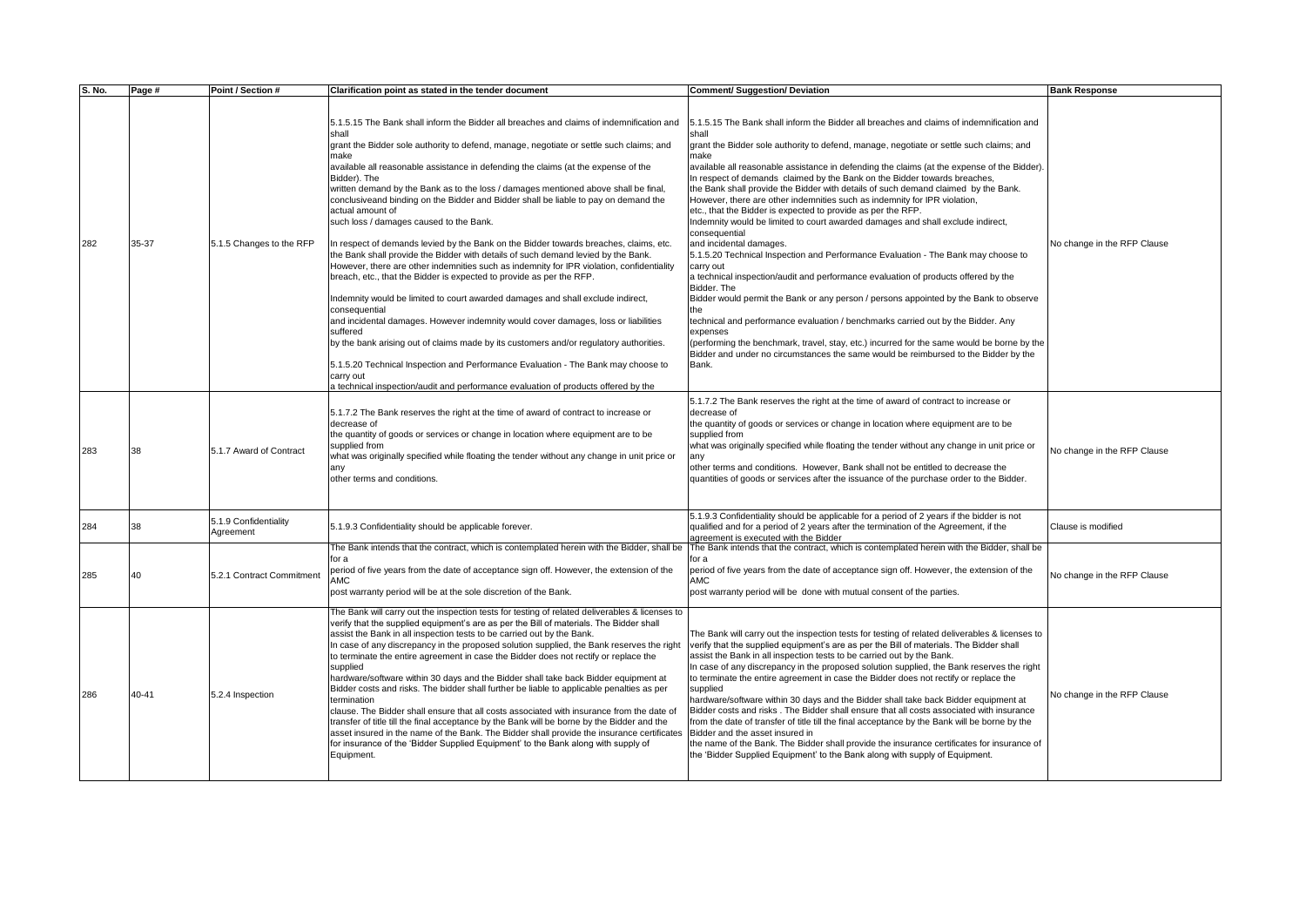| <b>S. No.</b> | Page # | Point / Section #                  | Clarification point as stated in the tender document                                                                                                                                                                                                                                                                                                                                                                                                                                                                                                                                                                                                                                                                                                                                                                                                                                                                                                                                                                                                                                                                                                                                                                                                                                                                                                                                               | <b>Comment/ Suggestion/ Deviation</b>                                                                                                                                                                                                                                                                                                                                                                                                                                                                                                                                                                                                                                                                                                                                                                                                                                                                                                                                                                                                                                                                                                                                                                                                                                                                                                                   | <b>Bank Response</b>        |
|---------------|--------|------------------------------------|----------------------------------------------------------------------------------------------------------------------------------------------------------------------------------------------------------------------------------------------------------------------------------------------------------------------------------------------------------------------------------------------------------------------------------------------------------------------------------------------------------------------------------------------------------------------------------------------------------------------------------------------------------------------------------------------------------------------------------------------------------------------------------------------------------------------------------------------------------------------------------------------------------------------------------------------------------------------------------------------------------------------------------------------------------------------------------------------------------------------------------------------------------------------------------------------------------------------------------------------------------------------------------------------------------------------------------------------------------------------------------------------------|---------------------------------------------------------------------------------------------------------------------------------------------------------------------------------------------------------------------------------------------------------------------------------------------------------------------------------------------------------------------------------------------------------------------------------------------------------------------------------------------------------------------------------------------------------------------------------------------------------------------------------------------------------------------------------------------------------------------------------------------------------------------------------------------------------------------------------------------------------------------------------------------------------------------------------------------------------------------------------------------------------------------------------------------------------------------------------------------------------------------------------------------------------------------------------------------------------------------------------------------------------------------------------------------------------------------------------------------------------|-----------------------------|
| 282           | 35-37  | 5.1.5 Changes to the RFP           | 5.1.5.15 The Bank shall inform the Bidder all breaches and claims of indemnification and<br>shall<br>grant the Bidder sole authority to defend, manage, negotiate or settle such claims; and<br>make<br>available all reasonable assistance in defending the claims (at the expense of the<br>Bidder). The<br>written demand by the Bank as to the loss / damages mentioned above shall be final,<br>conclusiveand binding on the Bidder and Bidder shall be liable to pay on demand the<br>actual amount of<br>such loss / damages caused to the Bank.<br>In respect of demands levied by the Bank on the Bidder towards breaches, claims, etc.<br>the Bank shall provide the Bidder with details of such demand levied by the Bank.<br>However, there are other indemnities such as indemnity for IPR violation, confidentiality<br>breach, etc., that the Bidder is expected to provide as per the RFP.<br>Indemnity would be limited to court awarded damages and shall exclude indirect,<br>consequential<br>and incidental damages. However indemnity would cover damages, loss or liabilities<br>suffered<br>by the bank arising out of claims made by its customers and/or regulatory authorities.<br>5.1.5.20 Technical Inspection and Performance Evaluation - The Bank may choose to<br>carry out<br>a technical inspection/audit and performance evaluation of products offered by the | 5.1.5.15 The Bank shall inform the Bidder all breaches and claims of indemnification and<br>shall<br>grant the Bidder sole authority to defend, manage, negotiate or settle such claims; and<br>make<br>available all reasonable assistance in defending the claims (at the expense of the Bidder).<br>In respect of demands claimed by the Bank on the Bidder towards breaches,<br>the Bank shall provide the Bidder with details of such demand claimed by the Bank.<br>However, there are other indemnities such as indemnity for IPR violation,<br>etc., that the Bidder is expected to provide as per the RFP.<br>Indemnity would be limited to court awarded damages and shall exclude indirect,<br>consequential<br>and incidental damages.<br>5.1.5.20 Technical Inspection and Performance Evaluation - The Bank may choose to<br>carry out<br>a technical inspection/audit and performance evaluation of products offered by the<br>Bidder, The<br>Bidder would permit the Bank or any person / persons appointed by the Bank to observe<br>the<br>technical and performance evaluation / benchmarks carried out by the Bidder. Any<br>expenses<br>(performing the benchmark, travel, stay, etc.) incurred for the same would be borne by the<br>Bidder and under no circumstances the same would be reimbursed to the Bidder by the<br>Bank. | No change in the RFP Clause |
| 283           | 38     | 5.1.7 Award of Contract            | 5.1.7.2 The Bank reserves the right at the time of award of contract to increase or<br>decrease of<br>the quantity of goods or services or change in location where equipment are to be<br>supplied from<br>what was originally specified while floating the tender without any change in unit price or<br>any<br>other terms and conditions.                                                                                                                                                                                                                                                                                                                                                                                                                                                                                                                                                                                                                                                                                                                                                                                                                                                                                                                                                                                                                                                      | 5.1.7.2 The Bank reserves the right at the time of award of contract to increase or<br>decrease of<br>the quantity of goods or services or change in location where equipment are to be<br>supplied from<br>what was originally specified while floating the tender without any change in unit price or<br>any<br>other terms and conditions. However, Bank shall not be entitled to decrease the<br>quantities of goods or services after the issuance of the purchase order to the Bidder.                                                                                                                                                                                                                                                                                                                                                                                                                                                                                                                                                                                                                                                                                                                                                                                                                                                            | No change in the RFP Clause |
| 284           | 38     | 5.1.9 Confidentiality<br>Agreement | 5.1.9.3 Confidentiality should be applicable forever.                                                                                                                                                                                                                                                                                                                                                                                                                                                                                                                                                                                                                                                                                                                                                                                                                                                                                                                                                                                                                                                                                                                                                                                                                                                                                                                                              | 5.1.9.3 Confidentiality should be applicable for a period of 2 years if the bidder is not<br>qualified and for a period of 2 years after the termination of the Agreement, if the<br>agreement is executed with the Bidder                                                                                                                                                                                                                                                                                                                                                                                                                                                                                                                                                                                                                                                                                                                                                                                                                                                                                                                                                                                                                                                                                                                              | Clause is modified          |
| 285           | 40     | 5.2.1 Contract Commitment          | The Bank intends that the contract, which is contemplated herein with the Bidder, shall be<br>for a<br>period of five years from the date of acceptance sign off. However, the extension of the<br>AMC<br>post warranty period will be at the sole discretion of the Bank.                                                                                                                                                                                                                                                                                                                                                                                                                                                                                                                                                                                                                                                                                                                                                                                                                                                                                                                                                                                                                                                                                                                         | The Bank intends that the contract, which is contemplated herein with the Bidder, shall be<br>for a<br>period of five years from the date of acceptance sign off. However, the extension of the<br><b>AMC</b><br>post warranty period will be done with mutual consent of the parties.                                                                                                                                                                                                                                                                                                                                                                                                                                                                                                                                                                                                                                                                                                                                                                                                                                                                                                                                                                                                                                                                  | No change in the RFP Clause |
| 286           | 40-41  | 5.2.4 Inspection                   | The Bank will carry out the inspection tests for testing of related deliverables & licenses to<br>verify that the supplied equipment's are as per the Bill of materials. The Bidder shall<br>assist the Bank in all inspection tests to be carried out by the Bank.<br>In case of any discrepancy in the proposed solution supplied, the Bank reserves the right<br>to terminate the entire agreement in case the Bidder does not rectify or replace the<br>supplied<br>hardware/software within 30 days and the Bidder shall take back Bidder equipment at<br>Bidder costs and risks. The bidder shall further be liable to applicable penalties as per<br>termination<br>clause. The Bidder shall ensure that all costs associated with insurance from the date of<br>transfer of title till the final acceptance by the Bank will be borne by the Bidder and the<br>asset insured in the name of the Bank. The Bidder shall provide the insurance certificates<br>for insurance of the 'Bidder Supplied Equipment' to the Bank along with supply of<br>Equipment.                                                                                                                                                                                                                                                                                                                               | The Bank will carry out the inspection tests for testing of related deliverables & licenses to<br>verify that the supplied equipment's are as per the Bill of materials. The Bidder shall<br>assist the Bank in all inspection tests to be carried out by the Bank.<br>In case of any discrepancy in the proposed solution supplied, the Bank reserves the right<br>to terminate the entire agreement in case the Bidder does not rectify or replace the<br>supplied<br>hardware/software within 30 days and the Bidder shall take back Bidder equipment at<br>Bidder costs and risks . The Bidder shall ensure that all costs associated with insurance<br>from the date of transfer of title till the final acceptance by the Bank will be borne by the<br>Bidder and the asset insured in<br>the name of the Bank. The Bidder shall provide the insurance certificates for insurance of<br>the 'Bidder Supplied Equipment' to the Bank along with supply of Equipment.                                                                                                                                                                                                                                                                                                                                                                               | No change in the RFP Clause |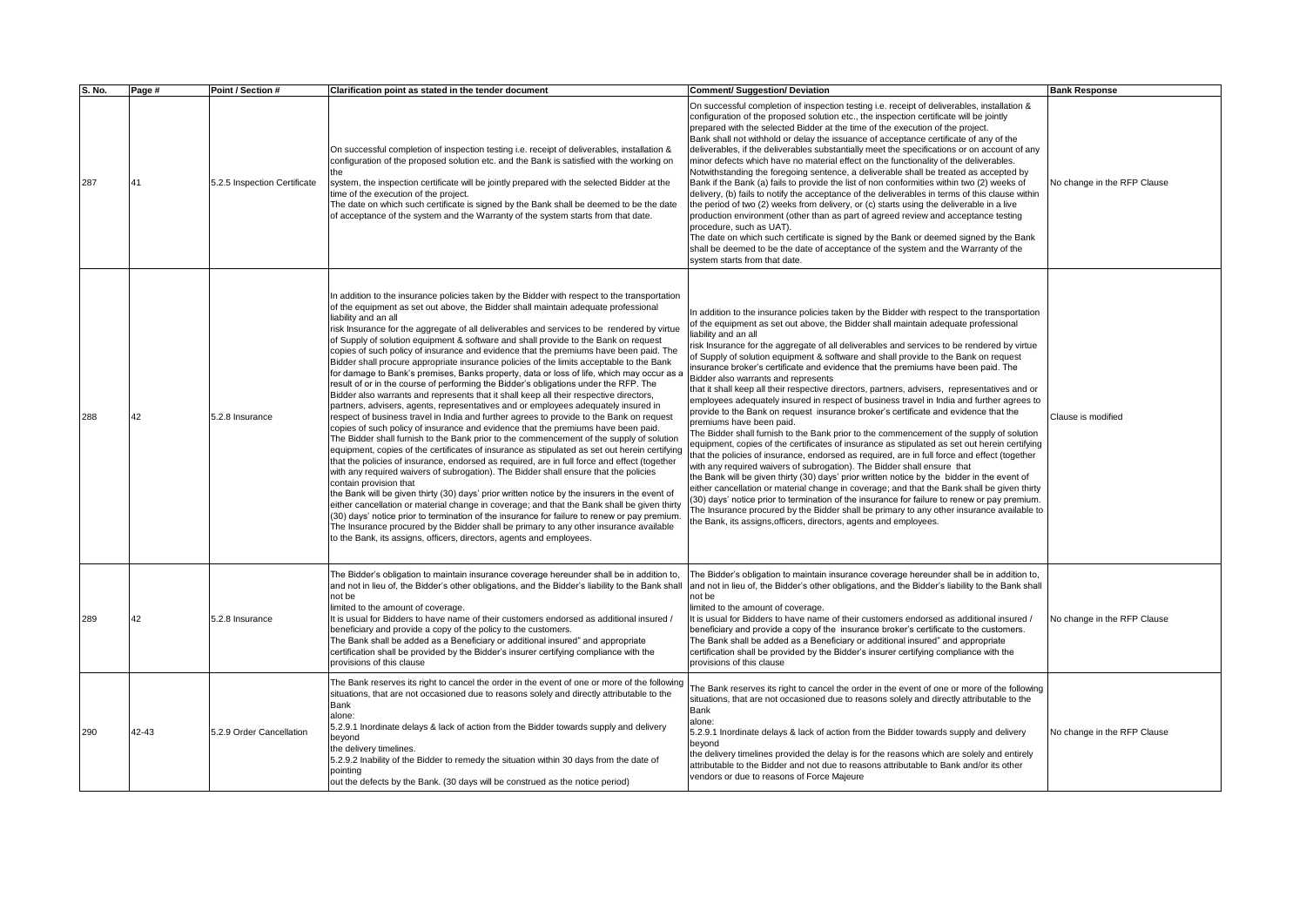| S. No. | Page # | Point / Section #            | Clarification point as stated in the tender document                                                                                                                                                                                                                                                                                                                                                                                                                                                                                                                                                                                                                                                                                                                                                                                                                                                                                                                                                                                                                                                                                                                                                                                                                                                                                                                                                                                                                                                                                                                                                                                                                                                                                                                                                                                                                                                                                                                                                                        | <b>Comment/ Suggestion/ Deviation</b>                                                                                                                                                                                                                                                                                                                                                                                                                                                                                                                                                                                                                                                                                                                                                                                                                                                                                                                                                                                                                                                                                                                                                                                                                                                                                                                                                                                                                                                                                                                                                                                                                                               | <b>Bank Response</b>        |
|--------|--------|------------------------------|-----------------------------------------------------------------------------------------------------------------------------------------------------------------------------------------------------------------------------------------------------------------------------------------------------------------------------------------------------------------------------------------------------------------------------------------------------------------------------------------------------------------------------------------------------------------------------------------------------------------------------------------------------------------------------------------------------------------------------------------------------------------------------------------------------------------------------------------------------------------------------------------------------------------------------------------------------------------------------------------------------------------------------------------------------------------------------------------------------------------------------------------------------------------------------------------------------------------------------------------------------------------------------------------------------------------------------------------------------------------------------------------------------------------------------------------------------------------------------------------------------------------------------------------------------------------------------------------------------------------------------------------------------------------------------------------------------------------------------------------------------------------------------------------------------------------------------------------------------------------------------------------------------------------------------------------------------------------------------------------------------------------------------|-------------------------------------------------------------------------------------------------------------------------------------------------------------------------------------------------------------------------------------------------------------------------------------------------------------------------------------------------------------------------------------------------------------------------------------------------------------------------------------------------------------------------------------------------------------------------------------------------------------------------------------------------------------------------------------------------------------------------------------------------------------------------------------------------------------------------------------------------------------------------------------------------------------------------------------------------------------------------------------------------------------------------------------------------------------------------------------------------------------------------------------------------------------------------------------------------------------------------------------------------------------------------------------------------------------------------------------------------------------------------------------------------------------------------------------------------------------------------------------------------------------------------------------------------------------------------------------------------------------------------------------------------------------------------------------|-----------------------------|
| 287    | 41     | 5.2.5 Inspection Certificate | On successful completion of inspection testing i.e. receipt of deliverables, installation &<br>configuration of the proposed solution etc. and the Bank is satisfied with the working on<br>the<br>system, the inspection certificate will be jointly prepared with the selected Bidder at the<br>time of the execution of the project.<br>The date on which such certificate is signed by the Bank shall be deemed to be the date<br>of acceptance of the system and the Warranty of the system starts from that date.                                                                                                                                                                                                                                                                                                                                                                                                                                                                                                                                                                                                                                                                                                                                                                                                                                                                                                                                                                                                                                                                                                                                                                                                                                                                                                                                                                                                                                                                                                     | On successful completion of inspection testing i.e. receipt of deliverables, installation &<br>configuration of the proposed solution etc., the inspection certificate will be jointly<br>prepared with the selected Bidder at the time of the execution of the project.<br>Bank shall not withhold or delay the issuance of acceptance certificate of any of the<br>deliverables, if the deliverables substantially meet the specifications or on account of any<br>minor defects which have no material effect on the functionality of the deliverables.<br>Notwithstanding the foregoing sentence, a deliverable shall be treated as accepted by<br>Bank if the Bank (a) fails to provide the list of non conformities within two (2) weeks of<br>delivery, (b) fails to notify the acceptance of the deliverables in terms of this clause within<br>the period of two (2) weeks from delivery, or (c) starts using the deliverable in a live<br>production environment (other than as part of agreed review and acceptance testing<br>procedure, such as UAT).<br>The date on which such certificate is signed by the Bank or deemed signed by the Bank<br>shall be deemed to be the date of acceptance of the system and the Warranty of the<br>system starts from that date.                                                                                                                                                                                                                                                                                                                                                                                                  | No change in the RFP Clause |
| 288    | 42     | 5.2.8 Insurance              | In addition to the insurance policies taken by the Bidder with respect to the transportation<br>of the equipment as set out above, the Bidder shall maintain adequate professional<br>liability and an all<br>risk Insurance for the aggregate of all deliverables and services to be rendered by virtue<br>of Supply of solution equipment & software and shall provide to the Bank on request<br>copies of such policy of insurance and evidence that the premiums have been paid. The<br>Bidder shall procure appropriate insurance policies of the limits acceptable to the Bank<br>for damage to Bank's premises, Banks property, data or loss of life, which may occur as a<br>result of or in the course of performing the Bidder's obligations under the RFP. The<br>Bidder also warrants and represents that it shall keep all their respective directors,<br>partners, advisers, agents, representatives and or employees adequately insured in<br>respect of business travel in India and further agrees to provide to the Bank on request<br>copies of such policy of insurance and evidence that the premiums have been paid.<br>The Bidder shall furnish to the Bank prior to the commencement of the supply of solution<br>equipment, copies of the certificates of insurance as stipulated as set out herein certifying<br>that the policies of insurance, endorsed as required, are in full force and effect (together<br>with any required waivers of subrogation). The Bidder shall ensure that the policies<br>contain provision that<br>the Bank will be given thirty (30) days' prior written notice by the insurers in the event of<br>either cancellation or material change in coverage; and that the Bank shall be given thirty<br>(30) days' notice prior to termination of the insurance for failure to renew or pay premium.<br>The Insurance procured by the Bidder shall be primary to any other insurance available<br>to the Bank, its assigns, officers, directors, agents and employees. | In addition to the insurance policies taken by the Bidder with respect to the transportation<br>of the equipment as set out above, the Bidder shall maintain adequate professional<br>liability and an all<br>risk Insurance for the aggregate of all deliverables and services to be rendered by virtue<br>of Supply of solution equipment & software and shall provide to the Bank on request<br>insurance broker's certificate and evidence that the premiums have been paid. The<br>Bidder also warrants and represents<br>that it shall keep all their respective directors, partners, advisers, representatives and or<br>employees adequately insured in respect of business travel in India and further agrees to<br>provide to the Bank on request insurance broker's certificate and evidence that the<br>premiums have been paid.<br>The Bidder shall furnish to the Bank prior to the commencement of the supply of solution<br>equipment, copies of the certificates of insurance as stipulated as set out herein certifying<br>that the policies of insurance, endorsed as required, are in full force and effect (together<br>with any required waivers of subrogation). The Bidder shall ensure that<br>the Bank will be given thirty (30) days' prior written notice by the bidder in the event of<br>either cancellation or material change in coverage; and that the Bank shall be given thirty<br>30) days' notice prior to termination of the insurance for failure to renew or pay premium.<br>The Insurance procured by the Bidder shall be primary to any other insurance available to<br>the Bank, its assigns, officers, directors, agents and employees. | Clause is modified          |
| 289    | 42     | 5.2.8 Insurance              | The Bidder's obligation to maintain insurance coverage hereunder shall be in addition to,<br>and not in lieu of, the Bidder's other obligations, and the Bidder's liability to the Bank shall<br>not be<br>limited to the amount of coverage.<br>It is usual for Bidders to have name of their customers endorsed as additional insured /<br>beneficiary and provide a copy of the policy to the customers.<br>The Bank shall be added as a Beneficiary or additional insured" and appropriate<br>certification shall be provided by the Bidder's insurer certifying compliance with the<br>provisions of this clause                                                                                                                                                                                                                                                                                                                                                                                                                                                                                                                                                                                                                                                                                                                                                                                                                                                                                                                                                                                                                                                                                                                                                                                                                                                                                                                                                                                                       | The Bidder's obligation to maintain insurance coverage hereunder shall be in addition to,<br>and not in lieu of, the Bidder's other obligations, and the Bidder's liability to the Bank shall<br>not be<br>limited to the amount of coverage.<br>It is usual for Bidders to have name of their customers endorsed as additional insured /<br>beneficiary and provide a copy of the insurance broker's certificate to the customers.<br>The Bank shall be added as a Beneficiary or additional insured" and appropriate<br>certification shall be provided by the Bidder's insurer certifying compliance with the<br>provisions of this clause                                                                                                                                                                                                                                                                                                                                                                                                                                                                                                                                                                                                                                                                                                                                                                                                                                                                                                                                                                                                                                       | No change in the RFP Clause |
| 290    | 42-43  | 5.2.9 Order Cancellation     | The Bank reserves its right to cancel the order in the event of one or more of the following<br>situations, that are not occasioned due to reasons solely and directly attributable to the<br>Bank<br>alone:<br>5.2.9.1 Inordinate delays & lack of action from the Bidder towards supply and delivery<br>beyond<br>the delivery timelines.<br>5.2.9.2 Inability of the Bidder to remedy the situation within 30 days from the date of<br>pointing<br>out the defects by the Bank. (30 days will be construed as the notice period)                                                                                                                                                                                                                                                                                                                                                                                                                                                                                                                                                                                                                                                                                                                                                                                                                                                                                                                                                                                                                                                                                                                                                                                                                                                                                                                                                                                                                                                                                         | The Bank reserves its right to cancel the order in the event of one or more of the following<br>situations, that are not occasioned due to reasons solely and directly attributable to the<br>Bank<br>alone:<br>5.2.9.1 Inordinate delays & lack of action from the Bidder towards supply and delivery<br>beyond<br>the delivery timelines provided the delay is for the reasons which are solely and entirely<br>attributable to the Bidder and not due to reasons attributable to Bank and/or its other<br>vendors or due to reasons of Force Majeure                                                                                                                                                                                                                                                                                                                                                                                                                                                                                                                                                                                                                                                                                                                                                                                                                                                                                                                                                                                                                                                                                                                             | No change in the RFP Clause |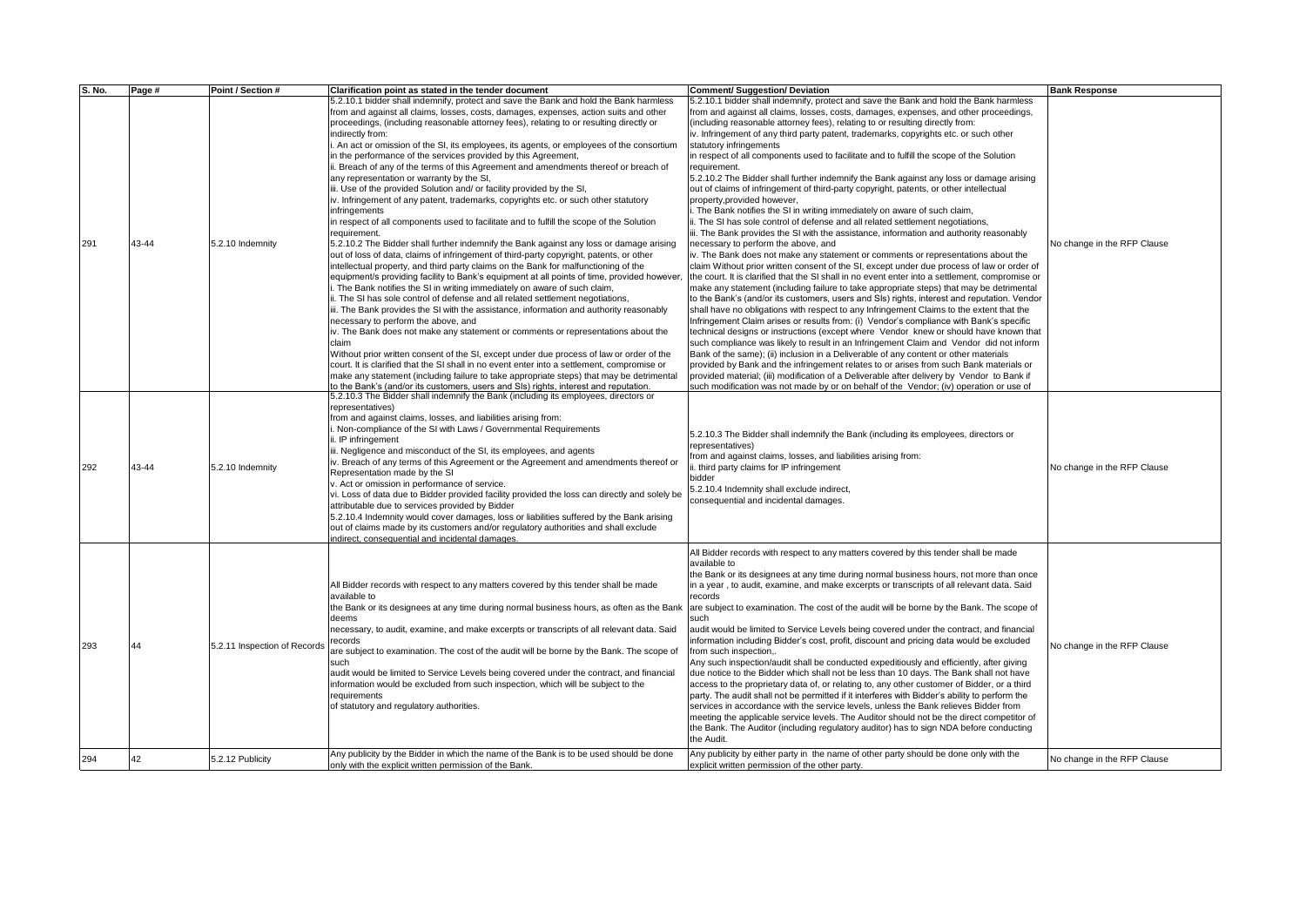| <b>S. No.</b> | Page # | Point / Section #            | Clarification point as stated in the tender document                                                                                                                                                                                                                                                                                                                                                                                                                                                                                                                                                                                                                                                                                                                                                                                                                                                                                                                                                                                                                                                                                                                                                                                                                                                                                                                                                                                                                                                                                                                                                                                                                                                                                                                                                                                                                                                                                                                                                                                                                                                                                                                                                                                     | <b>Comment/ Suggestion/ Deviation</b>                                                                                                                                                                                                                                                                                                                                                                                                                                                                                                                                                                                                                                                                                                                                                                                                                                                                                                                                                                                                                                                                                                                                                                                                                                                                                                                                                                                                                                                                                                                                                                                                                                                                                                                                                                                                                                                                                                                                                                                                                                                                                                                                                                                                                   | <b>Bank Response</b>        |
|---------------|--------|------------------------------|------------------------------------------------------------------------------------------------------------------------------------------------------------------------------------------------------------------------------------------------------------------------------------------------------------------------------------------------------------------------------------------------------------------------------------------------------------------------------------------------------------------------------------------------------------------------------------------------------------------------------------------------------------------------------------------------------------------------------------------------------------------------------------------------------------------------------------------------------------------------------------------------------------------------------------------------------------------------------------------------------------------------------------------------------------------------------------------------------------------------------------------------------------------------------------------------------------------------------------------------------------------------------------------------------------------------------------------------------------------------------------------------------------------------------------------------------------------------------------------------------------------------------------------------------------------------------------------------------------------------------------------------------------------------------------------------------------------------------------------------------------------------------------------------------------------------------------------------------------------------------------------------------------------------------------------------------------------------------------------------------------------------------------------------------------------------------------------------------------------------------------------------------------------------------------------------------------------------------------------|---------------------------------------------------------------------------------------------------------------------------------------------------------------------------------------------------------------------------------------------------------------------------------------------------------------------------------------------------------------------------------------------------------------------------------------------------------------------------------------------------------------------------------------------------------------------------------------------------------------------------------------------------------------------------------------------------------------------------------------------------------------------------------------------------------------------------------------------------------------------------------------------------------------------------------------------------------------------------------------------------------------------------------------------------------------------------------------------------------------------------------------------------------------------------------------------------------------------------------------------------------------------------------------------------------------------------------------------------------------------------------------------------------------------------------------------------------------------------------------------------------------------------------------------------------------------------------------------------------------------------------------------------------------------------------------------------------------------------------------------------------------------------------------------------------------------------------------------------------------------------------------------------------------------------------------------------------------------------------------------------------------------------------------------------------------------------------------------------------------------------------------------------------------------------------------------------------------------------------------------------------|-----------------------------|
| 291           | 43-44  | 5.2.10 Indemnity             | 5.2.10.1 bidder shall indemnify, protect and save the Bank and hold the Bank harmless<br>from and against all claims, losses, costs, damages, expenses, action suits and other<br>proceedings, (including reasonable attorney fees), relating to or resulting directly or<br>indirectly from:<br>i. An act or omission of the SI, its employees, its agents, or employees of the consortium<br>in the performance of the services provided by this Agreement,<br>ii. Breach of any of the terms of this Agreement and amendments thereof or breach of<br>any representation or warranty by the SI,<br>iii. Use of the provided Solution and/ or facility provided by the SI,<br>iv. Infringement of any patent, trademarks, copyrights etc. or such other statutory<br>infringements<br>in respect of all components used to facilitate and to fulfill the scope of the Solution<br>requirement.<br>5.2.10.2 The Bidder shall further indemnify the Bank against any loss or damage arising<br>out of loss of data, claims of infringement of third-party copyright, patents, or other<br>intellectual property, and third party claims on the Bank for malfunctioning of the<br>equipment/s providing facility to Bank's equipment at all points of time, provided however,<br>i. The Bank notifies the SI in writing immediately on aware of such claim,<br>ii. The SI has sole control of defense and all related settlement negotiations,<br>iii. The Bank provides the SI with the assistance, information and authority reasonably<br>necessary to perform the above, and<br>iv. The Bank does not make any statement or comments or representations about the<br>claim<br>Without prior written consent of the SI, except under due process of law or order of the<br>court. It is clarified that the SI shall in no event enter into a settlement, compromise or<br>make any statement (including failure to take appropriate steps) that may be detrimental<br>o the Bank's (and/or its customers, users and SIs) rights, interest and reputation.<br>5.2.10.3 The Bidder shall indemnify the Bank (including its employees, directors or<br>representatives)<br>from and against claims, losses, and liabilities arising from: | 5.2.10.1 bidder shall indemnify, protect and save the Bank and hold the Bank harmless<br>from and against all claims, losses, costs, damages, expenses, and other proceedings,<br>(including reasonable attorney fees), relating to or resulting directly from:<br>iv. Infringement of any third party patent, trademarks, copyrights etc. or such other<br>statutory infringements<br>in respect of all components used to facilitate and to fulfill the scope of the Solution<br>reauirement.<br>5.2.10.2 The Bidder shall further indemnify the Bank against any loss or damage arising<br>out of claims of infringement of third-party copyright, patents, or other intellectual<br>property, provided however,<br>The Bank notifies the SI in writing immediately on aware of such claim,<br>i. The SI has sole control of defense and all related settlement negotiations,<br>ii. The Bank provides the SI with the assistance, information and authority reasonably<br>necessary to perform the above, and<br>iv. The Bank does not make any statement or comments or representations about the<br>claim Without prior written consent of the SI, except under due process of law or order of<br>the court. It is clarified that the SI shall in no event enter into a settlement, compromise or<br>make any statement (including failure to take appropriate steps) that may be detrimental<br>to the Bank's (and/or its customers, users and SIs) rights, interest and reputation. Vendor<br>shall have no obligations with respect to any Infringement Claims to the extent that the<br>Infringement Claim arises or results from: (i) Vendor's compliance with Bank's specific<br>technical designs or instructions (except where Vendor knew or should have known that<br>such compliance was likely to result in an Infringement Claim and Vendor did not inform<br>Bank of the same); (ii) inclusion in a Deliverable of any content or other materials<br>provided by Bank and the infringement relates to or arises from such Bank materials or<br>provided material; (iii) modification of a Deliverable after delivery by Vendor to Bank if<br>such modification was not made by or on behalf of the Vendor: (iv) operation or use of | No change in the RFP Clause |
| 292           | 43-44  | 5.2.10 Indemnity             | i. Non-compliance of the SI with Laws / Governmental Requirements<br>i. IP infringement<br>iii. Negligence and misconduct of the SI, its employees, and agents<br>iv. Breach of any terms of this Agreement or the Agreement and amendments thereof or<br>Representation made by the SI<br>v. Act or omission in performance of service.<br>vi. Loss of data due to Bidder provided facility provided the loss can directly and solely be<br>attributable due to services provided by Bidder<br>5.2.10.4 Indemnity would cover damages, loss or liabilities suffered by the Bank arising<br>out of claims made by its customers and/or regulatory authorities and shall exclude<br>ndirect, consequential and incidental damages                                                                                                                                                                                                                                                                                                                                                                                                                                                                                                                                                                                                                                                                                                                                                                                                                                                                                                                                                                                                                                                                                                                                                                                                                                                                                                                                                                                                                                                                                                         | 5.2.10.3 The Bidder shall indemnify the Bank (including its employees, directors or<br>representatives)<br>from and against claims, losses, and liabilities arising from:<br>i. third party claims for IP infringement<br>bidder<br>5.2.10.4 Indemnity shall exclude indirect,<br>consequential and incidental damages.                                                                                                                                                                                                                                                                                                                                                                                                                                                                                                                                                                                                                                                                                                                                                                                                                                                                                                                                                                                                                                                                                                                                                                                                                                                                                                                                                                                                                                                                                                                                                                                                                                                                                                                                                                                                                                                                                                                                 | No change in the RFP Clause |
| 293           | 44     | 5.2.11 Inspection of Records | All Bidder records with respect to any matters covered by this tender shall be made<br>available to<br>the Bank or its designees at any time during normal business hours, as often as the Bank<br>deems<br>necessary, to audit, examine, and make excerpts or transcripts of all relevant data. Said<br>records<br>are subject to examination. The cost of the audit will be borne by the Bank. The scope of<br>such<br>audit would be limited to Service Levels being covered under the contract, and financial<br>information would be excluded from such inspection, which will be subject to the<br>requirements<br>of statutory and regulatory authorities.<br>Any publicity by the Bidder in which the name of the Bank is to be used should be done                                                                                                                                                                                                                                                                                                                                                                                                                                                                                                                                                                                                                                                                                                                                                                                                                                                                                                                                                                                                                                                                                                                                                                                                                                                                                                                                                                                                                                                                              | All Bidder records with respect to any matters covered by this tender shall be made<br>available to<br>the Bank or its designees at any time during normal business hours, not more than once<br>in a year, to audit, examine, and make excerpts or transcripts of all relevant data. Said<br>records<br>are subject to examination. The cost of the audit will be borne by the Bank. The scope of<br>such<br>audit would be limited to Service Levels being covered under the contract, and financial<br>information including Bidder's cost, profit, discount and pricing data would be excluded<br>from such inspection,.<br>Any such inspection/audit shall be conducted expeditiously and efficiently, after giving<br>due notice to the Bidder which shall not be less than 10 days. The Bank shall not have<br>access to the proprietary data of, or relating to, any other customer of Bidder, or a third<br>party. The audit shall not be permitted if it interferes with Bidder's ability to perform the<br>services in accordance with the service levels, unless the Bank relieves Bidder from<br>meeting the applicable service levels. The Auditor should not be the direct competitor of<br>the Bank. The Auditor (including regulatory auditor) has to sign NDA before conducting<br>the Audit.<br>Any publicity by either party in the name of other party should be done only with the                                                                                                                                                                                                                                                                                                                                                                                                                                                                                                                                                                                                                                                                                                                                                                                                                                                | No change in the RFP Clause |
| 294           | 42     | 5.2.12 Publicity             | only with the explicit written permission of the Bank.                                                                                                                                                                                                                                                                                                                                                                                                                                                                                                                                                                                                                                                                                                                                                                                                                                                                                                                                                                                                                                                                                                                                                                                                                                                                                                                                                                                                                                                                                                                                                                                                                                                                                                                                                                                                                                                                                                                                                                                                                                                                                                                                                                                   | explicit written permission of the other party.                                                                                                                                                                                                                                                                                                                                                                                                                                                                                                                                                                                                                                                                                                                                                                                                                                                                                                                                                                                                                                                                                                                                                                                                                                                                                                                                                                                                                                                                                                                                                                                                                                                                                                                                                                                                                                                                                                                                                                                                                                                                                                                                                                                                         | No change in the RFP Clause |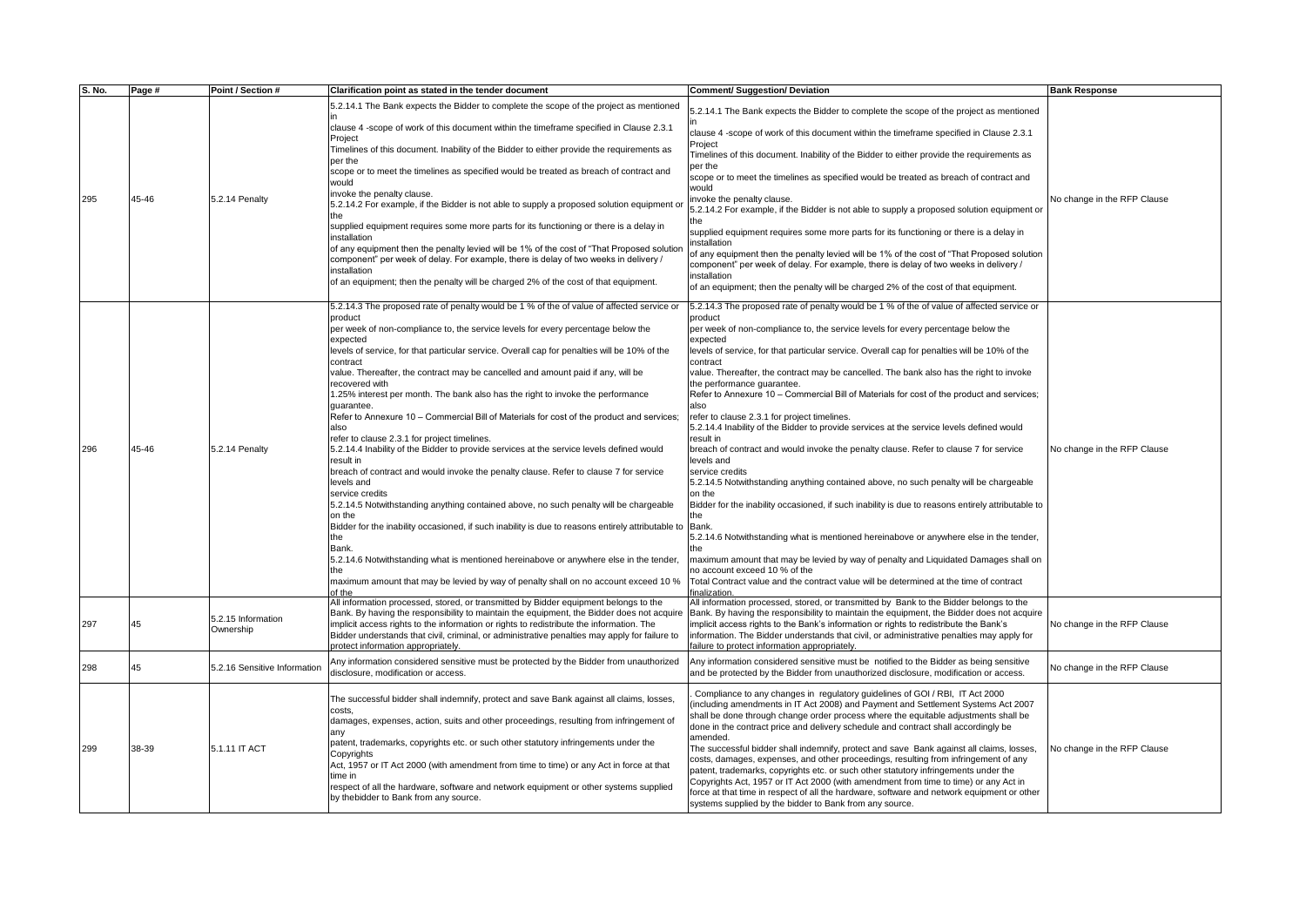| <b>S. No.</b> | Page # | Point / Section #            | Clarification point as stated in the tender document                                                                                                                                      | <b>Comment/ Suggestion/ Deviation</b>                                                                                                                                              | <b>Bank Response</b>        |
|---------------|--------|------------------------------|-------------------------------------------------------------------------------------------------------------------------------------------------------------------------------------------|------------------------------------------------------------------------------------------------------------------------------------------------------------------------------------|-----------------------------|
|               |        |                              | 5.2.14.1 The Bank expects the Bidder to complete the scope of the project as mentioned                                                                                                    | 5.2.14.1 The Bank expects the Bidder to complete the scope of the project as mentioned                                                                                             |                             |
|               |        |                              | clause 4 -scope of work of this document within the timeframe specified in Clause 2.3.1<br>Project                                                                                        | clause 4 -scope of work of this document within the timeframe specified in Clause 2.3.1                                                                                            |                             |
|               |        |                              | Timelines of this document. Inability of the Bidder to either provide the requirements as                                                                                                 | Project<br>Timelines of this document. Inability of the Bidder to either provide the requirements as                                                                               |                             |
|               |        |                              | per the<br>scope or to meet the timelines as specified would be treated as breach of contract and<br>would                                                                                | per the<br>scope or to meet the timelines as specified would be treated as breach of contract and                                                                                  |                             |
| 295           | 45-46  | 5.2.14 Penalty               | invoke the penalty clause.                                                                                                                                                                | would                                                                                                                                                                              | No change in the RFP Clause |
|               |        |                              | 5.2.14.2 For example, if the Bidder is not able to supply a proposed solution equipment or<br>the                                                                                         | invoke the penalty clause.<br>5.2.14.2 For example, if the Bidder is not able to supply a proposed solution equipment or                                                           |                             |
|               |        |                              | supplied equipment requires some more parts for its functioning or there is a delay in<br>installation                                                                                    | the<br>supplied equipment requires some more parts for its functioning or there is a delay in                                                                                      |                             |
|               |        |                              | of any equipment then the penalty levied will be 1% of the cost of "That Proposed solution                                                                                                | installation<br>of any equipment then the penalty levied will be 1% of the cost of "That Proposed solution                                                                         |                             |
|               |        |                              | component" per week of delay. For example, there is delay of two weeks in delivery /                                                                                                      | component" per week of delay. For example, there is delay of two weeks in delivery /                                                                                               |                             |
|               |        |                              | installation<br>of an equipment; then the penalty will be charged 2% of the cost of that equipment.                                                                                       | installation                                                                                                                                                                       |                             |
|               |        |                              |                                                                                                                                                                                           | of an equipment; then the penalty will be charged 2% of the cost of that equipment.                                                                                                |                             |
|               |        |                              | 5.2.14.3 The proposed rate of penalty would be 1 % of the of value of affected service or                                                                                                 | 5.2.14.3 The proposed rate of penalty would be 1 % of the of value of affected service or<br>product                                                                               |                             |
|               |        |                              | product<br>per week of non-compliance to, the service levels for every percentage below the                                                                                               | per week of non-compliance to, the service levels for every percentage below the                                                                                                   |                             |
|               |        |                              | expected<br>levels of service, for that particular service. Overall cap for penalties will be 10% of the                                                                                  | expected<br>levels of service, for that particular service. Overall cap for penalties will be 10% of the                                                                           |                             |
|               |        |                              | contract                                                                                                                                                                                  | contract                                                                                                                                                                           |                             |
|               |        |                              | value. Thereafter, the contract may be cancelled and amount paid if any, will be                                                                                                          | value. Thereafter, the contract may be cancelled. The bank also has the right to invoke                                                                                            |                             |
|               |        |                              | recovered with<br>1.25% interest per month. The bank also has the right to invoke the performance                                                                                         | the performance quarantee.<br>Refer to Annexure 10 - Commercial Bill of Materials for cost of the product and services;                                                            |                             |
|               |        |                              | quarantee.                                                                                                                                                                                | also                                                                                                                                                                               |                             |
|               |        |                              | Refer to Annexure 10 – Commercial Bill of Materials for cost of the product and services;<br>also                                                                                         | refer to clause 2.3.1 for project timelines.<br>5.2.14.4 Inability of the Bidder to provide services at the service levels defined would                                           |                             |
|               |        |                              | refer to clause 2.3.1 for project timelines.                                                                                                                                              | result in                                                                                                                                                                          |                             |
| 296           | 45-46  | 5.2.14 Penalty               | 5.2.14.4 Inability of the Bidder to provide services at the service levels defined would<br>result in                                                                                     | breach of contract and would invoke the penalty clause. Refer to clause 7 for service<br>levels and                                                                                | No change in the RFP Clause |
|               |        |                              | breach of contract and would invoke the penalty clause. Refer to clause 7 for service                                                                                                     | service credits                                                                                                                                                                    |                             |
|               |        |                              | levels and<br>service credits                                                                                                                                                             | 5.2.14.5 Notwithstanding anything contained above, no such penalty will be chargeable<br>on the                                                                                    |                             |
|               |        |                              | 5.2.14.5 Notwithstanding anything contained above, no such penalty will be chargeable                                                                                                     | Bidder for the inability occasioned, if such inability is due to reasons entirely attributable to                                                                                  |                             |
|               |        |                              | on the                                                                                                                                                                                    | the                                                                                                                                                                                |                             |
|               |        |                              | Bidder for the inability occasioned, if such inability is due to reasons entirely attributable to<br>the                                                                                  | Bank.<br>5.2.14.6 Notwithstanding what is mentioned hereinabove or anywhere else in the tender,                                                                                    |                             |
|               |        |                              | Bank.                                                                                                                                                                                     | the                                                                                                                                                                                |                             |
|               |        |                              | 5.2.14.6 Notwithstanding what is mentioned hereinabove or anywhere else in the tender,<br>the                                                                                             | maximum amount that may be levied by way of penalty and Liquidated Damages shall on<br>no account exceed 10 % of the                                                               |                             |
|               |        |                              | maximum amount that may be levied by way of penalty shall on no account exceed 10 %                                                                                                       | Total Contract value and the contract value will be determined at the time of contract                                                                                             |                             |
|               |        |                              | of the<br>All information processed, stored, or transmitted by Bidder equipment belongs to the                                                                                            | finalization.<br>All information processed, stored, or transmitted by Bank to the Bidder belongs to the                                                                            |                             |
|               |        | 5.2.15 Information           | Bank. By having the responsibility to maintain the equipment, the Bidder does not acquire                                                                                                 | Bank. By having the responsibility to maintain the equipment, the Bidder does not acquire                                                                                          |                             |
| 297           | 45     | Ownership                    | implicit access rights to the information or rights to redistribute the information. The<br>Bidder understands that civil, criminal, or administrative penalties may apply for failure to | implicit access rights to the Bank's information or rights to redistribute the Bank's<br>information. The Bidder understands that civil, or administrative penalties may apply for | No change in the RFP Clause |
|               |        |                              | protect information appropriately                                                                                                                                                         | failure to protect information appropriately.                                                                                                                                      |                             |
| 298           | 45     | 5.2.16 Sensitive Information | Any information considered sensitive must be protected by the Bidder from unauthorized                                                                                                    | Any information considered sensitive must be notified to the Bidder as being sensitive                                                                                             | No change in the RFP Clause |
|               |        |                              | disclosure, modification or access.                                                                                                                                                       | and be protected by the Bidder from unauthorized disclosure, modification or access.                                                                                               |                             |
|               |        |                              | The successful bidder shall indemnify, protect and save Bank against all claims, losses,                                                                                                  | Compliance to any changes in regulatory guidelines of GOI / RBI, IT Act 2000                                                                                                       |                             |
|               |        |                              | costs.                                                                                                                                                                                    | (including amendments in IT Act 2008) and Payment and Settlement Systems Act 2007<br>shall be done through change order process where the equitable adjustments shall be           |                             |
|               |        |                              | damages, expenses, action, suits and other proceedings, resulting from infringement of<br>any                                                                                             | done in the contract price and delivery schedule and contract shall accordingly be                                                                                                 |                             |
| 299           | 38-39  | 5.1.11 IT ACT                | patent, trademarks, copyrights etc. or such other statutory infringements under the                                                                                                       | amended.<br>The successful bidder shall indemnify, protect and save Bank against all claims, losses,                                                                               | No change in the RFP Clause |
|               |        |                              | Copyrights<br>Act, 1957 or IT Act 2000 (with amendment from time to time) or any Act in force at that                                                                                     | costs, damages, expenses, and other proceedings, resulting from infringement of any                                                                                                |                             |
|               |        |                              | time in                                                                                                                                                                                   | patent, trademarks, copyrights etc. or such other statutory infringements under the<br>Copyrights Act, 1957 or IT Act 2000 (with amendment from time to time) or any Act in        |                             |
|               |        |                              | respect of all the hardware, software and network equipment or other systems supplied<br>by thebidder to Bank from any source.                                                            | force at that time in respect of all the hardware, software and network equipment or other                                                                                         |                             |
|               |        |                              |                                                                                                                                                                                           | systems supplied by the bidder to Bank from any source.                                                                                                                            |                             |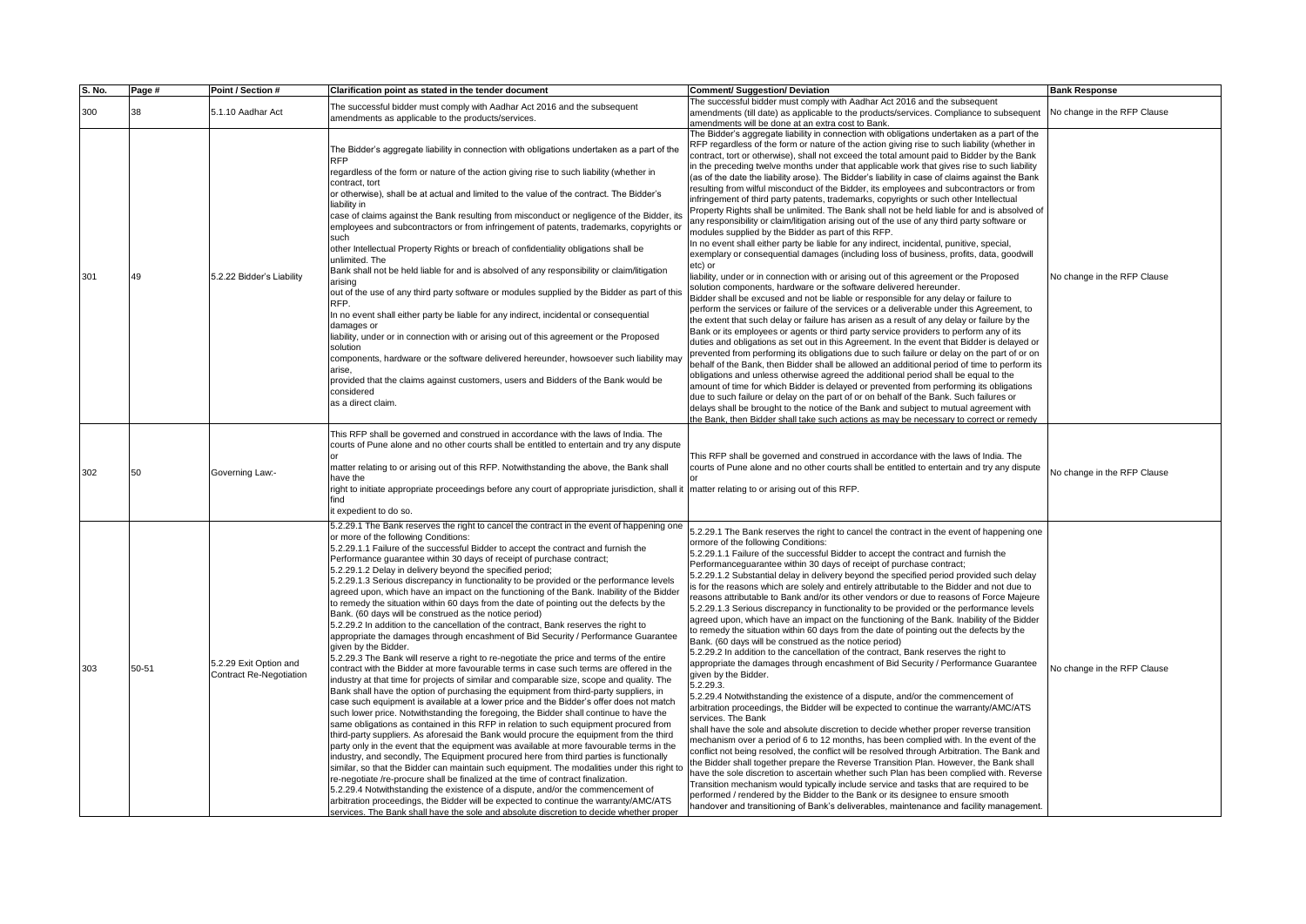| S. No. | Page # | Point / Section #              | Clarification point as stated in the tender document                                                                                                                             | <b>Comment/ Suggestion/ Deviation</b>                                                                                                                                                       | <b>Bank Response</b>        |
|--------|--------|--------------------------------|----------------------------------------------------------------------------------------------------------------------------------------------------------------------------------|---------------------------------------------------------------------------------------------------------------------------------------------------------------------------------------------|-----------------------------|
|        |        |                                | The successful bidder must comply with Aadhar Act 2016 and the subsequent                                                                                                        | The successful bidder must comply with Aadhar Act 2016 and the subsequent                                                                                                                   |                             |
| 300    | 38     | 5.1.10 Aadhar Act              | amendments as applicable to the products/services.                                                                                                                               | amendments (till date) as applicable to the products/services. Compliance to subsequent                                                                                                     | No change in the RFP Clause |
|        |        |                                |                                                                                                                                                                                  | amendments will be done at an extra cost to Bank.                                                                                                                                           |                             |
|        |        |                                |                                                                                                                                                                                  | The Bidder's aggregate liability in connection with obligations undertaken as a part of the                                                                                                 |                             |
|        |        |                                | The Bidder's aggregate liability in connection with obligations undertaken as a part of the                                                                                      | RFP regardless of the form or nature of the action giving rise to such liability (whether in                                                                                                |                             |
|        |        |                                | RFP                                                                                                                                                                              | contract, tort or otherwise), shall not exceed the total amount paid to Bidder by the Bank                                                                                                  |                             |
|        |        |                                | regardless of the form or nature of the action giving rise to such liability (whether in                                                                                         | in the preceding twelve months under that applicable work that gives rise to such liability                                                                                                 |                             |
|        |        |                                | contract, tort                                                                                                                                                                   | (as of the date the liability arose). The Bidder's liability in case of claims against the Bank<br>resulting from wilful misconduct of the Bidder, its employees and subcontractors or from |                             |
|        |        |                                | or otherwise), shall be at actual and limited to the value of the contract. The Bidder's                                                                                         | infringement of third party patents, trademarks, copyrights or such other Intellectual                                                                                                      |                             |
|        |        |                                | liability in                                                                                                                                                                     | Property Rights shall be unlimited. The Bank shall not be held liable for and is absolved of                                                                                                |                             |
|        |        |                                | case of claims against the Bank resulting from misconduct or negligence of the Bidder, its                                                                                       | any responsibility or claim/litigation arising out of the use of any third party software or                                                                                                |                             |
|        |        |                                | employees and subcontractors or from infringement of patents, trademarks, copyrights or                                                                                          | modules supplied by the Bidder as part of this RFP.                                                                                                                                         |                             |
|        |        |                                | such<br>other Intellectual Property Rights or breach of confidentiality obligations shall be                                                                                     | In no event shall either party be liable for any indirect, incidental, punitive, special,                                                                                                   |                             |
|        |        |                                | unlimited. The                                                                                                                                                                   | exemplary or consequential damages (including loss of business, profits, data, goodwill                                                                                                     |                             |
|        |        |                                | Bank shall not be held liable for and is absolved of any responsibility or claim/litigation                                                                                      | etc) or                                                                                                                                                                                     |                             |
| 301    | 49     | 5.2.22 Bidder's Liability      | arising                                                                                                                                                                          | liability, under or in connection with or arising out of this agreement or the Proposed                                                                                                     | No change in the RFP Clause |
|        |        |                                | out of the use of any third party software or modules supplied by the Bidder as part of this                                                                                     | solution components, hardware or the software delivered hereunder.                                                                                                                          |                             |
|        |        |                                | RFP.                                                                                                                                                                             | Bidder shall be excused and not be liable or responsible for any delay or failure to                                                                                                        |                             |
|        |        |                                | In no event shall either party be liable for any indirect, incidental or consequential                                                                                           | perform the services or failure of the services or a deliverable under this Agreement, to<br>the extent that such delay or failure has arisen as a result of any delay or failure by the    |                             |
|        |        |                                | damages or                                                                                                                                                                       | Bank or its employees or agents or third party service providers to perform any of its                                                                                                      |                             |
|        |        |                                | liability, under or in connection with or arising out of this agreement or the Proposed                                                                                          | duties and obligations as set out in this Agreement. In the event that Bidder is delayed or                                                                                                 |                             |
|        |        |                                | solution                                                                                                                                                                         | prevented from performing its obligations due to such failure or delay on the part of or on                                                                                                 |                             |
|        |        |                                | components, hardware or the software delivered hereunder, howsoever such liability may                                                                                           | behalf of the Bank, then Bidder shall be allowed an additional period of time to perform its                                                                                                |                             |
|        |        |                                | arise,                                                                                                                                                                           | obligations and unless otherwise agreed the additional period shall be equal to the                                                                                                         |                             |
|        |        |                                | provided that the claims against customers, users and Bidders of the Bank would be<br>considered                                                                                 | amount of time for which Bidder is delayed or prevented from performing its obligations                                                                                                     |                             |
|        |        |                                | as a direct claim.                                                                                                                                                               | due to such failure or delay on the part of or on behalf of the Bank. Such failures or                                                                                                      |                             |
|        |        |                                |                                                                                                                                                                                  | delays shall be brought to the notice of the Bank and subject to mutual agreement with                                                                                                      |                             |
|        |        |                                |                                                                                                                                                                                  | the Bank, then Bidder shall take such actions as may be necessary to correct or remedy                                                                                                      |                             |
|        |        |                                | This RFP shall be governed and construed in accordance with the laws of India. The                                                                                               |                                                                                                                                                                                             |                             |
|        |        |                                | courts of Pune alone and no other courts shall be entitled to entertain and try any dispute                                                                                      |                                                                                                                                                                                             |                             |
|        | 50     | Governing Law:-                | or                                                                                                                                                                               | This RFP shall be governed and construed in accordance with the laws of India. The                                                                                                          |                             |
| 302    |        |                                | matter relating to or arising out of this RFP. Notwithstanding the above, the Bank shall                                                                                         | courts of Pune alone and no other courts shall be entitled to entertain and try any dispute                                                                                                 | No change in the RFP Clause |
|        |        |                                | have the                                                                                                                                                                         |                                                                                                                                                                                             |                             |
|        |        |                                | right to initiate appropriate proceedings before any court of appropriate jurisdiction, shall i<br>find                                                                          | matter relating to or arising out of this RFP.                                                                                                                                              |                             |
|        |        |                                | t expedient to do so.                                                                                                                                                            |                                                                                                                                                                                             |                             |
|        |        |                                |                                                                                                                                                                                  |                                                                                                                                                                                             |                             |
|        |        |                                | 5.2.29.1 The Bank reserves the right to cancel the contract in the event of happening one                                                                                        | 5.2.29.1 The Bank reserves the right to cancel the contract in the event of happening one                                                                                                   |                             |
|        |        |                                | or more of the following Conditions:                                                                                                                                             | ormore of the following Conditions:                                                                                                                                                         |                             |
|        |        |                                | 5.2.29.1.1 Failure of the successful Bidder to accept the contract and furnish the<br>Performance guarantee within 30 days of receipt of purchase contract;                      | 5.2.29.1.1 Failure of the successful Bidder to accept the contract and furnish the                                                                                                          |                             |
|        |        |                                | 5.2.29.1.2 Delay in delivery beyond the specified period;                                                                                                                        | Performanceguarantee within 30 days of receipt of purchase contract;                                                                                                                        |                             |
|        |        |                                | 5.2.29.1.3 Serious discrepancy in functionality to be provided or the performance levels                                                                                         | 5.2.29.1.2 Substantial delay in delivery beyond the specified period provided such delay                                                                                                    |                             |
|        |        |                                | agreed upon, which have an impact on the functioning of the Bank. Inability of the Bidder                                                                                        | is for the reasons which are solely and entirely attributable to the Bidder and not due to                                                                                                  |                             |
|        |        |                                | to remedy the situation within 60 days from the date of pointing out the defects by the                                                                                          | reasons attributable to Bank and/or its other vendors or due to reasons of Force Majeure                                                                                                    |                             |
|        |        |                                | Bank. (60 days will be construed as the notice period)                                                                                                                           | 5.2.29.1.3 Serious discrepancy in functionality to be provided or the performance levels<br>agreed upon, which have an impact on the functioning of the Bank. Inability of the Bidder       |                             |
|        |        |                                | 5.2.29.2 In addition to the cancellation of the contract, Bank reserves the right to                                                                                             | to remedy the situation within 60 days from the date of pointing out the defects by the                                                                                                     |                             |
|        |        |                                | appropriate the damages through encashment of Bid Security / Performance Guarantee                                                                                               | Bank. (60 days will be construed as the notice period)                                                                                                                                      |                             |
|        |        |                                | given by the Bidder.                                                                                                                                                             | 5.2.29.2 In addition to the cancellation of the contract, Bank reserves the right to                                                                                                        |                             |
|        |        | 5.2.29 Exit Option and         | 5.2.29.3 The Bank will reserve a right to re-negotiate the price and terms of the entire                                                                                         | appropriate the damages through encashment of Bid Security / Performance Guarantee                                                                                                          |                             |
| 303    | 50-51  | <b>Contract Re-Negotiation</b> | contract with the Bidder at more favourable terms in case such terms are offered in the                                                                                          | given by the Bidder.                                                                                                                                                                        | No change in the RFP Clause |
|        |        |                                | industry at that time for projects of similar and comparable size, scope and quality. The                                                                                        | 5.2.29.3.                                                                                                                                                                                   |                             |
|        |        |                                | Bank shall have the option of purchasing the equipment from third-party suppliers, in<br>case such equipment is available at a lower price and the Bidder's offer does not match | 5.2.29.4 Notwithstanding the existence of a dispute, and/or the commencement of                                                                                                             |                             |
|        |        |                                | such lower price. Notwithstanding the foregoing, the Bidder shall continue to have the                                                                                           | arbitration proceedings, the Bidder will be expected to continue the warranty/AMC/ATS                                                                                                       |                             |
|        |        |                                | same obligations as contained in this RFP in relation to such equipment procured from                                                                                            | services. The Bank                                                                                                                                                                          |                             |
|        |        |                                | third-party suppliers. As aforesaid the Bank would procure the equipment from the third                                                                                          | shall have the sole and absolute discretion to decide whether proper reverse transition                                                                                                     |                             |
|        |        |                                | party only in the event that the equipment was available at more favourable terms in the                                                                                         | mechanism over a period of 6 to 12 months, has been complied with. In the event of the                                                                                                      |                             |
|        |        |                                | industry, and secondly, The Equipment procured here from third parties is functionally                                                                                           | conflict not being resolved, the conflict will be resolved through Arbitration. The Bank and                                                                                                |                             |
|        |        |                                | similar, so that the Bidder can maintain such equipment. The modalities under this right to                                                                                      | the Bidder shall together prepare the Reverse Transition Plan. However, the Bank shall                                                                                                      |                             |
|        |        |                                | re-negotiate /re-procure shall be finalized at the time of contract finalization.                                                                                                | have the sole discretion to ascertain whether such Plan has been complied with. Reverse<br>Transition mechanism would typically include service and tasks that are required to be           |                             |
|        |        |                                | 5.2.29.4 Notwithstanding the existence of a dispute, and/or the commencement of                                                                                                  | performed / rendered by the Bidder to the Bank or its designee to ensure smooth                                                                                                             |                             |
|        |        |                                | arbitration proceedings, the Bidder will be expected to continue the warranty/AMC/ATS                                                                                            | handover and transitioning of Bank's deliverables, maintenance and facility management.                                                                                                     |                             |
|        |        |                                | services. The Bank shall have the sole and absolute discretion to decide whether proper                                                                                          |                                                                                                                                                                                             |                             |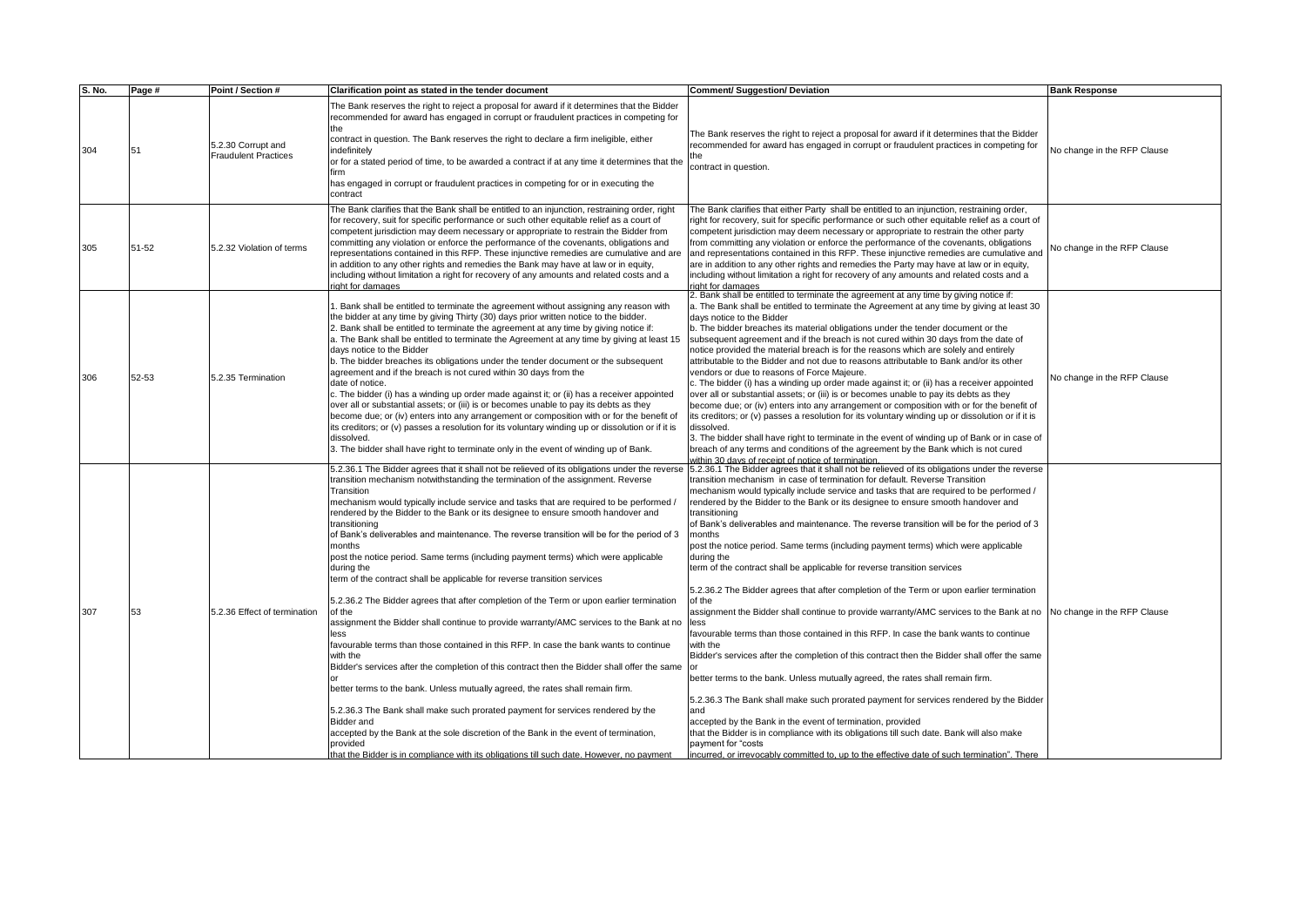| <b>S. No.</b> | Page # | Point / Section #                                 | Clarification point as stated in the tender document                                                                                                                                                                                                                                                                                                                                                                                                                                                                                                                                                                                                                                                                                                                                                                                                                                                                                                                                                                                                                                                                                                                                                                                                                                                                                                                                                                                                                                            | <b>Comment/ Suggestion/ Deviation</b>                                                                                                                                                                                                                                                                                                                                                                                                                                                                                                                                                                                                                                                                                                                                                                                                                                                                                                                                                                                                                                                                                                                                                                                                                                                                                                                                                                                                                                                                                                                        | <b>Bank Response</b>        |
|---------------|--------|---------------------------------------------------|-------------------------------------------------------------------------------------------------------------------------------------------------------------------------------------------------------------------------------------------------------------------------------------------------------------------------------------------------------------------------------------------------------------------------------------------------------------------------------------------------------------------------------------------------------------------------------------------------------------------------------------------------------------------------------------------------------------------------------------------------------------------------------------------------------------------------------------------------------------------------------------------------------------------------------------------------------------------------------------------------------------------------------------------------------------------------------------------------------------------------------------------------------------------------------------------------------------------------------------------------------------------------------------------------------------------------------------------------------------------------------------------------------------------------------------------------------------------------------------------------|--------------------------------------------------------------------------------------------------------------------------------------------------------------------------------------------------------------------------------------------------------------------------------------------------------------------------------------------------------------------------------------------------------------------------------------------------------------------------------------------------------------------------------------------------------------------------------------------------------------------------------------------------------------------------------------------------------------------------------------------------------------------------------------------------------------------------------------------------------------------------------------------------------------------------------------------------------------------------------------------------------------------------------------------------------------------------------------------------------------------------------------------------------------------------------------------------------------------------------------------------------------------------------------------------------------------------------------------------------------------------------------------------------------------------------------------------------------------------------------------------------------------------------------------------------------|-----------------------------|
| 304           | 51     | 5.2.30 Corrupt and<br><b>Fraudulent Practices</b> | The Bank reserves the right to reject a proposal for award if it determines that the Bidder<br>recommended for award has engaged in corrupt or fraudulent practices in competing for<br>the<br>contract in question. The Bank reserves the right to declare a firm ineligible, either<br>indefinitely<br>or for a stated period of time, to be awarded a contract if at any time it determines that the<br>firm<br>has engaged in corrupt or fraudulent practices in competing for or in executing the<br>contract                                                                                                                                                                                                                                                                                                                                                                                                                                                                                                                                                                                                                                                                                                                                                                                                                                                                                                                                                                              | The Bank reserves the right to reject a proposal for award if it determines that the Bidder<br>recommended for award has engaged in corrupt or fraudulent practices in competing for<br>the<br>contract in question.                                                                                                                                                                                                                                                                                                                                                                                                                                                                                                                                                                                                                                                                                                                                                                                                                                                                                                                                                                                                                                                                                                                                                                                                                                                                                                                                         | No change in the RFP Clause |
| 305           | 51-52  | 5.2.32 Violation of terms                         | The Bank clarifies that the Bank shall be entitled to an injunction, restraining order, right<br>for recovery, suit for specific performance or such other equitable relief as a court of<br>competent jurisdiction may deem necessary or appropriate to restrain the Bidder from<br>committing any violation or enforce the performance of the covenants, obligations and<br>representations contained in this RFP. These injunctive remedies are cumulative and are<br>in addition to any other rights and remedies the Bank may have at law or in equity,<br>including without limitation a right for recovery of any amounts and related costs and a<br>right for damages                                                                                                                                                                                                                                                                                                                                                                                                                                                                                                                                                                                                                                                                                                                                                                                                                   | The Bank clarifies that either Party shall be entitled to an injunction, restraining order,<br>right for recovery, suit for specific performance or such other equitable relief as a court of<br>competent jurisdiction may deem necessary or appropriate to restrain the other party<br>from committing any violation or enforce the performance of the covenants, obligations<br>and representations contained in this RFP. These injunctive remedies are cumulative and<br>are in addition to any other rights and remedies the Party may have at law or in equity,<br>including without limitation a right for recovery of any amounts and related costs and a<br>right for damages                                                                                                                                                                                                                                                                                                                                                                                                                                                                                                                                                                                                                                                                                                                                                                                                                                                                      | No change in the RFP Clause |
| 306           | 52-53  | 5.2.35 Termination                                | . Bank shall be entitled to terminate the agreement without assigning any reason with<br>the bidder at any time by giving Thirty (30) days prior written notice to the bidder.<br>2. Bank shall be entitled to terminate the agreement at any time by giving notice if:<br>a. The Bank shall be entitled to terminate the Agreement at any time by giving at least 15<br>days notice to the Bidder<br>b. The bidder breaches its obligations under the tender document or the subsequent<br>agreement and if the breach is not cured within 30 days from the<br>date of notice.<br>c. The bidder (i) has a winding up order made against it; or (ii) has a receiver appointed<br>over all or substantial assets; or (iii) is or becomes unable to pay its debts as they<br>become due; or (iv) enters into any arrangement or composition with or for the benefit of<br>its creditors; or (v) passes a resolution for its voluntary winding up or dissolution or if it is<br>dissolved.<br>3. The bidder shall have right to terminate only in the event of winding up of Bank.                                                                                                                                                                                                                                                                                                                                                                                                                 | 2. Bank shall be entitled to terminate the agreement at any time by giving notice if:<br>a. The Bank shall be entitled to terminate the Agreement at any time by giving at least 30<br>days notice to the Bidder<br>b. The bidder breaches its material obligations under the tender document or the<br>subsequent agreement and if the breach is not cured within 30 days from the date of<br>notice provided the material breach is for the reasons which are solely and entirely<br>attributable to the Bidder and not due to reasons attributable to Bank and/or its other<br>vendors or due to reasons of Force Majeure.<br>c. The bidder (i) has a winding up order made against it; or (ii) has a receiver appointed<br>over all or substantial assets; or (iii) is or becomes unable to pay its debts as they<br>become due; or (iv) enters into any arrangement or composition with or for the benefit of<br>its creditors; or (v) passes a resolution for its voluntary winding up or dissolution or if it is<br>dissolved.<br>3. The bidder shall have right to terminate in the event of winding up of Bank or in case of<br>breach of any terms and conditions of the agreement by the Bank which is not cured<br>within 30 days of receipt of notice of termination.                                                                                                                                                                                                                                                                           | No change in the RFP Clause |
| 307           | 53     | 5.2.36 Effect of termination                      | 5.2.36.1 The Bidder agrees that it shall not be relieved of its obligations under the reverse<br>transition mechanism notwithstanding the termination of the assignment. Reverse<br>Transition<br>mechanism would typically include service and tasks that are required to be performed /<br>rendered by the Bidder to the Bank or its designee to ensure smooth handover and<br>transitioning<br>of Bank's deliverables and maintenance. The reverse transition will be for the period of 3<br>months<br>post the notice period. Same terms (including payment terms) which were applicable<br>during the<br>term of the contract shall be applicable for reverse transition services<br>5.2.36.2 The Bidder agrees that after completion of the Term or upon earlier termination<br>of the<br>assignment the Bidder shall continue to provide warranty/AMC services to the Bank at no<br>less<br>favourable terms than those contained in this RFP. In case the bank wants to continue<br>with the<br>Bidder's services after the completion of this contract then the Bidder shall offer the same<br>better terms to the bank. Unless mutually agreed, the rates shall remain firm.<br>5.2.36.3 The Bank shall make such prorated payment for services rendered by the<br><b>Bidder</b> and<br>accepted by the Bank at the sole discretion of the Bank in the event of termination,<br>provided<br>that the Bidder is in compliance with its obligations till such date. However, no payment | 5.2.36.1 The Bidder agrees that it shall not be relieved of its obligations under the reverse<br>transition mechanism in case of termination for default. Reverse Transition<br>mechanism would typically include service and tasks that are required to be performed /<br>rendered by the Bidder to the Bank or its designee to ensure smooth handover and<br>transitioning<br>of Bank's deliverables and maintenance. The reverse transition will be for the period of 3<br>months<br>post the notice period. Same terms (including payment terms) which were applicable<br>during the<br>term of the contract shall be applicable for reverse transition services<br>5.2.36.2 The Bidder agrees that after completion of the Term or upon earlier termination<br>of the<br>assignment the Bidder shall continue to provide warranty/AMC services to the Bank at no<br>less<br>favourable terms than those contained in this RFP. In case the bank wants to continue<br>with the<br>Bidder's services after the completion of this contract then the Bidder shall offer the same<br>or<br>better terms to the bank. Unless mutually agreed, the rates shall remain firm.<br>5.2.36.3 The Bank shall make such prorated payment for services rendered by the Bidder<br>and<br>accepted by the Bank in the event of termination, provided<br>that the Bidder is in compliance with its obligations till such date. Bank will also make<br>payment for "costs"<br>incurred, or irrevocably committed to, up to the effective date of such termination". There | No change in the RFP Clause |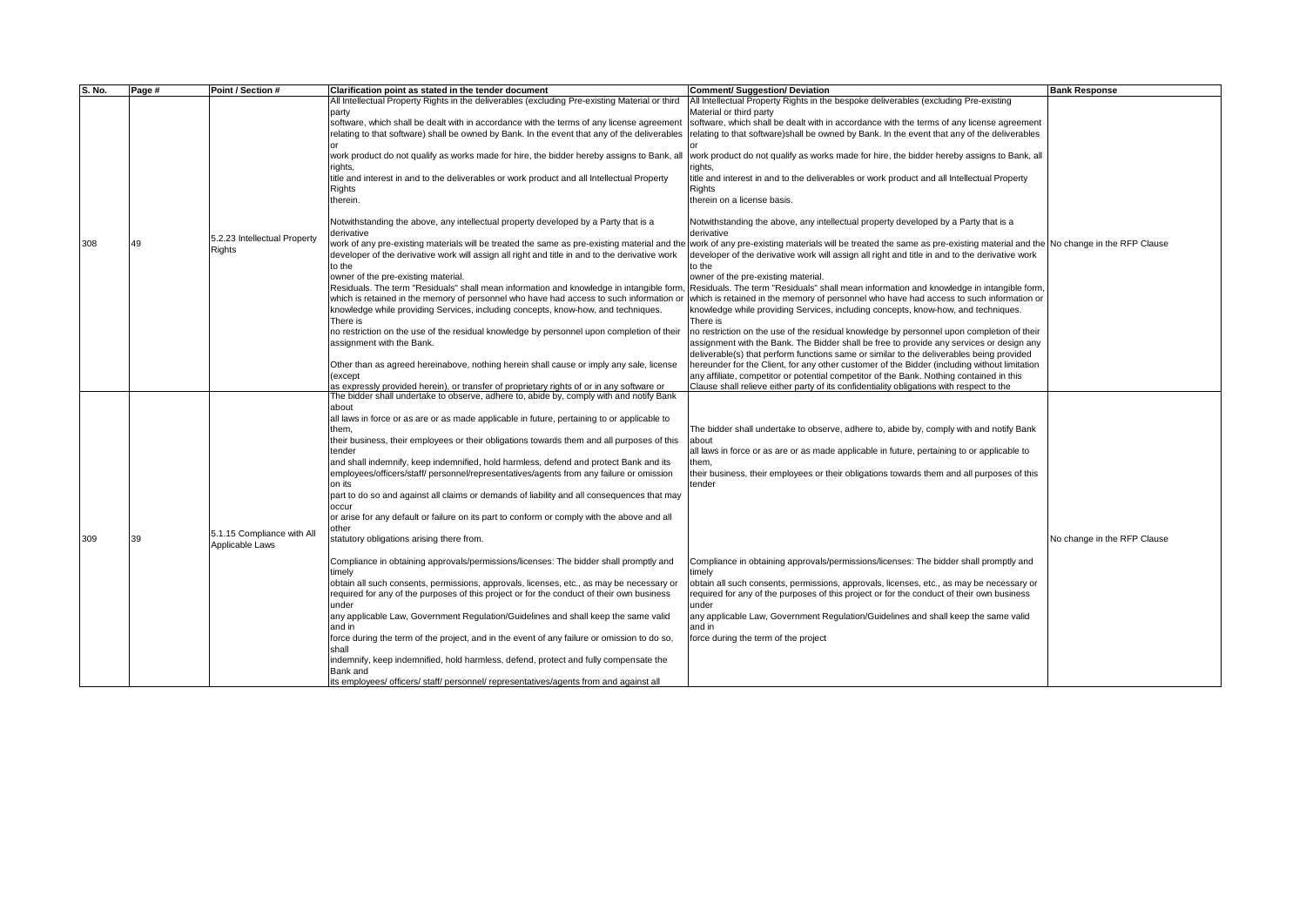| S. No. | Page # | Point / Section #            | Clarification point as stated in the tender document                                           | <b>Comment/ Suggestion/ Deviation</b>                                                                                                                                                 | <b>Bank Response</b>        |
|--------|--------|------------------------------|------------------------------------------------------------------------------------------------|---------------------------------------------------------------------------------------------------------------------------------------------------------------------------------------|-----------------------------|
|        |        |                              | All Intellectual Property Rights in the deliverables (excluding Pre-existing Material or third | All Intellectual Property Rights in the bespoke deliverables (excluding Pre-existing                                                                                                  |                             |
|        |        |                              | party                                                                                          | Material or third party                                                                                                                                                               |                             |
|        |        |                              | software, which shall be dealt with in accordance with the terms of any license agreement      | software, which shall be dealt with in accordance with the terms of any license agreement                                                                                             |                             |
|        |        |                              | relating to that software) shall be owned by Bank. In the event that any of the deliverables   | relating to that software)shall be owned by Bank. In the event that any of the deliverables                                                                                           |                             |
|        |        |                              |                                                                                                |                                                                                                                                                                                       |                             |
|        |        |                              |                                                                                                | work product do not qualify as works made for hire, the bidder hereby assigns to Bank, all work product do not qualify as works made for hire, the bidder hereby assigns to Bank, all |                             |
|        |        |                              | rights,                                                                                        | rights,                                                                                                                                                                               |                             |
|        |        |                              | title and interest in and to the deliverables or work product and all Intellectual Property    | title and interest in and to the deliverables or work product and all Intellectual Property                                                                                           |                             |
|        |        |                              | Rights                                                                                         | Rights                                                                                                                                                                                |                             |
|        |        |                              | therein.                                                                                       | therein on a license basis.                                                                                                                                                           |                             |
|        |        |                              |                                                                                                |                                                                                                                                                                                       |                             |
|        |        |                              | Notwithstanding the above, any intellectual property developed by a Party that is a            | Notwithstanding the above, any intellectual property developed by a Party that is a                                                                                                   |                             |
|        |        |                              | derivative                                                                                     | derivative                                                                                                                                                                            |                             |
| 308    | 49     | 5.2.23 Intellectual Property | work of any pre-existing materials will be treated the same as pre-existing material and the   | work of any pre-existing materials will be treated the same as pre-existing material and the No change in the RFP Clause                                                              |                             |
|        |        | Rights                       | developer of the derivative work will assign all right and title in and to the derivative work | developer of the derivative work will assign all right and title in and to the derivative work                                                                                        |                             |
|        |        |                              | to the                                                                                         | to the                                                                                                                                                                                |                             |
|        |        |                              | owner of the pre-existing material.                                                            | owner of the pre-existing material.                                                                                                                                                   |                             |
|        |        |                              | Residuals. The term "Residuals" shall mean information and knowledge in intangible form        | Residuals. The term "Residuals" shall mean information and knowledge in intangible form,                                                                                              |                             |
|        |        |                              | which is retained in the memory of personnel who have had access to such information or        | which is retained in the memory of personnel who have had access to such information or                                                                                               |                             |
|        |        |                              | knowledge while providing Services, including concepts, know-how, and techniques.              | knowledge while providing Services, including concepts, know-how, and techniques.                                                                                                     |                             |
|        |        |                              | There is                                                                                       | There is                                                                                                                                                                              |                             |
|        |        |                              | no restriction on the use of the residual knowledge by personnel upon completion of their      | no restriction on the use of the residual knowledge by personnel upon completion of their                                                                                             |                             |
|        |        |                              | assignment with the Bank.                                                                      | assignment with the Bank. The Bidder shall be free to provide any services or design any                                                                                              |                             |
|        |        |                              |                                                                                                | deliverable(s) that perform functions same or similar to the deliverables being provided                                                                                              |                             |
|        |        |                              | Other than as agreed hereinabove, nothing herein shall cause or imply any sale, license        | hereunder for the Client, for any other customer of the Bidder (including without limitation                                                                                          |                             |
|        |        |                              | (except                                                                                        | any affiliate, competitor or potential competitor of the Bank. Nothing contained in this                                                                                              |                             |
|        |        |                              | as expressly provided herein), or transfer of proprietary rights of or in any software or      | Clause shall relieve either party of its confidentiality obligations with respect to the                                                                                              |                             |
|        |        |                              | The bidder shall undertake to observe, adhere to, abide by, comply with and notify Bank        |                                                                                                                                                                                       |                             |
|        |        |                              | about                                                                                          |                                                                                                                                                                                       |                             |
|        |        |                              | all laws in force or as are or as made applicable in future, pertaining to or applicable to    |                                                                                                                                                                                       |                             |
|        |        |                              | them,                                                                                          | The bidder shall undertake to observe, adhere to, abide by, comply with and notify Bank                                                                                               |                             |
|        |        |                              | their business, their employees or their obligations towards them and all purposes of this     | about                                                                                                                                                                                 |                             |
|        |        |                              | tender                                                                                         | all laws in force or as are or as made applicable in future, pertaining to or applicable to                                                                                           |                             |
|        |        |                              | and shall indemnify, keep indemnified, hold harmless, defend and protect Bank and its          | them,                                                                                                                                                                                 |                             |
|        |        |                              | employees/officers/staff/ personnel/representatives/agents from any failure or omission        | their business, their employees or their obligations towards them and all purposes of this                                                                                            |                             |
|        |        |                              | on its                                                                                         | tender                                                                                                                                                                                |                             |
|        |        |                              | part to do so and against all claims or demands of liability and all consequences that may     |                                                                                                                                                                                       |                             |
|        |        |                              | occur                                                                                          |                                                                                                                                                                                       |                             |
|        |        |                              | or arise for any default or failure on its part to conform or comply with the above and all    |                                                                                                                                                                                       |                             |
|        |        |                              | other                                                                                          |                                                                                                                                                                                       |                             |
| 309    | 39     | 5.1.15 Compliance with All   | statutory obligations arising there from.                                                      |                                                                                                                                                                                       | No change in the RFP Clause |
|        |        | Applicable Laws              |                                                                                                |                                                                                                                                                                                       |                             |
|        |        |                              | Compliance in obtaining approvals/permissions/licenses: The bidder shall promptly and          | Compliance in obtaining approvals/permissions/licenses: The bidder shall promptly and                                                                                                 |                             |
|        |        |                              | timely                                                                                         | timely                                                                                                                                                                                |                             |
|        |        |                              | obtain all such consents, permissions, approvals, licenses, etc., as may be necessary or       | obtain all such consents, permissions, approvals, licenses, etc., as may be necessary or                                                                                              |                             |
|        |        |                              | required for any of the purposes of this project or for the conduct of their own business      | required for any of the purposes of this project or for the conduct of their own business                                                                                             |                             |
|        |        |                              | under                                                                                          | under                                                                                                                                                                                 |                             |
|        |        |                              | any applicable Law, Government Regulation/Guidelines and shall keep the same valid             | any applicable Law, Government Regulation/Guidelines and shall keep the same valid                                                                                                    |                             |
|        |        |                              | and in                                                                                         | and in                                                                                                                                                                                |                             |
|        |        |                              | force during the term of the project, and in the event of any failure or omission to do so,    | force during the term of the project                                                                                                                                                  |                             |
|        |        |                              | shall                                                                                          |                                                                                                                                                                                       |                             |
|        |        |                              | indemnify, keep indemnified, hold harmless, defend, protect and fully compensate the           |                                                                                                                                                                                       |                             |
|        |        |                              | Bank and                                                                                       |                                                                                                                                                                                       |                             |
|        |        |                              | its employees/ officers/ staff/ personnel/ representatives/agents from and against all         |                                                                                                                                                                                       |                             |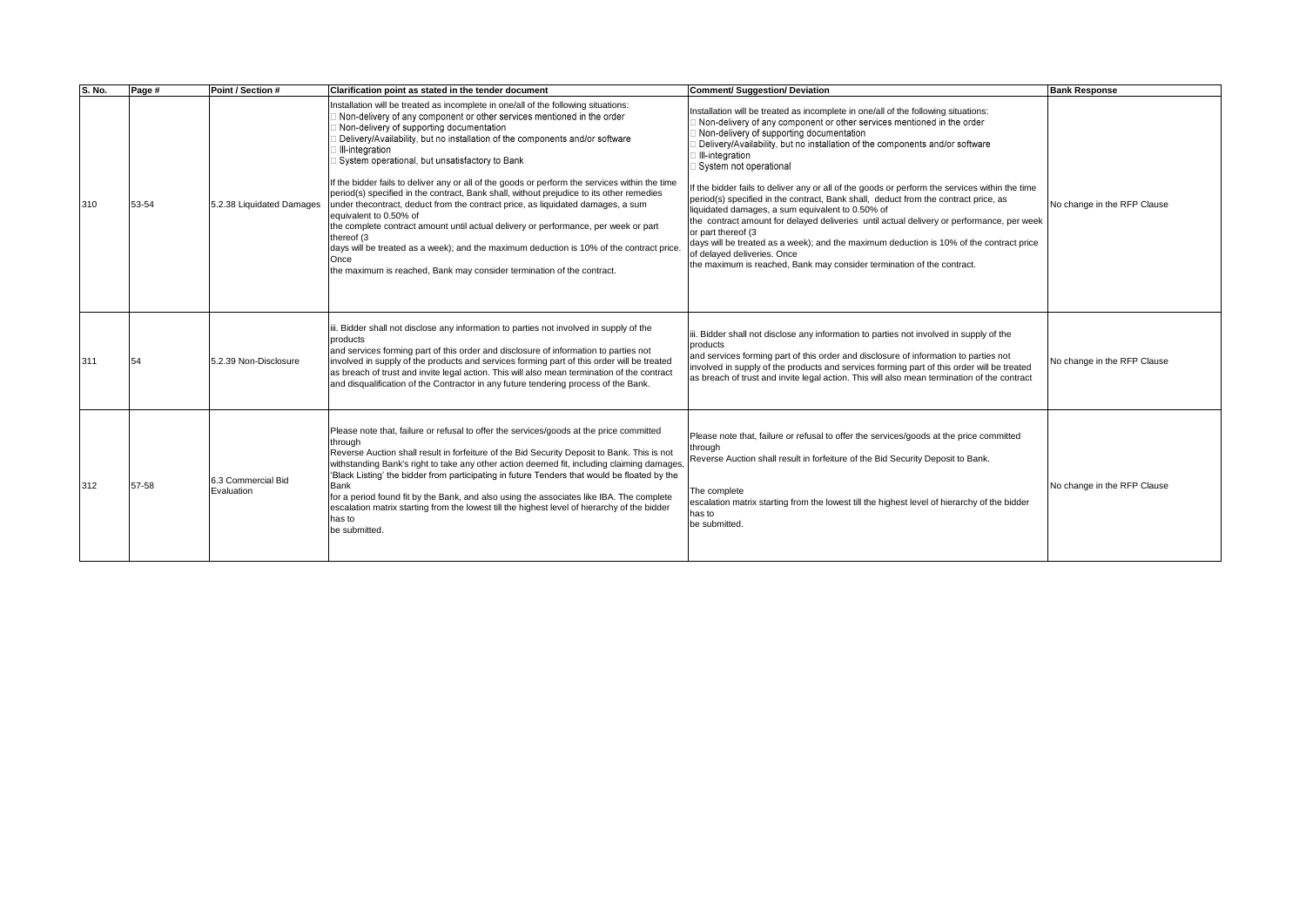| S. No. | Page # | Point / Section #                | Clarification point as stated in the tender document                                                                                                                                                                                                                                                                                                                                                                                                                                                                                                                                                                                                                                                                                                                                                                                                                                                                                                        | <b>Comment/ Suggestion/ Deviation</b>                                                                                                                                                                                                                                                                                                                                                                                                                                                                                                                                                                                                                                                                                                                                                                                                                                                                     | <b>Bank Response</b>        |
|--------|--------|----------------------------------|-------------------------------------------------------------------------------------------------------------------------------------------------------------------------------------------------------------------------------------------------------------------------------------------------------------------------------------------------------------------------------------------------------------------------------------------------------------------------------------------------------------------------------------------------------------------------------------------------------------------------------------------------------------------------------------------------------------------------------------------------------------------------------------------------------------------------------------------------------------------------------------------------------------------------------------------------------------|-----------------------------------------------------------------------------------------------------------------------------------------------------------------------------------------------------------------------------------------------------------------------------------------------------------------------------------------------------------------------------------------------------------------------------------------------------------------------------------------------------------------------------------------------------------------------------------------------------------------------------------------------------------------------------------------------------------------------------------------------------------------------------------------------------------------------------------------------------------------------------------------------------------|-----------------------------|
| 310    | 53-54  | 5.2.38 Liquidated Damages        | nstallation will be treated as incomplete in one/all of the following situations:<br>Non-delivery of any component or other services mentioned in the order<br>Non-delivery of supporting documentation<br>Delivery/Availability, but no installation of the components and/or software<br>III-integration<br>System operational, but unsatisfactory to Bank<br>If the bidder fails to deliver any or all of the goods or perform the services within the time<br>period(s) specified in the contract, Bank shall, without prejudice to its other remedies<br>under the contract, deduct from the contract price, as liquidated damages, a sum<br>equivalent to 0.50% of<br>the complete contract amount until actual delivery or performance, per week or part<br>thereof (3<br>days will be treated as a week); and the maximum deduction is 10% of the contract price.<br>Once<br>the maximum is reached, Bank may consider termination of the contract. | Installation will be treated as incomplete in one/all of the following situations:<br>Non-delivery of any component or other services mentioned in the order<br>Non-delivery of supporting documentation<br>Delivery/Availability, but no installation of the components and/or software<br>III-integration<br>System not operational<br>If the bidder fails to deliver any or all of the goods or perform the services within the time<br>period(s) specified in the contract, Bank shall, deduct from the contract price, as<br>liquidated damages, a sum equivalent to 0.50% of<br>the contract amount for delayed deliveries until actual delivery or performance, per week<br>or part thereof (3<br>days will be treated as a week); and the maximum deduction is 10% of the contract price<br>of delaved deliveries. Once<br>the maximum is reached, Bank may consider termination of the contract. | No change in the RFP Clause |
| 311    | 54     | 5.2.39 Non-Disclosure            | i. Bidder shall not disclose any information to parties not involved in supply of the<br>products<br>and services forming part of this order and disclosure of information to parties not<br>involved in supply of the products and services forming part of this order will be treated<br>as breach of trust and invite legal action. This will also mean termination of the contract<br>and disqualification of the Contractor in any future tendering process of the Bank.                                                                                                                                                                                                                                                                                                                                                                                                                                                                               | iii. Bidder shall not disclose any information to parties not involved in supply of the<br>products<br>and services forming part of this order and disclosure of information to parties not<br>involved in supply of the products and services forming part of this order will be treated<br>as breach of trust and invite legal action. This will also mean termination of the contract                                                                                                                                                                                                                                                                                                                                                                                                                                                                                                                  | No change in the RFP Clause |
| 312    | 57-58  | 6.3 Commercial Bid<br>Evaluation | Please note that, failure or refusal to offer the services/goods at the price committed<br>through<br>Reverse Auction shall result in forfeiture of the Bid Security Deposit to Bank. This is not<br>withstanding Bank's right to take any other action deemed fit, including claiming damages,<br>'Black Listing' the bidder from participating in future Tenders that would be floated by the<br>Bank<br>for a period found fit by the Bank, and also using the associates like IBA. The complete<br>escalation matrix starting from the lowest till the highest level of hierarchy of the bidder<br>has to<br>be submitted.                                                                                                                                                                                                                                                                                                                              | Please note that, failure or refusal to offer the services/goods at the price committed<br>through<br>Reverse Auction shall result in forfeiture of the Bid Security Deposit to Bank.<br>The complete<br>escalation matrix starting from the lowest till the highest level of hierarchy of the bidder<br>has to<br>be submitted.                                                                                                                                                                                                                                                                                                                                                                                                                                                                                                                                                                          | No change in the RFP Clause |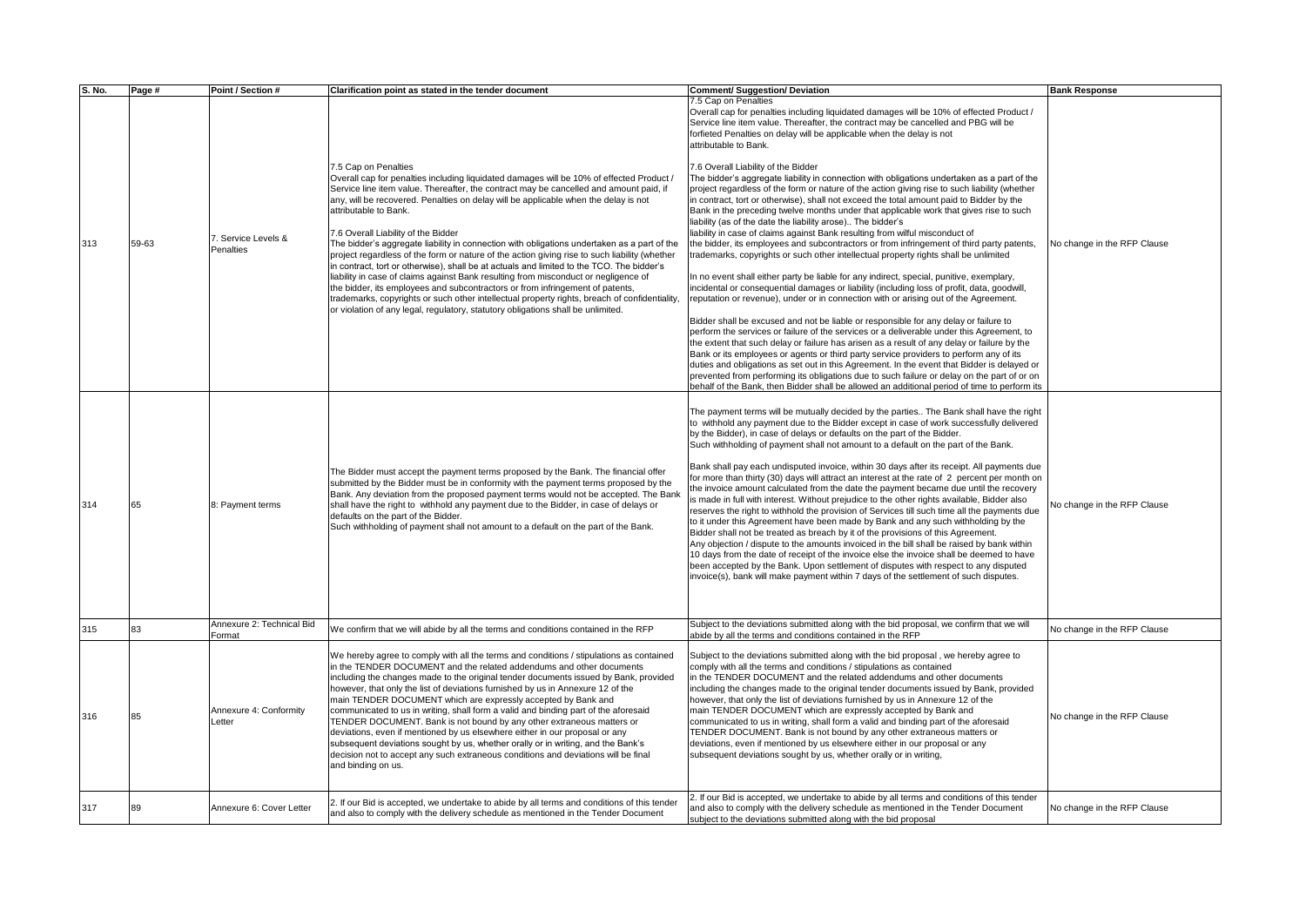| S. No. | Page # | Point / Section #                   | Clarification point as stated in the tender document                                                                                                                                                                                                                                                                                                                                                                                                                                                                                                                                                                                                                                                                                                                                                                                                                                                                                                                                                                        | <b>Comment/ Suggestion/ Deviation</b>                                                                                                                                                                                                                                                                                                                                                                                                                                                                                                                                                                                                                                                                                                                                                                                                                                                                                                                                                                                                                                                                                                                                                                                                                                                                                                                                                                                                                                                                                                                                                                                                                                                                                                                                                                                                                                                                                                    | <b>Bank Response</b>        |
|--------|--------|-------------------------------------|-----------------------------------------------------------------------------------------------------------------------------------------------------------------------------------------------------------------------------------------------------------------------------------------------------------------------------------------------------------------------------------------------------------------------------------------------------------------------------------------------------------------------------------------------------------------------------------------------------------------------------------------------------------------------------------------------------------------------------------------------------------------------------------------------------------------------------------------------------------------------------------------------------------------------------------------------------------------------------------------------------------------------------|------------------------------------------------------------------------------------------------------------------------------------------------------------------------------------------------------------------------------------------------------------------------------------------------------------------------------------------------------------------------------------------------------------------------------------------------------------------------------------------------------------------------------------------------------------------------------------------------------------------------------------------------------------------------------------------------------------------------------------------------------------------------------------------------------------------------------------------------------------------------------------------------------------------------------------------------------------------------------------------------------------------------------------------------------------------------------------------------------------------------------------------------------------------------------------------------------------------------------------------------------------------------------------------------------------------------------------------------------------------------------------------------------------------------------------------------------------------------------------------------------------------------------------------------------------------------------------------------------------------------------------------------------------------------------------------------------------------------------------------------------------------------------------------------------------------------------------------------------------------------------------------------------------------------------------------|-----------------------------|
| 313    | 59-63  | 7. Service Levels &<br>Penalties    | 7.5 Cap on Penalties<br>Overall cap for penalties including liquidated damages will be 10% of effected Product /<br>Service line item value. Thereafter, the contract may be cancelled and amount paid, if<br>any, will be recovered. Penalties on delay will be applicable when the delay is not<br>attributable to Bank.<br>7.6 Overall Liability of the Bidder<br>The bidder's aggregate liability in connection with obligations undertaken as a part of the<br>project regardless of the form or nature of the action giving rise to such liability (whether<br>in contract, tort or otherwise), shall be at actuals and limited to the TCO. The bidder's<br>liability in case of claims against Bank resulting from misconduct or negligence of<br>the bidder, its employees and subcontractors or from infringement of patents,<br>trademarks, copyrights or such other intellectual property rights, breach of confidentiality,<br>or violation of any legal, regulatory, statutory obligations shall be unlimited. | 7.5 Cap on Penalties<br>Overall cap for penalties including liquidated damages will be 10% of effected Product /<br>Service line item value. Thereafter, the contract may be cancelled and PBG will be<br>forfieted Penalties on delay will be applicable when the delay is not<br>attributable to Bank.<br>7.6 Overall Liability of the Bidder<br>The bidder's aggregate liability in connection with obligations undertaken as a part of the<br>project regardless of the form or nature of the action giving rise to such liability (whether<br>in contract, tort or otherwise), shall not exceed the total amount paid to Bidder by the<br>Bank in the preceding twelve months under that applicable work that gives rise to such<br>liability (as of the date the liability arose) The bidder's<br>liability in case of claims against Bank resulting from wilful misconduct of<br>the bidder, its employees and subcontractors or from infringement of third party patents,<br>trademarks, copyrights or such other intellectual property rights shall be unlimited<br>In no event shall either party be liable for any indirect, special, punitive, exemplary,<br>incidental or consequential damages or liability (including loss of profit, data, goodwill,<br>reputation or revenue), under or in connection with or arising out of the Agreement.<br>Bidder shall be excused and not be liable or responsible for any delay or failure to<br>perform the services or failure of the services or a deliverable under this Agreement, to<br>the extent that such delay or failure has arisen as a result of any delay or failure by the<br>Bank or its employees or agents or third party service providers to perform any of its<br>duties and obligations as set out in this Agreement. In the event that Bidder is delayed or<br>prevented from performing its obligations due to such failure or delay on the part of or on | No change in the RFP Clause |
| 314    | 65     | 8: Payment terms                    | The Bidder must accept the payment terms proposed by the Bank. The financial offer<br>submitted by the Bidder must be in conformity with the payment terms proposed by the<br>Bank. Any deviation from the proposed payment terms would not be accepted. The Bank<br>shall have the right to withhold any payment due to the Bidder, in case of delays or<br>defaults on the part of the Bidder.<br>Such withholding of payment shall not amount to a default on the part of the Bank.                                                                                                                                                                                                                                                                                                                                                                                                                                                                                                                                      | behalf of the Bank, then Bidder shall be allowed an additional period of time to perform its<br>The payment terms will be mutually decided by the parties The Bank shall have the right<br>to withhold any payment due to the Bidder except in case of work successfully delivered<br>by the Bidder), in case of delays or defaults on the part of the Bidder.<br>Such withholding of payment shall not amount to a default on the part of the Bank.<br>Bank shall pay each undisputed invoice, within 30 days after its receipt. All payments due<br>for more than thirty (30) days will attract an interest at the rate of 2 percent per month on<br>the invoice amount calculated from the date the payment became due until the recovery<br>is made in full with interest. Without prejudice to the other rights available, Bidder also<br>reserves the right to withhold the provision of Services till such time all the payments due<br>to it under this Agreement have been made by Bank and any such withholding by the<br>Bidder shall not be treated as breach by it of the provisions of this Agreement.<br>Any objection / dispute to the amounts invoiced in the bill shall be raised by bank within<br>10 days from the date of receipt of the invoice else the invoice shall be deemed to have<br>been accepted by the Bank. Upon settlement of disputes with respect to any disputed<br>invoice(s), bank will make payment within 7 days of the settlement of such disputes.                                                                                                                                                                                                                                                                                                                                                                                                                                            | No change in the RFP Clause |
| 315    | 83     | Annexure 2: Technical Bid<br>Format | We confirm that we will abide by all the terms and conditions contained in the RFP                                                                                                                                                                                                                                                                                                                                                                                                                                                                                                                                                                                                                                                                                                                                                                                                                                                                                                                                          | Subject to the deviations submitted along with the bid proposal, we confirm that we will<br>abide by all the terms and conditions contained in the RFP                                                                                                                                                                                                                                                                                                                                                                                                                                                                                                                                                                                                                                                                                                                                                                                                                                                                                                                                                                                                                                                                                                                                                                                                                                                                                                                                                                                                                                                                                                                                                                                                                                                                                                                                                                                   | No change in the RFP Clause |
| 316    | 85     | Annexure 4: Conformity<br>Letter    | We hereby agree to comply with all the terms and conditions / stipulations as contained<br>in the TENDER DOCUMENT and the related addendums and other documents<br>including the changes made to the original tender documents issued by Bank, provided<br>however, that only the list of deviations furnished by us in Annexure 12 of the<br>main TENDER DOCUMENT which are expressly accepted by Bank and<br>communicated to us in writing, shall form a valid and binding part of the aforesaid<br>TENDER DOCUMENT. Bank is not bound by any other extraneous matters or<br>deviations, even if mentioned by us elsewhere either in our proposal or any<br>subsequent deviations sought by us, whether orally or in writing, and the Bank's<br>decision not to accept any such extraneous conditions and deviations will be final<br>and binding on us.                                                                                                                                                                  | Subject to the deviations submitted along with the bid proposal, we hereby agree to<br>comply with all the terms and conditions / stipulations as contained<br>in the TENDER DOCUMENT and the related addendums and other documents<br>including the changes made to the original tender documents issued by Bank, provided<br>however, that only the list of deviations furnished by us in Annexure 12 of the<br>main TENDER DOCUMENT which are expressly accepted by Bank and<br>communicated to us in writing, shall form a valid and binding part of the aforesaid<br>TENDER DOCUMENT. Bank is not bound by any other extraneous matters or<br>deviations, even if mentioned by us elsewhere either in our proposal or any<br>subsequent deviations sought by us, whether orally or in writing,                                                                                                                                                                                                                                                                                                                                                                                                                                                                                                                                                                                                                                                                                                                                                                                                                                                                                                                                                                                                                                                                                                                                      | No change in the RFP Clause |
| 317    | 89     | Annexure 6: Cover Letter            | 2. If our Bid is accepted, we undertake to abide by all terms and conditions of this tender<br>and also to comply with the delivery schedule as mentioned in the Tender Document                                                                                                                                                                                                                                                                                                                                                                                                                                                                                                                                                                                                                                                                                                                                                                                                                                            | 2. If our Bid is accepted, we undertake to abide by all terms and conditions of this tender<br>and also to comply with the delivery schedule as mentioned in the Tender Document<br>subject to the deviations submitted along with the bid proposal                                                                                                                                                                                                                                                                                                                                                                                                                                                                                                                                                                                                                                                                                                                                                                                                                                                                                                                                                                                                                                                                                                                                                                                                                                                                                                                                                                                                                                                                                                                                                                                                                                                                                      | No change in the RFP Clause |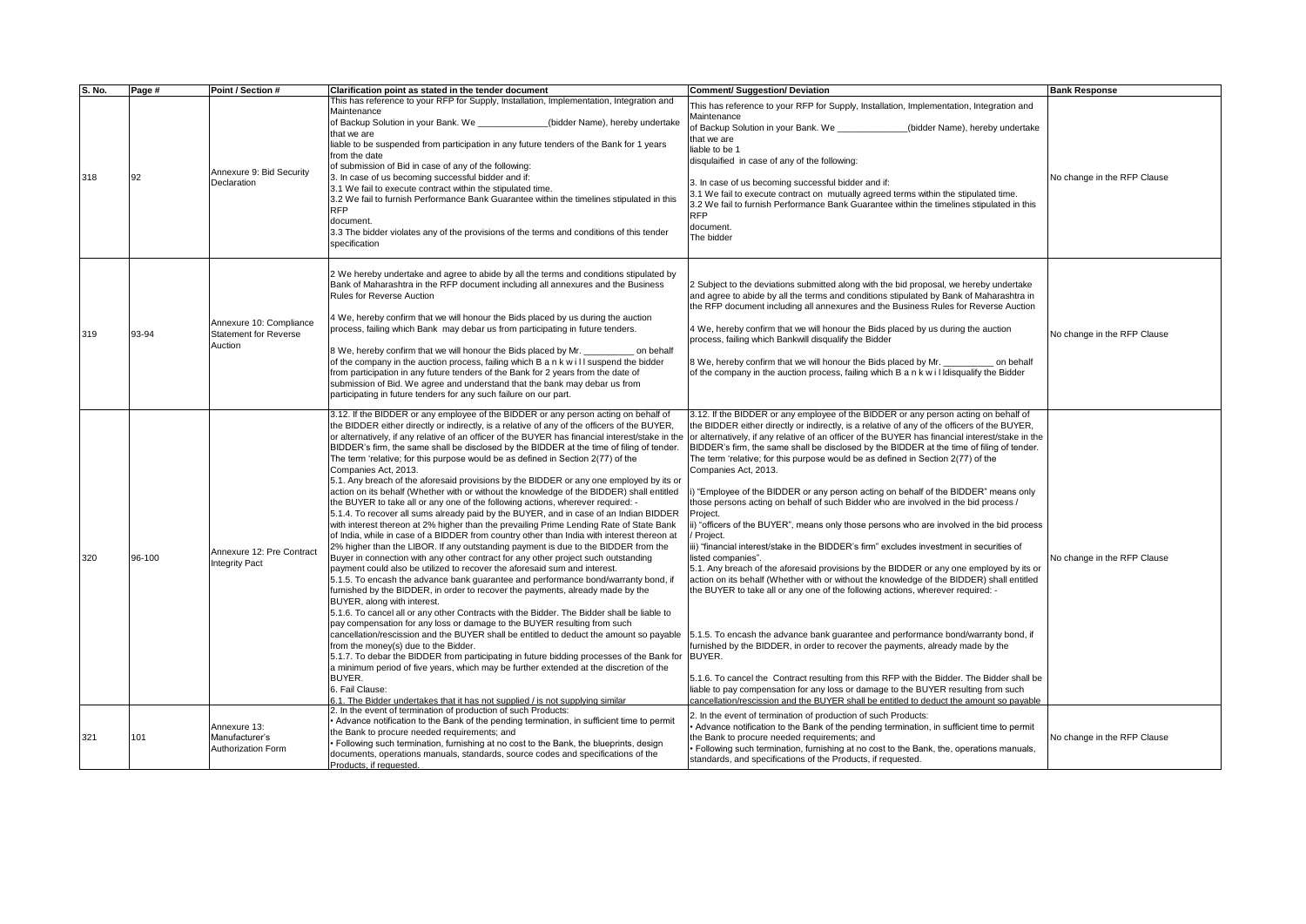| S. No. | Page # | Point / Section #                                                  | Clarification point as stated in the tender document                                                                                                                                                                                                                                                                                                                                                                                                                                                                                                                                                                                                                                                                                                                                                                                                                                                                                                                                                                                                                                                                                                                                                                                                                                                                                                                                                                                                                                                                                                                                                                                                                                                                                                                                                                                                                                                                                                                                                                                                                                                                                             | <b>Comment/ Suggestion/ Deviation</b>                                                                                                                                                                                                                                                                                                                                                                                                                                                                                                                                                                                                                                                                                                                                                                                                                                                                                                                                                                                                                                                                                                                                                                                                                                                                                                                                                                                                                                                                                                                                                                                                                                | <b>Bank Response</b>        |
|--------|--------|--------------------------------------------------------------------|--------------------------------------------------------------------------------------------------------------------------------------------------------------------------------------------------------------------------------------------------------------------------------------------------------------------------------------------------------------------------------------------------------------------------------------------------------------------------------------------------------------------------------------------------------------------------------------------------------------------------------------------------------------------------------------------------------------------------------------------------------------------------------------------------------------------------------------------------------------------------------------------------------------------------------------------------------------------------------------------------------------------------------------------------------------------------------------------------------------------------------------------------------------------------------------------------------------------------------------------------------------------------------------------------------------------------------------------------------------------------------------------------------------------------------------------------------------------------------------------------------------------------------------------------------------------------------------------------------------------------------------------------------------------------------------------------------------------------------------------------------------------------------------------------------------------------------------------------------------------------------------------------------------------------------------------------------------------------------------------------------------------------------------------------------------------------------------------------------------------------------------------------|----------------------------------------------------------------------------------------------------------------------------------------------------------------------------------------------------------------------------------------------------------------------------------------------------------------------------------------------------------------------------------------------------------------------------------------------------------------------------------------------------------------------------------------------------------------------------------------------------------------------------------------------------------------------------------------------------------------------------------------------------------------------------------------------------------------------------------------------------------------------------------------------------------------------------------------------------------------------------------------------------------------------------------------------------------------------------------------------------------------------------------------------------------------------------------------------------------------------------------------------------------------------------------------------------------------------------------------------------------------------------------------------------------------------------------------------------------------------------------------------------------------------------------------------------------------------------------------------------------------------------------------------------------------------|-----------------------------|
| 318    | 92     | Annexure 9: Bid Security<br>Declaration                            | This has reference to your RFP for Supply, Installation, Implementation, Integration and<br>Maintenance<br>of Backup Solution in your Bank. We<br>_(bidder Name), hereby undertake<br>that we are<br>liable to be suspended from participation in any future tenders of the Bank for 1 years<br>from the date<br>of submission of Bid in case of any of the following:<br>3. In case of us becoming successful bidder and if:<br>3.1 We fail to execute contract within the stipulated time.<br>3.2 We fail to furnish Performance Bank Guarantee within the timelines stipulated in this<br><b>RFP</b><br>document.<br>3.3 The bidder violates any of the provisions of the terms and conditions of this tender<br>specification                                                                                                                                                                                                                                                                                                                                                                                                                                                                                                                                                                                                                                                                                                                                                                                                                                                                                                                                                                                                                                                                                                                                                                                                                                                                                                                                                                                                                | This has reference to your RFP for Supply, Installation, Implementation, Integration and<br>Maintenance<br>of Backup Solution in your Bank. We ______________(bidder Name), hereby undertake<br>that we are<br>liable to be 1<br>disqulaified in case of any of the following:<br>3. In case of us becoming successful bidder and if:<br>3.1 We fail to execute contract on mutually agreed terms within the stipulated time.<br>3.2 We fail to furnish Performance Bank Guarantee within the timelines stipulated in this<br><b>RFP</b><br>document.<br>The bidder                                                                                                                                                                                                                                                                                                                                                                                                                                                                                                                                                                                                                                                                                                                                                                                                                                                                                                                                                                                                                                                                                                  | No change in the RFP Clause |
| 319    | 93-94  | Annexure 10: Compliance<br><b>Statement for Reverse</b><br>Auction | 2 We hereby undertake and agree to abide by all the terms and conditions stipulated by<br>Bank of Maharashtra in the RFP document including all annexures and the Business<br>Rules for Reverse Auction<br>4 We, hereby confirm that we will honour the Bids placed by us during the auction<br>process, failing which Bank may debar us from participating in future tenders.<br>8 We, hereby confirm that we will honour the Bids placed by Mr.<br>on behalf<br>of the company in the auction process, failing which B a n k w ill suspend the bidder<br>from participation in any future tenders of the Bank for 2 years from the date of<br>submission of Bid. We agree and understand that the bank may debar us from<br>participating in future tenders for any such failure on our part.                                                                                                                                                                                                                                                                                                                                                                                                                                                                                                                                                                                                                                                                                                                                                                                                                                                                                                                                                                                                                                                                                                                                                                                                                                                                                                                                                  | 2 Subject to the deviations submitted along with the bid proposal, we hereby undertake<br>and agree to abide by all the terms and conditions stipulated by Bank of Maharashtra in<br>the RFP document including all annexures and the Business Rules for Reverse Auction<br>4 We, hereby confirm that we will honour the Bids placed by us during the auction<br>process, failing which Bankwill disqualify the Bidder<br>8 We, hereby confirm that we will honour the Bids placed by Mr.<br>on behalf<br>of the company in the auction process, failing which B a n k w i I Idisqualify the Bidder                                                                                                                                                                                                                                                                                                                                                                                                                                                                                                                                                                                                                                                                                                                                                                                                                                                                                                                                                                                                                                                                  | No change in the RFP Clause |
| 320    | 96-100 | Annexure 12: Pre Contract<br><b>Integrity Pact</b>                 | 3.12. If the BIDDER or any employee of the BIDDER or any person acting on behalf of<br>the BIDDER either directly or indirectly, is a relative of any of the officers of the BUYER,<br>or alternatively, if any relative of an officer of the BUYER has financial interest/stake in the<br>BIDDER's firm, the same shall be disclosed by the BIDDER at the time of filing of tender.<br>The term 'relative; for this purpose would be as defined in Section 2(77) of the<br>Companies Act, 2013.<br>5.1. Any breach of the aforesaid provisions by the BIDDER or any one employed by its or<br>action on its behalf (Whether with or without the knowledge of the BIDDER) shall entitled<br>the BUYER to take all or any one of the following actions, wherever required: -<br>5.1.4. To recover all sums already paid by the BUYER, and in case of an Indian BIDDER<br>with interest thereon at 2% higher than the prevailing Prime Lending Rate of State Bank<br>of India, while in case of a BIDDER from country other than India with interest thereon at<br>2% higher than the LIBOR. If any outstanding payment is due to the BIDDER from the<br>Buyer in connection with any other contract for any other project such outstanding<br>payment could also be utilized to recover the aforesaid sum and interest.<br>5.1.5. To encash the advance bank guarantee and performance bond/warranty bond, if<br>furnished by the BIDDER, in order to recover the payments, already made by the<br>BUYER, along with interest.<br>5.1.6. To cancel all or any other Contracts with the Bidder. The Bidder shall be liable to<br>pay compensation for any loss or damage to the BUYER resulting from such<br>cancellation/rescission and the BUYER shall be entitled to deduct the amount so payable<br>from the money(s) due to the Bidder.<br>5.1.7. To debar the BIDDER from participating in future bidding processes of the Bank for<br>a minimum period of five years, which may be further extended at the discretion of the<br>BUYER.<br>6. Fail Clause:<br>6.1. The Bidder undertakes that it has not supplied / is not supplying similar | 3.12. If the BIDDER or any employee of the BIDDER or any person acting on behalf of<br>the BIDDER either directly or indirectly, is a relative of any of the officers of the BUYER,<br>or alternatively, if any relative of an officer of the BUYER has financial interest/stake in the<br>BIDDER's firm, the same shall be disclosed by the BIDDER at the time of filing of tender.<br>The term 'relative; for this purpose would be as defined in Section 2(77) of the<br>Companies Act, 2013.<br>i) "Employee of the BIDDER or any person acting on behalf of the BIDDER" means only<br>those persons acting on behalf of such Bidder who are involved in the bid process /<br>Project.<br>ii) "officers of the BUYER", means only those persons who are involved in the bid process<br>/ Project.<br>iii) "financial interest/stake in the BIDDER's firm" excludes investment in securities of<br>listed companies".<br>5.1. Any breach of the aforesaid provisions by the BIDDER or any one employed by its or<br>action on its behalf (Whether with or without the knowledge of the BIDDER) shall entitled<br>the BUYER to take all or any one of the following actions, wherever required: -<br>5.1.5. To encash the advance bank quarantee and performance bond/warranty bond, if<br>furnished by the BIDDER, in order to recover the payments, already made by the<br>BUYER.<br>5.1.6. To cancel the Contract resulting from this RFP with the Bidder. The Bidder shall be<br>liable to pay compensation for any loss or damage to the BUYER resulting from such<br>cancellation/rescission and the BUYER shall be entitled to deduct the amount so payable | No change in the RFP Clause |
| 321    | 101    | Annexure 13:<br>Manufacturer's<br>Authorization Form               | 2. In the event of termination of production of such Products:<br>Advance notification to the Bank of the pending termination, in sufficient time to permit<br>the Bank to procure needed requirements; and<br>Following such termination, furnishing at no cost to the Bank, the blueprints, design<br>documents, operations manuals, standards, source codes and specifications of the<br>Products, if requested.                                                                                                                                                                                                                                                                                                                                                                                                                                                                                                                                                                                                                                                                                                                                                                                                                                                                                                                                                                                                                                                                                                                                                                                                                                                                                                                                                                                                                                                                                                                                                                                                                                                                                                                              | 2. In the event of termination of production of such Products:<br>Advance notification to the Bank of the pending termination, in sufficient time to permit<br>the Bank to procure needed requirements; and<br>Following such termination, furnishing at no cost to the Bank, the, operations manuals,<br>standards, and specifications of the Products, if requested.                                                                                                                                                                                                                                                                                                                                                                                                                                                                                                                                                                                                                                                                                                                                                                                                                                                                                                                                                                                                                                                                                                                                                                                                                                                                                               | No change in the RFP Clause |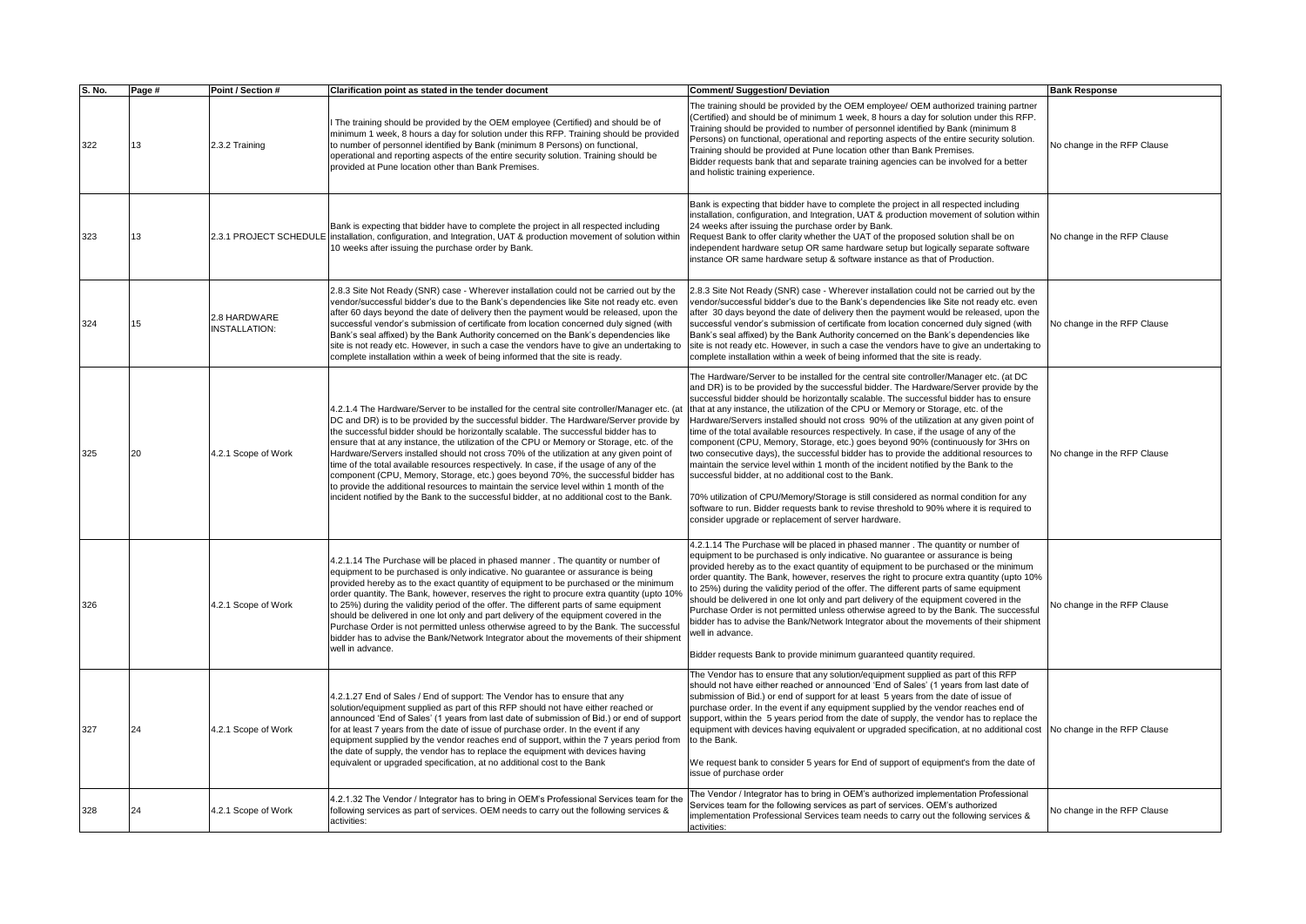| S. No. | Page # | Point / Section #                    | Clarification point as stated in the tender document                                                                                                                                                                                                                                                                                                                                                                                                                                                                                                                                                                                                                                                                                                                                                                                           | <b>Comment/ Suggestion/ Deviation</b>                                                                                                                                                                                                                                                                                                                                                                                                                                                                                                                                                                                                                                                                                                                                                                                                                                                                                                                                                                                                                                                                                                 | <b>Bank Response</b>        |
|--------|--------|--------------------------------------|------------------------------------------------------------------------------------------------------------------------------------------------------------------------------------------------------------------------------------------------------------------------------------------------------------------------------------------------------------------------------------------------------------------------------------------------------------------------------------------------------------------------------------------------------------------------------------------------------------------------------------------------------------------------------------------------------------------------------------------------------------------------------------------------------------------------------------------------|---------------------------------------------------------------------------------------------------------------------------------------------------------------------------------------------------------------------------------------------------------------------------------------------------------------------------------------------------------------------------------------------------------------------------------------------------------------------------------------------------------------------------------------------------------------------------------------------------------------------------------------------------------------------------------------------------------------------------------------------------------------------------------------------------------------------------------------------------------------------------------------------------------------------------------------------------------------------------------------------------------------------------------------------------------------------------------------------------------------------------------------|-----------------------------|
| 322    | 13     | 2.3.2 Training                       | The training should be provided by the OEM employee (Certified) and should be of<br>minimum 1 week, 8 hours a day for solution under this RFP. Training should be provided<br>to number of personnel identified by Bank (minimum 8 Persons) on functional,<br>operational and reporting aspects of the entire security solution. Training should be<br>provided at Pune location other than Bank Premises.                                                                                                                                                                                                                                                                                                                                                                                                                                     | The training should be provided by the OEM employee/ OEM authorized training partner<br>(Certified) and should be of minimum 1 week, 8 hours a day for solution under this RFP.<br>Training should be provided to number of personnel identified by Bank (minimum 8<br>Persons) on functional, operational and reporting aspects of the entire security solution.<br>Training should be provided at Pune location other than Bank Premises.<br>Bidder requests bank that and separate training agencies can be involved for a better<br>and holistic training experience.                                                                                                                                                                                                                                                                                                                                                                                                                                                                                                                                                             | No change in the RFP Clause |
| 323    | 13     | 2.3.1 PROJECT SCHEDULE               | Bank is expecting that bidder have to complete the project in all respected including<br>installation, configuration, and Integration, UAT & production movement of solution within<br>10 weeks after issuing the purchase order by Bank.                                                                                                                                                                                                                                                                                                                                                                                                                                                                                                                                                                                                      | Bank is expecting that bidder have to complete the project in all respected including<br>installation, configuration, and Integration, UAT & production movement of solution within<br>24 weeks after issuing the purchase order by Bank.<br>Request Bank to offer clarity whether the UAT of the proposed solution shall be on<br>independent hardware setup OR same hardware setup but logically separate software<br>instance OR same hardware setup & software instance as that of Production.                                                                                                                                                                                                                                                                                                                                                                                                                                                                                                                                                                                                                                    | No change in the RFP Clause |
| 324    | 15     | 2.8 HARDWARE<br><b>INSTALLATION:</b> | 2.8.3 Site Not Ready (SNR) case - Wherever installation could not be carried out by the<br>vendor/successful bidder's due to the Bank's dependencies like Site not ready etc. even<br>after 60 days beyond the date of delivery then the payment would be released, upon the<br>successful vendor's submission of certificate from location concerned duly signed (with<br>Bank's seal affixed) by the Bank Authority concerned on the Bank's dependencies like<br>site is not ready etc. However, in such a case the vendors have to give an undertaking to<br>complete installation within a week of being informed that the site is ready.                                                                                                                                                                                                  | 2.8.3 Site Not Ready (SNR) case - Wherever installation could not be carried out by the<br>vendor/successful bidder's due to the Bank's dependencies like Site not ready etc. even<br>after 30 days beyond the date of delivery then the payment would be released, upon the<br>successful vendor's submission of certificate from location concerned duly signed (with<br>Bank's seal affixed) by the Bank Authority concerned on the Bank's dependencies like<br>site is not ready etc. However, in such a case the vendors have to give an undertaking to<br>complete installation within a week of being informed that the site is ready.                                                                                                                                                                                                                                                                                                                                                                                                                                                                                         | No change in the RFP Clause |
| 325    | 20     | 4.2.1 Scope of Work                  | 4.2.1.4 The Hardware/Server to be installed for the central site controller/Manager etc. (at<br>DC and DR) is to be provided by the successful bidder. The Hardware/Server provide by<br>the successful bidder should be horizontally scalable. The successful bidder has to<br>ensure that at any instance, the utilization of the CPU or Memory or Storage, etc. of the<br>Hardware/Servers installed should not cross 70% of the utilization at any given point of<br>time of the total available resources respectively. In case, if the usage of any of the<br>component (CPU, Memory, Storage, etc.) goes beyond 70%, the successful bidder has<br>to provide the additional resources to maintain the service level within 1 month of the<br>incident notified by the Bank to the successful bidder, at no additional cost to the Bank. | The Hardware/Server to be installed for the central site controller/Manager etc. (at DC<br>and DR) is to be provided by the successful bidder. The Hardware/Server provide by the<br>successful bidder should be horizontally scalable. The successful bidder has to ensure<br>that at any instance, the utilization of the CPU or Memory or Storage, etc. of the<br>Hardware/Servers installed should not cross 90% of the utilization at any given point of<br>time of the total available resources respectively. In case, if the usage of any of the<br>component (CPU, Memory, Storage, etc.) goes beyond 90% (continuously for 3Hrs on<br>two consecutive days), the successful bidder has to provide the additional resources to<br>maintain the service level within 1 month of the incident notified by the Bank to the<br>successful bidder, at no additional cost to the Bank.<br>70% utilization of CPU/Memory/Storage is still considered as normal condition for any<br>software to run. Bidder requests bank to revise threshold to 90% where it is required to<br>consider upgrade or replacement of server hardware. | No change in the RFP Clause |
| 326    |        | 4.2.1 Scope of Work                  | 4.2.1.14 The Purchase will be placed in phased manner . The quantity or number of<br>equipment to be purchased is only indicative. No quarantee or assurance is being<br>provided hereby as to the exact quantity of equipment to be purchased or the minimum<br>order quantity. The Bank, however, reserves the right to procure extra quantity (upto 10%<br>to 25%) during the validity period of the offer. The different parts of same equipment<br>should be delivered in one lot only and part delivery of the equipment covered in the<br>Purchase Order is not permitted unless otherwise agreed to by the Bank. The successful<br>bidder has to advise the Bank/Network Integrator about the movements of their shipment<br>well in advance.                                                                                          | 4.2.1.14 The Purchase will be placed in phased manner. The quantity or number of<br>equipment to be purchased is only indicative. No guarantee or assurance is being<br>provided hereby as to the exact quantity of equipment to be purchased or the minimum<br>order quantity. The Bank, however, reserves the right to procure extra quantity (upto 10%<br>to 25%) during the validity period of the offer. The different parts of same equipment<br>should be delivered in one lot only and part delivery of the equipment covered in the<br>Purchase Order is not permitted unless otherwise agreed to by the Bank. The successful<br>bidder has to advise the Bank/Network Integrator about the movements of their shipment<br>well in advance.<br>Bidder requests Bank to provide minimum quaranteed quantity required.                                                                                                                                                                                                                                                                                                         | No change in the RFP Clause |
| 327    | 24     | 4.2.1 Scope of Work                  | 4.2.1.27 End of Sales / End of support: The Vendor has to ensure that any<br>solution/equipment supplied as part of this RFP should not have either reached or<br>announced 'End of Sales' (1 years from last date of submission of Bid.) or end of support<br>for at least 7 years from the date of issue of purchase order. In the event if any<br>equipment supplied by the vendor reaches end of support, within the 7 years period from<br>the date of supply, the vendor has to replace the equipment with devices having<br>equivalent or upgraded specification, at no additional cost to the Bank                                                                                                                                                                                                                                     | The Vendor has to ensure that any solution/equipment supplied as part of this RFP<br>should not have either reached or announced 'End of Sales' (1 years from last date of<br>submission of Bid.) or end of support for at least 5 years from the date of issue of<br>purchase order. In the event if any equipment supplied by the vendor reaches end of<br>support, within the 5 years period from the date of supply, the vendor has to replace the<br>equipment with devices having equivalent or upgraded specification, at no additional cost<br>to the Bank.<br>We request bank to consider 5 years for End of support of equipment's from the date of<br>issue of purchase order                                                                                                                                                                                                                                                                                                                                                                                                                                              | No change in the RFP Clause |
| 328    | 24     | 4.2.1 Scope of Work                  | 4.2.1.32 The Vendor / Integrator has to bring in OEM's Professional Services team for the<br>following services as part of services. OEM needs to carry out the following services &<br>activities:                                                                                                                                                                                                                                                                                                                                                                                                                                                                                                                                                                                                                                            | The Vendor / Integrator has to bring in OEM's authorized implementation Professional<br>Services team for the following services as part of services. OEM's authorized<br>implementation Professional Services team needs to carry out the following services &<br>activities:                                                                                                                                                                                                                                                                                                                                                                                                                                                                                                                                                                                                                                                                                                                                                                                                                                                        | No change in the RFP Clause |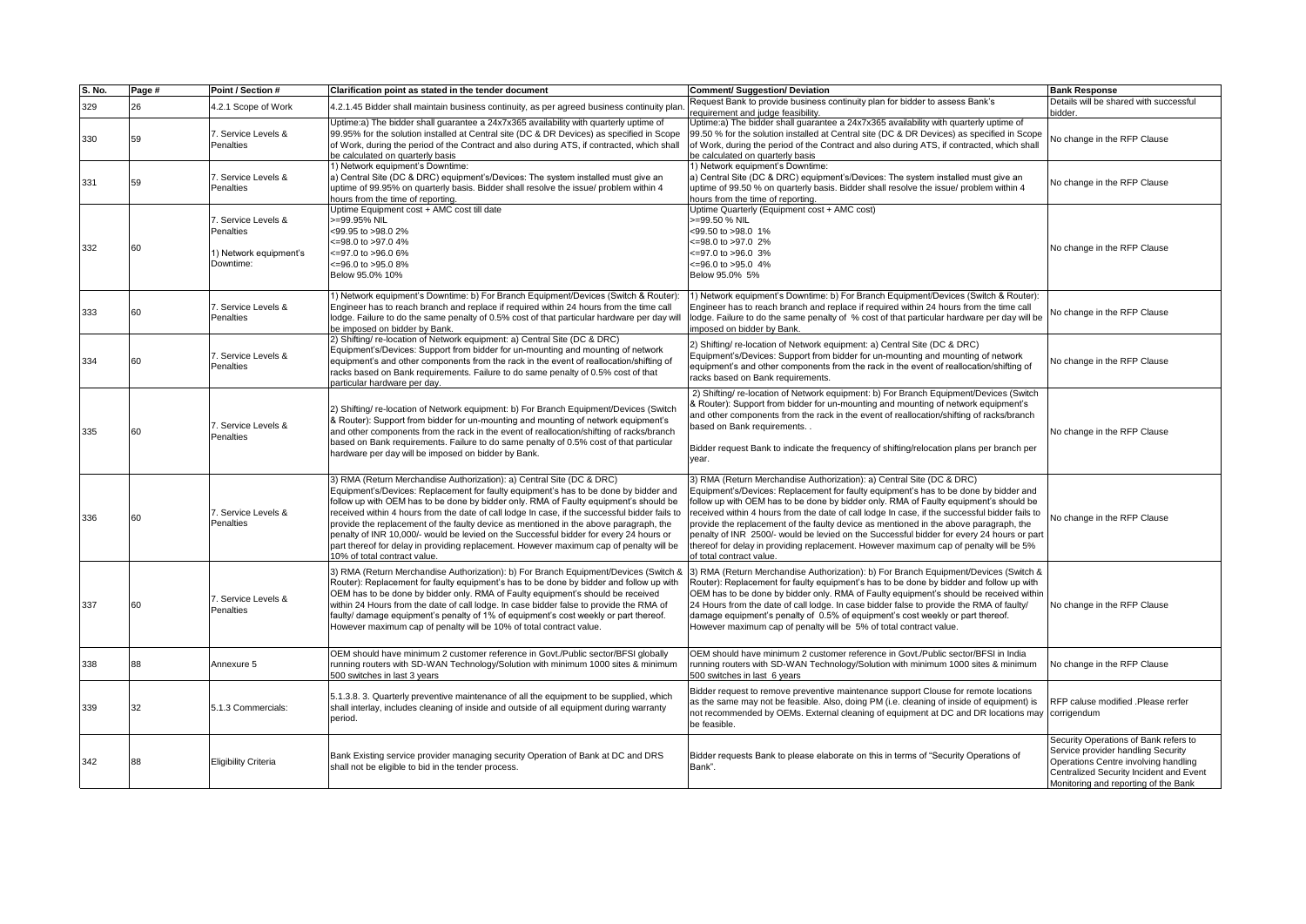| S. No. | Page # | Point / Section #           | Clarification point as stated in the tender document                                                                                                                         | <b>Comment/ Suggestion/ Deviation</b>                                                          | <b>Bank Response</b>                    |
|--------|--------|-----------------------------|------------------------------------------------------------------------------------------------------------------------------------------------------------------------------|------------------------------------------------------------------------------------------------|-----------------------------------------|
| 329    | 26     | 4.2.1 Scope of Work         | 4.2.1.45 Bidder shall maintain business continuity, as per agreed business continuity plar                                                                                   | Request Bank to provide business continuity plan for bidder to assess Bank's                   | Details will be shared with successful  |
|        |        |                             |                                                                                                                                                                              | requirement and judge feasibility.                                                             | bidder.                                 |
|        |        |                             | Uptime:a) The bidder shall quarantee a 24x7x365 availability with quarterly uptime of                                                                                        | Uptime:a) The bidder shall guarantee a 24x7x365 availability with quarterly uptime of          |                                         |
| 330    | 59     | 7. Service Levels &         | 99.95% for the solution installed at Central site (DC & DR Devices) as specified in Scope                                                                                    | 99.50 % for the solution installed at Central site (DC & DR Devices) as specified in Scope     | No change in the RFP Clause             |
|        |        | Penalties                   | of Work, during the period of the Contract and also during ATS, if contracted, which shall                                                                                   | of Work, during the period of the Contract and also during ATS, if contracted, which shall     |                                         |
|        |        |                             | be calculated on quarterly basis<br>1) Network equipment's Downtime:                                                                                                         | be calculated on quarterly basis<br>1) Network equipment's Downtime:                           |                                         |
|        |        | 7. Service Levels &         | a) Central Site (DC & DRC) equipment's/Devices: The system installed must give an                                                                                            | a) Central Site (DC & DRC) equipment's/Devices: The system installed must give an              |                                         |
| 331    | 59     | Penalties                   | uptime of 99.95% on quarterly basis. Bidder shall resolve the issue/ problem within 4                                                                                        | uptime of 99.50 % on quarterly basis. Bidder shall resolve the issue/ problem within 4         | No change in the RFP Clause             |
|        |        |                             | hours from the time of reporting.                                                                                                                                            | hours from the time of reporting.                                                              |                                         |
|        |        |                             | Uptime Equipment cost + AMC cost till date                                                                                                                                   | Uptime Quarterly (Equipment cost + AMC cost)                                                   |                                         |
|        |        | 7. Service Levels &         | >=99.95% NIL                                                                                                                                                                 | >=99.50 % NIL                                                                                  |                                         |
|        |        | Penalties                   | <99.95 to >98.0 2%                                                                                                                                                           | <99.50 to >98.0 1%                                                                             |                                         |
| 332    | 60     |                             | <= 98.0 to > 97.0 4%                                                                                                                                                         | <= 98.0 to > 97.0 2%                                                                           | No change in the RFP Clause             |
|        |        | 1) Network equipment's      | <=97.0 to >96.0 6%                                                                                                                                                           | $\leq$ =97.0 to >96.0 3%                                                                       |                                         |
|        |        | Downtime:                   | $\leq$ =96.0 to >95.0 8%                                                                                                                                                     | <=96.0 to >95.0 4%                                                                             |                                         |
|        |        |                             | Below 95.0% 10%                                                                                                                                                              | Below 95.0% 5%                                                                                 |                                         |
|        |        |                             |                                                                                                                                                                              |                                                                                                |                                         |
|        |        |                             | 1) Network equipment's Downtime: b) For Branch Equipment/Devices (Switch & Router):                                                                                          | 1) Network equipment's Downtime: b) For Branch Equipment/Devices (Switch & Router):            |                                         |
| 333    | 60     | 7. Service Levels &         | Engineer has to reach branch and replace if required within 24 hours from the time call                                                                                      | Engineer has to reach branch and replace if required within 24 hours from the time call        | No change in the RFP Clause             |
|        |        | Penalties                   | lodge. Failure to do the same penalty of 0.5% cost of that particular hardware per day will                                                                                  | lodge. Failure to do the same penalty of % cost of that particular hardware per day will be    |                                         |
|        |        |                             | be imposed on bidder by Bank.<br>2) Shifting/re-location of Network equipment: a) Central Site (DC & DRC)                                                                    | imposed on bidder by Bank.                                                                     |                                         |
|        |        |                             | Equipment's/Devices: Support from bidder for un-mounting and mounting of network                                                                                             | 2) Shifting/ re-location of Network equipment: a) Central Site (DC & DRC)                      |                                         |
| 334    | 60     | 7. Service Levels &         | equipment's and other components from the rack in the event of reallocation/shifting of                                                                                      | Equipment's/Devices: Support from bidder for un-mounting and mounting of network               | No change in the RFP Clause             |
|        |        | Penalties                   | racks based on Bank requirements. Failure to do same penalty of 0.5% cost of that                                                                                            | equipment's and other components from the rack in the event of reallocation/shifting of        |                                         |
|        |        |                             | particular hardware per day.                                                                                                                                                 | racks based on Bank requirements.                                                              |                                         |
|        |        |                             |                                                                                                                                                                              | 2) Shifting/re-location of Network equipment: b) For Branch Equipment/Devices (Switch          |                                         |
|        |        |                             |                                                                                                                                                                              | & Router): Support from bidder for un-mounting and mounting of network equipment's             |                                         |
|        |        |                             | 2) Shifting/ re-location of Network equipment: b) For Branch Equipment/Devices (Switch<br>& Router): Support from bidder for un-mounting and mounting of network equipment's | and other components from the rack in the event of reallocation/shifting of racks/branch       |                                         |
| 335    | 60     | 7. Service Levels &         | and other components from the rack in the event of reallocation/shifting of racks/branch                                                                                     | based on Bank requirements. .                                                                  | No change in the RFP Clause             |
|        |        | Penalties                   | based on Bank requirements. Failure to do same penalty of 0.5% cost of that particular                                                                                       |                                                                                                |                                         |
|        |        |                             | hardware per day will be imposed on bidder by Bank.                                                                                                                          | Bidder request Bank to indicate the frequency of shifting/relocation plans per branch per      |                                         |
|        |        |                             |                                                                                                                                                                              | year.                                                                                          |                                         |
|        |        |                             | 3) RMA (Return Merchandise Authorization): a) Central Site (DC & DRC)                                                                                                        | 3) RMA (Return Merchandise Authorization): a) Central Site (DC & DRC)                          |                                         |
|        |        |                             | Equipment's/Devices: Replacement for faulty equipment's has to be done by bidder and                                                                                         | Equipment's/Devices: Replacement for faulty equipment's has to be done by bidder and           |                                         |
|        |        |                             | follow up with OEM has to be done by bidder only. RMA of Faulty equipment's should be                                                                                        | follow up with OEM has to be done by bidder only. RMA of Faulty equipment's should be          |                                         |
|        |        | 7. Service Levels &         | received within 4 hours from the date of call lodge In case, if the successful bidder fails to                                                                               | received within 4 hours from the date of call lodge In case, if the successful bidder fails to |                                         |
| 336    | 60     | Penalties                   | provide the replacement of the faulty device as mentioned in the above paragraph, the                                                                                        | provide the replacement of the faulty device as mentioned in the above paragraph, the          | No change in the RFP Clause             |
|        |        |                             | penalty of INR 10,000/- would be levied on the Successful bidder for every 24 hours or                                                                                       | penalty of INR 2500/- would be levied on the Successful bidder for every 24 hours or part      |                                         |
|        |        |                             | part thereof for delay in providing replacement. However maximum cap of penalty will be                                                                                      | thereof for delay in providing replacement. However maximum cap of penalty will be 5%          |                                         |
|        |        |                             | 10% of total contract value.                                                                                                                                                 | of total contract value.                                                                       |                                         |
|        |        |                             | 3) RMA (Return Merchandise Authorization): b) For Branch Equipment/Devices (Switch &                                                                                         | 3) RMA (Return Merchandise Authorization): b) For Branch Equipment/Devices (Switch &           |                                         |
|        |        |                             | Router): Replacement for faulty equipment's has to be done by bidder and follow up with                                                                                      | Router): Replacement for faulty equipment's has to be done by bidder and follow up with        |                                         |
|        |        |                             | OEM has to be done by bidder only. RMA of Faulty equipment's should be received                                                                                              | OEM has to be done by bidder only. RMA of Faulty equipment's should be received within         |                                         |
| 337    | 60     | 7. Service Levels &         | within 24 Hours from the date of call lodge. In case bidder false to provide the RMA of                                                                                      | 24 Hours from the date of call lodge. In case bidder false to provide the RMA of faulty/       | No change in the RFP Clause             |
|        |        | Penalties                   | faulty/ damage equipment's penalty of 1% of equipment's cost weekly or part thereof.                                                                                         | damage equipment's penalty of 0.5% of equipment's cost weekly or part thereof.                 |                                         |
|        |        |                             | However maximum cap of penalty will be 10% of total contract value.                                                                                                          | However maximum cap of penalty will be 5% of total contract value.                             |                                         |
|        |        |                             |                                                                                                                                                                              |                                                                                                |                                         |
|        |        |                             | OEM should have minimum 2 customer reference in Govt./Public sector/BFSI globally                                                                                            | OEM should have minimum 2 customer reference in Govt./Public sector/BFSI in India              |                                         |
| 338    | 88     | Annexure 5                  | running routers with SD-WAN Technology/Solution with minimum 1000 sites & minimum                                                                                            | running routers with SD-WAN Technology/Solution with minimum 1000 sites & minimum              | No change in the RFP Clause             |
|        |        |                             | 500 switches in last 3 years                                                                                                                                                 | 500 switches in last 6 years                                                                   |                                         |
|        |        |                             |                                                                                                                                                                              | Bidder request to remove preventive maintenance support Clouse for remote locations            |                                         |
|        |        |                             | 5.1.3.8.3. Quarterly preventive maintenance of all the equipment to be supplied, which                                                                                       | as the same may not be feasible. Also, doing PM (i.e. cleaning of inside of equipment) is      | RFP caluse modified .Please rerfer      |
| 339    | 32     | 5.1.3 Commercials:          | shall interlay, includes cleaning of inside and outside of all equipment during warranty                                                                                     | not recommended by OEMs. External cleaning of equipment at DC and DR locations may             | corrigendum                             |
|        |        |                             | period.                                                                                                                                                                      | be feasible.                                                                                   |                                         |
|        |        |                             |                                                                                                                                                                              |                                                                                                | Security Operations of Bank refers to   |
|        |        |                             |                                                                                                                                                                              |                                                                                                | Service provider handling Security      |
| 342    | 88     | <b>Eligibility Criteria</b> | Bank Existing service provider managing security Operation of Bank at DC and DRS                                                                                             | Bidder requests Bank to please elaborate on this in terms of "Security Operations of           | Operations Centre involving handling    |
|        |        |                             | shall not be eligible to bid in the tender process.                                                                                                                          | Bank".                                                                                         | Centralized Security Incident and Event |
|        |        |                             |                                                                                                                                                                              |                                                                                                | Monitoring and reporting of the Bank    |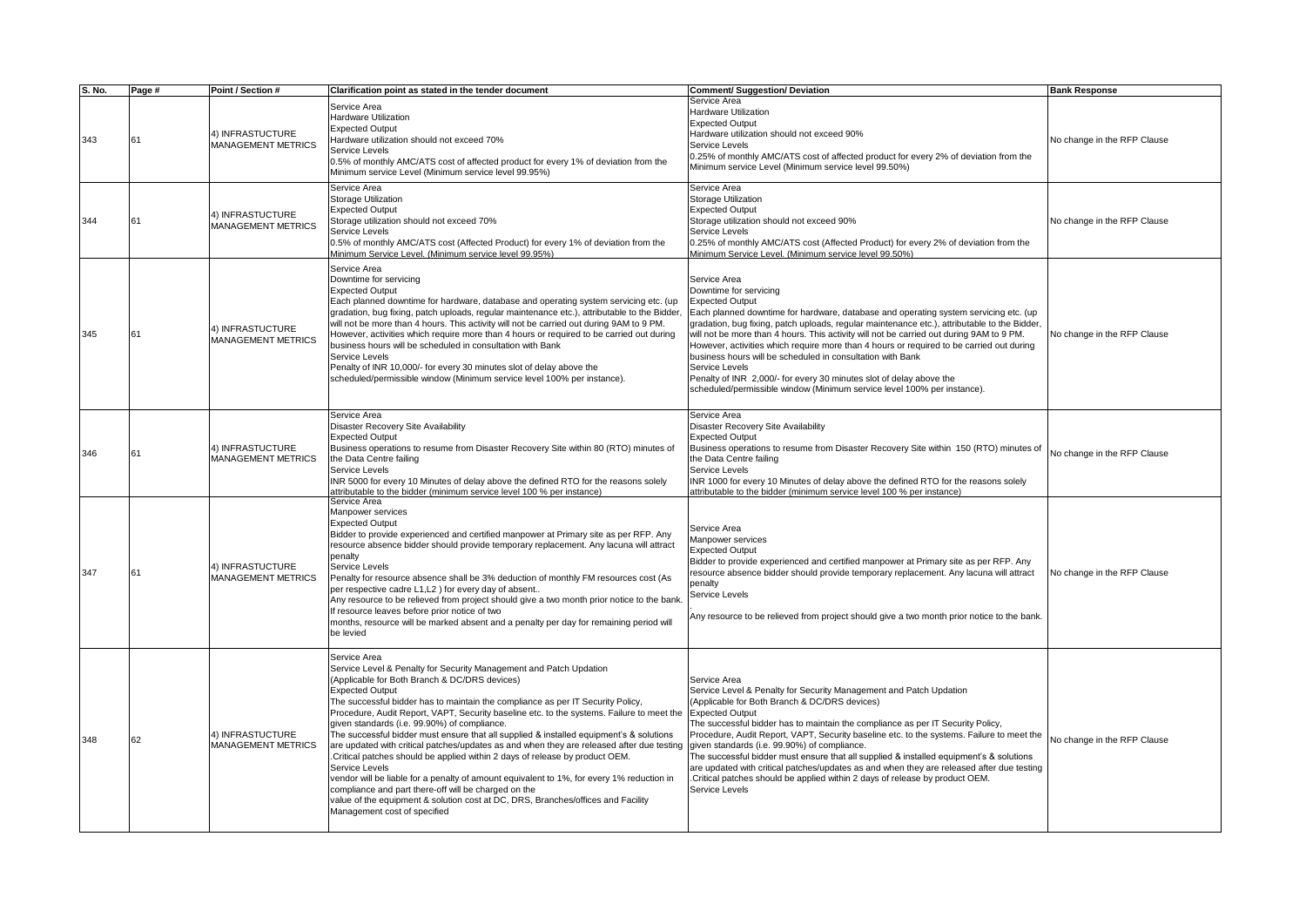| S. No. | Page # | Point / Section #                             | Clarification point as stated in the tender document                                                                                                                                                                                                                                                                                                                                                                                                                                                                                                                                                                                                                                                                                                                                                                                                                                                                                                            | <b>Comment/ Suggestion/ Deviation</b>                                                                                                                                                                                                                                                                                                                                                                                                                                                                                                                                                                                                                                                   | <b>Bank Response</b>        |
|--------|--------|-----------------------------------------------|-----------------------------------------------------------------------------------------------------------------------------------------------------------------------------------------------------------------------------------------------------------------------------------------------------------------------------------------------------------------------------------------------------------------------------------------------------------------------------------------------------------------------------------------------------------------------------------------------------------------------------------------------------------------------------------------------------------------------------------------------------------------------------------------------------------------------------------------------------------------------------------------------------------------------------------------------------------------|-----------------------------------------------------------------------------------------------------------------------------------------------------------------------------------------------------------------------------------------------------------------------------------------------------------------------------------------------------------------------------------------------------------------------------------------------------------------------------------------------------------------------------------------------------------------------------------------------------------------------------------------------------------------------------------------|-----------------------------|
| 343    | 61     | 4) INFRASTUCTURE<br><b>MANAGEMENT METRICS</b> | Service Area<br>Hardware Utilization<br><b>Expected Output</b><br>Hardware utilization should not exceed 70%<br>Service Levels<br>0.5% of monthly AMC/ATS cost of affected product for every 1% of deviation from the<br>Minimum service Level (Minimum service level 99.95%)                                                                                                                                                                                                                                                                                                                                                                                                                                                                                                                                                                                                                                                                                   | Service Area<br><b>Hardware Utilization</b><br><b>Expected Output</b><br>Hardware utilization should not exceed 90%<br>Service Levels<br>0.25% of monthly AMC/ATS cost of affected product for every 2% of deviation from the<br>Minimum service Level (Minimum service level 99.50%)                                                                                                                                                                                                                                                                                                                                                                                                   | No change in the RFP Clause |
| 344    | 61     | 4) INFRASTUCTURE<br><b>MANAGEMENT METRICS</b> | Service Area<br>Storage Utilization<br><b>Expected Output</b><br>Storage utilization should not exceed 70%<br>Service Levels<br>0.5% of monthly AMC/ATS cost (Affected Product) for every 1% of deviation from the<br>Minimum Service Level. (Minimum service level 99.95%)                                                                                                                                                                                                                                                                                                                                                                                                                                                                                                                                                                                                                                                                                     | Service Area<br><b>Storage Utilization</b><br><b>Expected Output</b><br>Storage utilization should not exceed 90%<br>Service Levels<br>0.25% of monthly AMC/ATS cost (Affected Product) for every 2% of deviation from the<br>Minimum Service Level. (Minimum service level 99.50%)                                                                                                                                                                                                                                                                                                                                                                                                     | No change in the RFP Clause |
| 345    | 61     | 4) INFRASTUCTURE<br><b>MANAGEMENT METRICS</b> | Service Area<br>Downtime for servicing<br><b>Expected Output</b><br>Each planned downtime for hardware, database and operating system servicing etc. (up<br>gradation, bug fixing, patch uploads, regular maintenance etc.), attributable to the Bidder,<br>will not be more than 4 hours. This activity will not be carried out during 9AM to 9 PM.<br>However, activities which require more than 4 hours or required to be carried out during<br>business hours will be scheduled in consultation with Bank<br>Service Levels<br>Penalty of INR 10,000/- for every 30 minutes slot of delay above the<br>scheduled/permissible window (Minimum service level 100% per instance).                                                                                                                                                                                                                                                                             | Service Area<br>Downtime for servicing<br><b>Expected Output</b><br>Each planned downtime for hardware, database and operating system servicing etc. (up<br>gradation, bug fixing, patch uploads, regular maintenance etc.), attributable to the Bidder,<br>will not be more than 4 hours. This activity will not be carried out during 9AM to 9 PM.<br>However, activities which require more than 4 hours or required to be carried out during<br>business hours will be scheduled in consultation with Bank<br>Service Levels<br>Penalty of INR 2,000/- for every 30 minutes slot of delay above the<br>scheduled/permissible window (Minimum service level 100% per instance).      | No change in the RFP Clause |
| 346    | 61     | 4) INFRASTUCTURE<br><b>MANAGEMENT METRICS</b> | Service Area<br>Disaster Recovery Site Availability<br><b>Expected Output</b><br>Business operations to resume from Disaster Recovery Site within 80 (RTO) minutes of<br>the Data Centre failing<br>Service Levels<br>INR 5000 for every 10 Minutes of delay above the defined RTO for the reasons solely<br>attributable to the bidder (minimum service level 100 % per instance)                                                                                                                                                                                                                                                                                                                                                                                                                                                                                                                                                                              | Service Area<br>Disaster Recovery Site Availability<br><b>Expected Output</b><br>Business operations to resume from Disaster Recovery Site within 150 (RTO) minutes of<br>the Data Centre failing<br>Service Levels<br>INR 1000 for every 10 Minutes of delay above the defined RTO for the reasons solely<br>attributable to the bidder (minimum service level 100 % per instance)                                                                                                                                                                                                                                                                                                     | No change in the RFP Clause |
| 347    | 61     | 4) INFRASTUCTURE<br><b>MANAGEMENT METRICS</b> | Service Area<br>Manpower services<br><b>Expected Output</b><br>Bidder to provide experienced and certified manpower at Primary site as per RFP. Any<br>resource absence bidder should provide temporary replacement. Any lacuna will attract<br>penalty<br>Service Levels<br>Penalty for resource absence shall be 3% deduction of monthly FM resources cost (As<br>per respective cadre L1,L2) for every day of absent<br>Any resource to be relieved from project should give a two month prior notice to the bank<br>If resource leaves before prior notice of two<br>months, resource will be marked absent and a penalty per day for remaining period will<br>be levied                                                                                                                                                                                                                                                                                    | Service Area<br>Manpower services<br><b>Expected Output</b><br>Bidder to provide experienced and certified manpower at Primary site as per RFP. Any<br>resource absence bidder should provide temporary replacement. Any lacuna will attract<br>penalty<br>Service Levels<br>Any resource to be relieved from project should give a two month prior notice to the bank.                                                                                                                                                                                                                                                                                                                 | No change in the RFP Clause |
| 348    | 62     | 4) INFRASTUCTURE<br><b>MANAGEMENT METRICS</b> | Service Area<br>Service Level & Penalty for Security Management and Patch Updation<br>(Applicable for Both Branch & DC/DRS devices)<br><b>Expected Output</b><br>The successful bidder has to maintain the compliance as per IT Security Policy,<br>Procedure, Audit Report, VAPT, Security baseline etc. to the systems. Failure to meet the<br>given standards (i.e. 99.90%) of compliance.<br>The successful bidder must ensure that all supplied & installed equipment's & solutions<br>are updated with critical patches/updates as and when they are released after due testing<br>Critical patches should be applied within 2 days of release by product OEM.<br>Service Levels<br>vendor will be liable for a penalty of amount equivalent to 1%, for every 1% reduction in<br>compliance and part there-off will be charged on the<br>value of the equipment & solution cost at DC, DRS, Branches/offices and Facility<br>Management cost of specified | Service Area<br>Service Level & Penalty for Security Management and Patch Updation<br>(Applicable for Both Branch & DC/DRS devices)<br><b>Expected Output</b><br>The successful bidder has to maintain the compliance as per IT Security Policy,<br>Procedure, Audit Report, VAPT, Security baseline etc. to the systems. Failure to meet the<br>given standards (i.e. 99.90%) of compliance.<br>The successful bidder must ensure that all supplied & installed equipment's & solutions<br>are updated with critical patches/updates as and when they are released after due testing<br>.Critical patches should be applied within 2 days of release by product OEM.<br>Service Levels | No change in the RFP Clause |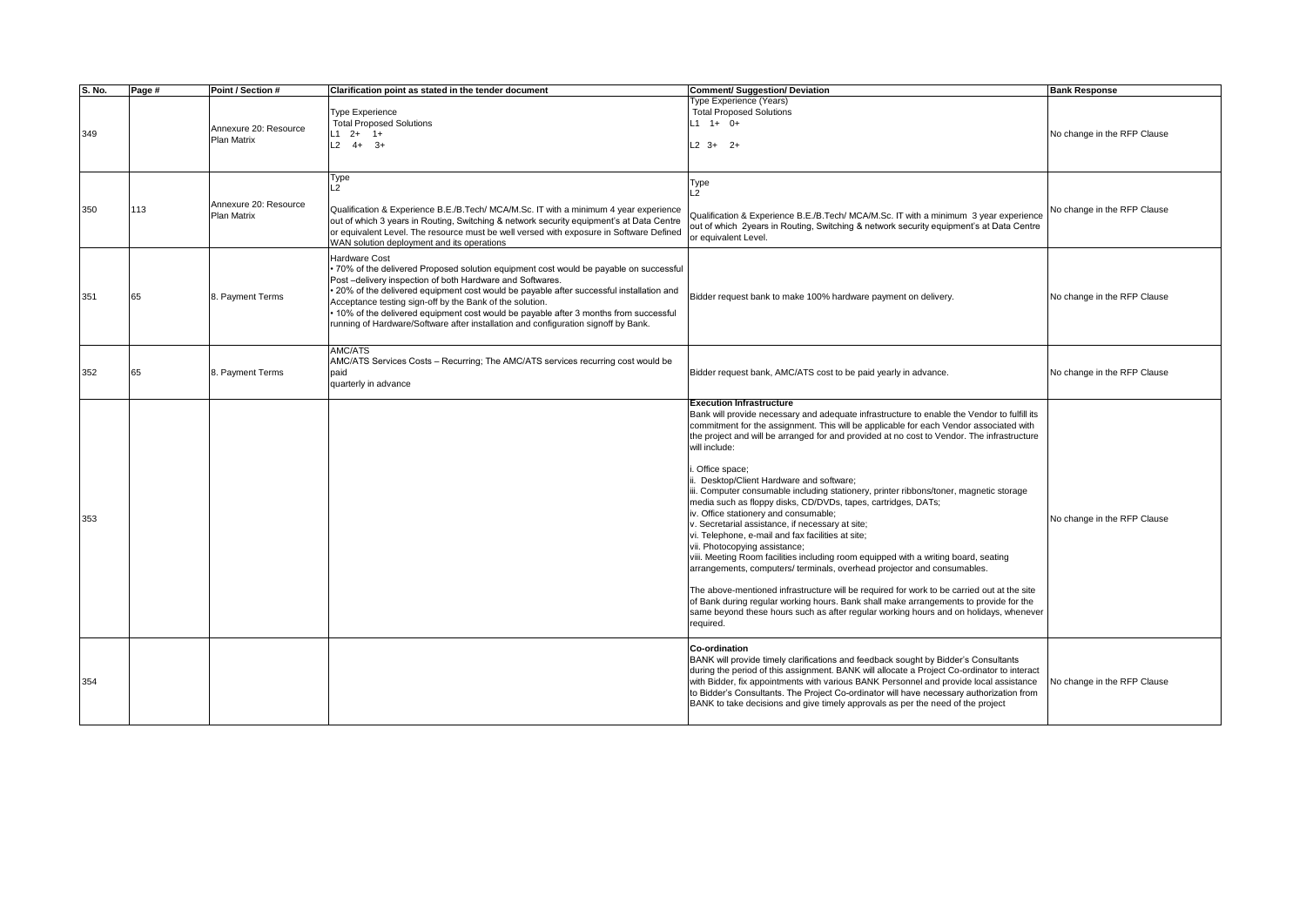| S. No. | Page # | Point / Section #                    | Clarification point as stated in the tender document                                                                                                                                                                                                                                                                                                                                                                                                                                                        | <b>Comment/ Suggestion/ Deviation</b>                                                                                                                                                                                                                                                                                                                                                                                                                                                                                                                                                                                                                                                                                                                                                                                                                                                                                                                                                                                                                                                                                                                                                                         | <b>Bank Response</b>        |
|--------|--------|--------------------------------------|-------------------------------------------------------------------------------------------------------------------------------------------------------------------------------------------------------------------------------------------------------------------------------------------------------------------------------------------------------------------------------------------------------------------------------------------------------------------------------------------------------------|---------------------------------------------------------------------------------------------------------------------------------------------------------------------------------------------------------------------------------------------------------------------------------------------------------------------------------------------------------------------------------------------------------------------------------------------------------------------------------------------------------------------------------------------------------------------------------------------------------------------------------------------------------------------------------------------------------------------------------------------------------------------------------------------------------------------------------------------------------------------------------------------------------------------------------------------------------------------------------------------------------------------------------------------------------------------------------------------------------------------------------------------------------------------------------------------------------------|-----------------------------|
| 349    |        | Annexure 20: Resource<br>Plan Matrix | <b>Type Experience</b><br><b>Total Proposed Solutions</b><br>$L1 2+ 1+$<br>$L2$ 4+ 3+                                                                                                                                                                                                                                                                                                                                                                                                                       | Type Experience (Years)<br><b>Total Proposed Solutions</b><br>$L1$ 1+ 0+<br>$L2$ 3+ 2+                                                                                                                                                                                                                                                                                                                                                                                                                                                                                                                                                                                                                                                                                                                                                                                                                                                                                                                                                                                                                                                                                                                        | No change in the RFP Clause |
| 350    | 113    | Annexure 20: Resource<br>Plan Matrix | Type<br>L2<br>Qualification & Experience B.E./B.Tech/ MCA/M.Sc. IT with a minimum 4 year experience<br>out of which 3 years in Routing, Switching & network security equipment's at Data Centre<br>or equivalent Level. The resource must be well versed with exposure in Software Defined<br>WAN solution deployment and its operations                                                                                                                                                                    | Type<br>L2<br>Qualification & Experience B.E./B.Tech/ MCA/M.Sc. IT with a minimum 3 year experience<br>out of which 2years in Routing, Switching & network security equipment's at Data Centre<br>or equivalent Level.                                                                                                                                                                                                                                                                                                                                                                                                                                                                                                                                                                                                                                                                                                                                                                                                                                                                                                                                                                                        | No change in the RFP Clause |
| 351    | 65     | 8. Payment Terms                     | <b>Hardware Cost</b><br>70% of the delivered Proposed solution equipment cost would be payable on successful<br>Post-delivery inspection of both Hardware and Softwares.<br>20% of the delivered equipment cost would be payable after successful installation and<br>Acceptance testing sign-off by the Bank of the solution.<br>10% of the delivered equipment cost would be payable after 3 months from successful<br>running of Hardware/Software after installation and configuration signoff by Bank. | Bidder request bank to make 100% hardware payment on delivery.                                                                                                                                                                                                                                                                                                                                                                                                                                                                                                                                                                                                                                                                                                                                                                                                                                                                                                                                                                                                                                                                                                                                                | No change in the RFP Clause |
| 352    | 65     | 8. Payment Terms                     | AMC/ATS<br>AMC/ATS Services Costs - Recurring; The AMC/ATS services recurring cost would be<br>paid<br>quarterly in advance                                                                                                                                                                                                                                                                                                                                                                                 | Bidder request bank, AMC/ATS cost to be paid yearly in advance.                                                                                                                                                                                                                                                                                                                                                                                                                                                                                                                                                                                                                                                                                                                                                                                                                                                                                                                                                                                                                                                                                                                                               | No change in the RFP Clause |
| 353    |        |                                      |                                                                                                                                                                                                                                                                                                                                                                                                                                                                                                             | <b>Execution Infrastructure</b><br>Bank will provide necessary and adequate infrastructure to enable the Vendor to fulfill its<br>commitment for the assignment. This will be applicable for each Vendor associated with<br>the project and will be arranged for and provided at no cost to Vendor. The infrastructure<br>will include:<br>Office space;<br>Desktop/Client Hardware and software;<br>ii. Computer consumable including stationery, printer ribbons/toner, magnetic storage<br>media such as floppy disks, CD/DVDs, tapes, cartridges, DATs;<br>iv. Office stationery and consumable;<br>v. Secretarial assistance, if necessary at site;<br>vi. Telephone, e-mail and fax facilities at site;<br>vii. Photocopying assistance;<br>viii. Meeting Room facilities including room equipped with a writing board, seating<br>arrangements, computers/ terminals, overhead projector and consumables.<br>The above-mentioned infrastructure will be required for work to be carried out at the site<br>of Bank during regular working hours. Bank shall make arrangements to provide for the<br>same beyond these hours such as after regular working hours and on holidays, whenever<br>required. | No change in the RFP Clause |
| 354    |        |                                      |                                                                                                                                                                                                                                                                                                                                                                                                                                                                                                             | Co-ordination<br>BANK will provide timely clarifications and feedback sought by Bidder's Consultants<br>during the period of this assignment. BANK will allocate a Project Co-ordinator to interact<br>with Bidder, fix appointments with various BANK Personnel and provide local assistance<br>to Bidder's Consultants. The Project Co-ordinator will have necessary authorization from<br>BANK to take decisions and give timely approvals as per the need of the project                                                                                                                                                                                                                                                                                                                                                                                                                                                                                                                                                                                                                                                                                                                                  | No change in the RFP Clause |